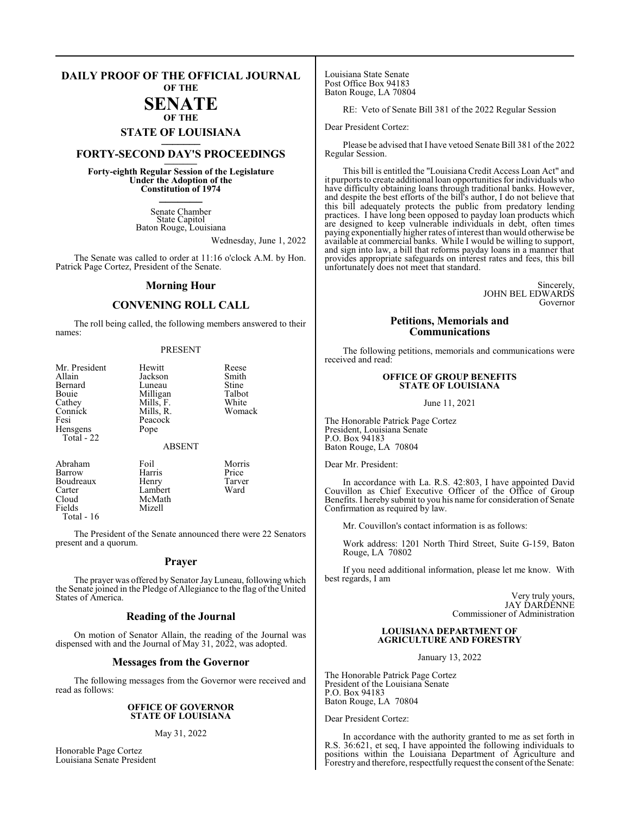#### **DAILY PROOF OF THE OFFICIAL JOURNAL OF THE**

### **SENATE OF THE**

# **STATE OF LOUISIANA \_\_\_\_\_\_\_**

## **FORTY-SECOND DAY'S PROCEEDINGS \_\_\_\_\_\_\_**

**Forty-eighth Regular Session of the Legislature Under the Adoption of the Constitution of 1974 \_\_\_\_\_\_\_**

> Senate Chamber State Capitol Baton Rouge, Louisiana

> > Wednesday, June 1, 2022

The Senate was called to order at 11:16 o'clock A.M. by Hon. Patrick Page Cortez, President of the Senate.

#### **Morning Hour**

### **CONVENING ROLL CALL**

The roll being called, the following members answered to their names:

#### PRESENT

| Mr. President<br>Allain<br>Bernard<br>Bouie<br>Cathey<br>Connick<br>Fesi<br>Hensgens<br>Total - 22 | Hewitt<br>Jackson<br>Luneau<br>Milligan<br>Mills, F.<br>Mills, R.<br>Peacock<br>Pope | Reese<br>Smith<br>Stine<br>Talbot<br>White<br>Womack |
|----------------------------------------------------------------------------------------------------|--------------------------------------------------------------------------------------|------------------------------------------------------|
|                                                                                                    | <b>ABSENT</b>                                                                        |                                                      |
| Abraham<br>Barrow                                                                                  | Foil<br>Harris                                                                       | Morris<br>Price                                      |

Carter Lambert<br>Cloud McMath Cloud McMath<br>Fields Mizell Total - 16

Boudreaux Henry Tarver<br>Carter Lambert Ward **Mizell** 

The President of the Senate announced there were 22 Senators present and a quorum.

#### **Prayer**

The prayer was offered by Senator Jay Luneau, following which the Senate joined in the Pledge of Allegiance to the flag of the United States of America.

#### **Reading of the Journal**

On motion of Senator Allain, the reading of the Journal was dispensed with and the Journal of May 31, 2022, was adopted.

#### **Messages from the Governor**

The following messages from the Governor were received and read as follows:

#### **OFFICE OF GOVERNOR STATE OF LOUISIANA**

#### May 31, 2022

Honorable Page Cortez Louisiana Senate President Louisiana State Senate Post Office Box 94183 Baton Rouge, LA 70804

RE: Veto of Senate Bill 381 of the 2022 Regular Session

Dear President Cortez:

Please be advised that I have vetoed Senate Bill 381 of the 2022 Regular Session.

This bill is entitled the "Louisiana Credit Access Loan Act" and it purports to create additional loan opportunities for individuals who have difficulty obtaining loans through traditional banks. However, and despite the best efforts of the bill's author, I do not believe that this bill adequately protects the public from predatory lending practices. I have long been opposed to payday loan products which are designed to keep vulnerable individuals in debt, often times paying exponentially higher rates of interest than would otherwise be available at commercial banks. While I would be willing to support, and sign into law, a bill that reforms payday loans in a manner that provides appropriate safeguards on interest rates and fees, this bill unfortunately does not meet that standard.

> Sincerely, JOHN BEL EDWARDS Governor

#### **Petitions, Memorials and Communications**

The following petitions, memorials and communications were received and read:

#### **OFFICE OF GROUP BENEFITS STATE OF LOUISIANA**

June 11, 2021

The Honorable Patrick Page Cortez President, Louisiana Senate P.O. Box 94183 Baton Rouge, LA 70804

Dear Mr. President:

In accordance with La. R.S. 42:803, I have appointed David Couvillon as Chief Executive Officer of the Office of Group Benefits. I hereby submit to you his name for consideration of Senate Confirmation as required by law.

Mr. Couvillon's contact information is as follows:

Work address: 1201 North Third Street, Suite G-159, Baton Rouge, LA 70802

If you need additional information, please let me know. With best regards, I am

> Very truly yours, JAY DARDENNE Commissioner of Administration

#### **LOUISIANA DEPARTMENT OF AGRICULTURE AND FORESTRY**

January 13, 2022

The Honorable Patrick Page Cortez President of the Louisiana Senate P.O. Box 94183 Baton Rouge, LA 70804

Dear President Cortez:

In accordance with the authority granted to me as set forth in R.S. 36:621, et seq, I have appointed the following individuals to positions within the Louisiana Department of Agriculture and Forestry and therefore, respectfully request the consent ofthe Senate: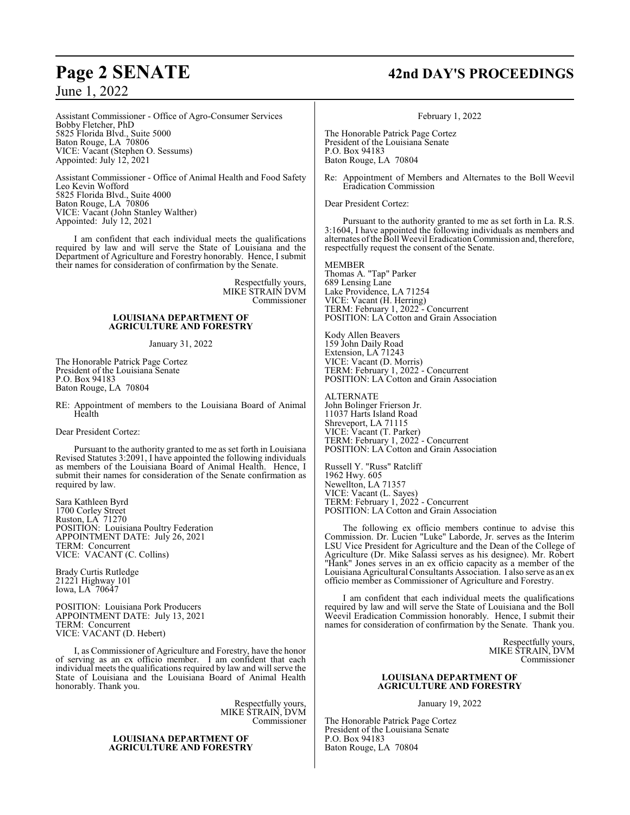#### Assistant Commissioner - Office of Agro-Consumer Services Bobby Fletcher, PhD 5825 Florida Blvd., Suite 5000 Baton Rouge, LA 70806 VICE: Vacant (Stephen O. Sessums) Appointed: July 12, 2021

Assistant Commissioner - Office of Animal Health and Food Safety Leo Kevin Wofford 5825 Florida Blvd., Suite 4000 Baton Rouge, LA 70806 VICE: Vacant (John Stanley Walther) Appointed: July 12, 2021

I am confident that each individual meets the qualifications required by law and will serve the State of Louisiana and the Department of Agriculture and Forestry honorably. Hence, I submit their names for consideration of confirmation by the Senate.

> Respectfully yours, MIKE STRAIN DVM Commissioner

#### **LOUISIANA DEPARTMENT OF AGRICULTURE AND FORESTRY**

January 31, 2022

The Honorable Patrick Page Cortez President of the Louisiana Senate P.O. Box 94183 Baton Rouge, LA 70804

RE: Appointment of members to the Louisiana Board of Animal Health

Dear President Cortez:

Pursuant to the authority granted to me as set forth in Louisiana Revised Statutes 3:2091, I have appointed the following individuals as members of the Louisiana Board of Animal Health. Hence, I submit their names for consideration of the Senate confirmation as required by law.

Sara Kathleen Byrd 1700 Corley Street Ruston, LA 71270 POSITION: Louisiana Poultry Federation APPOINTMENT DATE: July 26, 2021 TERM: Concurrent VICE: VACANT (C. Collins)

Brady Curtis Rutledge 21221 Highway 101 Iowa, LA 70647

POSITION: Louisiana Pork Producers APPOINTMENT DATE: July 13, 2021 TERM: Concurrent VICE: VACANT (D. Hebert)

I, as Commissioner of Agriculture and Forestry, have the honor of serving as an ex officio member. I am confident that each individual meets the qualifications required by law and will serve the State of Louisiana and the Louisiana Board of Animal Health honorably. Thank you.

> Respectfully yours, MIKE STRAIN, DVM Commissioner

#### **LOUISIANA DEPARTMENT OF AGRICULTURE AND FORESTRY**

## **Page 2 SENATE 42nd DAY'S PROCEEDINGS**

February 1, 2022

The Honorable Patrick Page Cortez President of the Louisiana Senate P.O. Box 94183 Baton Rouge, LA 70804

Re: Appointment of Members and Alternates to the Boll Weevil Eradication Commission

Dear President Cortez:

Pursuant to the authority granted to me as set forth in La. R.S. 3:1604, I have appointed the following individuals as members and alternates of the Boll Weevil Eradication Commission and, therefore, respectfully request the consent of the Senate.

MEMBER Thomas A. "Tap" Parker 689 Lensing Lane Lake Providence, LA 71254 VICE: Vacant (H. Herring) TERM: February 1, 2022 - Concurrent POSITION: LA Cotton and Grain Association

Kody Allen Beavers 159 John Daily Road Extension, LA 71243 VICE: Vacant (D. Morris) TERM: February 1, 2022 - Concurrent POSITION: LA Cotton and Grain Association

ALTERNATE John Bolinger Frierson Jr. 11037 Harts Island Road Shreveport, LA 71115 VICE: Vacant (T. Parker) TERM: February 1, 2022 - Concurrent POSITION: LA Cotton and Grain Association

Russell Y. "Russ" Ratcliff 1962 Hwy. 605 Newellton, LA 71357 VICE: Vacant (L. Sayes) TERM: February 1, 2022 - Concurrent POSITION: LA Cotton and Grain Association

The following ex officio members continue to advise this Commission. Dr. Lucien "Luke" Laborde, Jr. serves as the Interim LSU Vice President for Agriculture and the Dean of the College of Agriculture (Dr. Mike Salassi serves as his designee). Mr. Robert "Hank" Jones serves in an ex officio capacity as a member of the Louisiana Agricultural Consultants Association. I also serve as an ex officio member as Commissioner of Agriculture and Forestry.

I am confident that each individual meets the qualifications required by law and will serve the State of Louisiana and the Boll Weevil Eradication Commission honorably. Hence, I submit their names for consideration of confirmation by the Senate. Thank you.

> Respectfully yours, MIKE STRAIN, DVM Commissioner

#### **LOUISIANA DEPARTMENT OF AGRICULTURE AND FORESTRY**

January 19, 2022

The Honorable Patrick Page Cortez President of the Louisiana Senate P.O. Box 94183 Baton Rouge, LA 70804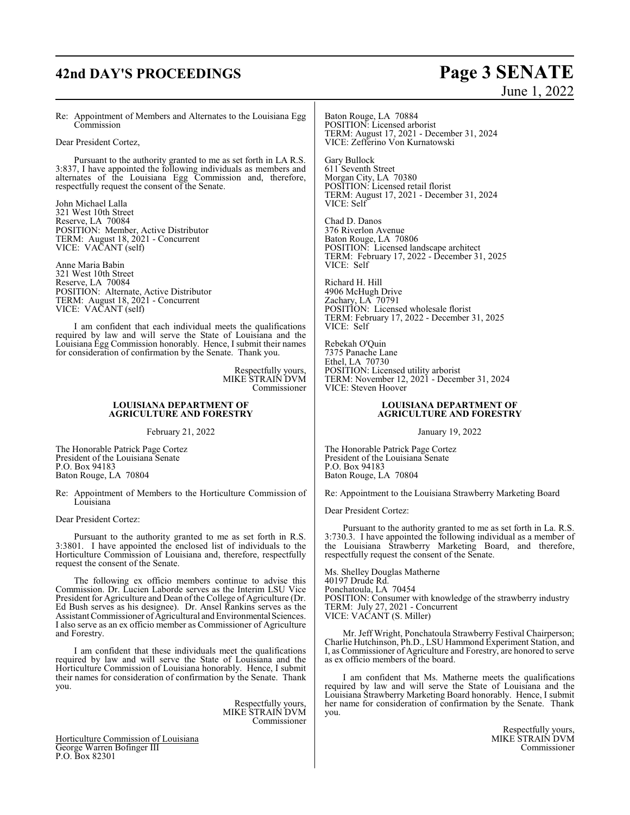## **42nd DAY'S PROCEEDINGS Page 3 SENATE**

# June 1, 2022

Re: Appointment of Members and Alternates to the Louisiana Egg **Commission** 

Dear President Cortez,

Pursuant to the authority granted to me as set forth in LA R.S. 3:837, I have appointed the following individuals as members and alternates of the Louisiana Egg Commission and, therefore, respectfully request the consent of the Senate.

John Michael Lalla 321 West 10th Street Reserve, LA 70084 POSITION: Member, Active Distributor TERM: August 18, 2021 - Concurrent VICE: VACANT (self)

Anne Maria Babin 321 West 10th Street Reserve, LA 70084 POSITION: Alternate, Active Distributor TERM: August 18, 2021 - Concurrent VICE: VACANT (self)

I am confident that each individual meets the qualifications required by law and will serve the State of Louisiana and the Louisiana Egg Commission honorably. Hence, I submit their names for consideration of confirmation by the Senate. Thank you.

> Respectfully yours, MIKE STRAIN DVM Commissioner

#### **LOUISIANA DEPARTMENT OF AGRICULTURE AND FORESTRY**

February 21, 2022

The Honorable Patrick Page Cortez President of the Louisiana Senate P.O. Box 94183 Baton Rouge, LA 70804

Re: Appointment of Members to the Horticulture Commission of Louisiana

Dear President Cortez:

Pursuant to the authority granted to me as set forth in R.S. 3:3801. I have appointed the enclosed list of individuals to the Horticulture Commission of Louisiana and, therefore, respectfully request the consent of the Senate.

The following ex officio members continue to advise this Commission. Dr. Lucien Laborde serves as the Interim LSU Vice President for Agriculture and Dean of the College of Agriculture (Dr. Ed Bush serves as his designee). Dr. Ansel Rankins serves as the Assistant Commissioner of Agricultural and Environmental Sciences. I also serve as an ex officio member as Commissioner of Agriculture and Forestry.

I am confident that these individuals meet the qualifications required by law and will serve the State of Louisiana and the Horticulture Commission of Louisiana honorably. Hence, I submit their names for consideration of confirmation by the Senate. Thank you.

> Respectfully yours, MIKE STRAIN DVM Commissioner

Horticulture Commission of Louisiana George Warren Bofinger III P.O. Box 82301

Baton Rouge, LA 70884 POSITION: Licensed arborist TERM: August 17, 2021 - December 31, 2024 VICE: Zefferino Von Kurnatowski

Gary Bullock 611 Seventh Street Morgan City, LA 70380 POSITION: Licensed retail florist TERM: August 17, 2021 - December 31, 2024 VICE: Self

Chad D. Danos 376 Riverlon Avenue Baton Rouge, LA 70806 POSITION: Licensed landscape architect TERM: February 17, 2022 - December 31, 2025 VICE: Self

Richard H. Hill 4906 McHugh Drive Zachary, LA 70791 POSITION: Licensed wholesale florist TERM: February 17, 2022 - December 31, 2025 VICE: Self

Rebekah O'Quin 7375 Panache Lane Ethel, LA 70730 POSITION: Licensed utility arborist TERM: November 12, 2021 - December 31, 2024 VICE: Steven Hoover

#### **LOUISIANA DEPARTMENT OF AGRICULTURE AND FORESTRY**

January 19, 2022

The Honorable Patrick Page Cortez President of the Louisiana Senate P.O. Box 94183 Baton Rouge, LA 70804

Re: Appointment to the Louisiana Strawberry Marketing Board

Dear President Cortez:

Pursuant to the authority granted to me as set forth in La. R.S. 3:730.3. I have appointed the following individual as a member of the Louisiana Strawberry Marketing Board, and therefore, respectfully request the consent of the Senate.

Ms. Shelley Douglas Matherne 40197 Drude Rd. Ponchatoula, LA 70454 POSITION: Consumer with knowledge of the strawberry industry TERM: July 27, 2021 - Concurrent VICE: VACANT (S. Miller)

Mr. Jeff Wright, Ponchatoula Strawberry Festival Chairperson; Charlie Hutchinson, Ph.D., LSU Hammond Experiment Station, and I, as Commissioner of Agriculture and Forestry, are honored to serve as ex officio members of the board.

I am confident that Ms. Matherne meets the qualifications required by law and will serve the State of Louisiana and the Louisiana Strawberry Marketing Board honorably. Hence, I submit her name for consideration of confirmation by the Senate. Thank you.

> Respectfully yours, MIKE STRAIN DVM Commissioner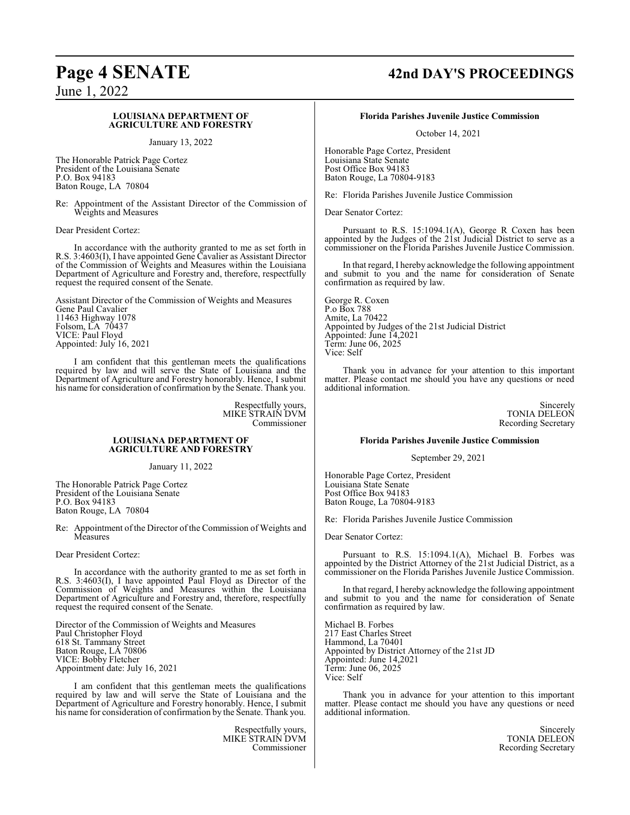#### **LOUISIANA DEPARTMENT OF AGRICULTURE AND FORESTRY**

January 13, 2022

The Honorable Patrick Page Cortez President of the Louisiana Senate P.O. Box 94183 Baton Rouge, LA 70804

Re: Appointment of the Assistant Director of the Commission of Weights and Measures

Dear President Cortez:

In accordance with the authority granted to me as set forth in R.S. 3:4603(I), I have appointed Gene Cavalier as Assistant Director of the Commission of Weights and Measures within the Louisiana Department of Agriculture and Forestry and, therefore, respectfully request the required consent of the Senate.

Assistant Director of the Commission of Weights and Measures Gene Paul Cavalier 11463 Highway 1078 Folsom, LA 70437 VICE: Paul Floyd Appointed: July 16, 2021

I am confident that this gentleman meets the qualifications required by law and will serve the State of Louisiana and the Department of Agriculture and Forestry honorably. Hence, I submit his name for consideration of confirmation by the Senate. Thank you.

> Respectfully yours, MIKE STRAIN DVM Commissioner

#### **LOUISIANA DEPARTMENT OF AGRICULTURE AND FORESTRY**

January 11, 2022

The Honorable Patrick Page Cortez President of the Louisiana Senate P.O. Box 94183 Baton Rouge, LA 70804

Re: Appointment of the Director of the Commission of Weights and **Measures** 

Dear President Cortez:

In accordance with the authority granted to me as set forth in R.S. 3:4603(I), I have appointed Paul Floyd as Director of the Commission of Weights and Measures within the Louisiana Department of Agriculture and Forestry and, therefore, respectfully request the required consent of the Senate.

Director of the Commission of Weights and Measures Paul Christopher Floyd 618 St. Tammany Street Baton Rouge, LA 70806 VICE: Bobby Fletcher Appointment date: July 16, 2021

I am confident that this gentleman meets the qualifications required by law and will serve the State of Louisiana and the Department of Agriculture and Forestry honorably. Hence, I submit his name for consideration of confirmation by the Senate. Thank you.

> Respectfully yours, MIKE STRAIN DVM Commissioner

## **Page 4 SENATE 42nd DAY'S PROCEEDINGS**

**Florida Parishes Juvenile Justice Commission**

October 14, 2021

Honorable Page Cortez, President Louisiana State Senate Post Office Box 94183 Baton Rouge, La 70804-9183

Re: Florida Parishes Juvenile Justice Commission

Dear Senator Cortez:

Pursuant to R.S. 15:1094.1(A), George R Coxen has been appointed by the Judges of the 21st Judicial District to serve as a commissioner on the Florida Parishes Juvenile Justice Commission.

In that regard, I hereby acknowledge the following appointment and submit to you and the name for consideration of Senate confirmation as required by law.

George R. Coxen P.o Box 788 Amite, La 70422 Appointed by Judges of the 21st Judicial District Appointed: June 14,2021 Term: June 06, 2025 Vice: Self

Thank you in advance for your attention to this important matter. Please contact me should you have any questions or need additional information.

> Sincerely TONIA DELEON Recording Secretary

#### **Florida Parishes Juvenile Justice Commission**

September 29, 2021

Honorable Page Cortez, President Louisiana State Senate Post Office Box 94183 Baton Rouge, La 70804-9183

Re: Florida Parishes Juvenile Justice Commission

Dear Senator Cortez:

Pursuant to R.S. 15:1094.1(A), Michael B. Forbes was appointed by the District Attorney of the 21st Judicial District, as a commissioner on the Florida Parishes Juvenile Justice Commission.

In that regard, I hereby acknowledge the following appointment and submit to you and the name for consideration of Senate confirmation as required by law.

Michael B. Forbes 217 East Charles Street Hammond, La 70401 Appointed by District Attorney of the 21st JD Appointed: June 14,2021 Term: June 06, 2025 Vice: Self

Thank you in advance for your attention to this important matter. Please contact me should you have any questions or need additional information.

> Sincerely TONIA DELEON Recording Secretary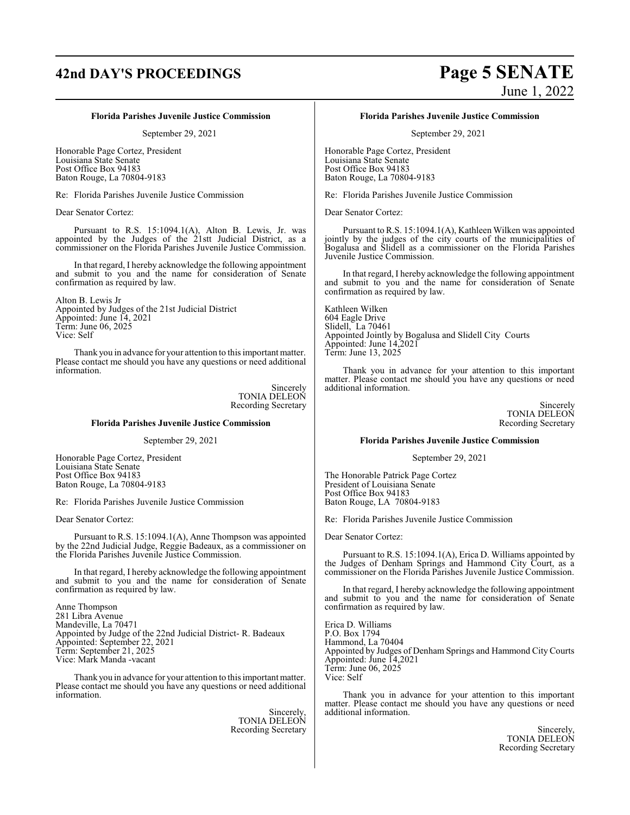## **42nd DAY'S PROCEEDINGS Page 5 SENATE**

# June 1, 2022

#### **Florida Parishes Juvenile Justice Commission**

September 29, 2021

Honorable Page Cortez, President Louisiana State Senate Post Office Box 94183 Baton Rouge, La 70804-9183

Re: Florida Parishes Juvenile Justice Commission

Dear Senator Cortez:

Pursuant to R.S. 15:1094.1(A), Alton B. Lewis, Jr. was appointed by the Judges of the 21stt Judicial District, as a commissioner on the Florida Parishes Juvenile Justice Commission.

In that regard, I hereby acknowledge the following appointment and submit to you and the name for consideration of Senate confirmation as required by law.

Alton B. Lewis Jr Appointed by Judges of the 21st Judicial District Appointed: June 14, 2021 Term: June 06, 2025 Vice: Self

Thank you in advance for your attention to this important matter. Please contact me should you have any questions or need additional information.

> Sincerely TONIA DELEON Recording Secretary

#### **Florida Parishes Juvenile Justice Commission**

September 29, 2021

Honorable Page Cortez, President Louisiana State Senate Post Office Box 94183 Baton Rouge, La 70804-9183

Re: Florida Parishes Juvenile Justice Commission

Dear Senator Cortez:

Pursuant to R.S. 15:1094.1(A), Anne Thompson was appointed by the 22nd Judicial Judge, Reggie Badeaux, as a commissioner on the Florida Parishes Juvenile Justice Commission.

In that regard, I hereby acknowledge the following appointment and submit to you and the name for consideration of Senate confirmation as required by law.

Anne Thompson 281 Libra Avenue Mandeville, La 70471 Appointed by Judge of the 22nd Judicial District- R. Badeaux Appointed: September 22, 2021 Term: September 21, 2025 Vice: Mark Manda -vacant

Thank you in advance for your attention to this important matter. Please contact me should you have any questions or need additional information.

> Sincerely, TONIA DELEON Recording Secretary

#### **Florida Parishes Juvenile Justice Commission**

September 29, 2021

Honorable Page Cortez, President Louisiana State Senate Post Office Box 94183 Baton Rouge, La 70804-9183

Re: Florida Parishes Juvenile Justice Commission

Dear Senator Cortez:

Pursuant to R.S. 15:1094.1(A), Kathleen Wilken was appointed jointly by the judges of the city courts of the municipalities of Bogalusa and Slidell as a commissioner on the Florida Parishes Juvenile Justice Commission.

In that regard, I hereby acknowledge the following appointment and submit to you and the name for consideration of Senate confirmation as required by law.

Kathleen Wilken 604 Eagle Drive Slidell, La 70461 Appointed Jointly by Bogalusa and Slidell City Courts Appointed: June 14,2021 Term: June 13, 2025

Thank you in advance for your attention to this important matter. Please contact me should you have any questions or need additional information.

> Sincerely TONIA DELEON Recording Secretary

#### **Florida Parishes Juvenile Justice Commission**

September 29, 2021

The Honorable Patrick Page Cortez President of Louisiana Senate Post Office Box 94183 Baton Rouge, LA 70804-9183

Re: Florida Parishes Juvenile Justice Commission

Dear Senator Cortez:

Pursuant to R.S. 15:1094.1(A), Erica D. Williams appointed by the Judges of Denham Springs and Hammond City Court, as a commissioner on the Florida Parishes Juvenile Justice Commission.

In that regard, I hereby acknowledge the following appointment and submit to you and the name for consideration of Senate confirmation as required by law.

Erica D. Williams P.O. Box 1794 Hammond, La 70404 Appointed by Judges of Denham Springs and Hammond City Courts Appointed: June 14,2021 Term: June 06, 2025 Vice: Self

Thank you in advance for your attention to this important matter. Please contact me should you have any questions or need additional information.

> Sincerely, TONIA DELEON Recording Secretary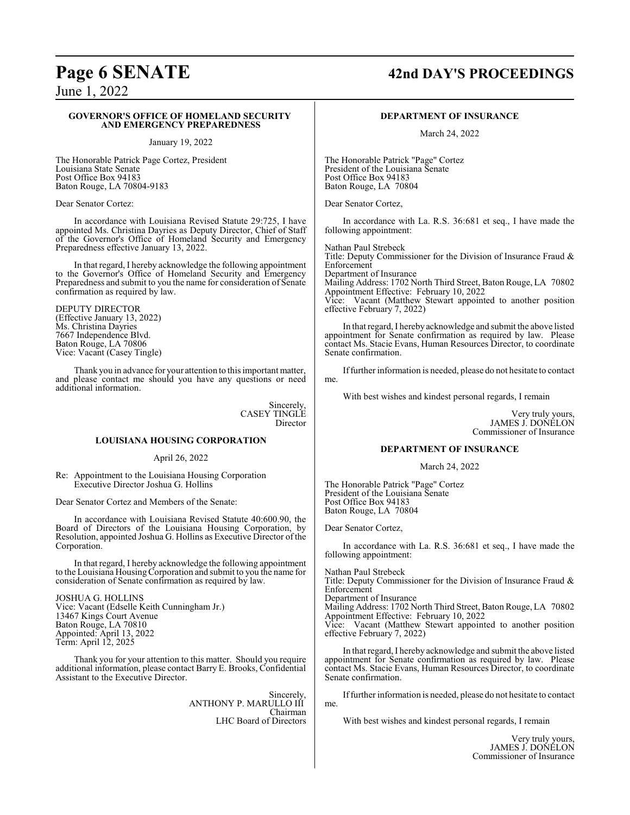## **Page 6 SENATE 42nd DAY'S PROCEEDINGS**

June 1, 2022

#### **GOVERNOR'S OFFICE OF HOMELAND SECURITY AND EMERGENCY PREPAREDNESS**

January 19, 2022

The Honorable Patrick Page Cortez, President Louisiana State Senate Post Office Box 94183 Baton Rouge, LA 70804-9183

Dear Senator Cortez:

In accordance with Louisiana Revised Statute 29:725, I have appointed Ms. Christina Dayries as Deputy Director, Chief of Staff of the Governor's Office of Homeland Security and Emergency Preparedness effective January 13, 2022.

In that regard, I hereby acknowledge the following appointment to the Governor's Office of Homeland Security and Emergency Preparedness and submit to you the name for consideration of Senate confirmation as required by law.

DEPUTY DIRECTOR (Effective January 13, 2022) Ms. Christina Dayries 7667 Independence Blvd. Baton Rouge, LA 70806 Vice: Vacant (Casey Tingle)

Thank you in advance for your attention to this important matter, and please contact me should you have any questions or need additional information.

> **Sincerely** CASEY TINGLE Director

#### **LOUISIANA HOUSING CORPORATION**

April 26, 2022

Re: Appointment to the Louisiana Housing Corporation Executive Director Joshua G. Hollins

Dear Senator Cortez and Members of the Senate:

In accordance with Louisiana Revised Statute 40:600.90, the Board of Directors of the Louisiana Housing Corporation, by Resolution, appointed Joshua G. Hollins as Executive Director ofthe Corporation.

In that regard, I hereby acknowledge the following appointment to the Louisiana HousingCorporation and submit to you the name for consideration of Senate confirmation as required by law.

JOSHUA G. HOLLINS Vice: Vacant (Edselle Keith Cunningham Jr.) 13467 Kings Court Avenue Baton Rouge, LA 70810 Appointed: April 13, 2022 Term: April 12, 2025

Thank you for your attention to this matter. Should you require additional information, please contact Barry E. Brooks, Confidential Assistant to the Executive Director.

> Sincerely, ANTHONY P. MARULLO III Chairman LHC Board of Directors

#### **DEPARTMENT OF INSURANCE**

March 24, 2022

The Honorable Patrick "Page" Cortez President of the Louisiana Senate Post Office Box 94183 Baton Rouge, LA 70804

Dear Senator Cortez,

In accordance with La. R.S. 36:681 et seq., I have made the following appointment:

Nathan Paul Strebeck Title: Deputy Commissioner for the Division of Insurance Fraud & Enforcement Department of Insurance Mailing Address: 1702 North Third Street, Baton Rouge, LA 70802 Appointment Effective: February 10, 2022

Vice: Vacant (Matthew Stewart appointed to another position effective February 7, 2022)

In that regard, I hereby acknowledge and submit the above listed appointment for Senate confirmation as required by law. Please contact Ms. Stacie Evans, Human Resources Director, to coordinate Senate confirmation.

Iffurther information is needed, please do not hesitate to contact me.

With best wishes and kindest personal regards, I remain

Very truly yours, JAMES J. DONELON Commissioner of Insurance

#### **DEPARTMENT OF INSURANCE**

March 24, 2022

The Honorable Patrick "Page" Cortez President of the Louisiana Senate Post Office Box 94183 Baton Rouge, LA 70804

Dear Senator Cortez,

In accordance with La. R.S. 36:681 et seq., I have made the following appointment:

Nathan Paul Strebeck Title: Deputy Commissioner for the Division of Insurance Fraud & Enforcement Department of Insurance Mailing Address: 1702 North Third Street, Baton Rouge, LA 70802 Appointment Effective: February 10, 2022

Vice: Vacant (Matthew Stewart appointed to another position effective February 7, 2022)

In that regard, I hereby acknowledge and submit the above listed appointment for Senate confirmation as required by law. Please contact Ms. Stacie Evans, Human Resources Director, to coordinate Senate confirmation.

Iffurther information is needed, please do not hesitate to contact me.

With best wishes and kindest personal regards, I remain

Very truly yours, JAMES J. DONELON Commissioner of Insurance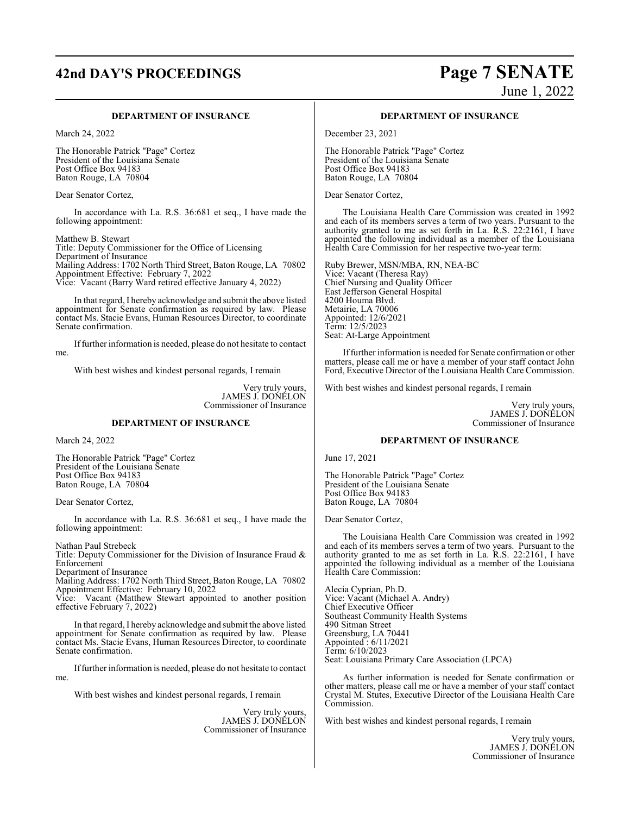# **42nd DAY'S PROCEEDINGS Page 7 SENATE**

# June 1, 2022

#### **DEPARTMENT OF INSURANCE**

March 24, 2022

The Honorable Patrick "Page" Cortez President of the Louisiana Senate Post Office Box 94183 Baton Rouge, LA 70804

Dear Senator Cortez,

In accordance with La. R.S. 36:681 et seq., I have made the following appointment:

Matthew B. Stewart Title: Deputy Commissioner for the Office of Licensing Department of Insurance Mailing Address: 1702 North Third Street, Baton Rouge, LA 70802 Appointment Effective: February 7, 2022 Vice: Vacant (Barry Ward retired effective January 4, 2022)

In that regard, I hereby acknowledge and submit the above listed appointment for Senate confirmation as required by law. Please contact Ms. Stacie Evans, Human Resources Director, to coordinate Senate confirmation.

Iffurther information is needed, please do not hesitate to contact me.

With best wishes and kindest personal regards, I remain

Very truly yours, JAMES J. DONELON Commissioner of Insurance

#### **DEPARTMENT OF INSURANCE**

March 24, 2022

The Honorable Patrick "Page" Cortez President of the Louisiana Senate Post Office Box 94183 Baton Rouge, LA 70804

Dear Senator Cortez,

In accordance with La. R.S. 36:681 et seq., I have made the following appointment:

Nathan Paul Strebeck Title: Deputy Commissioner for the Division of Insurance Fraud & Enforcement

Department of Insurance

Mailing Address: 1702 North Third Street, Baton Rouge, LA 70802 Appointment Effective: February 10, 2022

Vice: Vacant (Matthew Stewart appointed to another position effective February 7, 2022)

In that regard, I hereby acknowledge and submit the above listed appointment for Senate confirmation as required by law. Please contact Ms. Stacie Evans, Human Resources Director, to coordinate Senate confirmation.

Iffurther information is needed, please do not hesitate to contact me.

With best wishes and kindest personal regards, I remain

Very truly yours, JAMES J. DONELON Commissioner of Insurance

#### **DEPARTMENT OF INSURANCE**

December 23, 2021

The Honorable Patrick "Page" Cortez President of the Louisiana Senate Post Office Box 94183 Baton Rouge, LA 70804

Dear Senator Cortez,

The Louisiana Health Care Commission was created in 1992 and each of its members serves a term of two years. Pursuant to the authority granted to me as set forth in La. R.S. 22:2161, I have appointed the following individual as a member of the Louisiana Health Care Commission for her respective two-year term:

Ruby Brewer, MSN/MBA, RN, NEA-BC Vice: Vacant (Theresa Ray) Chief Nursing and Quality Officer East Jefferson General Hospital 4200 Houma Blvd. Metairie, LA 70006 Appointed: 12/6/2021 Term: 12/5/2023 Seat: At-Large Appointment

Iffurther information is needed for Senate confirmation or other matters, please call me or have a member of your staff contact John Ford, Executive Director of the Louisiana Health Care Commission.

With best wishes and kindest personal regards, I remain

Very truly yours, JAMES J. DONELON Commissioner of Insurance

#### **DEPARTMENT OF INSURANCE**

June 17, 2021

The Honorable Patrick "Page" Cortez President of the Louisiana Senate Post Office Box 94183 Baton Rouge, LA 70804

Dear Senator Cortez,

The Louisiana Health Care Commission was created in 1992 and each of its members serves a term of two years. Pursuant to the authority granted to me as set forth in La. R.S. 22:2161, I have appointed the following individual as a member of the Louisiana Health Care Commission:

Alecia Cyprian, Ph.D. Vice: Vacant (Michael A. Andry) Chief Executive Officer Southeast Community Health Systems 490 Sitman Street Greensburg, LA 70441 Appointed : 6/11/2021 Term: 6/10/2023 Seat: Louisiana Primary Care Association (LPCA)

As further information is needed for Senate confirmation or other matters, please call me or have a member of your staff contact Crystal M. Stutes, Executive Director of the Louisiana Health Care Commission.

With best wishes and kindest personal regards, I remain

Very truly yours, JAMES J. DONELON Commissioner of Insurance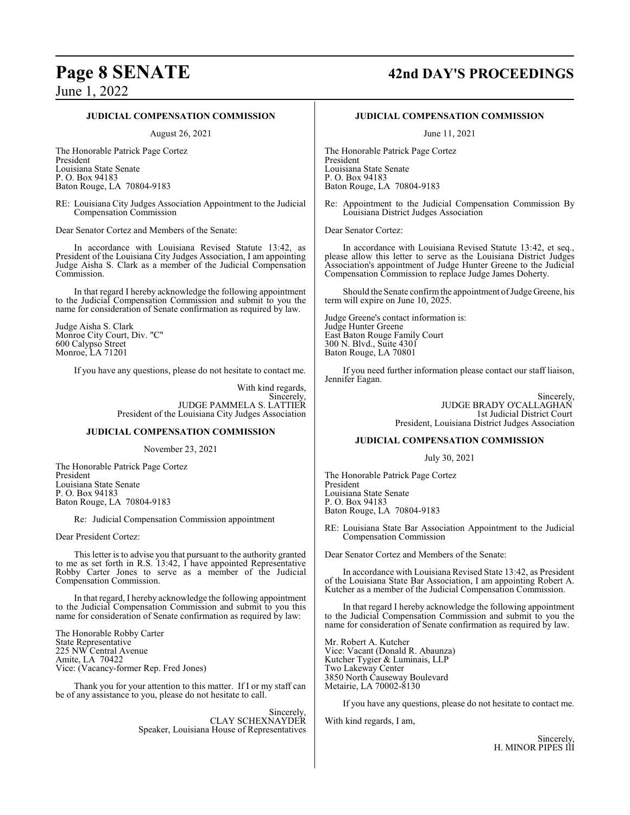## **Page 8 SENATE 42nd DAY'S PROCEEDINGS**

June 1, 2022

#### **JUDICIAL COMPENSATION COMMISSION**

August 26, 2021

The Honorable Patrick Page Cortez President Louisiana State Senate P. O. Box 94183 Baton Rouge, LA 70804-9183

RE: Louisiana City Judges Association Appointment to the Judicial Compensation Commission

Dear Senator Cortez and Members of the Senate:

In accordance with Louisiana Revised Statute 13:42, as President of the Louisiana City Judges Association, I am appointing Judge Aisha S. Clark as a member of the Judicial Compensation Commission.

In that regard I hereby acknowledge the following appointment to the Judicial Compensation Commission and submit to you the name for consideration of Senate confirmation as required by law.

Judge Aisha S. Clark Monroe City Court, Div. "C" 600 Calypso Street Monroe, LA 71201

If you have any questions, please do not hesitate to contact me.

With kind regards, Sincerely, JUDGE PAMMELA S. LATTIER President of the Louisiana City Judges Association

#### **JUDICIAL COMPENSATION COMMISSION**

November 23, 2021

The Honorable Patrick Page Cortez President Louisiana State Senate P. O. Box 94183 Baton Rouge, LA 70804-9183

Re: Judicial Compensation Commission appointment

Dear President Cortez:

This letter is to advise you that pursuant to the authority granted to me as set forth in R.S. 13:42, I have appointed Representative Robby Carter Jones to serve as a member of the Judicial Compensation Commission.

In that regard, I hereby acknowledge the following appointment to the Judicial Compensation Commission and submit to you this name for consideration of Senate confirmation as required by law:

The Honorable Robby Carter State Representative 225 NW Central Avenue Amite, LA 70422 Vice: (Vacancy-former Rep. Fred Jones)

Thank you for your attention to this matter. If I or my staff can be of any assistance to you, please do not hesitate to call.

> Sincerely, CLAY SCHEXNAYDER Speaker, Louisiana House of Representatives

#### **JUDICIAL COMPENSATION COMMISSION**

June 11, 2021

The Honorable Patrick Page Cortez President Louisiana State Senate P. O. Box 94183 Baton Rouge, LA 70804-9183

Re: Appointment to the Judicial Compensation Commission By Louisiana District Judges Association

Dear Senator Cortez:

In accordance with Louisiana Revised Statute 13:42, et seq., please allow this letter to serve as the Louisiana District Judges Association's appointment of Judge Hunter Greene to the Judicial Compensation Commission to replace Judge James Doherty.

Should the Senate confirm the appointment of Judge Greene, his term will expire on June 10, 2025.

Judge Greene's contact information is: Judge Hunter Greene East Baton Rouge Family Court 300 N. Blvd., Suite 4301 Baton Rouge, LA 70801

If you need further information please contact our staff liaison, Jennifer Eagan.

> Sincerely, JUDGE BRADY O'CALLAGHAN 1st Judicial District Court President, Louisiana District Judges Association

#### **JUDICIAL COMPENSATION COMMISSION**

July 30, 2021

The Honorable Patrick Page Cortez President Louisiana State Senate P. O. Box 94183 Baton Rouge, LA 70804-9183

RE: Louisiana State Bar Association Appointment to the Judicial Compensation Commission

Dear Senator Cortez and Members of the Senate:

In accordance with Louisiana Revised State 13:42, as President of the Louisiana State Bar Association, I am appointing Robert A. Kutcher as a member of the Judicial Compensation Commission.

In that regard I hereby acknowledge the following appointment to the Judicial Compensation Commission and submit to you the name for consideration of Senate confirmation as required by law.

Mr. Robert A. Kutcher Vice: Vacant (Donald R. Abaunza) Kutcher Tygier & Luminais, LLP Two Lakeway Center 3850 North Causeway Boulevard Metairie, LA 70002-8130

If you have any questions, please do not hesitate to contact me.

With kind regards, I am,

**Sincerely** H. MINOR PIPES III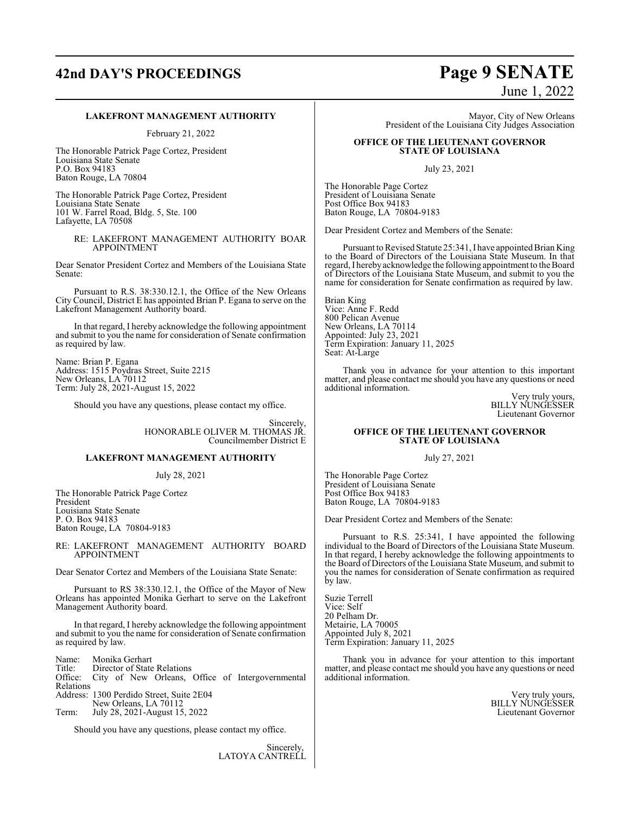# **42nd DAY'S PROCEEDINGS Page 9 SENATE**

# June 1, 2022

#### **LAKEFRONT MANAGEMENT AUTHORITY**

February 21, 2022

The Honorable Patrick Page Cortez, President Louisiana State Senate P.O. Box 94183 Baton Rouge, LA 70804

The Honorable Patrick Page Cortez, President Louisiana State Senate 101 W. Farrel Road, Bldg. 5, Ste. 100 Lafayette, LA 70508

> RE: LAKEFRONT MANAGEMENT AUTHORITY BOAR APPOINTMENT

Dear Senator President Cortez and Members of the Louisiana State Senate:

Pursuant to R.S. 38:330.12.1, the Office of the New Orleans City Council, District E has appointed Brian P. Egana to serve on the Lakefront Management Authority board.

In that regard, I hereby acknowledge the following appointment and submit to you the name for consideration of Senate confirmation as required by law.

Name: Brian P. Egana Address: 1515 Poydras Street, Suite 2215 New Orleans, LA 70112 Term: July 28, 2021-August 15, 2022

Should you have any questions, please contact my office.

Sincerely, HONORABLE OLIVER M. THOMAS JR. Councilmember District E

#### **LAKEFRONT MANAGEMENT AUTHORITY**

July 28, 2021

The Honorable Patrick Page Cortez President Louisiana State Senate P. O. Box 94183 Baton Rouge, LA 70804-9183

RE: LAKEFRONT MANAGEMENT AUTHORITY BOARD APPOINTMENT

Dear Senator Cortez and Members of the Louisiana State Senate:

Pursuant to RS 38:330.12.1, the Office of the Mayor of New Orleans has appointed Monika Gerhart to serve on the Lakefront Management Authority board.

In that regard, I hereby acknowledge the following appointment and submit to you the name for consideration of Senate confirmation as required by law.

Name: Monika Gerhart<br>Title: Director of State Title: Director of State Relations<br>Office: City of New Orleans City of New Orleans, Office of Intergovernmental Relations Address: 1300 Perdido Street, Suite 2E04 New Orleans, LA 70112 Term: July 28, 2021-August 15, 2022

Should you have any questions, please contact my office.

Sincerely, LATOYA CANTRELL

Mayor, City of New Orleans President of the Louisiana City Judges Association

#### **OFFICE OF THE LIEUTENANT GOVERNOR STATE OF LOUISIANA**

July 23, 2021

The Honorable Page Cortez President of Louisiana Senate Post Office Box 94183 Baton Rouge, LA 70804-9183

Dear President Cortez and Members of the Senate:

Pursuant to Revised Statute 25:341, I have appointed Brian King to the Board of Directors of the Louisiana State Museum. In that regard, I herebyacknowledge the following appointment to the Board of Directors of the Louisiana State Museum, and submit to you the name for consideration for Senate confirmation as required by law.

Brian King Vice: Anne F. Redd 800 Pelican Avenue New Orleans, LA 70114 Appointed: July 23, 2021 Term Expiration: January 11, 2025 Seat: At-Large

Thank you in advance for your attention to this important matter, and please contact me should you have any questions or need additional information.

Very truly yours, BILLY NUNGESSER Lieutenant Governor

#### **OFFICE OF THE LIEUTENANT GOVERNOR STATE OF LOUISIANA**

July 27, 2021

The Honorable Page Cortez President of Louisiana Senate Post Office Box 94183 Baton Rouge, LA 70804-9183

Dear President Cortez and Members of the Senate:

Pursuant to R.S. 25:341, I have appointed the following individual to the Board of Directors of the Louisiana State Museum. In that regard, I hereby acknowledge the following appointments to the Board of Directors of the Louisiana State Museum, and submit to you the names for consideration of Senate confirmation as required by law.

Suzie Terrell Vice: Self 20 Pelham Dr. Metairie, LA 70005 Appointed July 8, 2021 Term Expiration: January 11, 2025

Thank you in advance for your attention to this important matter, and please contact me should you have any questions or need additional information.

> Very truly yours, BILLY NUNGESSER Lieutenant Governor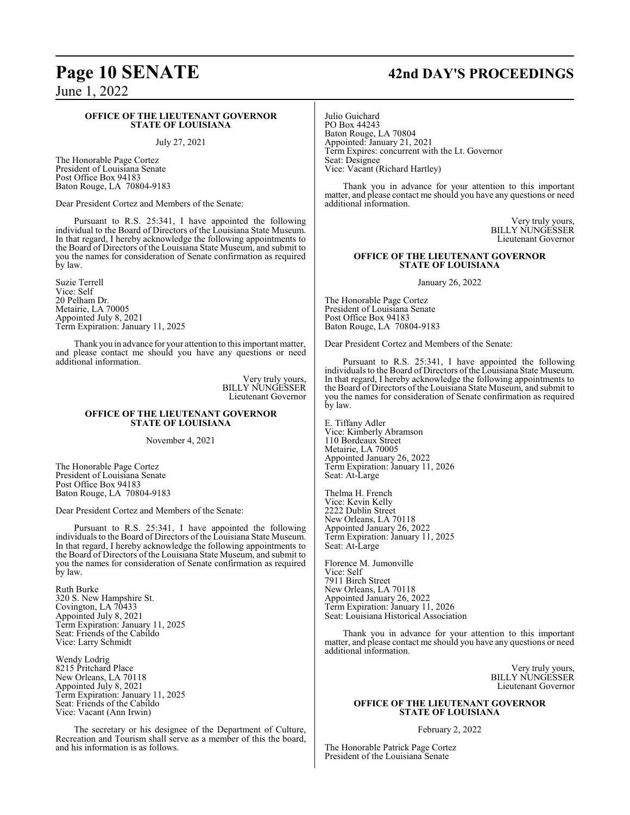#### **OFFICE OF THE LIEUTENANT GOVERNOR STATE OF LOUISIANA**

#### July 27, 2021

The Honorable Page Cortez President of Louisiana Senate Post Office Box 94183 Baton Rouge, LA 70804-9183

Dear President Cortez and Members of the Senate:

Pursuant to R.S. 25:341, I have appointed the following individual to the Board of Directors of the Louisiana State Museum. In that regard, I hereby acknowledge the following appointments to the Board of Directors of the Louisiana State Museum, and submit to you the names for consideration of Senate confirmation as required by law.

Suzie Terrell Vice: Self 20 Pelham Dr. Metairie, LA 70005 Appointed July 8, 2021 Term Expiration: January 11, 2025

Thank you in advance for your attention to this important matter, and please contact me should you have any questions or need additional information.

> Very truly yours, BILLY NUNGESSER Lieutenant Governor

#### **OFFICE OF THE LIEUTENANT GOVERNOR STATE OF LOUISIANA**

November 4, 2021

The Honorable Page Cortez President of Louisiana Senate Post Office Box 94183 Baton Rouge, LA 70804-9183

Dear President Cortez and Members of the Senate:

Pursuant to R.S. 25:341, I have appointed the following individuals to the Board of Directors of the Louisiana State Museum. In that regard, I hereby acknowledge the following appointments to the Board of Directors of the Louisiana State Museum, and submit to you the names for consideration of Senate confirmation as required by law.

Ruth Burke 320 S. New Hampshire St. Covington, LA 70433 Appointed July 8, 2021 Term Expiration: January 11, 2025 Seat: Friends of the Cabildo Vice: Larry Schmidt

Wendy Lodrig 8215 Pritchard Place New Orleans, LA 70118 Appointed July 8, 2021 Term Expiration: January 11, 2025 Seat: Friends of the Cabildo Vice: Vacant (Ann Irwin)

The secretary or his designee of the Department of Culture, Recreation and Tourism shall serve as a member of this the board, and his information is as follows.

## **Page 10 SENATE 42nd DAY'S PROCEEDINGS**

Julio Guichard PO Box 44243 Baton Rouge, LA 70804 Appointed: January 21, 2021 Term Expires: concurrent with the Lt. Governor Seat: Designee Vice: Vacant (Richard Hartley)

Thank you in advance for your attention to this important matter, and please contact me should you have any questions or need additional information.

> Very truly yours, BILLY NUNGESSER Lieutenant Governor

#### **OFFICE OF THE LIEUTENANT GOVERNOR STATE OF LOUISIANA**

January 26, 2022

The Honorable Page Cortez President of Louisiana Senate Post Office Box 94183 Baton Rouge, LA 70804-9183

Dear President Cortez and Members of the Senate:

Pursuant to R.S. 25:341, I have appointed the following individuals to the Board of Directors of the Louisiana State Museum. In that regard, I hereby acknowledge the following appointments to the Board of Directors of the Louisiana State Museum, and submit to you the names for consideration of Senate confirmation as required by law.

E. Tiffany Adler Vice: Kimberly Abramson 110 Bordeaux Street Metairie, LA 70005 Appointed January 26, 2022 Term Expiration: January 11, 2026 Seat: At-Large

Thelma H. French Vice: Kevin Kelly 2222 Dublin Street New Orleans, LA 70118 Appointed January 26, 2022 Term Expiration: January 11, 2025 Seat: At-Large

Florence M. Jumonville Vice: Self 7911 Birch Street New Orleans, LA 70118 Appointed January 26, 2022 Term Expiration: January 11, 2026 Seat: Louisiana Historical Association

Thank you in advance for your attention to this important matter, and please contact me should you have any questions or need additional information.

> Very truly yours, BILLY NUNGESSER Lieutenant Governor

#### **OFFICE OF THE LIEUTENANT GOVERNOR STATE OF LOUISIANA**

February 2, 2022

The Honorable Patrick Page Cortez President of the Louisiana Senate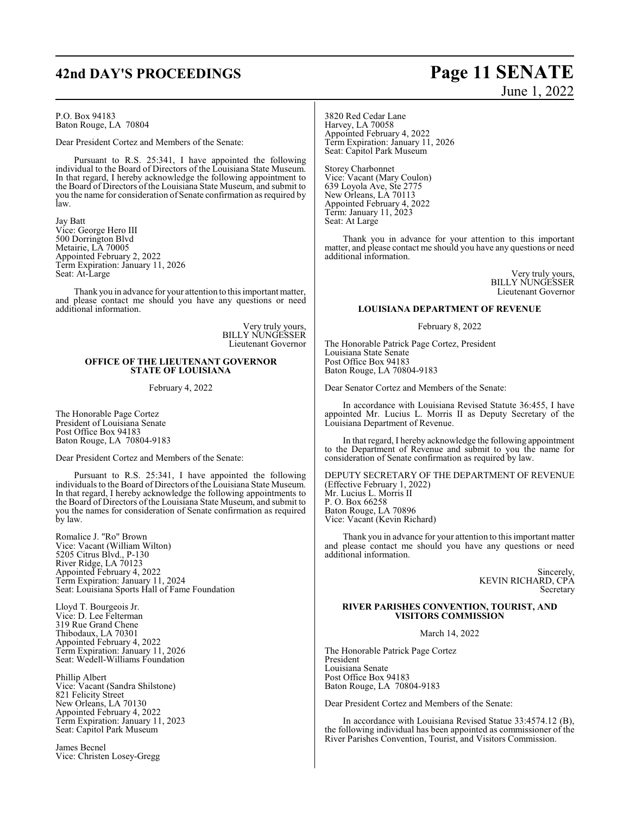## **42nd DAY'S PROCEEDINGS Page 11 SENATE**

P.O. Box 94183 Baton Rouge, LA 70804

Dear President Cortez and Members of the Senate:

Pursuant to R.S. 25:341, I have appointed the following individual to the Board of Directors of the Louisiana State Museum. In that regard, I hereby acknowledge the following appointment to the Board of Directors of the Louisiana State Museum, and submit to you the name for consideration of Senate confirmation as required by law.

Jay Batt Vice: George Hero III 500 Dorrington Blvd Metairie, LA 70005 Appointed February 2, 2022 Term Expiration: January 11, 2026 Seat: At-Large

Thank you in advance for your attention to this important matter, and please contact me should you have any questions or need additional information.

> Very truly yours, BILLY NUNGESSER Lieutenant Governor

#### **OFFICE OF THE LIEUTENANT GOVERNOR STATE OF LOUISIANA**

February 4, 2022

The Honorable Page Cortez President of Louisiana Senate Post Office Box 94183 Baton Rouge, LA 70804-9183

Dear President Cortez and Members of the Senate:

Pursuant to R.S. 25:341, I have appointed the following individuals to the Board of Directors of the Louisiana State Museum. In that regard, I hereby acknowledge the following appointments to the Board of Directors of the Louisiana State Museum, and submit to you the names for consideration of Senate confirmation as required by law.

Romalice J. "Ro" Brown Vice: Vacant (William Wilton) 5205 Citrus Blvd., P-130 River Ridge, LA 70123 Appointed February 4, 2022 Term Expiration: January 11, 2024 Seat: Louisiana Sports Hall of Fame Foundation

Lloyd T. Bourgeois Jr. Vice: D. Lee Felterman 319 Rue Grand Chene Thibodaux, LA 70301 Appointed February 4, 2022 Term Expiration: January 11, 2026 Seat: Wedell-Williams Foundation

Phillip Albert Vice: Vacant (Sandra Shilstone) 821 Felicity Street New Orleans, LA 70130 Appointed February 4, 2022 Term Expiration: January 11, 2023 Seat: Capitol Park Museum

James Becnel Vice: Christen Losey-Gregg

# June 1, 2022

3820 Red Cedar Lane Harvey, LA 70058 Appointed February 4, 2022 Term Expiration: January 11, 2026 Seat: Capitol Park Museum

Storey Charbonnet Vice: Vacant (Mary Coulon) 639 Loyola Ave, Ste 2775 New Orleans, LA 70113 Appointed February 4, 2022 Term: January 11, 2023 Seat: At Large

Thank you in advance for your attention to this important matter, and please contact me should you have any questions or need additional information.

> Very truly yours, BILLY NUNGESSER Lieutenant Governor

#### **LOUISIANA DEPARTMENT OF REVENUE**

February 8, 2022

The Honorable Patrick Page Cortez, President Louisiana State Senate Post Office Box 94183 Baton Rouge, LA 70804-9183

Dear Senator Cortez and Members of the Senate:

In accordance with Louisiana Revised Statute 36:455, I have appointed Mr. Lucius L. Morris II as Deputy Secretary of the Louisiana Department of Revenue.

In that regard, I hereby acknowledge the following appointment to the Department of Revenue and submit to you the name for consideration of Senate confirmation as required by law.

DEPUTY SECRETARY OF THE DEPARTMENT OF REVENUE (Effective February 1, 2022) Mr. Lucius L. Morris II P. O. Box 66258 Baton Rouge, LA 70896 Vice: Vacant (Kevin Richard)

Thank you in advance for your attention to this important matter and please contact me should you have any questions or need additional information.

> Sincerely, KEVIN RICHARD, CPA Secretary

#### **RIVER PARISHES CONVENTION, TOURIST, AND VISITORS COMMISSION**

March 14, 2022

The Honorable Patrick Page Cortez President Louisiana Senate Post Office Box 94183 Baton Rouge, LA 70804-9183

Dear President Cortez and Members of the Senate:

In accordance with Louisiana Revised Statue 33:4574.12 (B), the following individual has been appointed as commissioner of the River Parishes Convention, Tourist, and Visitors Commission.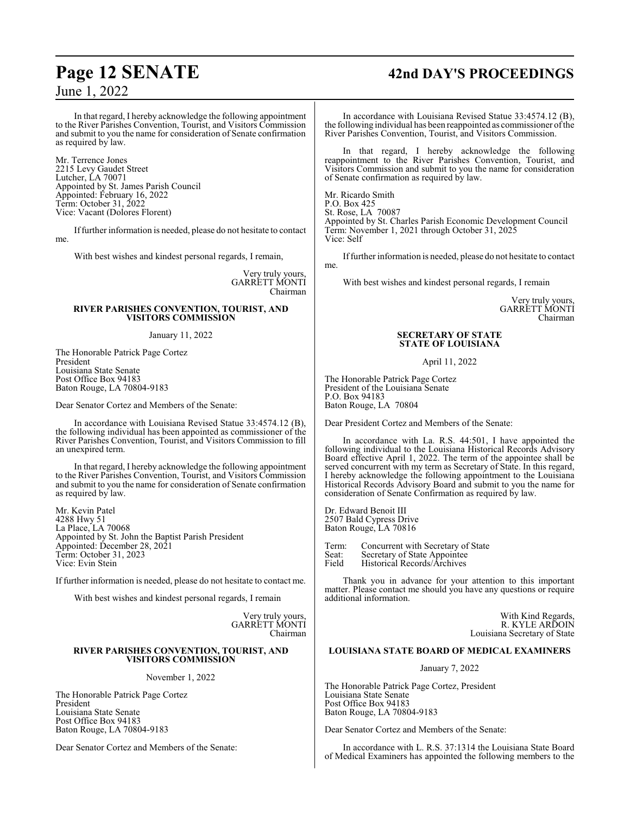## **Page 12 SENATE 42nd DAY'S PROCEEDINGS**

In that regard, I hereby acknowledge the following appointment to the River Parishes Convention, Tourist, and Visitors Commission and submit to you the name for consideration of Senate confirmation as required by law.

Mr. Terrence Jones 2215 Levy Gaudet Street Lutcher, LA 70071 Appointed by St. James Parish Council Appointed: February 16, 2022 Term: October 31, 2022 Vice: Vacant (Dolores Florent)

Iffurther information is needed, please do not hesitate to contact me.

With best wishes and kindest personal regards, I remain,

Very truly yours, GARRETT MONTI Chairman

#### **RIVER PARISHES CONVENTION, TOURIST, AND VISITORS COMMISSION**

#### January 11, 2022

The Honorable Patrick Page Cortez President Louisiana State Senate Post Office Box 94183 Baton Rouge, LA 70804-9183

Dear Senator Cortez and Members of the Senate:

In accordance with Louisiana Revised Statue 33:4574.12 (B), the following individual has been appointed as commissioner of the River Parishes Convention, Tourist, and Visitors Commission to fill an unexpired term.

In that regard, I hereby acknowledge the following appointment to the River Parishes Convention, Tourist, and Visitors Commission and submit to you the name for consideration of Senate confirmation as required by law.

Mr. Kevin Patel 4288 Hwy 51 La Place, LA 70068 Appointed by St. John the Baptist Parish President Appointed: December 28, 2021 Term: October 31, 2023 Vice: Evin Stein

If further information is needed, please do not hesitate to contact me.

With best wishes and kindest personal regards, I remain

Very truly yours, GARRETT MONTI Chairman

#### **RIVER PARISHES CONVENTION, TOURIST, AND VISITORS COMMISSION**

November 1, 2022

The Honorable Patrick Page Cortez President Louisiana State Senate Post Office Box 94183 Baton Rouge, LA 70804-9183

Dear Senator Cortez and Members of the Senate:

In accordance with Louisiana Revised Statue 33:4574.12 (B), the following individual has been reappointed as commissioner of the River Parishes Convention, Tourist, and Visitors Commission.

In that regard, I hereby acknowledge the following reappointment to the River Parishes Convention, Tourist, and Visitors Commission and submit to you the name for consideration of Senate confirmation as required by law.

Mr. Ricardo Smith P.O. Box 425 St. Rose, LA 70087 Appointed by St. Charles Parish Economic Development Council Term: November 1, 2021 through October 31, 2025 Vice: Self

Iffurther information is needed, please do not hesitate to contact me.

With best wishes and kindest personal regards, I remain

Very truly yours, GARRETT MONTI Chairman

#### **SECRETARY OF STATE STATE OF LOUISIANA**

April 11, 2022

The Honorable Patrick Page Cortez President of the Louisiana Senate P.O. Box 94183 Baton Rouge, LA 70804

Dear President Cortez and Members of the Senate:

In accordance with La. R.S. 44:501, I have appointed the following individual to the Louisiana Historical Records Advisory Board effective April 1, 2022. The term of the appointee shall be served concurrent with my term as Secretary of State. In this regard, I hereby acknowledge the following appointment to the Louisiana Historical Records Advisory Board and submit to you the name for consideration of Senate Confirmation as required by law.

Dr. Edward Benoit III 2507 Bald Cypress Drive Baton Rouge, LA 70816

Term: Concurrent with Secretary of State<br>Seat: Secretary of State Appointee Seat: Secretary of State Appointee<br>Field Historical Records/Archives Historical Records/Archives

Thank you in advance for your attention to this important matter. Please contact me should you have any questions or require additional information.

> With Kind Regards, R. KYLE ARDOIN Louisiana Secretary of State

#### **LOUISIANA STATE BOARD OF MEDICAL EXAMINERS**

January 7, 2022

The Honorable Patrick Page Cortez, President Louisiana State Senate Post Office Box 94183 Baton Rouge, LA 70804-9183

Dear Senator Cortez and Members of the Senate:

In accordance with L. R.S. 37:1314 the Louisiana State Board of Medical Examiners has appointed the following members to the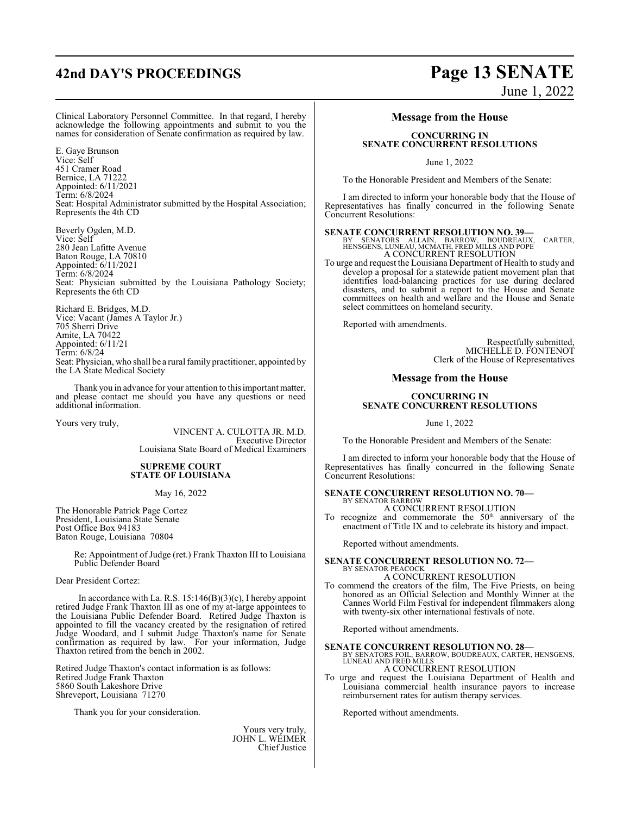# **42nd DAY'S PROCEEDINGS Page 13 SENATE**

# June 1, 2022

Clinical Laboratory Personnel Committee. In that regard, I hereby acknowledge the following appointments and submit to you the names for consideration of Senate confirmation as required by law.

E. Gaye Brunson Vice: Self 451 Cramer Road Bernice, LA 71222 Appointed: 6/11/2021 Term: 6/8/2024 Seat: Hospital Administrator submitted by the Hospital Association; Represents the 4th CD

Beverly Ogden, M.D. Vice: Self 280 Jean Lafitte Avenue Baton Rouge, LA 70810 Appointed: 6/11/2021 Term: 6/8/2024 Seat: Physician submitted by the Louisiana Pathology Society; Represents the 6th CD

Richard E. Bridges, M.D. Vice: Vacant (James A Taylor Jr.) 705 Sherri Drive Amite, LA 70422 Appointed: 6/11/21 Term: 6/8/24 Seat: Physician, who shall be a rural family practitioner, appointed by the LA State Medical Society

Thank you in advance for your attention to this important matter, and please contact me should you have any questions or need additional information.

Yours very truly,

VINCENT A. CULOTTA JR. M.D. Executive Director Louisiana State Board of Medical Examiners

#### **SUPREME COURT STATE OF LOUISIANA**

May 16, 2022

The Honorable Patrick Page Cortez President, Louisiana State Senate Post Office Box 94183 Baton Rouge, Louisiana 70804

> Re: Appointment of Judge (ret.) Frank Thaxton III to Louisiana Public Defender Board

Dear President Cortez:

In accordance with La. R.S. 15:146(B)(3)(c), I hereby appoint retired Judge Frank Thaxton III as one of my at-large appointees to the Louisiana Public Defender Board. Retired Judge Thaxton is appointed to fill the vacancy created by the resignation of retired Judge Woodard, and I submit Judge Thaxton's name for Senate confirmation as required by law. For your information, Judge Thaxton retired from the bench in 2002.

Retired Judge Thaxton's contact information is as follows: Retired Judge Frank Thaxton 5860 South Lakeshore Drive Shreveport, Louisiana 71270

Thank you for your consideration.

Yours very truly, JOHN L. WEIMER Chief Justice

#### **Message from the House**

#### **CONCURRING IN SENATE CONCURRENT RESOLUTIONS**

June 1, 2022

To the Honorable President and Members of the Senate:

I am directed to inform your honorable body that the House of Representatives has finally concurred in the following Senate Concurrent Resolutions:

**SENATE CONCURRENT RESOLUTION NO. 39—**<br>BY SENATORS ALLAIN, BARROW, BOUDREAUX, CARTER,<br>HENSGENS, LUNEAU, MCMATH, FRED MILLS AND POPE A CONCURRENT RESOLUTION

To urge and request the Louisiana Department of Health to study and develop a proposal for a statewide patient movement plan that identifies load-balancing practices for use during declared disasters, and to submit a report to the House and Senate committees on health and welfare and the House and Senate select committees on homeland security.

Reported with amendments.

Respectfully submitted, MICHELLE D. FONTENOT Clerk of the House of Representatives

#### **Message from the House**

#### **CONCURRING IN SENATE CONCURRENT RESOLUTIONS**

June 1, 2022

To the Honorable President and Members of the Senate:

I am directed to inform your honorable body that the House of Representatives has finally concurred in the following Senate Concurrent Resolutions:

#### **SENATE CONCURRENT RESOLUTION NO. 70—** BY SENATOR BARROW

A CONCURRENT RESOLUTION

To recognize and commemorate the  $50<sup>th</sup>$  anniversary of the enactment of Title IX and to celebrate its history and impact.

Reported without amendments.

#### **SENATE CONCURRENT RESOLUTION NO. 72—** BY SENATOR PEACOCK

#### A CONCURRENT RESOLUTION

To commend the creators of the film, The Five Priests, on being honored as an Official Selection and Monthly Winner at the Cannes World Film Festival for independent filmmakers along with twenty-six other international festivals of note.

Reported without amendments.

- **SENATE CONCURRENT RESOLUTION NO. 28—**<br>BY SENATORS FOIL, BARROW, BOUDREAUX, CARTER, HENSGENS,<br>LUNEAU AND FRED MILLS A CONCURRENT RESOLUTION
- To urge and request the Louisiana Department of Health and Louisiana commercial health insurance payors to increase reimbursement rates for autism therapy services.

Reported without amendments.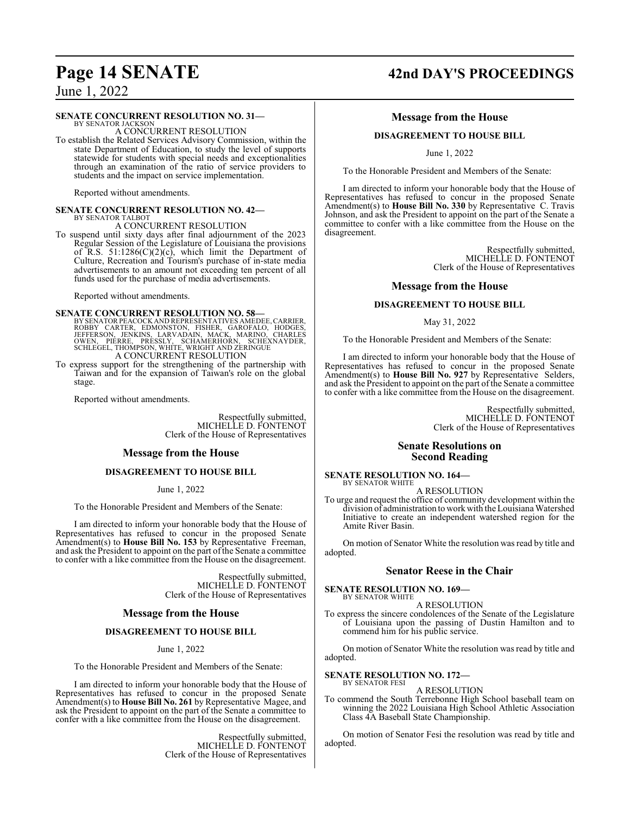#### **SENATE CONCURRENT RESOLUTION NO. 31—**

BY SENATOR JACKSON A CONCURRENT RESOLUTION

To establish the Related Services Advisory Commission, within the state Department of Education, to study the level of supports statewide for students with special needs and exceptionalities through an examination of the ratio of service providers to students and the impact on service implementation.

Reported without amendments.

#### **SENATE CONCURRENT RESOLUTION NO. 42—** BY SENATOR TALBOT

A CONCURRENT RESOLUTION

To suspend until sixty days after final adjournment of the 2023 Regular Session of the Legislature of Louisiana the provisions of R.S.  $51:1286(C)(2)(c)$ , which limit the Department of Culture, Recreation and Tourism's purchase of in-state media advertisements to an amount not exceeding ten percent of all funds used for the purchase of media advertisements.

Reported without amendments.

**SENATE CONCURRENT RESOLUTION NO. 58**<br>BY SENATOR PEACOCK AND REPRESENTATIVES AMEDEE, CARRIER, ROBBY CARTER, EDMONSTON, FISHER, GAROFALO, HODGES,<br>JEFFERSON, JENKINS, LARVADAIN, MACK, MARINO, CHARLES<br>OWEN, PIERRE, PRESSLY, S

To express support for the strengthening of the partnership with Taiwan and for the expansion of Taiwan's role on the global stage.

Reported without amendments.

Respectfully submitted, MICHELLE D. FONTENOT Clerk of the House of Representatives

#### **Message from the House**

#### **DISAGREEMENT TO HOUSE BILL**

June 1, 2022

To the Honorable President and Members of the Senate:

I am directed to inform your honorable body that the House of Representatives has refused to concur in the proposed Senate Amendment(s) to **House Bill No. 153** by Representative Freeman, and ask the President to appoint on the part of the Senate a committee to confer with a like committee from the House on the disagreement.

> Respectfully submitted, MICHELLE D. FONTENOT Clerk of the House of Representatives

#### **Message from the House**

#### **DISAGREEMENT TO HOUSE BILL**

June 1, 2022

To the Honorable President and Members of the Senate:

I am directed to inform your honorable body that the House of Representatives has refused to concur in the proposed Senate Amendment(s) to **House Bill No. 261** by Representative Magee, and ask the President to appoint on the part of the Senate a committee to confer with a like committee from the House on the disagreement.

> Respectfully submitted, MICHELLE D. FONTENOT Clerk of the House of Representatives

## **Page 14 SENATE 42nd DAY'S PROCEEDINGS**

#### **Message from the House**

#### **DISAGREEMENT TO HOUSE BILL**

June 1, 2022

To the Honorable President and Members of the Senate:

I am directed to inform your honorable body that the House of Representatives has refused to concur in the proposed Senate Amendment(s) to **House Bill No. 330** by Representative C. Travis Johnson, and ask the President to appoint on the part of the Senate a committee to confer with a like committee from the House on the disagreement.

> Respectfully submitted, MICHELLE D. FONTENOT Clerk of the House of Representatives

#### **Message from the House**

#### **DISAGREEMENT TO HOUSE BILL**

#### May 31, 2022

To the Honorable President and Members of the Senate:

I am directed to inform your honorable body that the House of Representatives has refused to concur in the proposed Senate Amendment(s) to **House Bill No. 927** by Representative Selders, and ask the President to appoint on the part of the Senate a committee to confer with a like committee from the House on the disagreement.

> Respectfully submitted, MICHELLE D. FONTENOT Clerk of the House of Representatives

#### **Senate Resolutions on Second Reading**

**SENATE RESOLUTION NO. 164—** BY SENATOR WHITE

A RESOLUTION

To urge and request the office of community development within the division of administration to workwith the Louisiana Watershed Initiative to create an independent watershed region for the Amite River Basin.

On motion of Senator White the resolution was read by title and adopted.

#### **Senator Reese in the Chair**

**SENATE RESOLUTION NO. 169—** BY SENATOR WHITE

A RESOLUTION

To express the sincere condolences of the Senate of the Legislature of Louisiana upon the passing of Dustin Hamilton and to commend him for his public service.

On motion of Senator White the resolution was read by title and adopted.

**SENATE RESOLUTION NO. 172—** BY SENATOR FESI

A RESOLUTION

To commend the South Terrebonne High School baseball team on winning the 2022 Louisiana High School Athletic Association Class 4A Baseball State Championship.

On motion of Senator Fesi the resolution was read by title and adopted.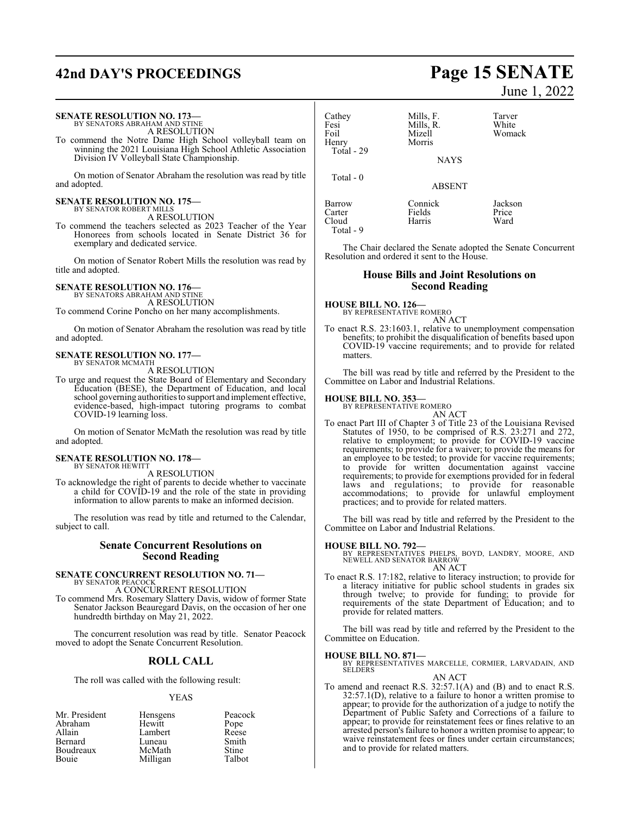|                                                                                                                                                                                                                                                             |                                               |                                                                                           | $J$ and $I$ , $2022$                                                                                                                                                                                                                                           |
|-------------------------------------------------------------------------------------------------------------------------------------------------------------------------------------------------------------------------------------------------------------|-----------------------------------------------|-------------------------------------------------------------------------------------------|----------------------------------------------------------------------------------------------------------------------------------------------------------------------------------------------------------------------------------------------------------------|
| <b>SENATE RESOLUTION NO. 173-</b><br>BY SENATORS ABRAHAM AND STINE<br>A RESOLUTION<br>To commend the Notre Dame High School volleyball team on<br>winning the 2021 Louisiana High School Athletic Association<br>Division IV Volleyball State Championship. | Cathey<br>Fesi<br>Foil<br>Henry<br>Total - 29 | Mills, F.<br>Mills, R.<br>Mizell<br>Morris<br><b>NAYS</b>                                 | Tarver<br>White<br>Womack                                                                                                                                                                                                                                      |
| On motion of Senator Abraham the resolution was read by title<br>and adopted.                                                                                                                                                                               | Total - 0                                     | <b>ABSENT</b>                                                                             |                                                                                                                                                                                                                                                                |
| <b>SENATE RESOLUTION NO. 175-</b><br>BY SENATOR ROBERT MILLS<br>A RESOLUTION<br>To commend the teachers selected as 2023 Teacher of the Year<br>Honorees from schools located in Senate District 36 for<br>exemplary and dedicated service.                 | Barrow<br>Carter<br>Cloud<br>Total - 9        | Connick<br>Fields<br>Harris<br>Resolution and ordered it sent to the House.               | Jackson<br>Price<br>Ward<br>The Chair declared the Senate adopted the Senate Concurrent                                                                                                                                                                        |
| On motion of Senator Robert Mills the resolution was read by<br>title and adopted.                                                                                                                                                                          |                                               | <b>House Bills and Joint Resolutions on</b><br><b>Second Reading</b>                      |                                                                                                                                                                                                                                                                |
| <b>SENATE RESOLUTION NO. 176-</b><br>BY SENATORS ABRAHAM AND STINE<br>A RESOLUTION<br>To commend Corine Poncho on her many accomplishments.                                                                                                                 | <b>HOUSE BILL NO. 126-</b>                    | BY REPRESENTATIVE ROMERO<br>AN ACT                                                        |                                                                                                                                                                                                                                                                |
| On motion of Senator Abraham the resolution was read by title<br>and adopted.                                                                                                                                                                               |                                               |                                                                                           | To enact R.S. 23:1603.1, relative to unemployment compensation<br>benefits; to prohibit the disqualification of benefits based upon<br>COVID-19 vaccine requirements; and to provide for related                                                               |
| <b>SENATE RESOLUTION NO. 177—</b><br>BY SENATOR MCMATH<br>A RESOLUTION<br>To urge and request the State Board of Elementary and Secondary                                                                                                                   | matters.                                      |                                                                                           | The bill was read by title and referred by the President to the                                                                                                                                                                                                |
| Education (BESE), the Department of Education, and local<br>school governing authorities to support and implement effective,<br>evidence-based, high-impact tutoring programs to combat<br>COVID-19 learning loss.                                          | <b>HOUSE BILL NO. 353-</b>                    | Committee on Labor and Industrial Relations.<br>BY REPRESENTATIVE ROMERO<br><b>AN ACT</b> |                                                                                                                                                                                                                                                                |
| On motion of Senator McMath the resolution was read by title<br>and adopted.                                                                                                                                                                                |                                               |                                                                                           | To enact Part III of Chapter 3 of Title 23 of the Louisiana Revised<br>Statutes of 1950, to be comprised of R.S. 23:271 and 272,<br>relative to employment; to provide for COVID-19 vaccine<br>requirements; to provide for a waiver; to provide the means for |
| <b>SENATE RESOLUTION NO. 178-</b><br>BY SENATOR HEWITT                                                                                                                                                                                                      |                                               |                                                                                           | an employee to be tested; to provide for vaccine requirements;<br>to provide for written documentation against vaccine                                                                                                                                         |

A RESOLUTION

To acknowledge the right of parents to decide whether to vaccinate a child for COVID-19 and the role of the state in providing information to allow parents to make an informed decision.

The resolution was read by title and returned to the Calendar, subject to call.

#### **Senate Concurrent Resolutions on Second Reading**

### **SENATE CONCURRENT RESOLUTION NO. 71—**

BY SENATOR PEACOCK A CONCURRENT RESOLUTION

To commend Mrs. Rosemary Slattery Davis, widow of former State Senator Jackson Beauregard Davis, on the occasion of her one hundredth birthday on May 21, 2022.

The concurrent resolution was read by title. Senator Peacock moved to adopt the Senate Concurrent Resolution.

## **ROLL CALL**

The roll was called with the following result:

#### YEAS

| Mr. President | Hensgens | Peacock |
|---------------|----------|---------|
| Abraham       | Hewitt   | Pope    |
| Allain        | Lambert  | Reese   |
| Bernard       | Luneau   | Smith   |
| Boudreaux     | McMath   | Stine   |
| Bouie         | Milligan | Talbot  |

# **42nd DAY'S PROCEEDINGS Page 15 SENATE**

June 1, 2022

|                                                |  |  |  | relative to employment; to provide for COVID-19 vaccine                                                                 |
|------------------------------------------------|--|--|--|-------------------------------------------------------------------------------------------------------------------------|
|                                                |  |  |  | requirements; to provide for a waiver; to provide the means for                                                         |
|                                                |  |  |  | an employee to be tested; to provide for vaccine requirements;                                                          |
|                                                |  |  |  | to provide for written documentation against vaccine<br>requirements; to provide for exemptions provided for in federal |
|                                                |  |  |  | laws and regulations; to provide for reasonable<br>accommodations; to provide for unlawful employment                   |
| practices; and to provide for related matters. |  |  |  |                                                                                                                         |

The bill was read by title and referred by the President to the Committee on Labor and Industrial Relations.

#### **HOUSE BILL NO. 792—**

BY REPRESENTATIVES PHELPS, BOYD, LANDRY, MOORE, AND NEWELL AND SENATOR BARROW AN ACT

To enact R.S. 17:182, relative to literacy instruction; to provide for a literacy initiative for public school students in grades six through twelve; to provide for funding; to provide for requirements of the state Department of Education; and to provide for related matters.

The bill was read by title and referred by the President to the Committee on Education.

#### **HOUSE BILL NO. 871—**

BY REPRESENTATIVES MARCELLE, CORMIER, LARVADAIN, AND SELDERS AN ACT

To amend and reenact R.S. 32:57.1(A) and (B) and to enact R.S. 32:57.1(D), relative to a failure to honor a written promise to appear; to provide for the authorization of a judge to notify the Department of Public Safety and Corrections of a failure to appear; to provide for reinstatement fees or fines relative to an arrested person's failure to honor a written promise to appear; to waive reinstatement fees or fines under certain circumstances; and to provide for related matters.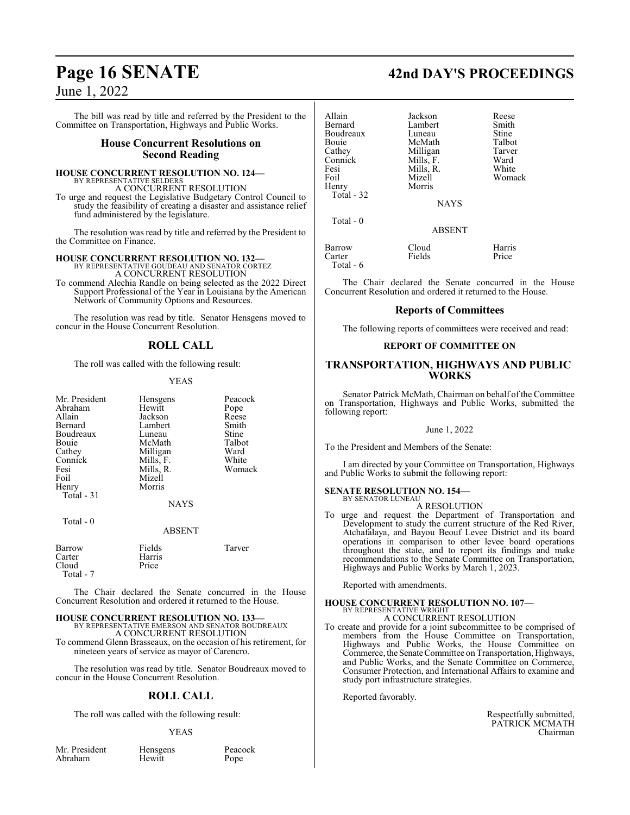The bill was read by title and referred by the President to the Committee on Transportation, Highways and Public Works.

#### **House Concurrent Resolutions on Second Reading**

#### **HOUSE CONCURRENT RESOLUTION NO. 124—** BY REPRESENTATIVE SELDERS

A CONCURRENT RESOLUTION

To urge and request the Legislative Budgetary Control Council to study the feasibility of creating a disaster and assistance relief fund administered by the legislature.

The resolution was read by title and referred by the President to the Committee on Finance.

# **HOUSE CONCURRENT RESOLUTION NO. 132—** BY REPRESENTATIVE GOUDEAU AND SENATOR CORTEZ A CONCURRENT RESOLUTION

To commend Alechia Randle on being selected as the 2022 Direct Support Professional of the Year in Louisiana by the American Network of Community Options and Resources.

The resolution was read by title. Senator Hensgens moved to concur in the House Concurrent Resolution.

### **ROLL CALL**

The roll was called with the following result:

#### YEAS

| Mr. President<br>Abraham<br>Allain<br>Bernard<br>Boudreaux<br><b>Bouje</b><br>Cathey<br>Connick<br>Fesi<br>Foil<br>Henry<br>Total $-31$ | Hensgens<br>Hewitt<br>Jackson<br>Lambert<br>Luneau<br>McMath<br>Milligan<br>Mills, F.<br>Mills, R.<br>Mizell<br>Morris<br><b>NAYS</b> | Peacock<br>Pope<br>Reese<br>Smith<br>Stine<br>Talbot<br>Ward<br>White<br>Womack |
|-----------------------------------------------------------------------------------------------------------------------------------------|---------------------------------------------------------------------------------------------------------------------------------------|---------------------------------------------------------------------------------|
| Total $-0$                                                                                                                              | <b>ABSENT</b>                                                                                                                         |                                                                                 |

| Barrow    | Fields | Tarver |
|-----------|--------|--------|
| Carter    | Harris |        |
| Cloud     | Price  |        |
| Total - 7 |        |        |

The Chair declared the Senate concurred in the House Concurrent Resolution and ordered it returned to the House.

#### **HOUSE CONCURRENT RESOLUTION NO. 133—** BY REPRESENTATIVE EMERSON AND SENATOR BOUDREAUX A CONCURRENT RESOLUTION

To commend Glenn Brasseaux, on the occasion of his retirement, for nineteen years of service as mayor of Carencro.

The resolution was read by title. Senator Boudreaux moved to concur in the House Concurrent Resolution.

## **ROLL CALL**

The roll was called with the following result:

#### YEAS

Mr. President Hensgens Peacock<br>Abraham Hewitt Pope Abraham

## **Page 16 SENATE 42nd DAY'S PROCEEDINGS**

| Allain<br>Bernard<br>Boudreaux<br>Bouie<br>Cathey<br>Connick<br>Fesi<br>Foil<br>Henry<br>Total - 32 | Jackson<br>Lambert<br>Luneau<br>McMath<br>Milligan<br>Mills, F.<br>Mills, R.<br>Mizell<br>Morris | Reese<br>Smith<br>Stine<br>Talbot<br>Tarver<br>Ward<br>White<br>Womack |
|-----------------------------------------------------------------------------------------------------|--------------------------------------------------------------------------------------------------|------------------------------------------------------------------------|
| Total $-0$                                                                                          | <b>NAYS</b>                                                                                      |                                                                        |
|                                                                                                     | <b>ABSENT</b>                                                                                    |                                                                        |
| <b>Barrow</b><br>Carter<br>Total - 6                                                                | Cloud<br>Fields                                                                                  | Harris<br>Price                                                        |

The Chair declared the Senate concurred in the House Concurrent Resolution and ordered it returned to the House.

#### **Reports of Committees**

The following reports of committees were received and read:

#### **REPORT OF COMMITTEE ON**

#### **TRANSPORTATION, HIGHWAYS AND PUBLIC WORKS**

Senator Patrick McMath, Chairman on behalf of the Committee on Transportation, Highways and Public Works, submitted the following report:

#### June 1, 2022

To the President and Members of the Senate:

I am directed by your Committee on Transportation, Highways and Public Works to submit the following report:

### **SENATE RESOLUTION NO. 154—**

#### BY SENATOR LUNEAU A RESOLUTION

To urge and request the Department of Transportation and Development to study the current structure of the Red River, Atchafalaya, and Bayou Beouf Levee District and its board operations in comparison to other levee board operations throughout the state, and to report its findings and make recommendations to the Senate Committee on Transportation, Highways and Public Works by March 1, 2023.

Reported with amendments.

#### **HOUSE CONCURRENT RESOLUTION NO. 107—** BY REPRESENTATIVE WRIGHT

A CONCURRENT RESOLUTION

To create and provide for a joint subcommittee to be comprised of members from the House Committee on Transportation, Highways and Public Works, the House Committee on Commerce, the Senate Committee on Transportation, Highways, and Public Works, and the Senate Committee on Commerce, Consumer Protection, and International Affairs to examine and study port infrastructure strategies.

Reported favorably.

Respectfully submitted, PATRICK MCMATH Chairman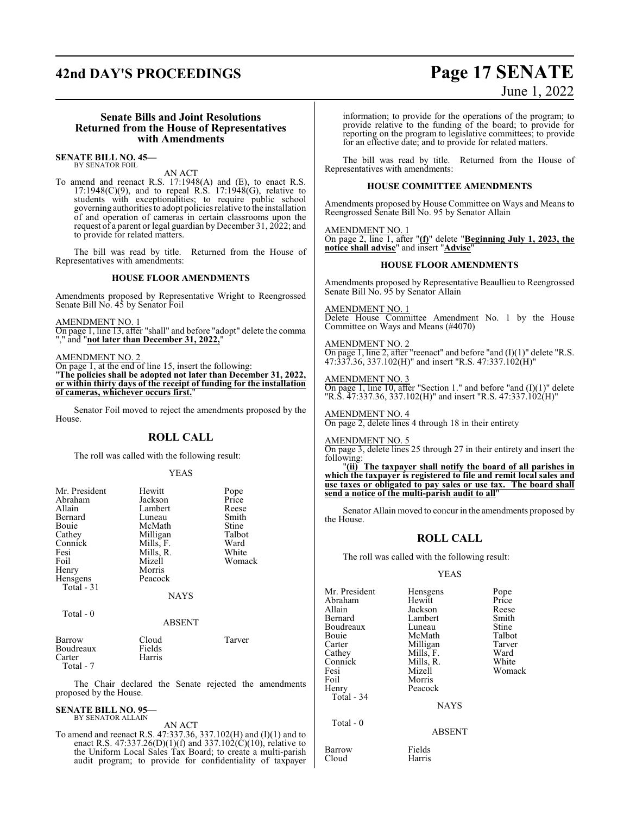# **42nd DAY'S PROCEEDINGS Page 17 SENATE**

# June 1, 2022

#### **Senate Bills and Joint Resolutions Returned from the House of Representatives with Amendments**

**SENATE BILL NO. 45—** BY SENATOR FOIL

#### AN ACT

To amend and reenact R.S. 17:1948(A) and (E), to enact R.S.  $17:1948(C)(9)$ , and to repeal R.S.  $17:1948(G)$ , relative to students with exceptionalities; to require public school governing authorities to adopt policies relative to the installation of and operation of cameras in certain classrooms upon the request of a parent or legal guardian by December 31, 2022; and to provide for related matters.

The bill was read by title. Returned from the House of Representatives with amendments:

#### **HOUSE FLOOR AMENDMENTS**

Amendments proposed by Representative Wright to Reengrossed Senate Bill No. 45 by Senator Foil

AMENDMENT NO. 1

On page 1, line 13, after "shall" and before "adopt" delete the comma "," and "not later than December 31, 2022,

AMENDMENT NO. 2

On page 1, at the end of line 15, insert the following:

"**The policies shall be adopted not later than December 31, 2022, or within thirty days of the receipt of funding for the installation of cameras, whichever occurs first.**"

Senator Foil moved to reject the amendments proposed by the House.

#### **ROLL CALL**

The roll was called with the following result:

#### YEAS

| Mr. President | Hewitt        | Pope   |
|---------------|---------------|--------|
| Abraham       | Jackson       | Price  |
| Allain        | Lambert       | Reese  |
| Bernard       | Luneau        | Smith  |
| Bouie         | McMath        | Stine  |
| Cathey        | Milligan      | Talbot |
| Connick       | Mills, F.     | Ward   |
| Fesi          | Mills, R.     | White  |
| Foil          | Mizell        | Womack |
| Henry         | Morris        |        |
| Hensgens      | Peacock       |        |
| Total - 31    |               |        |
|               | <b>NAYS</b>   |        |
| Total - 0     |               |        |
|               | <b>ABSENT</b> |        |
| Barrow        | Cloud         | Tarver |
| Boudreaux     | Fields        |        |
| Carter        | Harris        |        |

 Total - 7 The Chair declared the Senate rejected the amendments proposed by the House.

#### **SENATE BILL NO. 95—** BY SENATOR ALLAIN

AN ACT

To amend and reenact R.S. 47:337.36, 337.102(H) and (I)(1) and to enact R.S. 47:337.26(D)(1)(f) and 337.102(C)(10), relative to the Uniform Local Sales Tax Board; to create a multi-parish audit program; to provide for confidentiality of taxpayer information; to provide for the operations of the program; to provide relative to the funding of the board; to provide for reporting on the program to legislative committees; to provide for an effective date; and to provide for related matters.

The bill was read by title. Returned from the House of Representatives with amendments:

#### **HOUSE COMMITTEE AMENDMENTS**

Amendments proposed by House Committee on Ways and Means to Reengrossed Senate Bill No. 95 by Senator Allain

#### AMENDMENT NO. 1

On page 2, line 1, after "**(f)**" delete "**Beginning July 1, 2023, the notice shall advise**" and insert "**Advise**"

#### **HOUSE FLOOR AMENDMENTS**

Amendments proposed by Representative Beaullieu to Reengrossed Senate Bill No. 95 by Senator Allain

#### AMENDMENT NO. 1

Delete House Committee Amendment No. 1 by the House Committee on Ways and Means (#4070)

#### AMENDMENT NO. 2

On page 1, line 2, after "reenact" and before "and (I)(1)" delete "R.S. 47:337.36, 337.102(H)" and insert "R.S. 47:337.102(H)"

#### AMENDMENT NO. 3

On page 1, line 10, after "Section 1." and before "and  $(I)(1)$ " delete "R.S. 47:337.36, 337.102(H)" and insert "R.S. 47:337.102(H)"

AMENDMENT NO. 4 On page 2, delete lines 4 through 18 in their entirety

AMENDMENT NO. 5

On page 3, delete lines 25 through 27 in their entirety and insert the following:

"**(ii) The taxpayer shall notify the board of all parishes in which the taxpayer is registered to file and remit local sales and use taxes or obligated to pay sales or use tax. The board shall send a notice of the multi-parish audit to all**"

Senator Allain moved to concur in the amendments proposed by the House.

## **ROLL CALL**

The roll was called with the following result:

#### YEAS

Mr. President Hensgens Pope<br>Abraham Hewitt Price Abraham Hewitt Price<br>Allain Jackson Reese Allain Jackson Reese Boudreaux Luneau Stine<br>
Bouie McMath Talbot Bouie McMath Talbot Carter Milligan Tarve<br>Cathey Mills, F. Ward Cathey Mills, F. Ward<br>Connick Mills, R. White Connick Mills, R.<br>Fesi Mizell Fesi Mizell Womack Foil Morris<br>
Henry Peacoc Total - 34

Total - 0

Barrow Fields<br>Cloud Harris Cloud

Lambert Smith<br>
Luneau Stine

NAYS

```
ABSENT
```
Peacock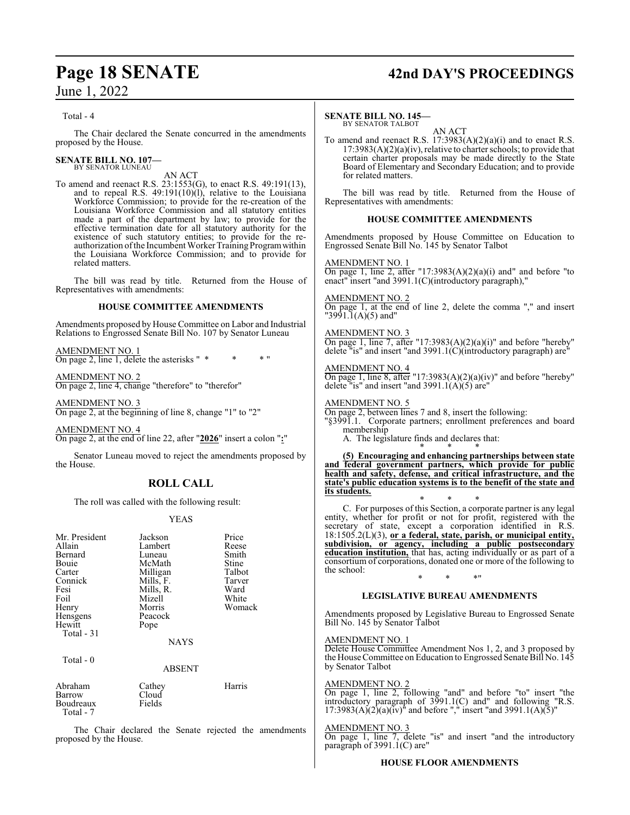## **Page 18 SENATE 42nd DAY'S PROCEEDINGS**

Total - 4

The Chair declared the Senate concurred in the amendments proposed by the House.

#### **SENATE BILL NO. 107—** BY SENATOR LUNEAU

### AN ACT

To amend and reenact R.S. 23:1553(G), to enact R.S. 49:191(13), and to repeal R.S. 49:191(10)(l), relative to the Louisiana Workforce Commission; to provide for the re-creation of the Louisiana Workforce Commission and all statutory entities made a part of the department by law; to provide for the effective termination date for all statutory authority for the existence of such statutory entities; to provide for the reauthorization of the Incumbent Worker Training Program within the Louisiana Workforce Commission; and to provide for related matters.

The bill was read by title. Returned from the House of Representatives with amendments:

#### **HOUSE COMMITTEE AMENDMENTS**

Amendments proposed by House Committee on Labor and Industrial Relations to Engrossed Senate Bill No. 107 by Senator Luneau

AMENDMENT NO. 1 On page 2, line 1, delete the asterisks " \* \* \* "

AMENDMENT NO. 2 On page 2, line 4, change "therefore" to "therefor"

AMENDMENT NO. 3 On page 2, at the beginning of line 8, change "1" to "2"

AMENDMENT NO. 4 On page 2, at the end of line 22, after "**2026**" insert a colon "**:**"

Senator Luneau moved to reject the amendments proposed by the House.

## **ROLL CALL**

The roll was called with the following result:

#### YEAS

| Mr. President<br>Allain<br>Bernard<br>Bouie<br>Carter<br>Connick<br>Fesi<br>Foil<br>Henry<br>Hensgens<br>Hewitt<br>Total $-31$ | Jackson<br>Lambert<br>Luneau<br>McMath<br>Milligan<br>Mills, F.<br>Mills, R.<br>Mizell<br>Morris<br>Peacock<br>Pope<br><b>NAYS</b> | Price<br>Reese<br>Smith<br>Stine<br>Talbot<br>Tarver<br>Ward<br>White<br>Womack |
|--------------------------------------------------------------------------------------------------------------------------------|------------------------------------------------------------------------------------------------------------------------------------|---------------------------------------------------------------------------------|
| Total $-0$                                                                                                                     |                                                                                                                                    |                                                                                 |
| Abraham                                                                                                                        | <b>ABSENT</b><br>Cathey                                                                                                            | Harris                                                                          |
| Barrow                                                                                                                         | Cloud                                                                                                                              |                                                                                 |

| Abranam   | Cathey | <b>Harris</b> |
|-----------|--------|---------------|
| Barrow    | Cloud  |               |
| Boudreaux | Fields |               |
| Total - 7 |        |               |

The Chair declared the Senate rejected the amendments proposed by the House.

#### **SENATE BILL NO. 145—**

BY SENATOR TALBOT AN ACT

To amend and reenact R.S. 17:3983(A)(2)(a)(i) and to enact R.S.  $17:3983(A)(2)(a)(iv)$ , relative to charter schools; to provide that certain charter proposals may be made directly to the State Board of Elementary and Secondary Education; and to provide for related matters.

The bill was read by title. Returned from the House of Representatives with amendments:

#### **HOUSE COMMITTEE AMENDMENTS**

Amendments proposed by House Committee on Education to Engrossed Senate Bill No. 145 by Senator Talbot

#### AMENDMENT NO. 1

On page 1, line 2, after "17:3983(A)(2)(a)(i) and" and before "to enact" insert "and 3991.1(C)(introductory paragraph),"

#### AMENDMENT NO. 2

On page 1, at the end of line 2, delete the comma "," and insert "3991.1(A)(5) and"

#### AMENDMENT NO. 3

On page 1, line 7, after "17:3983(A)(2)(a)(i)" and before "hereby" delete "is" and insert "and 3991.1(C)(introductory paragraph) are"

#### AMENDMENT NO. 4

On page 1, line 8, after "17:3983(A)(2)(a)(iv)" and before "hereby" delete "is" and insert "and 3991.1( $\vec{A}$ )( $\vec{5}$ ) are"

AMENDMENT NO. 5 On page 2, between lines 7 and 8, insert the following: "§3991.1. Corporate partners; enrollment preferences and board

membership A. The legislature finds and declares that:

\* \* \* **(5) Encouraging and enhancing partnerships between state and federal government partners, which provide for public health and safety, defense, and critical infrastructure, and the state's public education systems is to the benefit of the state and its students.**

\* \* \* C. For purposes of this Section, a corporate partner is any legal entity, whether for profit or not for profit, registered with the secretary of state, except a corporation identified in R.S. 18:1505.2(L)(3), **or a federal, state, parish, or municipal entity, subdivision, or agency, including a public postsecondary education institution,** that has, acting individually or as part of a consortium of corporations, donated one or more of the following to the school:

## \* \* \*" **LEGISLATIVE BUREAU AMENDMENTS**

Amendments proposed by Legislative Bureau to Engrossed Senate Bill No. 145 by Senator Talbot

#### AMENDMENT NO. 1

Delete House Committee Amendment Nos 1, 2, and 3 proposed by the House Committee on Education to Engrossed Senate Bill No. 145 by Senator Talbot

#### AMENDMENT NO. 2

On page 1, line 2, following "and" and before "to" insert "the introductory paragraph of  $3\bar{9}91.1(C)$  and" and following "R.S.  $17:3983(A)(2)(a)(iv)^{n}$  and before "," insert "and 3991.1(A)(5)"

#### AMENDMENT NO. 3

On page 1, line 7, delete "is" and insert "and the introductory paragraph of  $3991.1(C)$  are"

#### **HOUSE FLOOR AMENDMENTS**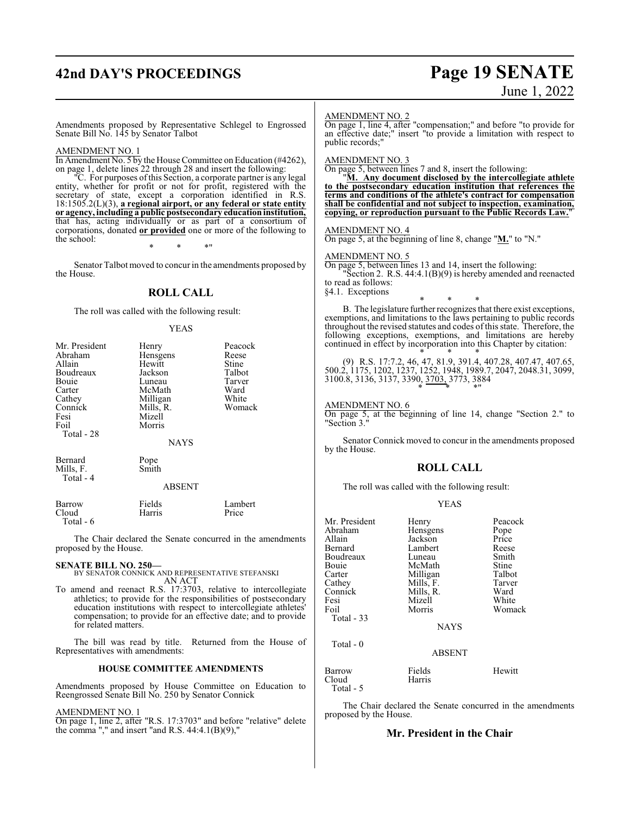## **42nd DAY'S PROCEEDINGS Page 19 SENATE**

# June 1, 2022

Amendments proposed by Representative Schlegel to Engrossed Senate Bill No. 145 by Senator Talbot

#### AMENDMENT NO. 1

In Amendment No. 5 by the House Committee on Education (#4262), on page 1, delete lines 22 through 28 and insert the following:

"C. For purposes ofthis Section, a corporate partner is any legal entity, whether for profit or not for profit, registered with the secretary of state, except a corporation identified in R.S. 18:1505.2(L)(3), **a regional airport, or any federal or state entity or agency, including a public postsecondary educationinstitution,** that has, acting individually or as part of a consortium of corporations, donated **or provided** one or more of the following to the school:

\* \* \*"

Senator Talbot moved to concur in the amendments proposed by the House.

#### **ROLL CALL**

The roll was called with the following result:

#### YEAS

| Mr. President | Henry         | Peacock |
|---------------|---------------|---------|
| Abraham       | Hensgens      | Reese   |
| Allain        | Hewitt        | Stine   |
| Boudreaux     | Jackson       | Talbot  |
| Bouie         | Luneau        | Tarver  |
| Carter        | McMath        | Ward    |
| Cathey        | Milligan      | White   |
| Connick       | Mills, R.     | Womack  |
| Fesi          | Mizell        |         |
| Foil          | Morris        |         |
| Total - 28    |               |         |
|               | <b>NAYS</b>   |         |
| Bernard       | Pope          |         |
| Mills, F.     | Smith         |         |
| Total - 4     |               |         |
|               | <b>ABSENT</b> |         |
| Barrow        | Fields        | Lambert |
| Cloud         | Harris        | Price   |

The Chair declared the Senate concurred in the amendments proposed by the House.

Total - 6

**SENATE BILL NO. 250—** BY SENATOR CONNICK AND REPRESENTATIVE STEFANSKI AN ACT

To amend and reenact R.S. 17:3703, relative to intercollegiate athletics; to provide for the responsibilities of postsecondary education institutions with respect to intercollegiate athletes' compensation; to provide for an effective date; and to provide for related matters.

The bill was read by title. Returned from the House of Representatives with amendments:

#### **HOUSE COMMITTEE AMENDMENTS**

Amendments proposed by House Committee on Education to Reengrossed Senate Bill No. 250 by Senator Connick

AMENDMENT NO. 1

On page 1, line 2, after "R.S. 17:3703" and before "relative" delete the comma "," and insert "and R.S.  $44:4.1(B)(9)$ ,"

#### AMENDMENT NO. 2

On page 1, line 4, after "compensation;" and before "to provide for an effective date;" insert "to provide a limitation with respect to public records;"

#### AMENDMENT NO. 3

On page 5, between lines 7 and 8, insert the following:

"**M. Any document disclosed by the intercollegiate athlete to the postsecondary education institution that references the terms and conditions of the athlete's contract for compensation shall be confidential and not subject to inspection, examination, copying, or reproduction pursuant to the Public Records Law.**"

#### AMENDMENT NO. 4

On page 5, at the beginning of line 8, change "**M.**" to "N."

### AMENDMENT NO. 5

On page 5, between lines 13 and 14, insert the following:

"Section 2. R.S. 44:4.1(B)(9) is hereby amended and reenacted to read as follows:

§4.1. Exceptions

\* \* \* B. The legislature further recognizes that there exist exceptions, exemptions, and limitations to the laws pertaining to public records throughout the revised statutes and codes of this state. Therefore, the following exceptions, exemptions, and limitations are hereby continued in effect by incorporation into this Chapter by citation:

\* \* \* (9) R.S. 17:7.2, 46, 47, 81.9, 391.4, 407.28, 407.47, 407.65, 500.2, 1175, 1202, 1237, 1252, 1948, 1989.7, 2047, 2048.31, 3099, 3100.8, 3136, 3137, 3390, 3703, 3773, 3884 \* \* \*"

#### AMENDMENT NO. 6

On page 5, at the beginning of line 14, change "Section 2." to "Section 3."

Senator Connick moved to concur in the amendments proposed by the House.

#### **ROLL CALL**

The roll was called with the following result:

#### YEAS

| Mr. President | Henry         | Peacock |
|---------------|---------------|---------|
| Abraham       | Hensgens      | Pope    |
| Allain        | Jackson       | Price   |
| Bernard       | Lambert       | Reese   |
| Boudreaux     | Luneau        | Smith   |
| Bouie         | McMath        | Stine   |
| Carter        | Milligan      | Talbot  |
| Cathey        | Mills, F.     | Tarver  |
| Connick       | Mills, R.     | Ward    |
| Fesi          | Mizell        | White   |
| Foil          | Morris        | Womack  |
| Total $-33$   |               |         |
|               | <b>NAYS</b>   |         |
| Total - 0     |               |         |
|               | <b>ABSENT</b> |         |
| Barrow        | Fields        | Hewitt  |
| Cloud         | Harris        |         |

Total - 5

The Chair declared the Senate concurred in the amendments proposed by the House.

#### **Mr. President in the Chair**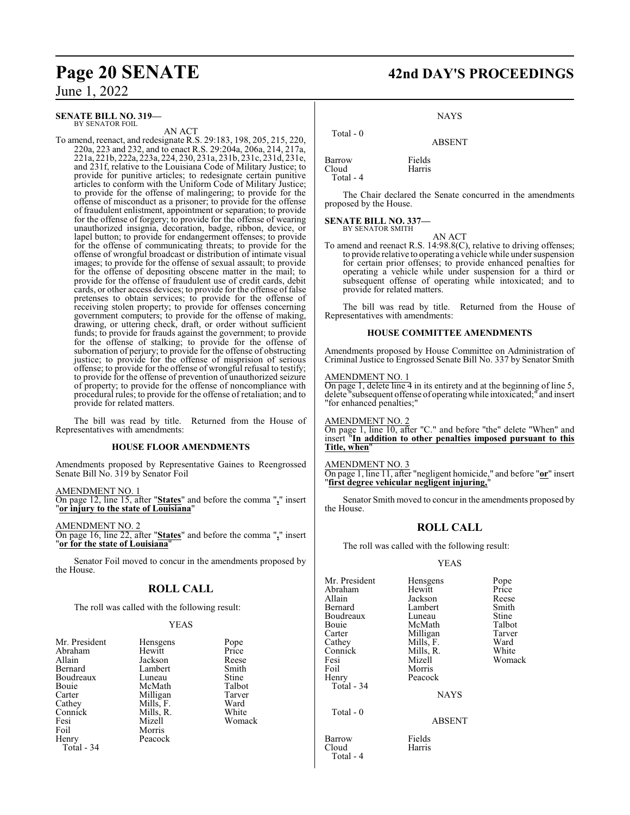**SENATE BILL NO. 319—** BY SENATOR FOIL

AN ACT

To amend, reenact, and redesignate R.S. 29:183, 198, 205, 215, 220, 220a, 223 and 232, and to enact R.S. 29:204a, 206a, 214, 217a, 221a, 221b, 222a, 223a, 224, 230, 231a, 231b, 231c, 231d, 231e, and 231f, relative to the Louisiana Code of Military Justice; to provide for punitive articles; to redesignate certain punitive articles to conform with the Uniform Code of Military Justice; to provide for the offense of malingering; to provide for the offense of misconduct as a prisoner; to provide for the offense of fraudulent enlistment, appointment or separation; to provide for the offense of forgery; to provide for the offense of wearing unauthorized insignia, decoration, badge, ribbon, device, or lapel button; to provide for endangerment offenses; to provide for the offense of communicating threats; to provide for the offense of wrongful broadcast or distribution of intimate visual images; to provide for the offense of sexual assault; to provide for the offense of depositing obscene matter in the mail; to provide for the offense of fraudulent use of credit cards, debit cards, or other access devices; to provide for the offense of false pretenses to obtain services; to provide for the offense of receiving stolen property; to provide for offenses concerning government computers; to provide for the offense of making, drawing, or uttering check, draft, or order without sufficient funds; to provide for frauds against the government; to provide for the offense of stalking; to provide for the offense of subornation of perjury; to provide for the offense of obstructing justice; to provide for the offense of misprision of serious offense; to provide for the offense of wrongful refusal to testify; to provide for the offense of prevention of unauthorized seizure of property; to provide for the offense of noncompliance with procedural rules; to provide for the offense of retaliation; and to provide for related matters.

The bill was read by title. Returned from the House of Representatives with amendments:

#### **HOUSE FLOOR AMENDMENTS**

Amendments proposed by Representative Gaines to Reengrossed Senate Bill No. 319 by Senator Foil

AMENDMENT NO. 1

On page 12, line 15, after "**States**" and before the comma "**,**" insert "**or injury to the state of Louisiana**"

AMENDMENT NO. 2 On page 16, line 22, after "**States**" and before the comma "**,**" insert "**or for the state of Louisiana**"

Senator Foil moved to concur in the amendments proposed by the House.

### **ROLL CALL**

The roll was called with the following result:

#### YEAS

| Mr. President | Hensgens  | Pope   |
|---------------|-----------|--------|
| Abraham       | Hewitt    | Price  |
| Allain        | Jackson   | Reese  |
| Bernard       | Lambert   | Smith  |
| Boudreaux     | Luneau    | Stine  |
| Bouie         | McMath    | Talbot |
| Carter        | Milligan  | Tarver |
| Cathey        | Mills, F. | Ward   |
| Connick       | Mills, R. | White  |
| Fesi          | Mizell    | Womack |
| Foil          | Morris    |        |
| Henry         | Peacock   |        |
| Total - 34    |           |        |

**Page 20 SENATE 42nd DAY'S PROCEEDINGS**

NAYS

ABSENT

Barrow Fields<br>Cloud Harris Cloud Total - 4

Total - 0

The Chair declared the Senate concurred in the amendments proposed by the House.

**SENATE BILL NO. 337—** BY SENATOR SMITH

AN ACT

To amend and reenact R.S. 14:98.8(C), relative to driving offenses; to provide relative to operating a vehicle while under suspension for certain prior offenses; to provide enhanced penalties for operating a vehicle while under suspension for a third or subsequent offense of operating while intoxicated; and to provide for related matters.

The bill was read by title. Returned from the House of Representatives with amendments:

#### **HOUSE COMMITTEE AMENDMENTS**

Amendments proposed by House Committee on Administration of Criminal Justice to Engrossed Senate Bill No. 337 by Senator Smith

#### AMENDMENT NO. 1

On page 1, delete line 4 in its entirety and at the beginning of line 5, delete "subsequent offense of operatingwhile intoxicated;" and insert "for enhanced penalties;"

AMENDMENT NO. 2

On page 1, line 10, after "C." and before "the" delete "When" and insert "**In addition to other penalties imposed pursuant to this Title, when**"

AMENDMENT NO. 3

Total - 4

On page 1, line 11, after "negligent homicide," and before "**or**" insert "**first degree vehicular negligent injuring,**"

Senator Smith moved to concur in the amendments proposed by the House.

#### **ROLL CALL**

The roll was called with the following result:

#### YEAS

| Mr. President | Hensgens      | Pope   |
|---------------|---------------|--------|
| Abraham       | Hewitt        | Price  |
| Allain        | Jackson       | Reese  |
| Bernard       | Lambert       | Smith  |
| Boudreaux     | Luneau        | Stine  |
| Bouie         | McMath        | Talbot |
| Carter        | Milligan      | Tarver |
| Cathey        | Mills, F.     | Ward   |
| Connick       | Mills, R.     | White  |
| Fesi          | Mizell        | Womack |
| Foil          | Morris        |        |
| Henry         | Peacock       |        |
| Total - 34    |               |        |
|               | <b>NAYS</b>   |        |
| Total $-0$    |               |        |
|               | <b>ABSENT</b> |        |
| Barrow        | Fields        |        |
| Cloud         | Harris        |        |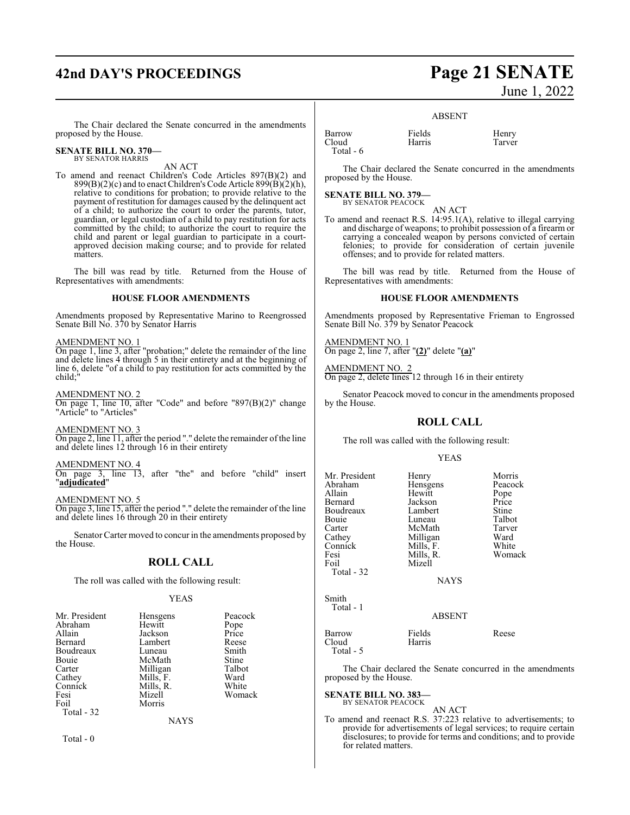## **42nd DAY'S PROCEEDINGS Page 21 SENATE**

# June 1, 2022

The Chair declared the Senate concurred in the amendments proposed by the House.

#### **SENATE BILL NO. 370—** BY SENATOR HARRIS

AN ACT

To amend and reenact Children's Code Articles 897(B)(2) and  $899(B)(2)(c)$  and to enact Children's Code Article  $899(B)(2)(h)$ , relative to conditions for probation; to provide relative to the payment of restitution for damages caused by the delinquent act of a child; to authorize the court to order the parents, tutor, guardian, or legal custodian of a child to pay restitution for acts committed by the child; to authorize the court to require the child and parent or legal guardian to participate in a courtapproved decision making course; and to provide for related matters.

The bill was read by title. Returned from the House of Representatives with amendments:

#### **HOUSE FLOOR AMENDMENTS**

Amendments proposed by Representative Marino to Reengrossed Senate Bill No. 370 by Senator Harris

#### AMENDMENT NO. 1

On page 1, line 3, after "probation;" delete the remainder of the line and delete lines 4 through 5 in their entirety and at the beginning of line 6, delete "of a child to pay restitution for acts committed by the child;"

AMENDMENT NO. 2 On page 1, line 10, after "Code" and before "897(B)(2)" change "Article" to "Articles"

AMENDMENT NO. 3

On page 2, line 11, after the period "." delete the remainder of the line and delete lines 12 through 16 in their entirety

#### AMENDMENT NO. 4

On page 3, line 13, after "the" and before "child" insert "**adjudicated**"

#### AMENDMENT NO. 5

On page 3, line 15, after the period "." delete the remainder of the line and delete lines 16 through 20 in their entirety

Senator Carter moved to concur in the amendments proposed by the House.

#### **ROLL CALL**

The roll was called with the following result:

#### YEAS

| Mr. President | Hensgens  | Peacock |
|---------------|-----------|---------|
| Abraham       | Hewitt    | Pope    |
| Allain        | Jackson   | Price   |
| Bernard       | Lambert   | Reese   |
| Boudreaux     | Luneau    | Smith   |
| Bouie         | McMath    | Stine   |
| Carter        | Milligan  | Talbot  |
| Cathey        | Mills, F. | Ward    |
| Connick       | Mills, R. | White   |
| Fesi          | Mizell    | Womack  |
| Foil          | Morris    |         |
| Total - 32    |           |         |
|               | NAYS      |         |

Total - 0

#### Barrow Fields Henry Cloud Harris Tarver Total - 6

ABSENT

The Chair declared the Senate concurred in the amendments proposed by the House.

#### **SENATE BILL NO. 379—** BY SENATOR PEACOCK

AN ACT

To amend and reenact R.S. 14:95.1(A), relative to illegal carrying and discharge of weapons; to prohibit possession of a firearm or carrying a concealed weapon by persons convicted of certain felonies; to provide for consideration of certain juvenile offenses; and to provide for related matters.

The bill was read by title. Returned from the House of Representatives with amendments:

#### **HOUSE FLOOR AMENDMENTS**

Amendments proposed by Representative Frieman to Engrossed Senate Bill No. 379 by Senator Peacock

AMENDMENT NO. 1 On page 2, line 7, after "**(2)**" delete "**(a)**"

AMENDMENT NO. 2 On page 2, delete lines 12 through 16 in their entirety

Senator Peacock moved to concur in the amendments proposed by the House.

#### **ROLL CALL**

The roll was called with the following result:

#### YEAS

| Mr. President | Henry       | Morris  |
|---------------|-------------|---------|
| Abraham       | Hensgens    | Peacock |
| Allain        | Hewitt      | Pope    |
| Bernard       | Jackson     | Price   |
| Boudreaux     | Lambert     | Stine   |
| Bouie         | Luneau      | Talbot  |
| Carter        | McMath      | Tarver  |
| Cathey        | Milligan    | Ward    |
| Connick       | Mills, F.   | White   |
| Fesi          | Mills, R.   | Womack  |
| Foil          | Mizell      |         |
| Total - 32    |             |         |
|               | <b>NAYS</b> |         |
| Smith         |             |         |
| Total - 1     |             |         |
|               | ABSENT      |         |
|               |             |         |

| Barrow<br>Cloud<br>Total $-5$ | Fields<br>Harris | Reese |
|-------------------------------|------------------|-------|
|                               |                  |       |

The Chair declared the Senate concurred in the amendments proposed by the House.

#### **SENATE BILL NO. 383—**

BY SENATOR PEACOCK AN ACT

To amend and reenact R.S. 37:223 relative to advertisements; to provide for advertisements of legal services; to require certain disclosures; to provide for terms and conditions; and to provide for related matters.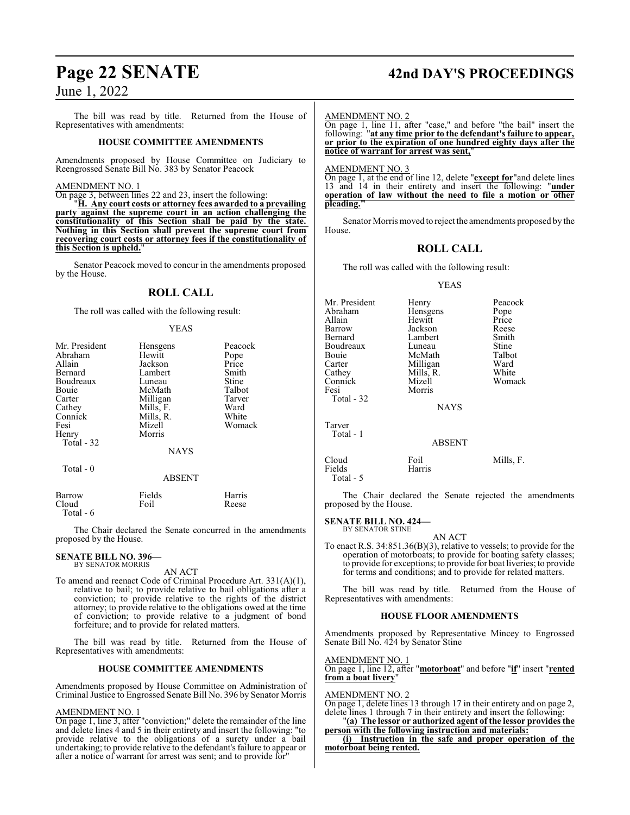The bill was read by title. Returned from the House of Representatives with amendments:

#### **HOUSE COMMITTEE AMENDMENTS**

Amendments proposed by House Committee on Judiciary to Reengrossed Senate Bill No. 383 by Senator Peacock

#### AMENDMENT NO. 1

On page 3, between lines 22 and 23, insert the following:

"**H. Any court costs or attorney fees awarded to a prevailing party against the supreme court in an action challenging the constitutionality of this Section shall be paid by the state. Nothing in this Section shall prevent the supreme court from recovering court costs or attorney fees if the constitutionality of this Section is upheld.**"

Senator Peacock moved to concur in the amendments proposed by the House.

#### **ROLL CALL**

The roll was called with the following result:

#### YEAS

| Mr. President<br>Abraham<br>Allain<br>Bernard<br>Boudreaux<br>Bouie<br>Carter<br>Cathey<br>Connick<br>Fesi | Hensgens<br>Hewitt<br>Jackson<br>Lambert<br>Luneau<br>McMath<br>Milligan<br>Mills, F.<br>Mills, R.<br>Mizell | Peacock<br>Pope<br>Price<br>Smith<br>Stine<br>Talbot<br>Tarver<br>Ward<br>White<br>Womack |
|------------------------------------------------------------------------------------------------------------|--------------------------------------------------------------------------------------------------------------|-------------------------------------------------------------------------------------------|
| Henry<br>Total $-32$<br>Total - 0                                                                          | Morris<br><b>NAYS</b><br>ABSENT                                                                              |                                                                                           |
| $\mathbf{D}$                                                                                               | $T^*$ 11.                                                                                                    | $TT$                                                                                      |

| Barrow    | Fields | Harris |
|-----------|--------|--------|
| Cloud     | Foil   | Reese  |
| Total - 6 |        |        |

The Chair declared the Senate concurred in the amendments proposed by the House.

#### **SENATE BILL NO. 396—** BY SENATOR MORRIS

AN ACT

To amend and reenact Code of Criminal Procedure Art. 331(A)(1), relative to bail; to provide relative to bail obligations after a conviction; to provide relative to the rights of the district attorney; to provide relative to the obligations owed at the time of conviction; to provide relative to a judgment of bond forfeiture; and to provide for related matters.

The bill was read by title. Returned from the House of Representatives with amendments:

#### **HOUSE COMMITTEE AMENDMENTS**

Amendments proposed by House Committee on Administration of Criminal Justice to Engrossed Senate Bill No. 396 by Senator Morris

#### AMENDMENT NO. 1

On page 1, line 3, after "conviction;" delete the remainder of the line and delete lines 4 and 5 in their entirety and insert the following: "to provide relative to the obligations of a surety under a bail undertaking; to provide relative to the defendant's failure to appear or after a notice of warrant for arrest was sent; and to provide for"

## **Page 22 SENATE 42nd DAY'S PROCEEDINGS**

#### AMENDMENT NO. 2

On page 1, line 11, after "case," and before "the bail" insert the following: "**at any time prior to the defendant's failure to appear, or prior to the expiration of one hundred eighty days after the notice of warrant for arrest was sent,**"

#### AMENDMENT NO. 3

On page 1, at the end of line 12, delete "**except for**"and delete lines 13 and 14 in their entirety and insert the following: "**under operation of law without the need to file a motion or other pleading."**

Senator Morris moved to reject the amendments proposed by the House.

## **ROLL CALL**

The roll was called with the following result:

#### YEAS

| Mr. President<br>Abraham<br>Allain<br>Barrow<br>Bernard<br>Boudreaux<br>Bouie<br>Carter<br>Cathey<br>Connick<br>Fesi<br>Total - 32 | Henry<br>Hensgens<br>Hewitt<br>Jackson<br>Lambert<br>Luneau<br>McMath<br>Milligan<br>Mills, R.<br>Mizell<br>Morris<br><b>NAYS</b> | Peacock<br>Pope<br>Price<br>Reese<br>Smith<br>Stine<br>Talbot<br>Ward<br>White<br>Womack |
|------------------------------------------------------------------------------------------------------------------------------------|-----------------------------------------------------------------------------------------------------------------------------------|------------------------------------------------------------------------------------------|
| Tarver<br>Total - 1                                                                                                                | <b>ABSENT</b>                                                                                                                     |                                                                                          |
| Cloud                                                                                                                              | Foil                                                                                                                              | Mills, F.                                                                                |

The Chair declared the Senate rejected the amendments proposed by the House.

#### **SENATE BILL NO. 424—** BY SENATOR STINE

Fields Harris

Total - 5

AN ACT To enact R.S. 34:851.36(B)(3), relative to vessels; to provide for the operation of motorboats; to provide for boating safety classes; to provide for exceptions; to provide for boat liveries; to provide for terms and conditions; and to provide for related matters.

The bill was read by title. Returned from the House of Representatives with amendments:

#### **HOUSE FLOOR AMENDMENTS**

Amendments proposed by Representative Mincey to Engrossed Senate Bill No. 424 by Senator Stine

AMENDMENT NO. 1 On page 1, line 12, after "**motorboat**" and before "**if**" insert "**rented from a boat livery**"

#### AMENDMENT NO. 2

On page 1, delete lines 13 through 17 in their entirety and on page 2, delete lines 1 through 7 in their entirety and insert the following:

"**(a) The lessor or authorized agent of the lessor provides the person with the following instruction and materials:**

**(i) Instruction in the safe and proper operation of the motorboat being rented.**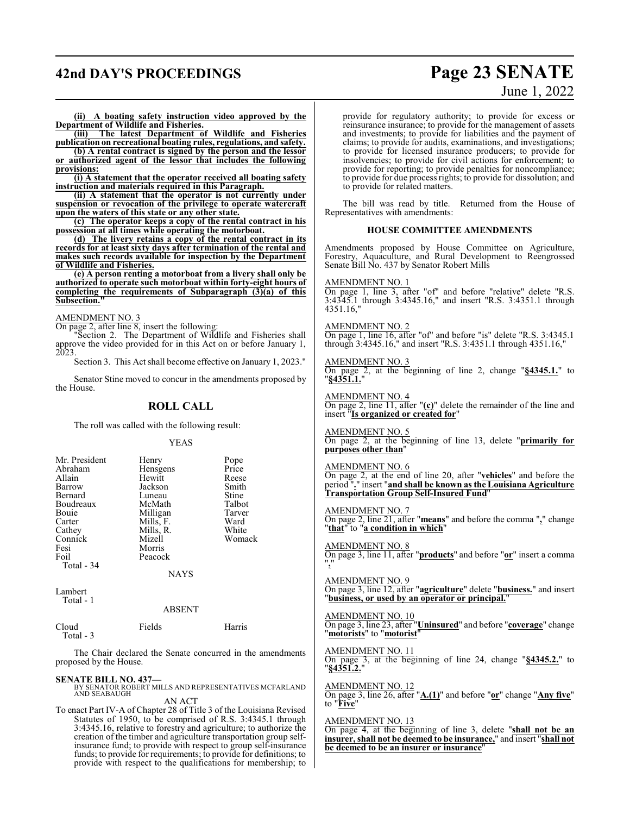## **42nd DAY'S PROCEEDINGS Page 23 SENATE**

# June 1, 2022

**(ii) A boating safety instruction video approved by the Department of Wildlife and Fisheries.**

**(iii) The latest Department of Wildlife and Fisheries publication on recreational boating rules, regulations, and safety. (b) A rental contract is signed by the person and the lessor**

**or authorized agent of the lessor that includes the following provisions:**

**(i) A statement that the operator received all boating safety instruction and materials required in this Paragraph.**

**(ii) A statement that the operator is not currently under suspension or revocation of the privilege to operate watercraft upon the waters of this state or any other state.**

**(c) The operator keeps a copy of the rental contract in his possession at all times while operating the motorboat.**

**(d) The livery retains a copy of the rental contract in its records for at least sixty days after termination of the rental and makes such records available for inspection by the Department of Wildlife and Fisheries.**

**(e) A person renting a motorboat from a livery shall only be authorized to operate such motorboat within forty-eight hours of completing the requirements of Subparagraph (3)(a) of this Subsection.** 

#### AMENDMENT NO. 3

On page 2, after line 8, insert the following:

"Section 2. The Department of Wildlife and Fisheries shall approve the video provided for in this Act on or before January 1, 2023.

Section 3. This Act shall become effective on January 1, 2023."

Senator Stine moved to concur in the amendments proposed by the House.

#### **ROLL CALL**

The roll was called with the following result:

YEAS

| Mr. President<br>Abraham<br>Allain<br>Barrow<br>Bernard<br>Boudreaux<br>Bouie<br>Carter<br>Cathey<br>Connick<br>Fesi<br>Foil | Hensgens<br>Hewitt<br>Jackson<br>Luneau<br>McMath<br>Milligan<br>Mills, F.<br>Mills, R.<br>Mizell<br>Morris<br>Peacock | Price<br>Reese<br>Smith<br>Stine<br>Talbot<br>Tarver<br>Ward<br>White<br>Womack |
|------------------------------------------------------------------------------------------------------------------------------|------------------------------------------------------------------------------------------------------------------------|---------------------------------------------------------------------------------|
| Total - 34                                                                                                                   |                                                                                                                        |                                                                                 |

**NAYS** 

Lambert Total - 1

#### ABSENT

Cloud Fields Harris Total - 3

The Chair declared the Senate concurred in the amendments proposed by the House.

**SENATE BILL NO. 437—**<br>BY SENATOR ROBERT MILLS AND REPRESENTATIVES MCFARLAND<br>AND SEABAUGH AN ACT

To enact Part IV-A of Chapter 28 of Title 3 of the Louisiana Revised Statutes of 1950, to be comprised of R.S. 3:4345.1 through 3:4345.16, relative to forestry and agriculture; to authorize the creation of the timber and agriculture transportation group selfinsurance fund; to provide with respect to group self-insurance funds; to provide for requirements; to provide for definitions; to provide with respect to the qualifications for membership; to provide for regulatory authority; to provide for excess or reinsurance insurance; to provide for the management of assets and investments; to provide for liabilities and the payment of claims; to provide for audits, examinations, and investigations; to provide for licensed insurance producers; to provide for insolvencies; to provide for civil actions for enforcement; to provide for reporting; to provide penalties for noncompliance; to provide for due process rights; to provide for dissolution; and to provide for related matters.

The bill was read by title. Returned from the House of Representatives with amendments:

#### **HOUSE COMMITTEE AMENDMENTS**

Amendments proposed by House Committee on Agriculture, Forestry, Aquaculture, and Rural Development to Reengrossed Senate Bill No. 437 by Senator Robert Mills

AMENDMENT NO. 1

On page 1, line 3, after "of" and before "relative" delete "R.S. 3:4345.1 through 3:4345.16," and insert "R.S. 3:4351.1 through 4351.16,"

#### AMENDMENT NO. 2

On page 1, line 16, after "of" and before "is" delete "R.S. 3:4345.1 through 3:4345.16," and insert "R.S. 3:4351.1 through 4351.16,"

#### AMENDMENT NO. 3

On page 2, at the beginning of line 2, change "**§4345.1.**" to "**§4351.1.**"

#### AMENDMENT NO. 4

On page 2, line 11, after "**(c)**" delete the remainder of the line and insert "**Is organized or created for**"

#### AMENDMENT NO. 5

On page 2, at the beginning of line 13, delete "**primarily for purposes other than**"

#### AMENDMENT NO. 6

On page 2, at the end of line 20, after "**vehicles**" and before the period "**.**" insert "**and shall be known as the Louisiana Agriculture Transportation Group Self-Insured Fund**"

#### AMENDMENT NO. 7

On page 2, line 21, after "**means**" and before the comma "**,**" change "**that**" to "**a condition in which**"

AMENDMENT NO. 8 On page 3, line 11, after "**products**" and before "**or**" insert a comma "**,**"

AMENDMENT NO. 9 On page 3, line 12, after "**agriculture**" delete "**business.**" and insert "**business, or used by an operator or principal.**"

AMENDMENT NO. 10 On page 3, line 23, after "**Uninsured**" and before "**coverage**" change "**motorists**" to "**motorist**"

AMENDMENT NO. 11 On page 3, at the beginning of line 24, change "**§4345.2.**" to "**§4351.2.**"

AMENDMENT NO. 12 On page 3, line 26, after "**A.(1)**" and before "**or**" change "**Any five**" to "**Five**"

#### AMENDMENT NO. 13

On page 4, at the beginning of line 3, delete "**shall not be an insurer, shall not be deemed to be insurance,**" and insert "**shall not** be deemed to be an insurer or insurance'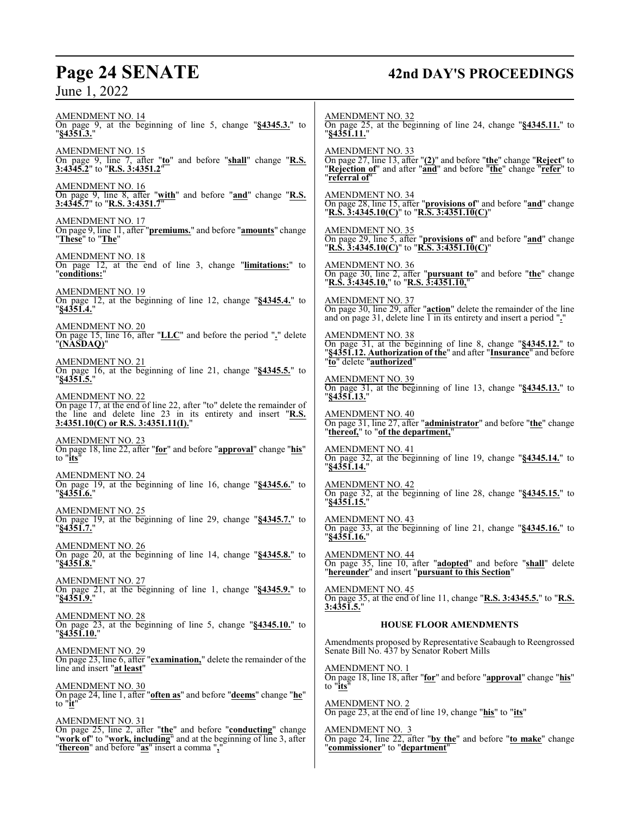## **Page 24 SENATE 42nd DAY'S PROCEEDINGS**

AMENDMENT NO. 14 On page 9, at the beginning of line 5, change "**§4345.3.**" to "**§4351.3.**" AMENDMENT NO. 15 On page 9, line 7, after "**to**" and before "**shall**" change "**R.S. 3:4345.2**" to "**R.S. 3:4351.2**" AMENDMENT NO. 16 On page 9, line 8, after "**with**" and before "**and**" change "**R.S. 3:4345.7**" to "**R.S. 3:4351.7**" AMENDMENT NO. 17 On page 9, line 11, after "**premiums.**" and before "**amounts**" change "**These**" to "**The**" AMENDMENT NO. 18 On page 12, at the end of line 3, change "**limitations:**" to "**conditions:**" AMENDMENT NO. 19 On page 12, at the beginning of line 12, change "**§4345.4.**" to "**§4351.4.**" AMENDMENT NO. 20 On page 15, line 16, after "**LLC**" and before the period "**.**" delete "**(NASDAQ)**" AMENDMENT NO. 21 On page 16, at the beginning of line 21, change "**§4345.5.**" to "**§4351.5.**" AMENDMENT NO. 22 On page 17, at the end of line 22, after "to" delete the remainder of the line and delete line 23 in its entirety and insert "**R.S. 3:4351.10(C) or R.S. 3:4351.11(I).**" AMENDMENT NO. 23 On page 18, line 22, after "**for**" and before "**approval**" change "**his**" to "**its**" AMENDMENT NO. 24 On page 19, at the beginning of line 16, change "**§4345.6.**" to "**§4351.6.**" AMENDMENT NO. 25 On page 19, at the beginning of line 29, change "**§4345.7.**" to "**§4351.7.**" AMENDMENT NO. 26 On page 20, at the beginning of line 14, change "**§4345.8.**" to "**§4351.8.**" AMENDMENT NO. 27 On page 21, at the beginning of line 1, change "**§4345.9.**" to "**§4351.9.**" AMENDMENT NO. 28 On page 23, at the beginning of line 5, change "**§4345.10.**" to "**§4351.10.**" AMENDMENT NO. 29 On page 23, line 6, after "**examination,**" delete the remainder of the line and insert "**at least**" AMENDMENT NO. 30 On page 24, line 1, after "**often as**" and before "**deems**" change "**he**" to "**it**" AMENDMENT NO. 31 On page 25, line 2, after "**the**" and before "**conducting**" change "**work of**" to "**work, including**" and at the beginning of line 3, after "**thereon**" and before "**as**" insert a comma "**,**" AMENDMENT NO. 32 On page 25, at the beginning of line 24, change "**§4345.11.**" to "**§4351.11.**" AMENDMENT NO. 33 On page 27, line 13, after "**(2)**" and before "**the**" change "**Reject**" to "**Rejection of**" and after "**and**" and before "**the**" change "**refer**" to "**referral of**" AMENDMENT NO. 34 On page 28, line 15, after "**provisions of**" and before "**and**" change "**R.S. 3:4345.10(C)**" to "**R.S. 3:4351.10(C)**" AMENDMENT NO. 35 On page 29, line 5, after "**provisions of**" and before "**and**" change "**R.S. 3:4345.10(C)**" to "**R.S. 3:4351.10(C)**" AMENDMENT NO. 36 On page 30, line 2, after "**pursuant to**" and before "**the**" change "**R.S. 3:4345.10,**" to "**R.S. 3:4351.10,**" AMENDMENT NO. 37 On page 30, line 29, after "**action**" delete the remainder of the line and on page 31, delete line 1 in its entirety and insert a period "**.**" AMENDMENT NO. 38 On page 31, at the beginning of line 8, change "**§4345.12.**" to "**§4351.12. Authorization of the**" and after "**Insurance**" and before "**to**" delete "**authorized**" AMENDMENT NO. 39 On page 31, at the beginning of line 13, change "**§4345.13.**" to "**§4351.13.**" AMENDMENT NO. 40 On page 31, line 27, after "**administrator**" and before "**the**" change "**thereof,**" to "**of the department,**" AMENDMENT NO. 41 On page 32, at the beginning of line 19, change "**§4345.14.**" to "**§4351.14.**" AMENDMENT NO. 42 On page 32, at the beginning of line 28, change "**§4345.15.**" to "**§4351.15.**" AMENDMENT NO. 43 On page 33, at the beginning of line 21, change "**§4345.16.**" to "**§4351.16.**" AMENDMENT NO. 44 On page 35, line 10, after "**adopted**" and before "**shall**" delete "**hereunder**" and insert "**pursuant to this Section**" AMENDMENT NO. 45 On page 35, at the end of line 11, change "**R.S. 3:4345.5.**" to "**R.S. 3:4351.5.**" **HOUSE FLOOR AMENDMENTS** Amendments proposed by Representative Seabaugh to Reengrossed Senate Bill No. 437 by Senator Robert Mills AMENDMENT NO. 1 On page 18, line 18, after "**for**" and before "**approval**" change "**his**" to "**its**" AMENDMENT NO. 2 On page 23, at the end of line 19, change "**his**" to "**its**" AMENDMENT NO. 3 On page 24, line 22, after "**by the**" and before "**to make**" change "**commissioner**" to "**department**"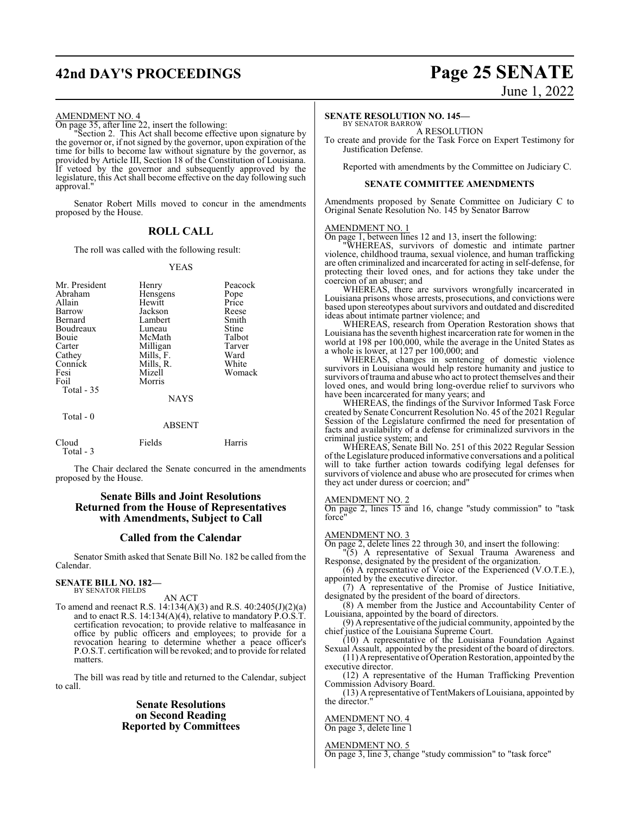## **42nd DAY'S PROCEEDINGS Page 25 SENATE**

# June 1, 2022

#### AMENDMENT NO. 4

On page 35, after line 22, insert the following:

"Section 2. This Act shall become effective upon signature by the governor or, if not signed by the governor, upon expiration of the time for bills to become law without signature by the governor, as provided by Article III, Section 18 of the Constitution of Louisiana. If vetoed by the governor and subsequently approved by the legislature, this Act shall become effective on the day following such approval."

Senator Robert Mills moved to concur in the amendments proposed by the House.

#### **ROLL CALL**

The roll was called with the following result:

#### YEAS

| Mr. President<br>Abraham<br>Allain<br>Barrow<br>Bernard<br>Boudreaux<br>Bouie<br>Carter<br>Cathey<br>Connick<br>Fesi<br>Foil | Henry<br>Hensgens<br>Hewitt<br>Jackson<br>Lambert<br>Luneau<br>McMath<br>Milligan<br>Mills, F.<br>Mills, R.<br>Mizell<br>Morris | Peacock<br>Pope<br>Price<br>Reese<br>Smith<br>Stine<br>Talbot<br>Tarver<br>Ward<br>White<br>Womack |
|------------------------------------------------------------------------------------------------------------------------------|---------------------------------------------------------------------------------------------------------------------------------|----------------------------------------------------------------------------------------------------|
| Total $-35$                                                                                                                  | <b>NAYS</b>                                                                                                                     |                                                                                                    |
| Total $-0$                                                                                                                   | <b>ABSENT</b>                                                                                                                   |                                                                                                    |

| Cloud     | Fields | Harris |
|-----------|--------|--------|
| Total - 3 |        |        |

The Chair declared the Senate concurred in the amendments proposed by the House.

#### **Senate Bills and Joint Resolutions Returned from the House of Representatives with Amendments, Subject to Call**

#### **Called from the Calendar**

Senator Smith asked that Senate Bill No. 182 be called from the Calendar.

#### **SENATE BILL NO. 182—** BY SENATOR FIELDS

AN ACT

To amend and reenact R.S. 14:134(A)(3) and R.S. 40:2405(J)(2)(a) and to enact R.S. 14:134(A)(4), relative to mandatory  $\hat{P} \cdot \hat{O} \cdot \hat{S} \cdot \hat{T}$ . certification revocation; to provide relative to malfeasance in office by public officers and employees; to provide for a revocation hearing to determine whether a peace officer's P.O.S.T. certification will be revoked; and to provide for related matters.

The bill was read by title and returned to the Calendar, subject to call.

#### **Senate Resolutions on Second Reading Reported by Committees**

# **SENATE RESOLUTION NO. 145—**<br>BY SENATOR BARROW A RESOLUTION

To create and provide for the Task Force on Expert Testimony for Justification Defense.

Reported with amendments by the Committee on Judiciary C.

#### **SENATE COMMITTEE AMENDMENTS**

Amendments proposed by Senate Committee on Judiciary C to Original Senate Resolution No. 145 by Senator Barrow

#### AMENDMENT NO. 1

On page 1, between lines 12 and 13, insert the following:

"WHEREAS, survivors of domestic and intimate partner violence, childhood trauma, sexual violence, and human trafficking are often criminalized and incarcerated for acting in self-defense, for protecting their loved ones, and for actions they take under the coercion of an abuser; and

WHEREAS, there are survivors wrongfully incarcerated in Louisiana prisons whose arrests, prosecutions, and convictions were based upon stereotypes about survivors and outdated and discredited ideas about intimate partner violence; and

WHEREAS, research from Operation Restoration shows that Louisiana has the seventh highest incarceration rate for women in the world at 198 per 100,000, while the average in the United States as a whole is lower, at 127 per 100,000; and

WHEREAS, changes in sentencing of domestic violence survivors in Louisiana would help restore humanity and justice to survivors of trauma and abuse who act to protect themselves and their loved ones, and would bring long-overdue relief to survivors who have been incarcerated for many years; and

WHEREAS, the findings of the Survivor Informed Task Force created by Senate Concurrent Resolution No. 45 of the 2021 Regular Session of the Legislature confirmed the need for presentation of facts and availability of a defense for criminalized survivors in the criminal justice system; and

WHEREAS, Senate Bill No. 251 of this 2022 Regular Session ofthe Legislature produced informative conversations and a political will to take further action towards codifying legal defenses for survivors of violence and abuse who are prosecuted for crimes when they act under duress or coercion; and"

#### AMENDMENT NO. 2

On page 2, lines 15 and 16, change "study commission" to "task force

#### AMENDMENT NO. 3

On page 2, delete lines 22 through 30, and insert the following:

"(5) A representative of Sexual Trauma Awareness and Response, designated by the president of the organization.

(6) A representative of Voice of the Experienced (V.O.T.E.), appointed by the executive director.

(7) A representative of the Promise of Justice Initiative, designated by the president of the board of directors.

(8) A member from the Justice and Accountability Center of Louisiana, appointed by the board of directors.

(9) A representative ofthe judicial community, appointed by the chief justice of the Louisiana Supreme Court.

(10) A representative of the Louisiana Foundation Against Sexual Assault, appointed by the president of the board of directors.

(11)Arepresentative ofOperationRestoration, appointed by the executive director.

(12) A representative of the Human Trafficking Prevention Commission Advisory Board.

(13) A representative ofTentMakers of Louisiana, appointed by the director."

AMENDMENT NO. 4 On page 3, delete line 1

AMENDMENT NO. 5

On page 3, line 3, change "study commission" to "task force"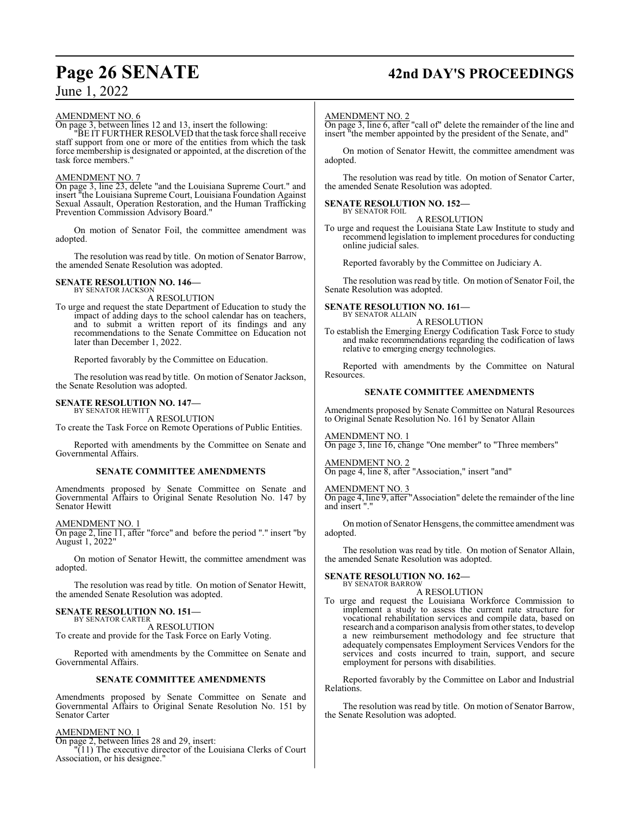# **Page 26 SENATE 42nd DAY'S PROCEEDINGS**

## June 1, 2022

#### AMENDMENT NO. 6

On page 3, between lines 12 and 13, insert the following:

"BE IT FURTHER RESOLVED that the task force shall receive staff support from one or more of the entities from which the task force membership is designated or appointed, at the discretion of the task force members."

#### AMENDMENT NO. 7

On page 3, line 23, delete "and the Louisiana Supreme Court." and insert "the Louisiana Supreme Court, Louisiana Foundation Against Sexual Assault, Operation Restoration, and the Human Trafficking Prevention Commission Advisory Board."

On motion of Senator Foil, the committee amendment was adopted.

The resolution was read by title. On motion of Senator Barrow, the amended Senate Resolution was adopted.

#### **SENATE RESOLUTION NO. 146—** BY SENATOR JACKSON

A RESOLUTION

To urge and request the state Department of Education to study the impact of adding days to the school calendar has on teachers, and to submit a written report of its findings and any recommendations to the Senate Committee on Education not later than December 1, 2022.

Reported favorably by the Committee on Education.

The resolution was read by title. On motion of Senator Jackson, the Senate Resolution was adopted.

#### **SENATE RESOLUTION NO. 147—** BY SENATOR HEWITT

A RESOLUTION

To create the Task Force on Remote Operations of Public Entities.

Reported with amendments by the Committee on Senate and Governmental Affairs.

#### **SENATE COMMITTEE AMENDMENTS**

Amendments proposed by Senate Committee on Senate and Governmental Affairs to Original Senate Resolution No. 147 by Senator Hewitt

AMENDMENT NO. 1 On page 2, line 11, after "force" and before the period "." insert "by August 1, 2022"

On motion of Senator Hewitt, the committee amendment was adopted.

The resolution was read by title. On motion of Senator Hewitt, the amended Senate Resolution was adopted.

#### **SENATE RESOLUTION NO. 151—**

BY SENATOR CARTER A RESOLUTION

To create and provide for the Task Force on Early Voting.

Reported with amendments by the Committee on Senate and Governmental Affairs.

#### **SENATE COMMITTEE AMENDMENTS**

Amendments proposed by Senate Committee on Senate and Governmental Affairs to Original Senate Resolution No. 151 by Senator Carter

#### AMENDMENT NO. 1

On page 2, between lines 28 and 29, insert:

"(11) The executive director of the Louisiana Clerks of Court Association, or his designee."

#### AMENDMENT NO. 2

On page 3, line 6, after "call of" delete the remainder of the line and insert "the member appointed by the president of the Senate, and"

On motion of Senator Hewitt, the committee amendment was adopted.

The resolution was read by title. On motion of Senator Carter, the amended Senate Resolution was adopted.

#### **SENATE RESOLUTION NO. 152—**

BY SENATOR FOIL A RESOLUTION

To urge and request the Louisiana State Law Institute to study and recommend legislation to implement procedures for conducting online judicial sales.

Reported favorably by the Committee on Judiciary A.

The resolution was read by title. On motion of Senator Foil, the Senate Resolution was adopted.

#### **SENATE RESOLUTION NO. 161—**

BY SENATOR ALLAIN A RESOLUTION

To establish the Emerging Energy Codification Task Force to study and make recommendations regarding the codification of laws relative to emerging energy technologies.

Reported with amendments by the Committee on Natural Resources.

#### **SENATE COMMITTEE AMENDMENTS**

Amendments proposed by Senate Committee on Natural Resources to Original Senate Resolution No. 161 by Senator Allain

AMENDMENT NO. 1

On page 3, line 16, change "One member" to "Three members"

AMENDMENT NO. 2 On page 4, line 8, after "Association," insert "and"

AMENDMENT NO. 3

On page 4, line 9, after "Association" delete the remainder of the line and insert ".

On motion of Senator Hensgens, the committee amendment was adopted.

The resolution was read by title. On motion of Senator Allain, the amended Senate Resolution was adopted.

## **SENATE RESOLUTION NO. 162—** BY SENATOR BARROW

A RESOLUTION

To urge and request the Louisiana Workforce Commission to implement a study to assess the current rate structure for vocational rehabilitation services and compile data, based on research and a comparison analysis fromother states, to develop a new reimbursement methodology and fee structure that adequately compensates Employment Services Vendors for the services and costs incurred to train, support, and secure employment for persons with disabilities.

Reported favorably by the Committee on Labor and Industrial Relations.

The resolution was read by title. On motion of Senator Barrow, the Senate Resolution was adopted.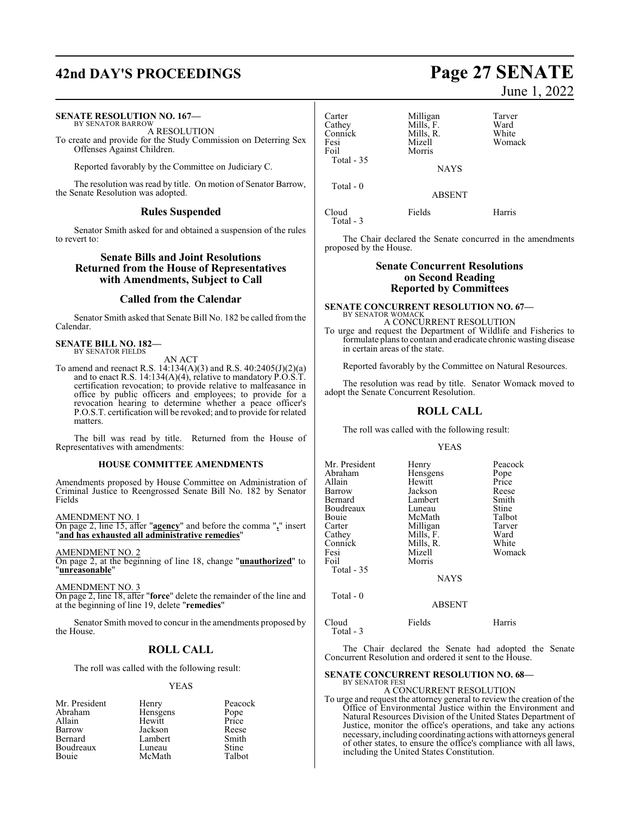## **42nd DAY'S PROCEEDINGS Page 27 SENATE**

#### **SENATE RESOLUTION NO. 167—** BY SENATOR BARROW

A RESOLUTION

To create and provide for the Study Commission on Deterring Sex Offenses Against Children.

Reported favorably by the Committee on Judiciary C.

The resolution was read by title. On motion of Senator Barrow, the Senate Resolution was adopted.

#### **Rules Suspended**

Senator Smith asked for and obtained a suspension of the rules to revert to:

#### **Senate Bills and Joint Resolutions Returned from the House of Representatives with Amendments, Subject to Call**

#### **Called from the Calendar**

Senator Smith asked that Senate Bill No. 182 be called from the Calendar.

#### **SENATE BILL NO. 182—** BY SENATOR FIELDS

AN ACT

To amend and reenact R.S. 14:134(A)(3) and R.S. 40:2405(J)(2)(a) and to enact R.S. 14:134(A)(4), relative to mandatory P.O.S.T. certification revocation; to provide relative to malfeasance in office by public officers and employees; to provide for a revocation hearing to determine whether a peace officer's P.O.S.T. certification will be revoked; and to provide for related matters.

The bill was read by title. Returned from the House of Representatives with amendments:

#### **HOUSE COMMITTEE AMENDMENTS**

Amendments proposed by House Committee on Administration of Criminal Justice to Reengrossed Senate Bill No. 182 by Senator Fields

AMENDMENT NO. 1

On page 2, line 15, after "**agency**" and before the comma "**,**" insert "**and has exhausted all administrative remedies**"

AMENDMENT NO. 2

On page 2, at the beginning of line 18, change "**unauthorized**" to "**unreasonable**"

AMENDMENT NO. 3

On page 2, line 18, after "**force**" delete the remainder of the line and at the beginning of line 19, delete "**remedies**"

Senator Smith moved to concur in the amendments proposed by the House.

### **ROLL CALL**

The roll was called with the following result:

#### YEAS

| Mr. President  | Henry    | Peacock |
|----------------|----------|---------|
| Abraham        | Hensgens | Pope    |
| Allain         | Hewitt   | Price   |
| Barrow         | Jackson  | Reese   |
| <b>Bernard</b> | Lambert  | Smith   |
| Boudreaux      | Luneau   | Stine   |
| Bouie          | McMath   | Talbot  |

June 1, 2022

| Carter<br>Cathey<br>Connick<br>Fesi<br>Foil<br>Total $-35$ | Milligan<br>Mills, F.<br>Mills, R.<br>Mizell<br>Morris | Tarver<br>Ward<br>White<br>Womack |
|------------------------------------------------------------|--------------------------------------------------------|-----------------------------------|
|                                                            | <b>NAYS</b>                                            |                                   |
| Total $-0$                                                 | <b>ABSENT</b>                                          |                                   |
| Cloud                                                      | Fields                                                 | Harris                            |

Total - 3

The Chair declared the Senate concurred in the amendments proposed by the House.

#### **Senate Concurrent Resolutions on Second Reading Reported by Committees**

## **SENATE CONCURRENT RESOLUTION NO. 67—**

BY SENATOR WOMACK A CONCURRENT RESOLUTION

To urge and request the Department of Wildlife and Fisheries to formulate plans to contain and eradicate chronic wasting disease in certain areas of the state.

Reported favorably by the Committee on Natural Resources.

The resolution was read by title. Senator Womack moved to adopt the Senate Concurrent Resolution.

#### **ROLL CALL**

The roll was called with the following result:

#### YEAS

| Mr. President | Henry         | Peacock |
|---------------|---------------|---------|
| Abraham       | Hensgens      | Pope    |
| Allain        | Hewitt        | Price   |
| Barrow        | Jackson       | Reese   |
| Bernard       | Lambert       | Smith   |
| Boudreaux     | Luneau        | Stine   |
| Bouie         | McMath        | Talbot  |
| Carter        | Milligan      | Tarver  |
| Cathey        | Mills, F.     | Ward    |
| Connick       | Mills, R.     | White   |
| Fesi          | Mizell        | Womack  |
| Foil          | Morris        |         |
| Total - 35    |               |         |
|               | <b>NAYS</b>   |         |
| Total $-0$    |               |         |
|               | <b>ABSENT</b> |         |
|               |               |         |

Cloud Fields Harris Total - 3

The Chair declared the Senate had adopted the Senate Concurrent Resolution and ordered it sent to the House.

#### **SENATE CONCURRENT RESOLUTION NO. 68—** BY SENATOR FESI

A CONCURRENT RESOLUTION To urge and request the attorney general to review the creation of the Office of Environmental Justice within the Environment and Natural Resources Division of the United States Department of Justice, monitor the office's operations, and take any actions necessary, including coordinating actions with attorneys general of other states, to ensure the office's compliance with all laws, including the United States Constitution.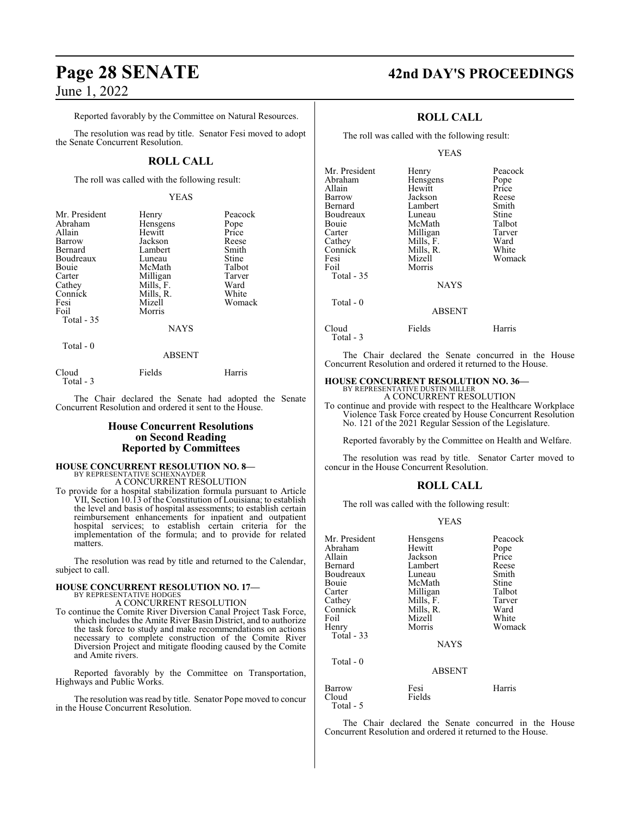Reported favorably by the Committee on Natural Resources.

The resolution was read by title. Senator Fesi moved to adopt the Senate Concurrent Resolution.

### **ROLL CALL**

The roll was called with the following result:

#### YEAS

| Mr. President                                       | Henry                                        | Peacock         |
|-----------------------------------------------------|----------------------------------------------|-----------------|
| Abraham                                             | Hensgens                                     | Pope            |
| Allain                                              | Hewitt                                       | Price           |
| Barrow                                              | Jackson                                      | Reese           |
| Bernard                                             | Lambert                                      | Smith           |
| Boudreaux                                           | Luneau                                       | Stine           |
| Bouie                                               | McMath                                       | Talbot          |
| Carter                                              | Milligan                                     | Tarver          |
| Cathey                                              | Mills, F.                                    | Ward            |
| Connick<br>Fesi<br>Foil<br>Total $-35$<br>Total - 0 | Mills, R.<br>Mizell<br>Morris<br><b>NAYS</b> | White<br>Womack |

#### ABSENT

| Cloud     | Fields | Harris |
|-----------|--------|--------|
| Total - 3 |        |        |

The Chair declared the Senate had adopted the Senate Concurrent Resolution and ordered it sent to the House.

#### **House Concurrent Resolutions on Second Reading Reported by Committees**

# **HOUSE CONCURRENT RESOLUTION NO. 8—** BY REPRESENTATIVE SCHEXNAYDER

A CONCURRENT RESOLUTION

To provide for a hospital stabilization formula pursuant to Article VII, Section 10.13 of the Constitution of Louisiana; to establish the level and basis of hospital assessments; to establish certain reimbursement enhancements for inpatient and outpatient hospital services; to establish certain criteria for the implementation of the formula; and to provide for related matters.

The resolution was read by title and returned to the Calendar, subject to call.

#### **HOUSE CONCURRENT RESOLUTION NO. 17—** BY REPRESENTATIVE HODGES

A CONCURRENT RESOLUTION

To continue the Comite River Diversion Canal Project Task Force, which includes the Amite River Basin District, and to authorize the task force to study and make recommendations on actions necessary to complete construction of the Comite River Diversion Project and mitigate flooding caused by the Comite and Amite rivers.

Reported favorably by the Committee on Transportation, Highways and Public Works.

The resolution was read by title. Senator Pope moved to concur in the House Concurrent Resolution.

## **Page 28 SENATE 42nd DAY'S PROCEEDINGS**

### **ROLL CALL**

The roll was called with the following result:

#### YEAS

| Mr. President<br>Abraham<br>Allain<br>Barrow<br>Bernard<br>Boudreaux<br>Bouie<br>Carter<br>Cathey<br>Connick<br>Fesi<br>Foil<br>Total - 35 | Henry<br>Hensgens<br>Hewitt<br>Jackson<br>Lambert<br>Luneau<br>McMath<br>Milligan<br>Mills, F.<br>Mills, R.<br>Mizell<br>Morris | Peacock<br>Pope<br>Price<br>Reese<br>Smith<br>Stine<br>Talbot<br>Tarver<br>Ward<br>White<br>Womack |
|--------------------------------------------------------------------------------------------------------------------------------------------|---------------------------------------------------------------------------------------------------------------------------------|----------------------------------------------------------------------------------------------------|
|                                                                                                                                            | <b>NAYS</b>                                                                                                                     |                                                                                                    |
| Total - 0                                                                                                                                  | <b>ABSENT</b>                                                                                                                   |                                                                                                    |
| Cloud                                                                                                                                      | Fields                                                                                                                          | Harris                                                                                             |

The Chair declared the Senate concurred in the House Concurrent Resolution and ordered it returned to the House.

## **HOUSE CONCURRENT RESOLUTION NO. 36—** BY REPRESENTATIVE DUSTIN MILLER

Total - 3

A CONCURRENT RESOLUTION

To continue and provide with respect to the Healthcare Workplace Violence Task Force created by House Concurrent Resolution No. 121 of the 2021 Regular Session of the Legislature.

Reported favorably by the Committee on Health and Welfare.

The resolution was read by title. Senator Carter moved to concur in the House Concurrent Resolution.

#### **ROLL CALL**

The roll was called with the following result:

#### YEAS

| Mr. President | Hensgens      | Peacock |
|---------------|---------------|---------|
| Abraham       | Hewitt        | Pope    |
| Allain        | Jackson       | Price   |
| Bernard       | Lambert       | Reese   |
| Boudreaux     | Luneau        | Smith   |
| Bouie         | McMath        | Stine   |
| Carter        | Milligan      | Talbot  |
| Cathey        | Mills, F.     | Tarver  |
| Connick       | Mills, R.     | Ward    |
| Foil          | Mizell        | White   |
| Henry         | Morris        | Womack  |
| Total $-33$   |               |         |
|               | <b>NAYS</b>   |         |
| Total - 0     |               |         |
|               | <b>ABSENT</b> |         |
| Barrow        | Fesi          | Harris  |
| Cloud         | Fields        |         |
| Total - 5     |               |         |

The Chair declared the Senate concurred in the House Concurrent Resolution and ordered it returned to the House.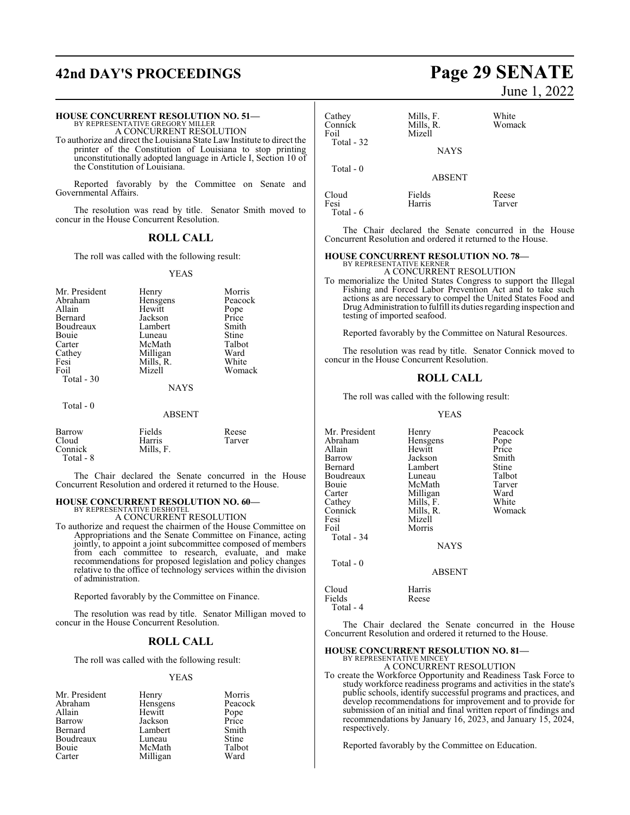## **42nd DAY'S PROCEEDINGS Page 29 SENATE**

#### **HOUSE CONCURRENT RESOLUTION NO. 51—**

BY REPRESENTATIVE GREGORY MILLER A CONCURRENT RESOLUTION

To authorize and direct the Louisiana State Law Institute to direct the printer of the Constitution of Louisiana to stop printing unconstitutionally adopted language in Article I, Section 10 of the Constitution of Louisiana.

Reported favorably by the Committee on Senate and Governmental Affairs.

The resolution was read by title. Senator Smith moved to concur in the House Concurrent Resolution.

### **ROLL CALL**

The roll was called with the following result:

#### YEAS

| Mr. President<br>Abraham<br>Allain<br>Bernard<br>Boudreaux<br>Bouie<br>Carter<br>Cathey<br>Fesi | Henry<br>Hensgens<br>Hewitt<br>Jackson<br>Lambert<br>Luneau<br>McMath<br>Milligan<br>Mills, R. | Morris<br>Peacock<br>Pope<br>Price<br>Smith<br>Stine<br>Talbot<br>Ward<br>White |
|-------------------------------------------------------------------------------------------------|------------------------------------------------------------------------------------------------|---------------------------------------------------------------------------------|
| Foil                                                                                            | Mizell                                                                                         | Womack                                                                          |
| Total $-30$                                                                                     |                                                                                                |                                                                                 |
|                                                                                                 | <b>NAYS</b>                                                                                    |                                                                                 |
| Total - 0                                                                                       | <b>ABSENT</b>                                                                                  |                                                                                 |

| Barrow               | Fields    | Reese  |
|----------------------|-----------|--------|
| Cloud                | Harris    | Tarver |
| Connick<br>Total - 8 | Mills. F. |        |

The Chair declared the Senate concurred in the House Concurrent Resolution and ordered it returned to the House.

## **HOUSE CONCURRENT RESOLUTION NO. 60—**

BY REPRESENTATIVE DESHOTEL A CONCURRENT RESOLUTION

To authorize and request the chairmen of the House Committee on Appropriations and the Senate Committee on Finance, acting jointly, to appoint a joint subcommittee composed of members from each committee to research, evaluate, and make recommendations for proposed legislation and policy changes relative to the office of technology services within the division of administration.

Reported favorably by the Committee on Finance.

The resolution was read by title. Senator Milligan moved to concur in the House Concurrent Resolution.

#### **ROLL CALL**

The roll was called with the following result:

#### YEAS

| Mr. President  | Henry    | Morris        |
|----------------|----------|---------------|
| Abraham        | Hensgens | Peacock       |
| Allain         | Hewitt   | Pope<br>Price |
| Barrow         | Jackson  |               |
| <b>Bernard</b> | Lambert  | Smith         |
| Boudreaux      | Luneau   | <b>Stine</b>  |
| Bouie          | McMath   | Talbot        |
| Carter         | Milligan | Ward          |

# June 1, 2022

| Cathey<br>Connick<br>Foil<br>Total - 32 | Mills, F.<br>Mills, R.<br>Mizell<br><b>NAYS</b> | White<br>Womack |
|-----------------------------------------|-------------------------------------------------|-----------------|
| Total $-0$                              | <b>ABSENT</b>                                   |                 |
| Cloud<br>Fesi                           | Fields<br>Harris                                | Reese<br>Tarver |

The Chair declared the Senate concurred in the House Concurrent Resolution and ordered it returned to the House.

#### **HOUSE CONCURRENT RESOLUTION NO. 78—** BY REPRESENTATIVE KERNER

Total - 6

A CONCURRENT RESOLUTION

To memorialize the United States Congress to support the Illegal Fishing and Forced Labor Prevention Act and to take such actions as are necessary to compel the United States Food and DrugAdministration to fulfill its duties regarding inspection and testing of imported seafood.

Reported favorably by the Committee on Natural Resources.

The resolution was read by title. Senator Connick moved to concur in the House Concurrent Resolution.

#### **ROLL CALL**

The roll was called with the following result:

#### YEAS

| Mr. President | Henry         | Peacock |
|---------------|---------------|---------|
| Abraham       | Hensgens      | Pope    |
| Allain        | Hewitt        | Price   |
| Barrow        | Jackson       | Smith   |
| Bernard       | Lambert       | Stine   |
| Boudreaux     | Luneau        | Talbot  |
| Bouie         | McMath        | Tarver  |
| Carter        | Milligan      | Ward    |
| Cathey        | Mills, F.     | White   |
| Connick       | Mills, R.     | Womack  |
| Fesi          | Mizell        |         |
| Foil          | Morris        |         |
| Total - 34    |               |         |
|               | <b>NAYS</b>   |         |
| Total - 0     |               |         |
|               | <b>ABSENT</b> |         |
| Cloud         | Harris        |         |
| Fields        | Reese         |         |
| Total - 4     |               |         |

The Chair declared the Senate concurred in the House Concurrent Resolution and ordered it returned to the House.

#### **HOUSE CONCURRENT RESOLUTION NO. 81—**

BY REPRESENTATIVE MINCEY A CONCURRENT RESOLUTION

To create the Workforce Opportunity and Readiness Task Force to study workforce readiness programs and activities in the state's public schools, identify successful programs and practices, and develop recommendations for improvement and to provide for submission of an initial and final written report of findings and recommendations by January 16, 2023, and January 15, 2024, respectively.

Reported favorably by the Committee on Education.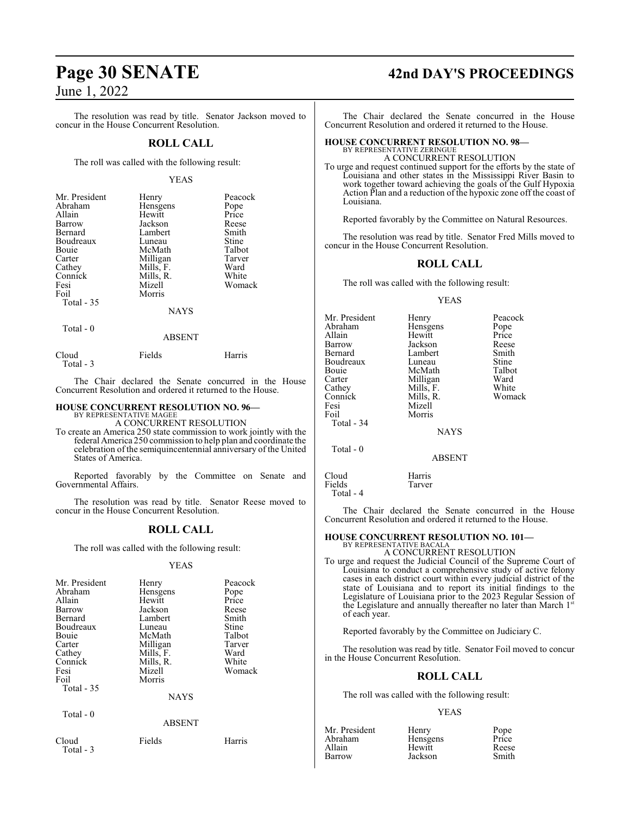The resolution was read by title. Senator Jackson moved to concur in the House Concurrent Resolution.

#### **ROLL CALL**

The roll was called with the following result:

#### YEAS

| Mr. President | Henry       | Peacock       |
|---------------|-------------|---------------|
| Abraham       | Hensgens    | Pope<br>Price |
| Allain        | Hewitt      |               |
| Barrow        | Jackson     | Reese         |
| Bernard       | Lambert     | Smith         |
| Boudreaux     | Luneau      | Stine         |
| Bouie         | McMath      | Talbot        |
| Carter        | Milligan    | Tarver        |
| Cathey        | Mills, F.   | Ward          |
| Connick       | Mills, R.   | White         |
| Fesi          | Mizell      | Womack        |
| Foil          | Morris      |               |
| Total $-35$   |             |               |
|               | <b>NAYS</b> |               |

Total - 0

ABSENT

| Cloud     | Fields | Harris |
|-----------|--------|--------|
| Total - 3 |        |        |

The Chair declared the Senate concurred in the House Concurrent Resolution and ordered it returned to the House.

#### **HOUSE CONCURRENT RESOLUTION NO. 96—** BY REPRESENTATIVE MAGEE

A CONCURRENT RESOLUTION

To create an America 250 state commission to work jointly with the federal America 250 commission to help plan and coordinate the celebration of the semiquincentennial anniversary of the United States of America.

Reported favorably by the Committee on Senate and Governmental Affairs.

The resolution was read by title. Senator Reese moved to concur in the House Concurrent Resolution.

#### **ROLL CALL**

The roll was called with the following result:

#### YEAS

| Mr. President<br>Abraham<br>Allain<br>Barrow<br>Bernard<br>Boudreaux<br>Bouie<br>Carter<br>Cathey<br>Connick<br>Fesi<br>Foil<br>Total $-35$<br>Total - 0 | Henry<br>Hensgens<br>Hewitt<br>Jackson<br>Lambert<br>Luneau<br>McMath<br>Milligan<br>Mills, F.<br>Mills, R.<br>Mizell<br>Morris<br><b>NAYS</b><br><b>ABSENT</b> | Peacock<br>Pope<br>Price<br>Reese<br>Smith<br>Stine<br>Talbot<br>Tarver<br>Ward<br>White<br>Womack |
|----------------------------------------------------------------------------------------------------------------------------------------------------------|-----------------------------------------------------------------------------------------------------------------------------------------------------------------|----------------------------------------------------------------------------------------------------|
| Cloud                                                                                                                                                    | Fields                                                                                                                                                          | Harris                                                                                             |
| Total - 3                                                                                                                                                |                                                                                                                                                                 |                                                                                                    |

## **Page 30 SENATE 42nd DAY'S PROCEEDINGS**

The Chair declared the Senate concurred in the House Concurrent Resolution and ordered it returned to the House.

#### **HOUSE CONCURRENT RESOLUTION NO. 98—** BY REPRESENTATIVE ZERINGUI

A CONCURRENT RESOLUTION

To urge and request continued support for the efforts by the state of Louisiana and other states in the Mississippi River Basin to work together toward achieving the goals of the Gulf Hypoxia Action Plan and a reduction of the hypoxic zone off the coast of Louisiana.

Reported favorably by the Committee on Natural Resources.

The resolution was read by title. Senator Fred Mills moved to concur in the House Concurrent Resolution.

#### **ROLL CALL**

The roll was called with the following result:

#### YEAS

| Mr. President | Henry         | Peacock |
|---------------|---------------|---------|
| Abraham       | Hensgens      | Pope    |
| Allain        | Hewitt        | Price   |
| Barrow        | Jackson       | Reese   |
| Bernard       | Lambert       | Smith   |
| Boudreaux     | Luneau        | Stine   |
| Bouie         | McMath        | Talbot  |
| Carter        | Milligan      | Ward    |
| Cathey        | Mills, F.     | White   |
| Connick       | Mills, R.     | Womack  |
| Fesi          | Mizell        |         |
| Foil          | Morris        |         |
| Total - 34    |               |         |
|               | <b>NAYS</b>   |         |
| Total $-0$    |               |         |
|               | <b>ABSENT</b> |         |
| Cloud         | Harris        |         |
| Fields        | Tarver        |         |
|               |               |         |

Total - 4

The Chair declared the Senate concurred in the House Concurrent Resolution and ordered it returned to the House.

## **HOUSE CONCURRENT RESOLUTION NO. 101—**

BY REPRESENTATIVE BACALA A CONCURRENT RESOLUTION

To urge and request the Judicial Council of the Supreme Court of Louisiana to conduct a comprehensive study of active felony cases in each district court within every judicial district of the state of Louisiana and to report its initial findings to the Legislature of Louisiana prior to the 2023 Regular Session of the Legislature and annually thereafter no later than March 1st of each year.

Reported favorably by the Committee on Judiciary C.

The resolution was read by title. Senator Foil moved to concur in the House Concurrent Resolution.

#### **ROLL CALL**

The roll was called with the following result:

#### YEAS

| Mr. President | Henry    | Pope  |
|---------------|----------|-------|
| Abraham       | Hensgens | Price |
| Allain        | Hewitt   | Reese |
| Barrow        | Jackson  | Smith |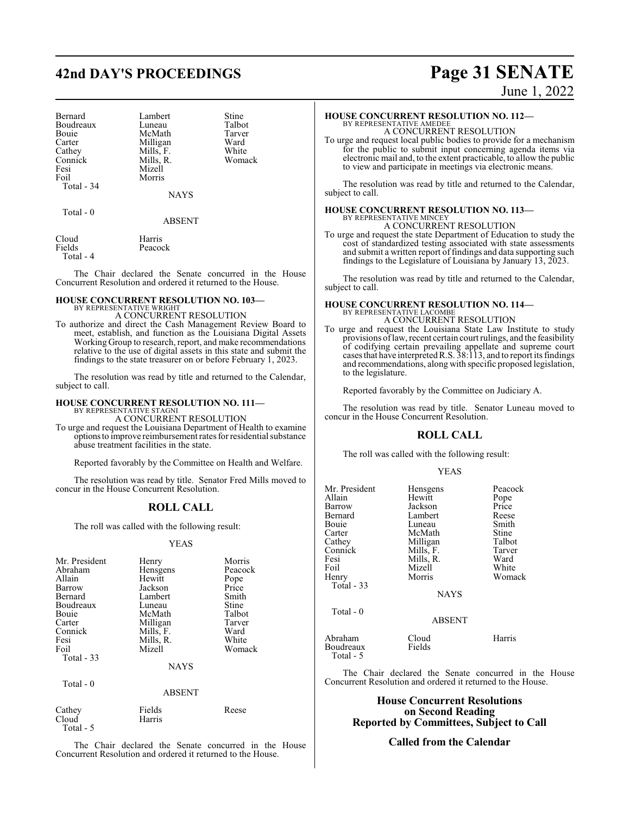## **42nd DAY'S PROCEEDINGS Page 31 SENATE**

| Bernard           |
|-------------------|
| Boudreaux         |
| Bouie             |
| Carter            |
| Cathey<br>Connick |
|                   |
| Fesi              |
| Foil              |
| Total - 34        |

Lambert Stine<br>
Luneau Talbot Luneau Talbot<br>McMath Tarver McMath Tarve<br>Millioan Ward Milligan Ward<br>
Mills, F. White Mills, F. White<br>Mills, R. Womack Mills, R. Mizell Morris

NAYS

Total - 0

ABSENT

| Cloud     | Harris  |
|-----------|---------|
| Fields    | Peacock |
| Total - 4 |         |

The Chair declared the Senate concurred in the House Concurrent Resolution and ordered it returned to the House.

## **HOUSE CONCURRENT RESOLUTION NO. 103—** BY REPRESENTATIVE WRIGHT

A CONCURRENT RESOLUTION

To authorize and direct the Cash Management Review Board to meet, establish, and function as the Louisiana Digital Assets Working Group to research, report, and make recommendations relative to the use of digital assets in this state and submit the findings to the state treasurer on or before February 1, 2023.

The resolution was read by title and returned to the Calendar, subject to call.

#### **HOUSE CONCURRENT RESOLUTION NO. 111—** BY REPRESENTATIVE STAGNI

A CONCURRENT RESOLUTION

To urge and request the Louisiana Department of Health to examine optionsto improve reimbursement rates for residential substance abuse treatment facilities in the state.

Reported favorably by the Committee on Health and Welfare.

The resolution was read by title. Senator Fred Mills moved to concur in the House Concurrent Resolution.

## **ROLL CALL**

The roll was called with the following result:

#### YEAS

| Mr. President | Henry       | Morris  |
|---------------|-------------|---------|
| Abraham       | Hensgens    | Peacock |
| Allain        | Hewitt      | Pope    |
| Barrow        | Jackson     | Price   |
| Bernard       | Lambert     | Smith   |
| Boudreaux     | Luneau      | Stine   |
| Bouie         | McMath      | Talbot  |
| Carter        | Milligan    | Tarver  |
| Connick       | Mills, F.   | Ward    |
| Fesi          | Mills, R.   | White   |
| Foil          | Mizell      | Womack  |
| Total $-33$   |             |         |
|               | <b>NAYS</b> |         |
| Total - 0     |             |         |
|               | ABSENT      |         |

| Cathey     | Fields | Reese |
|------------|--------|-------|
| Cloud      | Harris |       |
| Total $-5$ |        |       |

The Chair declared the Senate concurred in the House Concurrent Resolution and ordered it returned to the House.

June 1, 2022

## **HOUSE CONCURRENT RESOLUTION NO. 112—**

BY REPRESENTATIVE AMEDEE A CONCURRENT RESOLUTION

To urge and request local public bodies to provide for a mechanism for the public to submit input concerning agenda items via electronic mail and, to the extent practicable, to allow the public to view and participate in meetings via electronic means.

The resolution was read by title and returned to the Calendar, subject to call.

#### **HOUSE CONCURRENT RESOLUTION NO. 113—** BY REPRESENTATIVE MINCEY A CONCURRENT RESOLUTION

To urge and request the state Department of Education to study the cost of standardized testing associated with state assessments and submit a written report of findings and data supporting such

findings to the Legislature of Louisiana by January 13, 2023.

The resolution was read by title and returned to the Calendar, subject to call.

# **HOUSE CONCURRENT RESOLUTION NO. 114—** BY REPRESENTATIVE LACOMBE

A CONCURRENT RESOLUTION

To urge and request the Louisiana State Law Institute to study provisions oflaw, recent certain court rulings, and the feasibility of codifying certain prevailing appellate and supreme court cases that have interpretedR.S. 38:113, and to report its findings and recommendations, along with specific proposed legislation, to the legislature.

Reported favorably by the Committee on Judiciary A.

The resolution was read by title. Senator Luneau moved to concur in the House Concurrent Resolution.

## **ROLL CALL**

The roll was called with the following result:

#### YEAS

| Mr. President<br>Allain<br>Barrow<br>Bernard<br>Bouie<br>Carter<br>Cathey<br>Connick<br>Fesi<br>Foil<br>Henry<br>Total - 33 | Hensgens<br>Hewitt<br>Jackson<br>Lambert<br>Luneau<br>McMath<br>Milligan<br>Mills, F.<br>Mills, R.<br>Mizell<br>Morris | Peacock<br>Pope<br>Price<br>Reese<br>Smith<br>Stine<br>Talbot<br>Tarver<br>Ward<br>White<br>Womack |
|-----------------------------------------------------------------------------------------------------------------------------|------------------------------------------------------------------------------------------------------------------------|----------------------------------------------------------------------------------------------------|
|                                                                                                                             | <b>NAYS</b>                                                                                                            |                                                                                                    |
| Total $-0$                                                                                                                  | <b>ABSENT</b>                                                                                                          |                                                                                                    |
| Abraham<br>Boudreaux<br>Total - 5                                                                                           | Cloud<br>Fields                                                                                                        | Harris                                                                                             |

The Chair declared the Senate concurred in the House Concurrent Resolution and ordered it returned to the House.

### **House Concurrent Resolutions on Second Reading Reported by Committees, Subject to Call**

## **Called from the Calendar**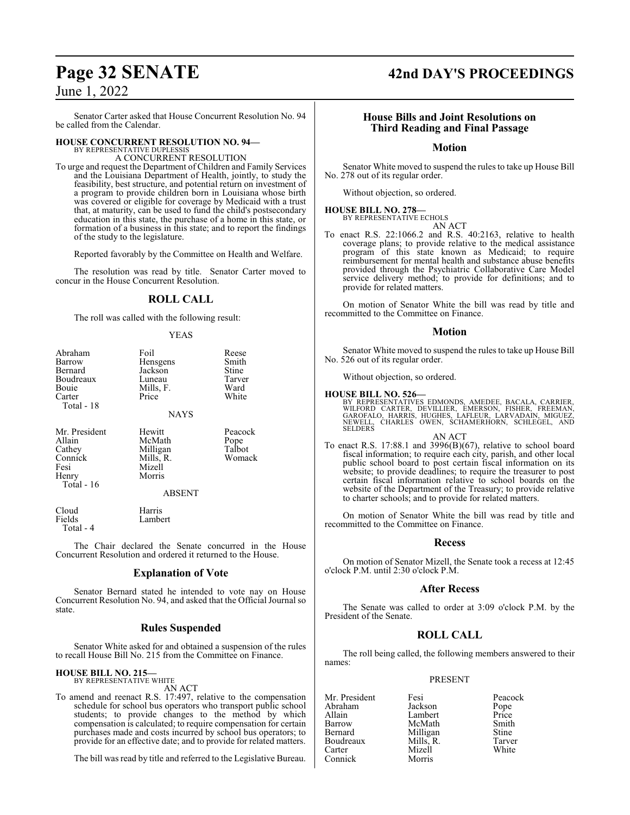Senator Carter asked that House Concurrent Resolution No. 94 be called from the Calendar.

## **HOUSE CONCURRENT RESOLUTION NO. 94—**

BY REPRESENTATIVE DUPLESSIS A CONCURRENT RESOLUTION

To urge and request the Department of Children and Family Services and the Louisiana Department of Health, jointly, to study the feasibility, best structure, and potential return on investment of a program to provide children born in Louisiana whose birth was covered or eligible for coverage by Medicaid with a trust that, at maturity, can be used to fund the child's postsecondary education in this state, the purchase of a home in this state, or formation of a business in this state; and to report the findings of the study to the legislature.

Reported favorably by the Committee on Health and Welfare.

The resolution was read by title. Senator Carter moved to concur in the House Concurrent Resolution.

#### **ROLL CALL**

YEAS

The roll was called with the following result:

| Abraham<br>Barrow<br>Bernard<br>Boudreaux<br>Bouie<br>Carter<br>Total - 18  | Foil<br>Hensgens<br>Jackson<br>Luneau<br>Mills, F.<br>Price<br><b>NAYS</b>     | Reese<br>Smith<br>Stine<br>Tarver<br>Ward<br>White |
|-----------------------------------------------------------------------------|--------------------------------------------------------------------------------|----------------------------------------------------|
| Mr. President<br>Allain<br>Cathey<br>Connick<br>Fesi<br>Henry<br>Total - 16 | Hewitt<br>McMath<br>Milligan<br>Mills, R.<br>Mizell<br>Morris<br><b>ABSENT</b> | Peacock<br>Pope<br>Talbot<br>Womack                |
| Cloud<br>Fields<br>Total - 4                                                | Harris<br>Lambert                                                              |                                                    |

The Chair declared the Senate concurred in the House Concurrent Resolution and ordered it returned to the House.

#### **Explanation of Vote**

Senator Bernard stated he intended to vote nay on House Concurrent Resolution No. 94, and asked that the Official Journal so state.

#### **Rules Suspended**

Senator White asked for and obtained a suspension of the rules to recall House Bill No. 215 from the Committee on Finance.

#### **HOUSE BILL NO. 215—** BY REPRESENTATIVE WHITE

AN ACT

To amend and reenact R.S. 17:497, relative to the compensation schedule for school bus operators who transport public school students; to provide changes to the method by which compensation is calculated; to require compensation for certain purchases made and costs incurred by school bus operators; to provide for an effective date; and to provide for related matters.

The bill was read by title and referred to the Legislative Bureau.

## **Page 32 SENATE 42nd DAY'S PROCEEDINGS**

#### **House Bills and Joint Resolutions on Third Reading and Final Passage**

**Motion**

Senator White moved to suspend the rules to take up House Bill No. 278 out of its regular order.

Without objection, so ordered.

#### **HOUSE BILL NO. 278—**

BY REPRESENTATIVE ECHOLS AN ACT

To enact R.S. 22:1066.2 and R.S. 40:2163, relative to health coverage plans; to provide relative to the medical assistance program of this state known as Medicaid; to require reimbursement for mental health and substance abuse benefits provided through the Psychiatric Collaborative Care Model service delivery method; to provide for definitions; and to provide for related matters.

On motion of Senator White the bill was read by title and recommitted to the Committee on Finance.

#### **Motion**

Senator White moved to suspend the rules to take up House Bill No. 526 out of its regular order.

Without objection, so ordered.

#### **HOUSE BILL NO. 526—**

BY REPRESENTATIVES EDMONDS, AMEDEE, BACALA, CARRIER,<br>WILFORD CARTER, DEVILLIER, EMERSON, FISHER, FREEMAN,<br>GAROFALO, HARRIS, HUGHES, LAFLEUR, LARVADAIN, MIGUEZ,<br>NEWELL, CHARLES OWEN, SCHAMERHORN, SCHLEGEL, AND<br>SELDERS

AN ACT To enact R.S. 17:88.1 and 3996(B)(67), relative to school board fiscal information; to require each city, parish, and other local public school board to post certain fiscal information on its website; to provide deadlines; to require the treasurer to post certain fiscal information relative to school boards on the website of the Department of the Treasury; to provide relative to charter schools; and to provide for related matters.

On motion of Senator White the bill was read by title and recommitted to the Committee on Finance.

#### **Recess**

On motion of Senator Mizell, the Senate took a recess at 12:45 o'clock P.M. until 2:30 o'clock P.M.

#### **After Recess**

The Senate was called to order at 3:09 o'clock P.M. by the President of the Senate.

### **ROLL CALL**

The roll being called, the following members answered to their names:

#### PRESENT

Mizell<br>Morris

Mr. President Fesi Peacock<br>Abraham Jackson Pope Abraham Jackson Pope Allain Lambert Price<br>
Barrow McMath Smith Barrow McMath Smith<br>Bernard Milligan Stine Boudreaux Mills, R. Tarver<br>Carter Mizell White Connick

Milligan Stine<br>
Mills, R. Tarver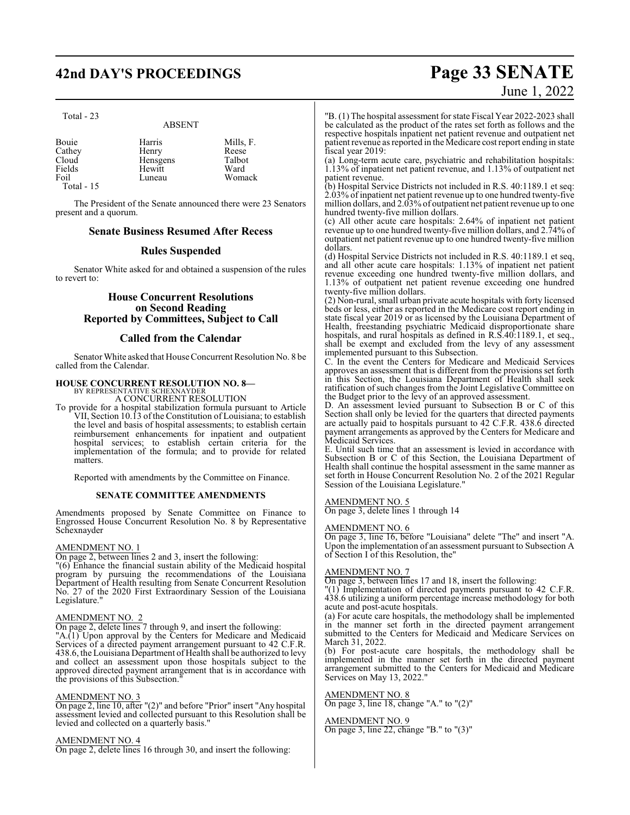## **42nd DAY'S PROCEEDINGS Page 33 SENATE**

Total - 23

## ABSENT

| Bouie      | Harris   | Mills, F. |
|------------|----------|-----------|
| Cathey     | Henry    | Reese     |
| Cloud      | Hensgens | Talbot    |
| Fields     | Hewitt   | Ward      |
| Foil       | Luneau   | Womack    |
| Total - 15 |          |           |

The President of the Senate announced there were 23 Senators present and a quorum.

#### **Senate Business Resumed After Recess**

#### **Rules Suspended**

Senator White asked for and obtained a suspension of the rules to revert to:

#### **House Concurrent Resolutions on Second Reading Reported by Committees, Subject to Call**

#### **Called from the Calendar**

Senator White asked that House Concurrent Resolution No. 8 be called from the Calendar.

## **HOUSE CONCURRENT RESOLUTION NO. 8—** BY REPRESENTATIVE SCHEXNAYDER

A CONCURRENT RESOLUTION

To provide for a hospital stabilization formula pursuant to Article VII, Section 10.13 of the Constitution of Louisiana; to establish the level and basis of hospital assessments; to establish certain reimbursement enhancements for inpatient and outpatient hospital services; to establish certain criteria for the implementation of the formula; and to provide for related matters.

Reported with amendments by the Committee on Finance.

#### **SENATE COMMITTEE AMENDMENTS**

Amendments proposed by Senate Committee on Finance to Engrossed House Concurrent Resolution No. 8 by Representative Schexnayder

#### AMENDMENT NO. 1

On page 2, between lines 2 and 3, insert the following:

"(6) Enhance the financial sustain ability of the Medicaid hospital program by pursuing the recommendations of the Louisiana Department of Health resulting from Senate Concurrent Resolution No. 27 of the 2020 First Extraordinary Session of the Louisiana Legislature."

#### AMENDMENT NO. 2

On page 2, delete lines 7 through 9, and insert the following: "A.(1) Upon approval by the Centers for Medicare and Medicaid Services of a directed payment arrangement pursuant to 42 C.F.R. 438.6, the Louisiana Department of Health shall be authorized to levy and collect an assessment upon those hospitals subject to the approved directed payment arrangement that is in accordance with the provisions of this Subsection."

#### AMENDMENT NO. 3

On page 2, line 10, after "(2)" and before "Prior" insert "Any hospital assessment levied and collected pursuant to this Resolution shall be levied and collected on a quarterly basis."

#### AMENDMENT NO. 4

On page 2, delete lines 16 through 30, and insert the following:

# June 1, 2022

"B. (1) The hospital assessment for state Fiscal Year 2022-2023 shall be calculated as the product of the rates set forth as follows and the respective hospitals inpatient net patient revenue and outpatient net patient revenue as reported in the Medicare cost report ending in state fiscal year 2019:

(a) Long-term acute care, psychiatric and rehabilitation hospitals: 1.13% of inpatient net patient revenue, and 1.13% of outpatient net patient revenue.

(b) Hospital Service Districts not included in R.S. 40:1189.1 et seq: 2.03% of inpatient net patient revenue up to one hundred twenty-five million dollars, and 2.03% of outpatient net patient revenue up to one hundred twenty-five million dollars.

(c) All other acute care hospitals: 2.64% of inpatient net patient revenue up to one hundred twenty-five million dollars, and 2.74% of outpatient net patient revenue up to one hundred twenty-five million dollars.

(d) Hospital Service Districts not included in R.S. 40:1189.1 et seq, and all other acute care hospitals: 1.13% of inpatient net patient revenue exceeding one hundred twenty-five million dollars, and 1.13% of outpatient net patient revenue exceeding one hundred twenty-five million dollars.

(2) Non-rural, small urban private acute hospitals with forty licensed beds or less, either as reported in the Medicare cost report ending in state fiscal year 2019 or as licensed by the Louisiana Department of Health, freestanding psychiatric Medicaid disproportionate share hospitals, and rural hospitals as defined in R.S.40:1189.1, et seq., shall be exempt and excluded from the levy of any assessment implemented pursuant to this Subsection.

C. In the event the Centers for Medicare and Medicaid Services approves an assessment that is different from the provisions set forth in this Section, the Louisiana Department of Health shall seek ratification of such changes from the Joint Legislative Committee on the Budget prior to the levy of an approved assessment.

D. An assessment levied pursuant to Subsection B or C of this Section shall only be levied for the quarters that directed payments are actually paid to hospitals pursuant to 42 C.F.R. 438.6 directed payment arrangements as approved by the Centers for Medicare and Medicaid Services.

E. Until such time that an assessment is levied in accordance with Subsection B or C of this Section, the Louisiana Department of Health shall continue the hospital assessment in the same manner as set forth in House Concurrent Resolution No. 2 of the 2021 Regular Session of the Louisiana Legislature."

#### AMENDMENT NO. 5

On page 3, delete lines 1 through 14

#### AMENDMENT NO. 6

On page 3, line 16, before "Louisiana" delete "The" and insert "A. Upon the implementation of an assessment pursuant to Subsection A of Section I of this Resolution, the"

#### AMENDMENT NO. 7

On page 3, between lines 17 and 18, insert the following:

 $T(1)$  Implementation of directed payments pursuant to 42 C.F.R. 438.6 utilizing a uniform percentage increase methodology for both acute and post-acute hospitals.

(a) For acute care hospitals, the methodology shall be implemented in the manner set forth in the directed payment arrangement submitted to the Centers for Medicaid and Medicare Services on March 31, 2022.

(b) For post-acute care hospitals, the methodology shall be implemented in the manner set forth in the directed payment arrangement submitted to the Centers for Medicaid and Medicare Services on May 13, 2022."

#### AMENDMENT NO. 8

On page 3, line 18, change "A." to "(2)"

#### AMENDMENT NO. 9

On page 3, line 22, change "B." to "(3)"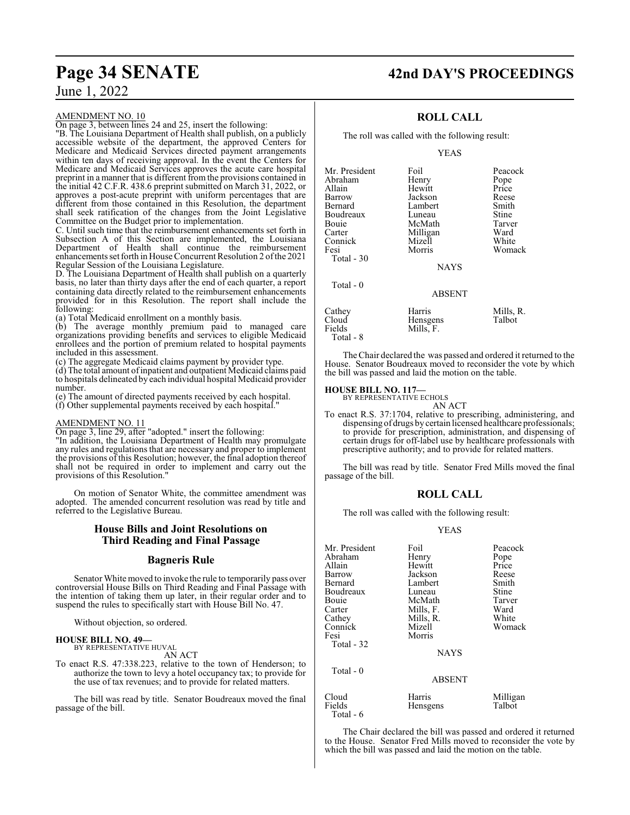#### AMENDMENT NO. 10

On page 3, between lines 24 and 25, insert the following:

"B. The Louisiana Department of Health shall publish, on a publicly accessible website of the department, the approved Centers for Medicare and Medicaid Services directed payment arrangements within ten days of receiving approval. In the event the Centers for Medicare and Medicaid Services approves the acute care hospital preprint in a manner that is different from the provisions contained in the initial 42 C.F.R. 438.6 preprint submitted on March 31, 2022, or approves a post-acute preprint with uniform percentages that are different from those contained in this Resolution, the department shall seek ratification of the changes from the Joint Legislative Committee on the Budget prior to implementation.

C. Until such time that the reimbursement enhancements set forth in Subsection A of this Section are implemented, the Louisiana Department of Health shall continue the reimbursement enhancements set forth in House Concurrent Resolution 2 ofthe 2021 Regular Session of the Louisiana Legislature.

D. The Louisiana Department of Health shall publish on a quarterly basis, no later than thirty days after the end of each quarter, a report containing data directly related to the reimbursement enhancements provided for in this Resolution. The report shall include the following:

(a) Total Medicaid enrollment on a monthly basis.

(b) The average monthly premium paid to managed care organizations providing benefits and services to eligible Medicaid enrollees and the portion of premium related to hospital payments included in this assessment.

(c) The aggregate Medicaid claims payment by provider type.

(d) The total amount ofinpatient and outpatient Medicaid claims paid to hospitals delineated by each individual hospital Medicaid provider number.

(e) The amount of directed payments received by each hospital. (f) Other supplemental payments received by each hospital."

#### AMENDMENT NO. 11

On page 3, line 29, after "adopted." insert the following:

"In addition, the Louisiana Department of Health may promulgate any rules and regulations that are necessary and proper to implement the provisions of this Resolution; however, the final adoption thereof shall not be required in order to implement and carry out the provisions of this Resolution."

On motion of Senator White, the committee amendment was adopted. The amended concurrent resolution was read by title and referred to the Legislative Bureau.

### **House Bills and Joint Resolutions on Third Reading and Final Passage**

### **Bagneris Rule**

Senator White moved to invoke the rule to temporarily pass over controversial House Bills on Third Reading and Final Passage with the intention of taking them up later, in their regular order and to suspend the rules to specifically start with House Bill No. 47.

Without objection, so ordered.

## **HOUSE BILL NO. 49—** BY REPRESENTATIVE HUVAL

AN ACT

To enact R.S. 47:338.223, relative to the town of Henderson; to authorize the town to levy a hotel occupancy tax; to provide for the use of tax revenues; and to provide for related matters.

The bill was read by title. Senator Boudreaux moved the final passage of the bill.

## **Page 34 SENATE 42nd DAY'S PROCEEDINGS**

### **ROLL CALL**

The roll was called with the following result:

YEAS

| Mr. President<br>Abraham<br>Allain<br>Barrow<br>Bernard<br>Boudreaux<br>Bouie<br>Carter<br>Connick<br>Fesi<br>Total $-30$ | Foil<br>Henry<br>Hewitt<br>Jackson<br>Lambert<br>Luneau<br>McMath<br>Milligan<br>Mizell<br>Morris | Peacock<br>Pope<br>Price<br>Reese<br>Smith<br>Stine<br>Tarver<br>Ward<br>White<br>Womack |
|---------------------------------------------------------------------------------------------------------------------------|---------------------------------------------------------------------------------------------------|------------------------------------------------------------------------------------------|
|                                                                                                                           | <b>NAYS</b>                                                                                       |                                                                                          |
| Total $-0$                                                                                                                | <b>ABSENT</b>                                                                                     |                                                                                          |
| Cathey<br>Cloud<br>Fields                                                                                                 | Harris<br>Hensgens<br>Mills. F.                                                                   | Mills, R.<br>Talbot                                                                      |

Total - 8

The Chair declared the was passed and ordered it returned to the House. Senator Boudreaux moved to reconsider the vote by which the bill was passed and laid the motion on the table.

**HOUSE BILL NO. 117—**<br>BY REPRESENTATIVE ECHOLS<br>AN ACT

To enact R.S. 37:1704, relative to prescribing, administering, and dispensing of drugs by certain licensed healthcare professionals; to provide for prescription, administration, and dispensing of certain drugs for off-label use by healthcare professionals with prescriptive authority; and to provide for related matters.

The bill was read by title. Senator Fred Mills moved the final passage of the bill.

#### **ROLL CALL**

The roll was called with the following result:

#### YEAS

| Mr. President | Foil          | Peacock      |
|---------------|---------------|--------------|
| Abraham       | Henry         | Pope         |
| Allain        | Hewitt        | Price        |
| Barrow        | Jackson       | Reese        |
| Bernard       | Lambert       | Smith        |
| Boudreaux     | Luneau        | <b>Stine</b> |
| Bouie         | McMath        | Tarver       |
| Carter        | Mills, F.     | Ward         |
| Cathey        | Mills, R.     | White        |
| Connick       | Mizell        | Womack       |
| Fesi          | Morris        |              |
| Total - 32    |               |              |
|               | <b>NAYS</b>   |              |
| Total $-0$    |               |              |
|               | <b>ABSENT</b> |              |
| Cloud         | Harris        | Milligan     |
| Fields        | Hensgens      | Talbot       |
| Total - 6     |               |              |

The Chair declared the bill was passed and ordered it returned to the House. Senator Fred Mills moved to reconsider the vote by which the bill was passed and laid the motion on the table.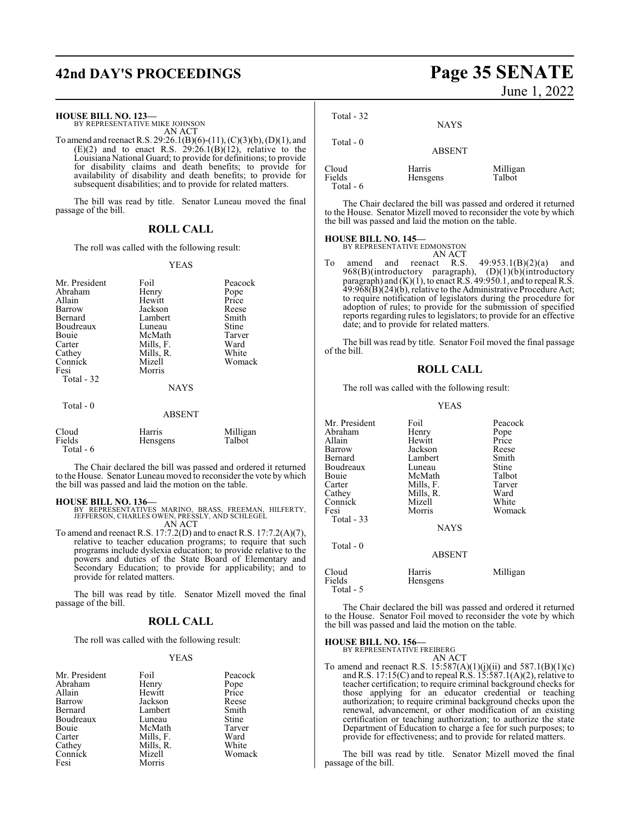## **42nd DAY'S PROCEEDINGS Page 35 SENATE**

#### **HOUSE BILL NO. 123—**

BY REPRESENTATIVE MIKE JOHNSON AN ACT

To amend and reenact R.S. 29:26.1(B)(6)-(11), (C)(3)(b), (D)(1), and  $(E)(2)$  and to enact R.S.  $29:26.1(B)(12)$ , relative to the Louisiana National Guard; to provide for definitions; to provide for disability claims and death benefits; to provide for availability of disability and death benefits; to provide for subsequent disabilities; and to provide for related matters.

The bill was read by title. Senator Luneau moved the final passage of the bill.

#### **ROLL CALL**

The roll was called with the following result:

#### YEAS

| Mr. President<br>Abraham<br>Allain<br>Barrow<br>Bernard<br>Boudreaux<br><b>Bouje</b><br>Carter<br>Cathey<br>Connick<br>Fesi<br>Total - 32 | Foil<br>Henry<br>Hewitt<br>Jackson<br>Lambert<br>Luneau<br>McMath<br>Mills, F.<br>Mills, R.<br>Mizell<br>Morris<br><b>NAYS</b> | Peacock<br>Pope<br>Price<br>Reese<br>Smith<br>Stine<br>Tarver<br>Ward<br>White<br>Womack |
|-------------------------------------------------------------------------------------------------------------------------------------------|--------------------------------------------------------------------------------------------------------------------------------|------------------------------------------------------------------------------------------|
| Total $-0$                                                                                                                                | <b>ABSENT</b>                                                                                                                  |                                                                                          |
| Cloud                                                                                                                                     | Harris                                                                                                                         | Milligan                                                                                 |

Fields Hensgens Talbot

The Chair declared the bill was passed and ordered it returned to the House. Senator Luneau moved to reconsider the vote by which the bill was passed and laid the motion on the table.

#### **HOUSE BILL NO. 136—**

Total - 6

- BY REPRESENTATIVES MARINO, BRASS, FREEMAN, HILFERTY, JEFFERSON, CHARLES OWEN, PRESSLY, AND SCHLEGEL AN ACT
- To amend and reenact R.S. 17:7.2(D) and to enact R.S. 17:7.2(A)(7), relative to teacher education programs; to require that such programs include dyslexia education; to provide relative to the powers and duties of the State Board of Elementary and Secondary Education; to provide for applicability; and to provide for related matters.

The bill was read by title. Senator Mizell moved the final passage of the bill.

#### **ROLL CALL**

The roll was called with the following result:

#### YEAS

| Mr. President | Foil      | Peacock      |
|---------------|-----------|--------------|
| Abraham       | Henry     | Pope         |
| Allain        | Hewitt    | Price        |
| Barrow        | Jackson   | Reese        |
| Bernard       | Lambert   | Smith        |
| Boudreaux     | Luneau    | <b>Stine</b> |
| Bouie         | McMath    | Tarver       |
| Carter        | Mills, F. | Ward         |
| Cathey        | Mills, R. | White        |
| Connick       | Mizell    | Womack       |
| Fesi          | Morris    |              |

# June 1, 2022

| Total $-32$                  | <b>NAYS</b>        |                    |
|------------------------------|--------------------|--------------------|
| Total $-0$                   | <b>ABSENT</b>      |                    |
| Cloud<br>Fields<br>Total - 6 | Harris<br>Hensgens | Milligan<br>Talbot |

The Chair declared the bill was passed and ordered it returned to the House. Senator Mizell moved to reconsider the vote by which the bill was passed and laid the motion on the table.

#### **HOUSE BILL NO. 145—**

| BY REPRESENTATIVE EDMONSTON |        |
|-----------------------------|--------|
|                             | AN ACT |

To amend and reenact R.S.  $49:953.1(B)(2)(a)$  and  $968(B)$ (introductory paragraph),  $(D)(1)(b)$ (introductory paragraph) and (K)(1), to enact R.S. 49:950.1, and to repeal R.S. 49:968(B)(24)(b), relative to the Administrative Procedure Act; to require notification of legislators during the procedure for adoption of rules; to provide for the submission of specified reports regarding rules to legislators; to provide for an effective date; and to provide for related matters.

The bill was read by title. Senator Foil moved the final passage of the bill.

#### **ROLL CALL**

The roll was called with the following result:

#### YEAS

| Mr. President<br>Abraham<br>Allain<br>Barrow<br>Bernard<br>Boudreaux<br>Bouie<br>Carter<br>Cathey<br>Connick<br>Fesi<br>Total - 33 | Foil<br>Henry<br>Hewitt<br>Jackson<br>Lambert<br>Luneau<br>McMath<br>Mills, F.<br>Mills, R.<br>Mizell<br>Morris<br><b>NAYS</b> | Peacock<br>Pope<br>Price<br>Reese<br>Smith<br>Stine<br>Talbot<br>Tarver<br>Ward<br>White<br>Womack |
|------------------------------------------------------------------------------------------------------------------------------------|--------------------------------------------------------------------------------------------------------------------------------|----------------------------------------------------------------------------------------------------|
| Total $-0$                                                                                                                         | <b>ABSENT</b>                                                                                                                  |                                                                                                    |
| Cloud<br>Fields<br>Total - 5                                                                                                       | Harris<br>Hensgens                                                                                                             | Milligan                                                                                           |

The Chair declared the bill was passed and ordered it returned to the House. Senator Foil moved to reconsider the vote by which the bill was passed and laid the motion on the table.

## **HOUSE BILL NO. 156—** BY REPRESENTATIVE FREIBERG

AN ACT

To amend and reenact R.S.  $15:587(A)(1)(j)(ii)$  and  $587.1(B)(1)(c)$ and R.S. 17:15(C) and to repeal R.S. 15:587.1(A)(2), relative to teacher certification; to require criminal background checks for those applying for an educator credential or teaching authorization; to require criminal background checks upon the renewal, advancement, or other modification of an existing certification or teaching authorization; to authorize the state Department of Education to charge a fee for such purposes; to provide for effectiveness; and to provide for related matters.

The bill was read by title. Senator Mizell moved the final passage of the bill.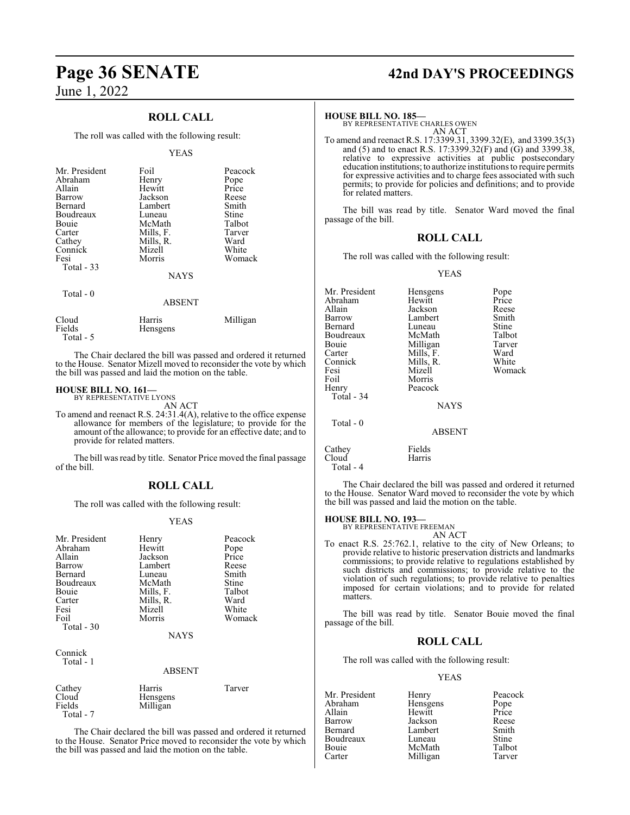### **ROLL CALL**

The roll was called with the following result:

#### YEAS

| Mr. President<br>Abraham<br>Allain<br>Barrow<br>Bernard<br>Boudreaux<br>Bouie<br>Carter<br>Cathey<br>Connick<br>Fesi<br>Total - 33 | Foil<br>Henry<br>Hewitt<br>Jackson<br>Lambert<br>Luneau<br>McMath<br>Mills, F.<br>Mills, R.<br>Mizell<br>Morris | Peacock<br>Pope<br>Price<br>Reese<br>Smith<br>Stine<br>Talbot<br>Tarver<br>Ward<br>White<br>Womack |  |
|------------------------------------------------------------------------------------------------------------------------------------|-----------------------------------------------------------------------------------------------------------------|----------------------------------------------------------------------------------------------------|--|
|                                                                                                                                    | <b>NAYS</b>                                                                                                     |                                                                                                    |  |
| Total - 0                                                                                                                          | <b>ABSENT</b>                                                                                                   |                                                                                                    |  |

Cloud Harris Milligan Hensgens Total - 5

The Chair declared the bill was passed and ordered it returned to the House. Senator Mizell moved to reconsider the vote by which the bill was passed and laid the motion on the table.

#### **HOUSE BILL NO. 161—**

BY REPRESENTATIVE LYONS AN ACT

To amend and reenact R.S. 24:31.4(A), relative to the office expense allowance for members of the legislature; to provide for the amount of the allowance; to provide for an effective date; and to provide for related matters.

The bill was read by title. Senator Price moved the final passage of the bill.

#### **ROLL CALL**

The roll was called with the following result:

#### YEAS

| Mr. President<br>Abraham<br>Allain<br>Barrow<br>Bernard<br>Boudreaux<br>Bouie<br>Carter<br>Fesi<br>Foil<br>Total - 30<br>Connick<br>Total - 1 | Henry<br>Hewitt<br>Jackson<br>Lambert<br>Luneau<br>McMath<br>Mills, F.<br>Mills, R.<br>Mizell<br>Morris<br><b>NAYS</b><br><b>ABSENT</b> | Peacock<br>Pope<br>Price<br>Reese<br>Smith<br>Stine<br>Talbot<br>Ward<br>White<br>Womack |
|-----------------------------------------------------------------------------------------------------------------------------------------------|-----------------------------------------------------------------------------------------------------------------------------------------|------------------------------------------------------------------------------------------|
|                                                                                                                                               |                                                                                                                                         |                                                                                          |
| Cathey<br>Cloud<br>Fields                                                                                                                     | Harris<br>Hensgens<br>Milligan                                                                                                          | Tarver                                                                                   |

Total - 7

The Chair declared the bill was passed and ordered it returned to the House. Senator Price moved to reconsider the vote by which the bill was passed and laid the motion on the table.

## **Page 36 SENATE 42nd DAY'S PROCEEDINGS**

#### **HOUSE BILL NO. 185—**

BY REPRESENTATIVE CHARLES OWEN AN ACT

To amend and reenact R.S. 17:3399.31, 3399.32(E), and 3399.35(3) and (5) and to enact R.S. 17:3399.32(F) and (G) and 3399.38, relative to expressive activities at public postsecondary education institutions;to authorize institutions to require permits for expressive activities and to charge fees associated with such permits; to provide for policies and definitions; and to provide for related matters.

The bill was read by title. Senator Ward moved the final passage of the bill.

### **ROLL CALL**

The roll was called with the following result:

#### YEAS

| Hensgens      | Pope               |
|---------------|--------------------|
| Hewitt        | Price              |
| Jackson       | Reese              |
| Lambert       | Smith              |
| Luneau        | Stine              |
| McMath        | Talbot             |
|               | Tarver             |
| Mills, F.     | Ward               |
| Mills, R.     | White              |
| Mizell        | Womack             |
| Morris        |                    |
| Peacock       |                    |
|               |                    |
| <b>NAYS</b>   |                    |
|               |                    |
| <b>ABSENT</b> |                    |
|               |                    |
| Harris        |                    |
|               | Milligan<br>Fields |

The Chair declared the bill was passed and ordered it returned to the House. Senator Ward moved to reconsider the vote by which the bill was passed and laid the motion on the table.

#### **HOUSE BILL NO. 193—**

Total - 4

BY REPRESENTATIVE FREEMAN AN ACT

To enact R.S. 25:762.1, relative to the city of New Orleans; to provide relative to historic preservation districts and landmarks commissions; to provide relative to regulations established by such districts and commissions; to provide relative to the violation of such regulations; to provide relative to penalties imposed for certain violations; and to provide for related matters.

The bill was read by title. Senator Bouie moved the final passage of the bill.

#### **ROLL CALL**

The roll was called with the following result:

#### YEAS

| Mr. President | Henry    | Peacock |
|---------------|----------|---------|
| Abraham       | Hensgens | Pope    |
| Allain        | Hewitt   | Price   |
| Barrow        | Jackson  | Reese   |
| Bernard       | Lambert  | Smith   |
| Boudreaux     | Luneau   | Stine   |
| Bouie         | McMath   | Talbot  |
| Carter        | Milligan | Tarver  |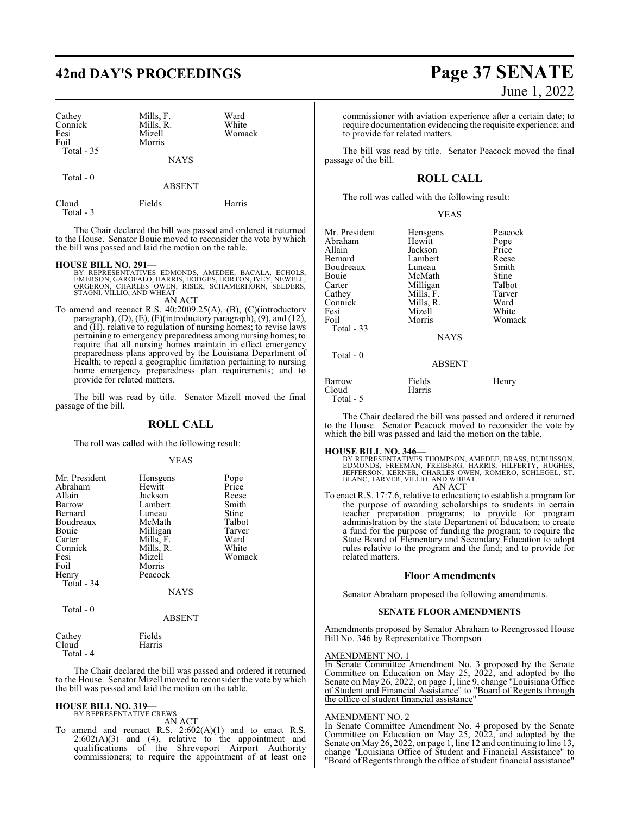# **42nd DAY'S PROCEEDINGS Page 37 SENATE**

Cloud Fields Harris

| Cathey<br>Connick<br>Fesi<br>Foil<br>Total $-35$ | Mills, F.<br>Mills, R.<br>Mizell<br>Morris | Ward<br>White<br>Womack |
|--------------------------------------------------|--------------------------------------------|-------------------------|
|                                                  | <b>NAYS</b>                                |                         |
| Total $-0$                                       | <b>ABSENT</b>                              |                         |

The Chair declared the bill was passed and ordered it returned to the House. Senator Bouie moved to reconsider the vote by which the bill was passed and laid the motion on the table.

Total - 3

- **HOUSE BILL NO. 291—**<br>BY REPRESENTATIVES EDMONDS, AMEDEE, BACALA, ECHOLS,<br>EMERSON, GAROFALO, HARRIS, HODGES, HORTON, IVEY, NEWELL,<br>ORGERON, CHARLES OWEN, RISER, SCHAMERHORN, SELDERS, STAGNI, VILLIO, AND WHEAT AN ACT
- To amend and reenact R.S. 40:2009.25(A), (B), (C)(introductory paragraph),  $(D)$ ,  $(E)$ ,  $(F)$ (introductory paragraph),  $(9)$ , and  $(12)$ , and (H), relative to regulation of nursing homes; to revise laws pertaining to emergency preparedness among nursing homes; to require that all nursing homes maintain in effect emergency preparedness plans approved by the Louisiana Department of Health; to repeal a geographic limitation pertaining to nursing home emergency preparedness plan requirements; and to provide for related matters.

The bill was read by title. Senator Mizell moved the final passage of the bill.

#### **ROLL CALL**

The roll was called with the following result:

#### YEAS

| Mr. President | Hensgens    | Pope   |
|---------------|-------------|--------|
| Abraham       | Hewitt      | Price  |
| Allain        | Jackson     | Reese  |
| Barrow        | Lambert     | Smith  |
| Bernard       | Luneau      | Stine  |
| Boudreaux     | McMath      | Talbot |
| Bouie         | Milligan    | Tarver |
| Carter        | Mills, F.   | Ward   |
| Connick       | Mills, R.   | White  |
| Fesi          | Mizell      | Womack |
| Foil          | Morris      |        |
| Henry         | Peacock     |        |
| Total - 34    |             |        |
|               | <b>NAYS</b> |        |
| Total - 0     |             |        |
|               | ABSENT      |        |

Cathey Fields<br>Cloud Harris Total - 4

The Chair declared the bill was passed and ordered it returned to the House. Senator Mizell moved to reconsider the vote by which the bill was passed and laid the motion on the table.

#### **HOUSE BILL NO. 319—**

BY REPRESENTATIVE CREWS AN ACT

Harris

To amend and reenact R.S. 2:602(A)(1) and to enact R.S.  $2:602(A)(3)$  and  $(4)$ , relative to the appointment and qualifications of the Shreveport Airport Authority commissioners; to require the appointment of at least one

# June 1, 2022

commissioner with aviation experience after a certain date; to require documentation evidencing the requisite experience; and to provide for related matters.

The bill was read by title. Senator Peacock moved the final passage of the bill.

## **ROLL CALL**

The roll was called with the following result:

#### YEAS

| Mr. President<br>Abraham<br>Allain<br>Bernard<br>Boudreaux<br>Bouie<br>Carter<br>Cathey<br>Connick<br>Fesi<br>Foil | Hensgens<br>Hewitt<br>Jackson<br>Lambert<br>Luneau<br>McMath<br>Milligan<br>Mills, F.<br>Mills, R.<br>Mizell<br>Morris | Peacock<br>Pope<br>Price<br>Reese<br>Smith<br>Stine<br>Talbot<br>Tarver<br>Ward<br>White<br>Womack |
|--------------------------------------------------------------------------------------------------------------------|------------------------------------------------------------------------------------------------------------------------|----------------------------------------------------------------------------------------------------|
| Total $-33$<br>Total $-0$                                                                                          | <b>NAYS</b>                                                                                                            |                                                                                                    |
|                                                                                                                    | ABSENT                                                                                                                 |                                                                                                    |
| Barrow<br>Cloud<br>Total - 5                                                                                       | Fields<br>Harris                                                                                                       | Henry                                                                                              |

The Chair declared the bill was passed and ordered it returned to the House. Senator Peacock moved to reconsider the vote by which the bill was passed and laid the motion on the table.

#### **HOUSE BILL NO. 346—**

BY REPRESENTATIVES THOMPSON, AMEDEE, BRASS, DUBUISSON,<br>EDMONDS, FREEMAN, FREIBERG, HARRIS, HILFERTY, HUGHES,<br>JEFFERSON, KERNER, CHARLES OWEN, ROMERO, SCHLEGEL, ST.<br>BLANC, TARVER, VILLIO, AND WHEAT AN ACT

To enact R.S. 17:7.6, relative to education; to establish a program for the purpose of awarding scholarships to students in certain teacher preparation programs; to provide for program administration by the state Department of Education; to create a fund for the purpose of funding the program; to require the State Board of Elementary and Secondary Education to adopt rules relative to the program and the fund; and to provide for related matters.

#### **Floor Amendments**

Senator Abraham proposed the following amendments.

#### **SENATE FLOOR AMENDMENTS**

Amendments proposed by Senator Abraham to Reengrossed House Bill No. 346 by Representative Thompson

#### AMENDMENT NO. 1

In Senate Committee Amendment No. 3 proposed by the Senate Committee on Education on May 25, 2022, and adopted by the Senate on May 26, 2022, on page 1, line 9, change "Louisiana Office of Student and Financial Assistance" to "Board of Regents through the office of student financial assistance"

#### AMENDMENT NO. 2

In Senate Committee Amendment No. 4 proposed by the Senate Committee on Education on May 25, 2022, and adopted by the Senate on May 26, 2022, on page 1, line 12 and continuing to line 13, change "Louisiana Office of Student and Financial Assistance" to "Board of Regents through the office of student financial assistance"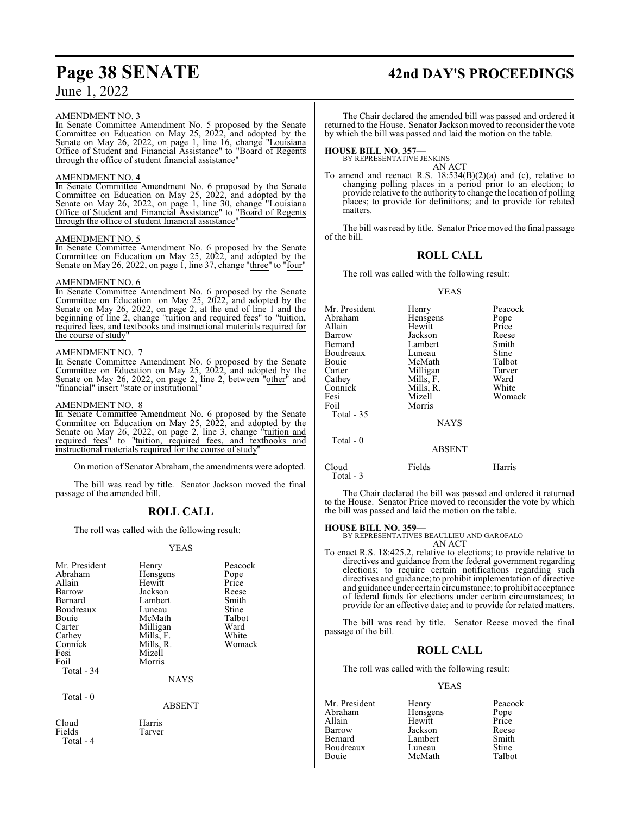#### AMENDMENT NO. 3

In Senate Committee Amendment No. 5 proposed by the Senate Committee on Education on May 25, 2022, and adopted by the Senate on May 26, 2022, on page 1, line 16, change "Louisiana Office of Student and Financial Assistance" to "Board of Regents through the office of student financial assistance"

## AMEND<u>MENT NO. 4</u>

In Senate Committee Amendment No. 6 proposed by the Senate Committee on Education on May 25, 2022, and adopted by the Senate on May 26, 2022, on page 1, line 30, change "Louisiana Office of Student and Financial Assistance" to "Board of Regents through the office of student financial assistance

#### AMENDMENT NO. 5

In Senate Committee Amendment No. 6 proposed by the Senate Committee on Education on May 25, 2022, and adopted by the Senate on May 26, 2022, on page 1, line 37, change "three" to "four"

#### AMENDMENT NO. 6

In Senate Committee Amendment No. 6 proposed by the Senate Committee on Education on May 25, 2022, and adopted by the Senate on May 26, 2022, on page 2, at the end of line 1 and the beginning of line 2, change "tuition and required fees" to "tuition, required fees, and textbooks and instructional materials required for the course of study

#### AMENDMENT NO. 7

In Senate Committee Amendment No. 6 proposed by the Senate Committee on Education on May 25, 2022, and adopted by the Senate on May 26, 2022, on page 2, line 2, between "other" and "financial" insert "state or institutional"

#### AMENDMENT NO. 8

In Senate Committee Amendment No. 6 proposed by the Senate Committee on Education on May 25, 2022, and adopted by the Senate on May 26, 2022, on page 2, line 3, change "tuition and required fees" to "tuition, required fees, and textbooks and instructional materials required for the course of study

On motion of Senator Abraham, the amendments were adopted.

The bill was read by title. Senator Jackson moved the final passage of the amended bill.

## **ROLL CALL**

The roll was called with the following result:

#### YEAS

| Mr. President<br>Abraham<br>Allain<br>Barrow<br>Bernard<br>Boudreaux<br>Bouie<br>Carter<br>Cathey<br>Connick<br>Fesi<br>Foil<br>Total - 34 | Henry<br>Hensgens<br>Hewitt<br>Jackson<br>Lambert<br>Luneau<br>McMath<br>Milligan<br>Mills, F.<br>Mills, R.<br>Mizell<br>Morris<br><b>NAYS</b> | Peacock<br>Pope<br>Price<br>Reese<br>Smith<br>Stine<br>Talbot<br>Ward<br>White<br>Womack |
|--------------------------------------------------------------------------------------------------------------------------------------------|------------------------------------------------------------------------------------------------------------------------------------------------|------------------------------------------------------------------------------------------|
| Total - 0                                                                                                                                  | ABSENT                                                                                                                                         |                                                                                          |
| Cloud<br>Fields<br>Total - 4                                                                                                               | Harris<br>Tarver                                                                                                                               |                                                                                          |

# **Page 38 SENATE 42nd DAY'S PROCEEDINGS**

The Chair declared the amended bill was passed and ordered it returned to the House. Senator Jackson moved to reconsider the vote by which the bill was passed and laid the motion on the table.

#### **HOUSE BILL NO. 357—**

BY REPRESENTATIVE JENKINS

AN ACT To amend and reenact R.S. 18:534(B)(2)(a) and (c), relative to changing polling places in a period prior to an election; to provide relative to the authority to change the location of polling places; to provide for definitions; and to provide for related matters.

The bill was read by title. Senator Price moved the final passage of the bill.

#### **ROLL CALL**

The roll was called with the following result:

#### YEAS

| Mr. President | Henry         | Peacock |
|---------------|---------------|---------|
| Abraham       | Hensgens      | Pope    |
| Allain        | Hewitt        | Price   |
| Barrow        | Jackson       | Reese   |
| Bernard       | Lambert       | Smith   |
| Boudreaux     | Luneau        | Stine   |
| Bouie         | McMath        | Talbot  |
| Carter        | Milligan      | Tarver  |
| Cathey        | Mills, F.     | Ward    |
| Connick       | Mills, R.     | White   |
| Fesi          | Mizell        | Womack  |
| Foil          | Morris        |         |
| Total - 35    |               |         |
|               | <b>NAYS</b>   |         |
| Total - 0     |               |         |
|               | <b>ABSENT</b> |         |
| Cloud         | Fields        | Harris  |

The Chair declared the bill was passed and ordered it returned to the House. Senator Price moved to reconsider the vote by which the bill was passed and laid the motion on the table.

## **HOUSE BILL NO. 359—**

Total - 3

BY REPRESENTATIVES BEAULLIEU AND GAROFALO AN ACT

To enact R.S. 18:425.2, relative to elections; to provide relative to directives and guidance from the federal government regarding elections; to require certain notifications regarding such directives and guidance; to prohibit implementation of directive and guidance under certain circumstance; to prohibit acceptance of federal funds for elections under certain circumstances; to provide for an effective date; and to provide for related matters.

The bill was read by title. Senator Reese moved the final passage of the bill.

## **ROLL CALL**

The roll was called with the following result:

#### YEAS

Mr. President Henry Peacock<br>Abraham Hensgens Pope Abraham Hensgens<br>Allain Hewitt Allain Hewitt Price Jackson Reese<br>Lambert Smith Bernard Lambert Smith Boudreaux Luneau Stine<br>
Bouje McMath Talbot McMath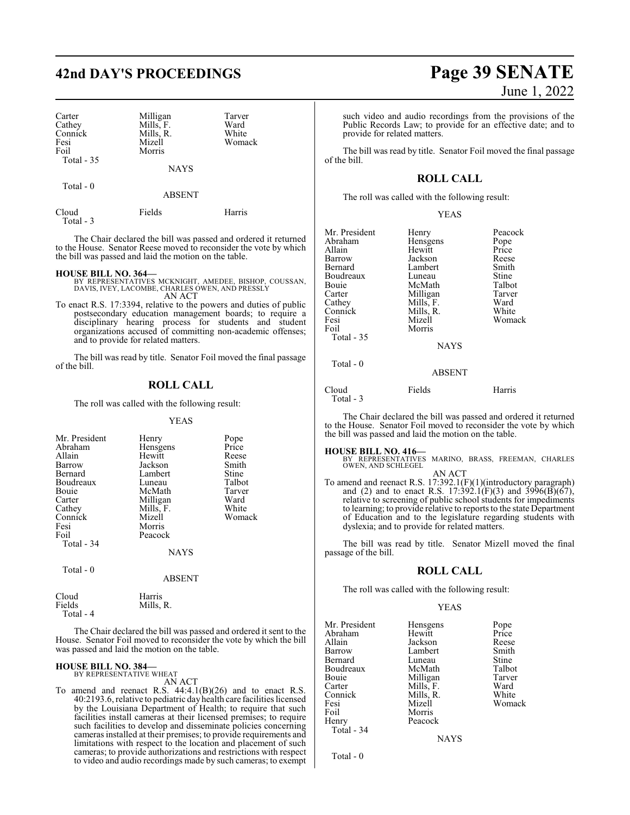# **42nd DAY'S PROCEEDINGS Page 39 SENATE**

| Carter<br>Cathey<br>Connick<br>Fesi<br>Foil | Milligan<br>Mills, F.<br>Mills, R.<br>Mizell<br>Morris | Tarver<br>Ward<br>White<br>Womack |
|---------------------------------------------|--------------------------------------------------------|-----------------------------------|
| Total $-35$                                 | <b>NAYS</b>                                            |                                   |
| Total $-0$                                  | <b>ABSENT</b>                                          |                                   |

Cloud Fields Harris Total - 3

The Chair declared the bill was passed and ordered it returned to the House. Senator Reese moved to reconsider the vote by which the bill was passed and laid the motion on the table.

#### **HOUSE BILL NO. 364—**

- BY REPRESENTATIVES MCKNIGHT, AMEDEE, BISHOP, COUSSAN, DAVIS, IVEY, LACOMBE, CHARLES OWEN, AND PRESSLY AN ACT
- To enact R.S. 17:3394, relative to the powers and duties of public postsecondary education management boards; to require a disciplinary hearing process for students and student organizations accused of committing non-academic offenses; and to provide for related matters.

The bill was read by title. Senator Foil moved the final passage of the bill.

#### **ROLL CALL**

The roll was called with the following result:

YEAS

| Mr. President | Henry       | Pope   |
|---------------|-------------|--------|
| Abraham       | Hensgens    | Price  |
| Allain        | Hewitt      | Reese  |
| Barrow        | Jackson     | Smith  |
| Bernard       | Lambert     | Stine  |
| Boudreaux     | Luneau      | Talbot |
| <b>Bouje</b>  | McMath      | Tarver |
| Carter        | Milligan    | Ward   |
| Cathey        | Mills, F.   | White  |
| Connick       | Mizell      | Womack |
| Fesi          | Morris      |        |
| Foil          | Peacock     |        |
| Total - 34    |             |        |
|               | <b>NAYS</b> |        |
| Total - 0     |             |        |
|               | ABSENT      |        |

Mills, R.

Cloud Harris<br>Fields Mills, Total - 4

The Chair declared the bill was passed and ordered it sent to the House. Senator Foil moved to reconsider the vote by which the bill was passed and laid the motion on the table.

# **HOUSE BILL NO. 384—** BY REPRESENTATIVE WHEAT

AN ACT

To amend and reenact R.S.  $44:4.1(B)(26)$  and to enact R.S. 40:2193.6, relative to pediatric dayhealth care facilities licensed by the Louisiana Department of Health; to require that such facilities install cameras at their licensed premises; to require such facilities to develop and disseminate policies concerning cameras installed at their premises; to provide requirements and limitations with respect to the location and placement of such cameras; to provide authorizations and restrictions with respect to video and audio recordings made by such cameras; to exempt

# June 1, 2022

such video and audio recordings from the provisions of the Public Records Law; to provide for an effective date; and to provide for related matters.

The bill was read by title. Senator Foil moved the final passage of the bill.

### **ROLL CALL**

The roll was called with the following result:

#### YEAS

| Mr. President<br>Abraham<br>Allain<br>Barrow<br>Bernard<br>Boudreaux<br>Bouie<br>Carter<br>Cathey<br>Connick<br>Fesi<br>Foil<br>Total - 35 | Henry<br>Hensgens<br>Hewitt<br>Jackson<br>Lambert<br>Luneau<br>McMath<br>Milligan<br>Mills, F.<br>Mills, R.<br>Mizell<br>Morris<br><b>NAYS</b> | Peacock<br>Pope<br>Price<br>Reese<br>Smith<br><b>Stine</b><br>Talbot<br>Tarver<br>Ward<br>White<br>Womack |
|--------------------------------------------------------------------------------------------------------------------------------------------|------------------------------------------------------------------------------------------------------------------------------------------------|-----------------------------------------------------------------------------------------------------------|
| Total $-0$                                                                                                                                 |                                                                                                                                                |                                                                                                           |
|                                                                                                                                            | <b>ABSENT</b>                                                                                                                                  |                                                                                                           |
| $\sim$ 1                                                                                                                                   | $\mathbf{r}$ . 11                                                                                                                              | TT.                                                                                                       |

| Cloud     | Fields | Harris |
|-----------|--------|--------|
| Total - 3 |        |        |

The Chair declared the bill was passed and ordered it returned to the House. Senator Foil moved to reconsider the vote by which the bill was passed and laid the motion on the table.

**HOUSE BILL NO. 416—** BY REPRESENTATIVES MARINO, BRASS, FREEMAN, CHARLES OWEN, AND SCHLEGEL

AN ACT To amend and reenact R.S. 17:392.1(F)(1)(introductory paragraph) and (2) and to enact R.S. 17:392.1(F)(3) and 3996(B)(67), relative to screening of public school students for impediments to learning; to provide relative to reports to the state Department of Education and to the legislature regarding students with dyslexia; and to provide for related matters.

The bill was read by title. Senator Mizell moved the final passage of the bill.

#### **ROLL CALL**

The roll was called with the following result:

#### YEAS

| Mr. President | Hensgens  | Pope   |
|---------------|-----------|--------|
| Abraham       | Hewitt    | Price  |
| Allain        | Jackson   | Reese  |
| Barrow        | Lambert   | Smith  |
| Bernard       | Luneau    | Stine  |
| Boudreaux     | McMath    | Talbot |
| Bouie         | Milligan  | Tarver |
| Carter        | Mills, F. | Ward   |
| Connick       | Mills, R. | White  |
| Fesi          | Mizell    | Womack |
| Foil          | Morris    |        |
| Henry         | Peacock   |        |
| Total - 34    |           |        |
|               |           |        |

**NAYS** 

Total - 0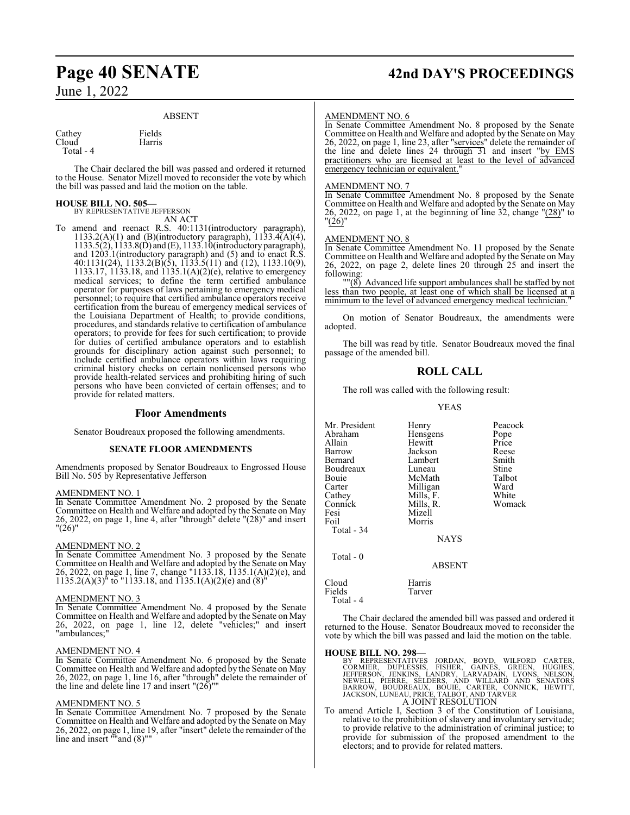# **Page 40 SENATE 42nd DAY'S PROCEEDINGS**

#### ABSENT

Cathey Fields<br>Cloud Harris Cloud

Total - 4

The Chair declared the bill was passed and ordered it returned to the House. Senator Mizell moved to reconsider the vote by which the bill was passed and laid the motion on the table.

## **HOUSE BILL NO. 505—**

BY REPRESENTATIVE JEFFERSON AN ACT

To amend and reenact R.S. 40:1131(introductory paragraph), 1133.2(A)(1) and (B)(introductory paragraph),  $1133.4(A)(4)$ , 1133.5(2), 1133.8(D) and (E), 1133.10(introductory paragraph), and 1203.1(introductory paragraph) and (5) and to enact R.S. 40:1131(24), 1133.2(B)(5), 1133.5(11) and (12), 1133.10(9), 1133.17, 1133.18, and 1135.1(A)(2)(e), relative to emergency medical services; to define the term certified ambulance operator for purposes of laws pertaining to emergency medical personnel; to require that certified ambulance operators receive certification from the bureau of emergency medical services of the Louisiana Department of Health; to provide conditions, procedures, and standards relative to certification of ambulance operators; to provide for fees for such certification; to provide for duties of certified ambulance operators and to establish grounds for disciplinary action against such personnel; to include certified ambulance operators within laws requiring criminal history checks on certain nonlicensed persons who provide health-related services and prohibiting hiring of such persons who have been convicted of certain offenses; and to provide for related matters.

#### **Floor Amendments**

Senator Boudreaux proposed the following amendments.

#### **SENATE FLOOR AMENDMENTS**

Amendments proposed by Senator Boudreaux to Engrossed House Bill No. 505 by Representative Jefferson

#### AMENDMENT NO. 1

In Senate Committee Amendment No. 2 proposed by the Senate Committee on Health and Welfare and adopted by the Senate on May 26, 2022, on page 1, line 4, after "through" delete "(28)" and insert  $"(26)"$ 

#### AMENDMENT NO. 2

In Senate Committee Amendment No. 3 proposed by the Senate Committee on Health and Welfare and adopted by the Senate on May 26, 2022, on page 1, line 7, change "1133.18, 1135.1(A)(2)(e), and  $1135.2(A)(3)$ <sup>th</sup> to "1133.18, and 1135.1(A)(2)(e) and (8)<sup>t</sup>

#### AMENDMENT NO. 3

In Senate Committee Amendment No. 4 proposed by the Senate Committee on Health and Welfare and adopted by the Senate on May 26, 2022, on page 1, line 12, delete "vehicles;" and insert "ambulances;"

#### AMENDMENT NO. 4

In Senate Committee Amendment No. 6 proposed by the Senate Committee on Health and Welfare and adopted by the Senate on May 26, 2022, on page 1, line 16, after "through" delete the remainder of the line and delete line 17 and insert "(26)""

#### AMENDMENT NO. 5

In Senate Committee Amendment No. 7 proposed by the Senate Committee on Health and Welfare and adopted by the Senate on May 26, 2022, on page 1, line 19, after "insert" delete the remainder of the line and insert ""and (8)""

#### AMENDMENT NO. 6

In Senate Committee Amendment No. 8 proposed by the Senate Committee on Health and Welfare and adopted by the Senate on May 26, 2022, on page 1, line 23, after "services" delete the remainder of the line and delete lines 24 through 31 and insert "by EMS practitioners who are licensed at least to the level of advanced emergency technician or equivalent."

#### AMENDMENT NO. 7

In Senate Committee Amendment No. 8 proposed by the Senate Committee on Health and Welfare and adopted by the Senate on May 26, 2022, on page 1, at the beginning of line 32, change "(28)" to "(26)"

#### AMENDMENT NO. 8

In Senate Committee Amendment No. 11 proposed by the Senate Committee on Health and Welfare and adopted by the Senate on May 26, 2022, on page 2, delete lines 20 through 25 and insert the following:

""(8) Advanced life support ambulances shall be staffed by not less than two people, at least one of which shall be licensed at a minimum to the level of advanced emergency medical technician.

On motion of Senator Boudreaux, the amendments were adopted.

The bill was read by title. Senator Boudreaux moved the final passage of the amended bill.

#### **ROLL CALL**

The roll was called with the following result:

YEAS

Mr. President Henry Peacock<br>Abraham Hensgens Pope Abraham Hensgens Pope<br>
Hewitt Price<br>
Price Allain Hewitt Price Barrow Jackson Reese Lambert Smith<br>
Luneau Stine Boudreaux Luneau Stine<br>
Bouie McMath Talbot Bouie McMath Talbot<br>Carter Milligan Ward Carter Milligan Ward<br>Cathey Mills, F. White Cathey Mills, F. White<br>
Connick Mills, R. Womack Connick Mills, R.<br>Fesi Mizell Fesi Mizell<br>Foil Morris Morris Total - 34 NAYS Total - 0 ABSENT

Cloud Harris<br>Fields Tarver Fields Total - 4

The Chair declared the amended bill was passed and ordered it returned to the House. Senator Boudreaux moved to reconsider the vote by which the bill was passed and laid the motion on the table.

**HOUSE BILL NO. 298—**<br>BY REPRESENTATIVES JORDAN, BOYD, WILFORD CARTER,<br>CORMIER, DUPLESSIS, FISHER, GAINES, GREEN, HUGHES,<br>JEFFERSON, JENKINS, LANDRY, LARVADAIN, LYONS, NELSON,<br>NEWELL, PIERRE, SELDERS, AND WILLARD AND SENAT

To amend Article I, Section 3 of the Constitution of Louisiana, relative to the prohibition of slavery and involuntary servitude; to provide relative to the administration of criminal justice; to provide for submission of the proposed amendment to the electors; and to provide for related matters.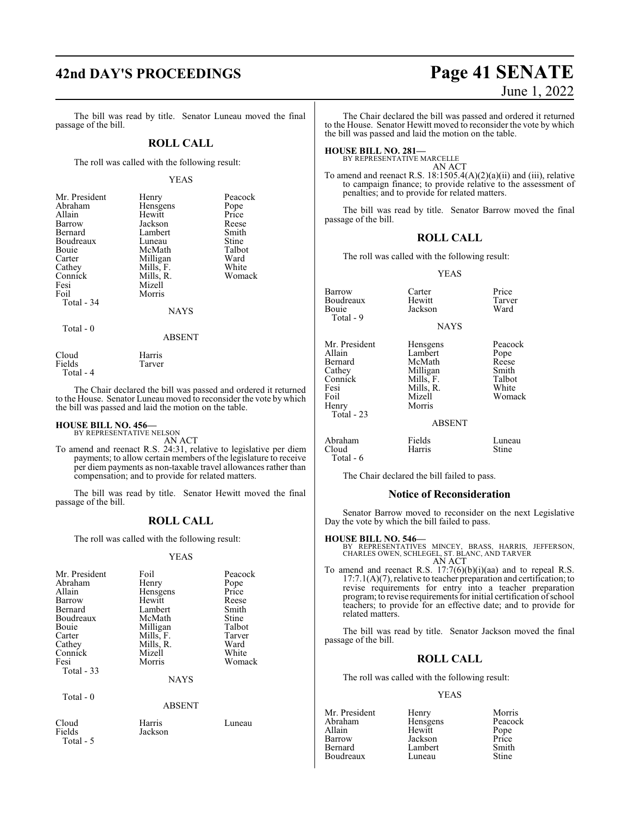The bill was read by title. Senator Luneau moved the final passage of the bill.

#### **ROLL CALL**

The roll was called with the following result:

#### YEAS

| Mr. President<br>Abraham<br>Allain<br>Barrow<br>Bernard<br>Boudreaux<br>Bouie<br>Carter<br>Cathey<br>Connick<br>Fesi<br>Foil<br>Total - 34 | Henry<br>Hensgens<br>Hewitt<br>Jackson<br>Lambert<br>Luneau<br>McMath<br>Milligan<br>Mills, F.<br>Mills, R.<br>Mizell<br>Morris<br><b>NAYS</b> | Peacock<br>Pope<br>Price<br>Reese<br>Smith<br>Stine<br>Talbot<br>Ward<br>White<br>Womack |
|--------------------------------------------------------------------------------------------------------------------------------------------|------------------------------------------------------------------------------------------------------------------------------------------------|------------------------------------------------------------------------------------------|
| Total - 0                                                                                                                                  |                                                                                                                                                |                                                                                          |

Cloud Harris<br>Fields Tarver Tarver

Total - 4

The Chair declared the bill was passed and ordered it returned to the House. Senator Luneau moved to reconsider the vote by which the bill was passed and laid the motion on the table.

ABSENT

# **HOUSE BILL NO. 456—** BY REPRESENTATIVE NELSON

Fields Jackson

Total - 5

AN ACT

To amend and reenact R.S. 24:31, relative to legislative per diem payments; to allow certain members of the legislature to receive per diem payments as non-taxable travel allowances rather than compensation; and to provide for related matters.

The bill was read by title. Senator Hewitt moved the final passage of the bill.

## **ROLL CALL**

The roll was called with the following result:

YEAS

| Mr. President | Foil          | Peacock |
|---------------|---------------|---------|
| Abraham       | Henry         | Pope    |
| Allain        | Hensgens      | Price   |
| Barrow        | Hewitt        | Reese   |
| Bernard       | Lambert       | Smith   |
| Boudreaux     | McMath        | Stine   |
| Bouie         | Milligan      | Talbot  |
| Carter        | Mills, F.     | Tarver  |
| Cathey        | Mills, R.     | Ward    |
| Connick       | Mizell        | White   |
| Fesi          | Morris        | Womack  |
| Total $-33$   |               |         |
|               | <b>NAYS</b>   |         |
| Total $-0$    |               |         |
|               | <b>ABSENT</b> |         |
| Cloud         | Harris        | Luneau  |

The Chair declared the bill was passed and ordered it returned to the House. Senator Hewitt moved to reconsider the vote by which the bill was passed and laid the motion on the table.

#### **HOUSE BILL NO. 281—**

BY REPRESENTATIVE MARCELLE AN ACT

To amend and reenact R.S. 18:1505.4(A)(2)(a)(ii) and (iii), relative to campaign finance; to provide relative to the assessment of penalties; and to provide for related matters.

The bill was read by title. Senator Barrow moved the final passage of the bill.

#### **ROLL CALL**

The roll was called with the following result:

YEAS

| <b>Barrow</b> | Carter        | Price   |
|---------------|---------------|---------|
| Boudreaux     | Hewitt        | Tarver  |
| Bouie         | Jackson       | Ward    |
| Total - 9     |               |         |
|               | <b>NAYS</b>   |         |
| Mr. President | Hensgens      | Peacock |
| Allain        | Lambert       | Pope    |
| Bernard       | McMath        | Reese   |
| Cathey        | Milligan      | Smith   |
| Connick       | Mills, F.     | Talbot  |
| Fesi          | Mills, R.     | White   |
| Foil          | Mizell        | Womack  |
| Henry         | Morris        |         |
| Total $-23$   |               |         |
|               | <b>ABSENT</b> |         |
|               |               |         |

#### **BSENT**

Abraham Fields Luneau<br>Cloud Harris Stine Cloud Harris Stine Total - 6

The Chair declared the bill failed to pass.

#### **Notice of Reconsideration**

Senator Barrow moved to reconsider on the next Legislative Day the vote by which the bill failed to pass.

#### **HOUSE BILL NO. 546—**

BY REPRESENTATIVES MINCEY, BRASS, HARRIS, JEFFERSON, CHARLES OWEN, SCHLEGEL, ST. BLANC, AND TARVER AN ACT

To amend and reenact R.S. 17:7(6)(b)(i)(aa) and to repeal R.S. 17:7.1(A)(7), relative to teacher preparation and certification; to revise requirements for entry into a teacher preparation program; to revise requirements for initial certification of school teachers; to provide for an effective date; and to provide for related matters.

The bill was read by title. Senator Jackson moved the final passage of the bill.

## **ROLL CALL**

The roll was called with the following result:

#### YEAS

Mr. President Henry Morris<br>Abraham Hensgens Peacock Abraham Hensgens Peacock<br>Allain Hewitt Pope Allain Hewitt Pope Barrow Jackson Price **Boudreaux** 

Lambert Smith<br>Luneau Stine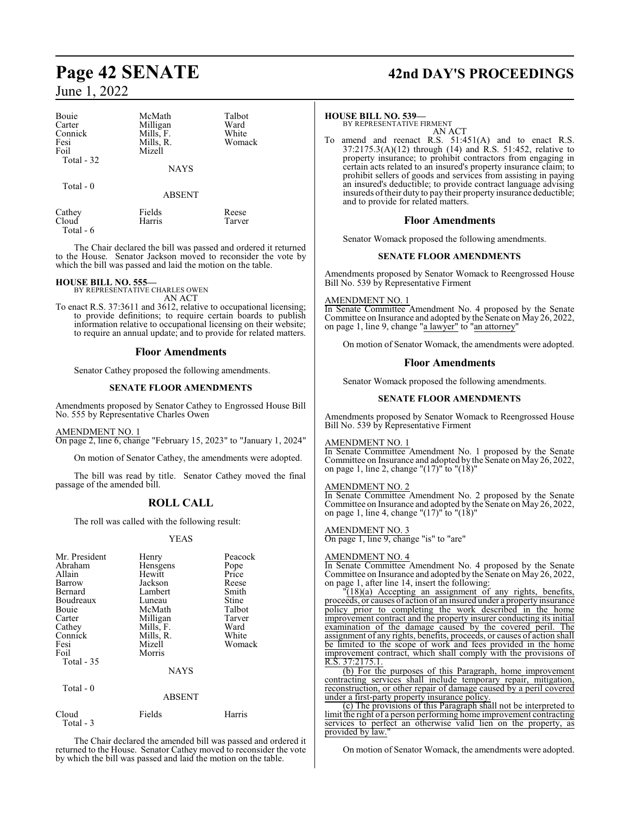| Bouie<br>Carter<br>Connick<br>Fesi<br>Foil<br>Total - 32 | McMath<br>Milligan<br>Mills, F.<br>Mills, R.<br>Mizell | Talbot<br>Ward<br>White<br>Womack |
|----------------------------------------------------------|--------------------------------------------------------|-----------------------------------|
|                                                          | <b>NAYS</b>                                            |                                   |
| Total $-0$                                               | <b>ABSENT</b>                                          |                                   |
| Cathey<br>Cloud                                          | Fields<br>Harris                                       | Reese<br>Tarver                   |

Total - 6

The Chair declared the bill was passed and ordered it returned to the House. Senator Jackson moved to reconsider the vote by

which the bill was passed and laid the motion on the table.

#### **HOUSE BILL NO. 555—**

BY REPRESENTATIVE CHARLES OWEN AN ACT

To enact R.S. 37:3611 and 3612, relative to occupational licensing; to provide definitions; to require certain boards to publish information relative to occupational licensing on their website; to require an annual update; and to provide for related matters.

#### **Floor Amendments**

Senator Cathey proposed the following amendments.

#### **SENATE FLOOR AMENDMENTS**

Amendments proposed by Senator Cathey to Engrossed House Bill No. 555 by Representative Charles Owen

#### AMENDMENT NO. 1

On page 2, line 6, change "February 15, 2023" to "January 1, 2024"

On motion of Senator Cathey, the amendments were adopted.

The bill was read by title. Senator Cathey moved the final passage of the amended bill.

## **ROLL CALL**

The roll was called with the following result:

#### YEAS

| Mr. President<br>Abraham<br>Allain<br>Barrow<br>Bernard<br>Boudreaux<br>Bouie<br>Carter<br>Cathey<br>Connick<br>Fesi<br>Foil<br>Total $-35$ | Henry<br>Hensgens<br>Hewitt<br>Jackson<br>Lambert<br>Luneau<br>McMath<br>Milligan<br>Mills, F.<br>Mills, R.<br>Mizell<br>Morris<br><b>NAYS</b> | Peacock<br>Pope<br>Price<br>Reese<br>Smith<br>Stine<br>Talbot<br>Tarver<br>Ward<br>White<br>Womack |
|---------------------------------------------------------------------------------------------------------------------------------------------|------------------------------------------------------------------------------------------------------------------------------------------------|----------------------------------------------------------------------------------------------------|
| Total - 0                                                                                                                                   | <b>ABSENT</b>                                                                                                                                  |                                                                                                    |

| Cloud     | Fields | Harris |
|-----------|--------|--------|
| Total - 3 |        |        |

The Chair declared the amended bill was passed and ordered it returned to the House. Senator Cathey moved to reconsider the vote by which the bill was passed and laid the motion on the table.

# **Page 42 SENATE 42nd DAY'S PROCEEDINGS**

#### **HOUSE BILL NO. 539—**

BY REPRESENTATIVE FIRMENT AN ACT

To amend and reenact R.S. 51:451(A) and to enact R.S. 37:2175.3(A)(12) through (14) and R.S. 51:452, relative to property insurance; to prohibit contractors from engaging in certain acts related to an insured's property insurance claim; to prohibit sellers of goods and services from assisting in paying an insured's deductible; to provide contract language advising insureds oftheir duty to pay their property insurance deductible; and to provide for related matters.

#### **Floor Amendments**

Senator Womack proposed the following amendments.

#### **SENATE FLOOR AMENDMENTS**

Amendments proposed by Senator Womack to Reengrossed House Bill No. 539 by Representative Firment

#### AMENDMENT NO. 1

In Senate Committee Amendment No. 4 proposed by the Senate Committee on Insurance and adopted by the Senate on May 26, 2022, on page 1, line 9, change "a lawyer" to "an attorney"

On motion of Senator Womack, the amendments were adopted.

#### **Floor Amendments**

Senator Womack proposed the following amendments.

#### **SENATE FLOOR AMENDMENTS**

Amendments proposed by Senator Womack to Reengrossed House Bill No. 539 by Representative Firment

#### AMENDMENT NO. 1

In Senate Committee Amendment No. 1 proposed by the Senate Committee on Insurance and adopted by the Senate on May 26, 2022, on page 1, line 2, change "(17)" to "(18)"

#### AMENDMENT NO. 2

In Senate Committee Amendment No. 2 proposed by the Senate Committee on Insurance and adopted by the Senate on May 26, 2022, on page 1, line 4, change "(17)" to "(18)"

#### AMENDMENT NO. 3

On page 1, line 9, change "is" to "are"

#### AMENDMENT NO. 4

In Senate Committee Amendment No. 4 proposed by the Senate Committee on Insurance and adopted by the Senate on May 26, 2022, on page 1, after line 14, insert the following:

"(18)(a) Accepting an assignment of any rights, benefits, proceeds, or causes of action of an insured under a property insurance policy prior to completing the work described in the home improvement contract and the property insurer conducting its initial examination of the damage caused by the covered peril. The assignment of any rights, benefits, proceeds, or causes of action shall be limited to the scope of work and fees provided in the home improvement contract, which shall comply with the provisions of R.S. 37:2175.1.

(b) For the purposes of this Paragraph, home improvement contracting services shall include temporary repair, mitigation, reconstruction, or other repair of damage caused by a peril covered under a first-party property insurance policy.

(c) The provisions of this Paragraph shall not be interpreted to limit the right of a person performing home improvement contracting services to perfect an otherwise valid lien on the property, as provided by law.

On motion of Senator Womack, the amendments were adopted.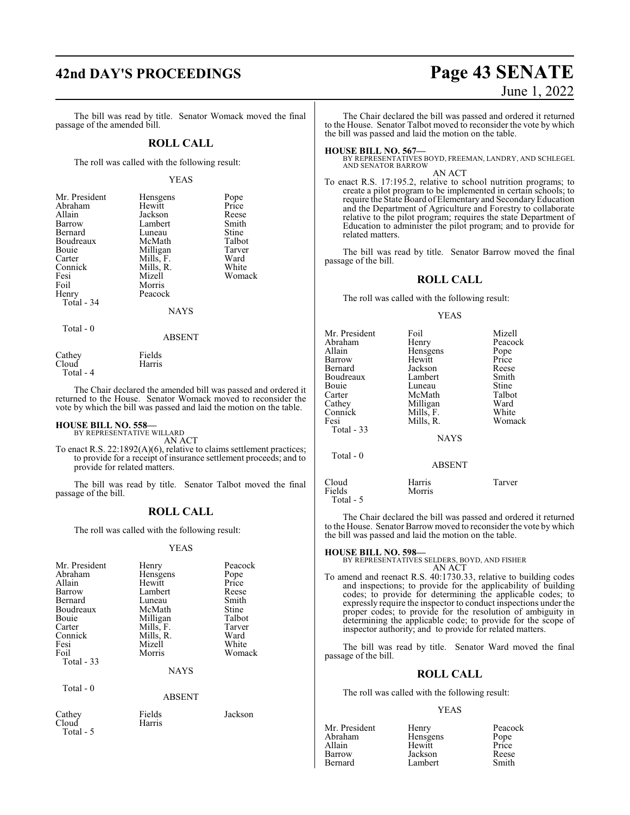The bill was read by title. Senator Womack moved the final passage of the amended bill.

#### **ROLL CALL**

The roll was called with the following result:

#### YEAS

| Mr. President<br>Hensgens<br>Pope<br>Abraham<br>Hewitt<br>Price<br>Allain<br>Jackson<br>Reese<br>Smith<br>Lambert<br>Barrow |  |
|-----------------------------------------------------------------------------------------------------------------------------|--|
|                                                                                                                             |  |
|                                                                                                                             |  |
|                                                                                                                             |  |
| Stine<br>Bernard<br>Luneau                                                                                                  |  |
| Talbot<br>Boudreaux<br>McMath                                                                                               |  |
| Milligan<br>Tarver<br>Bouie                                                                                                 |  |
| Mills, F.<br>Ward<br>Carter                                                                                                 |  |
| White<br>Connick<br>Mills, R.                                                                                               |  |
| Mizell<br>Womack<br>Fesi                                                                                                    |  |
| Foil<br>Morris                                                                                                              |  |
| Peacock<br>Henry                                                                                                            |  |
| Total - 34                                                                                                                  |  |
| <b>NAYS</b>                                                                                                                 |  |
|                                                                                                                             |  |

Total - 0

ABSENT

| Cathey    | Fields |
|-----------|--------|
| Cloud     | Harris |
| Total - 4 |        |

The Chair declared the amended bill was passed and ordered it returned to the House. Senator Womack moved to reconsider the vote by which the bill was passed and laid the motion on the table.

# **HOUSE BILL NO. 558—** BY REPRESENTATIVE WILLARD

AN ACT

To enact R.S. 22:1892(A)(6), relative to claims settlement practices; to provide for a receipt of insurance settlement proceeds; and to provide for related matters.

The bill was read by title. Senator Talbot moved the final passage of the bill.

#### **ROLL CALL**

The roll was called with the following result:

#### YEAS

| Mr. President | Henry     | Peacock |
|---------------|-----------|---------|
| Abraham       | Hensgens  | Pope    |
| Allain        | Hewitt    | Price   |
| Barrow        | Lambert   | Reese   |
| Bernard       | Luneau    | Smith   |
| Boudreaux     | McMath    | Stine   |
| Bouie         | Milligan  | Talbot  |
| Carter        | Mills, F. | Tarver  |
| Connick       | Mills, R. | Ward    |
| Fesi          | Mizell    | White   |
| Foil          | Morris    | Womack  |
| Total - 33    |           |         |
|               | NAYS      |         |

Total - 0

ABSENT

Cloud Total - 5

# **42nd DAY'S PROCEEDINGS Page 43 SENATE** June 1, 2022

The Chair declared the bill was passed and ordered it returned to the House. Senator Talbot moved to reconsider the vote by which the bill was passed and laid the motion on the table.

#### **HOUSE BILL NO. 567—**

BY REPRESENTATIVES BOYD, FREEMAN, LANDRY, AND SCHLEGEL AND SENATOR BARROW

AN ACT

To enact R.S. 17:195.2, relative to school nutrition programs; to create a pilot program to be implemented in certain schools; to require the State Board of Elementary and Secondary Education and the Department of Agriculture and Forestry to collaborate relative to the pilot program; requires the state Department of Education to administer the pilot program; and to provide for related matters.

The bill was read by title. Senator Barrow moved the final passage of the bill.

#### **ROLL CALL**

The roll was called with the following result:

#### YEAS

| Mr. President<br>Abraham<br>Allain<br>Barrow<br>Bernard<br>Boudreaux<br>Bouie<br>Carter<br>Cathey<br>Connick<br>Fesi<br>Total - 33 | Foil<br>Henry<br>Hensgens<br>Hewitt<br>Jackson<br>Lambert<br>Luneau<br>McMath<br>Milligan<br>Mills, F.<br>Mills, R.<br><b>NAYS</b> | Mizell<br>Peacock<br>Pope<br>Price<br>Reese<br>Smith<br>Stine<br>Talbot<br>Ward<br>White<br>Womack |
|------------------------------------------------------------------------------------------------------------------------------------|------------------------------------------------------------------------------------------------------------------------------------|----------------------------------------------------------------------------------------------------|
| Total $-0$                                                                                                                         | <b>ABSENT</b>                                                                                                                      |                                                                                                    |
| Cloud<br>Fields                                                                                                                    | Harris<br>Morris                                                                                                                   | Tarver                                                                                             |

The Chair declared the bill was passed and ordered it returned to the House. Senator Barrow moved to reconsider the vote by which the bill was passed and laid the motion on the table.

## **HOUSE BILL NO. 598—** BY REPRESENTATIVES SELDERS, BOYD, AND FISHER AN ACT

Total - 5

To amend and reenact R.S. 40:1730.33, relative to building codes and inspections; to provide for the applicability of building codes; to provide for determining the applicable codes; to expressly require the inspector to conduct inspections under the proper codes; to provide for the resolution of ambiguity in determining the applicable code; to provide for the scope of inspector authority; and to provide for related matters.

The bill was read by title. Senator Ward moved the final passage of the bill.

### **ROLL CALL**

The roll was called with the following result:

#### YEAS

| Henry<br>Hensgens<br>Hewitt | Peacock<br>Pope<br>Price<br>Reese |
|-----------------------------|-----------------------------------|
| Lambert                     | Smith                             |
|                             | Jackson                           |

Cathey Fields Jackson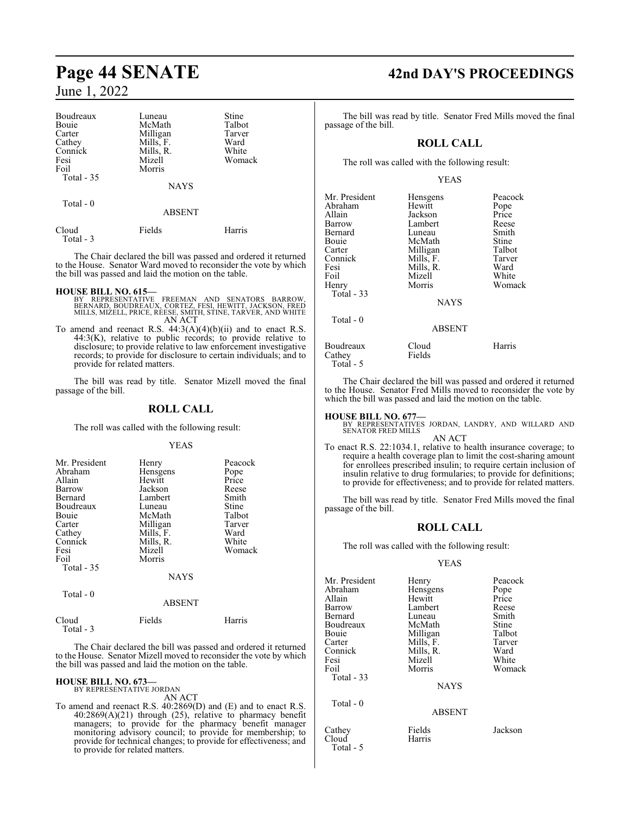| Boudreaux  | Luneau      | Stine  |
|------------|-------------|--------|
| Bouie      | McMath      | Talbot |
| Carter     | Milligan    | Tarver |
| Cathey     | Mills, F.   | Ward   |
| Connick    | Mills, R.   | White  |
| Fesi       | Mizell      | Womack |
| Foil       | Morris      |        |
| Total - 35 |             |        |
|            | <b>NAYS</b> |        |
| Total $-0$ |             |        |
|            | ABSENT      |        |
| Cloud      | Fields      | Harris |

The Chair declared the bill was passed and ordered it returned to the House. Senator Ward moved to reconsider the vote by which the bill was passed and laid the motion on the table.

Total - 3

- **HOUSE BILL NO. 615—**<br>BY REPRESENTATIVE FREEMAN AND SENATORS BARROW,<br>BERNARD, BOUDREAUX, CORTEZ, FESI, HEWITT, JACKSON, FRED<br>MILLS, MIZELL, PRICE, REESE, SMITH, STINE, TARVER, AND WHITE AN ACT
- To amend and reenact R.S.  $44:3(A)(4)(b)(ii)$  and to enact R.S. 44:3(K), relative to public records; to provide relative to disclosure; to provide relative to law enforcement investigative records; to provide for disclosure to certain individuals; and to provide for related matters.

The bill was read by title. Senator Mizell moved the final passage of the bill.

#### **ROLL CALL**

The roll was called with the following result:

#### YEAS

| Mr. President | Henry       | Peacock |
|---------------|-------------|---------|
| Abraham       | Hensgens    | Pope    |
| Allain        | Hewitt      | Price   |
| Barrow        | Jackson     | Reese   |
| Bernard       | Lambert     | Smith   |
| Boudreaux     | Luneau      | Stine   |
| Bouie         | McMath      | Talbot  |
| Carter        | Milligan    | Tarver  |
| Cathey        | Mills, F.   | Ward    |
| Connick       | Mills, R.   | White   |
| Fesi          | Mizell      | Womack  |
| Foil          | Morris      |         |
| Total $-35$   |             |         |
|               | <b>NAYS</b> |         |
| Total - 0     |             |         |

| Cloud     | Fields | Harris |
|-----------|--------|--------|
| Total - 3 |        |        |

The Chair declared the bill was passed and ordered it returned to the House. Senator Mizell moved to reconsider the vote by which the bill was passed and laid the motion on the table.

ABSENT

#### **HOUSE BILL NO. 673—**

BY REPRESENTATIVE JORDAN AN ACT

To amend and reenact R.S. 40:2869(D) and (E) and to enact R.S. 40:2869(A)(21) through (25), relative to pharmacy benefit managers; to provide for the pharmacy benefit manager monitoring advisory council; to provide for membership; to provide for technical changes; to provide for effectiveness; and to provide for related matters.

# **Page 44 SENATE 42nd DAY'S PROCEEDINGS**

The bill was read by title. Senator Fred Mills moved the final passage of the bill.

#### **ROLL CALL**

The roll was called with the following result:

#### YEAS

| Mr. President | Hensgens      | Peacock |
|---------------|---------------|---------|
| Abraham       | Hewitt        | Pope    |
| Allain        | Jackson       | Price   |
| Barrow        | Lambert       | Reese   |
| Bernard       | Luneau        | Smith   |
| Bouie         | McMath        | Stine   |
| Carter        | Milligan      | Talbot  |
| Connick       | Mills, F.     | Tarver  |
| Fesi          | Mills, R.     | Ward    |
| Foil          | Mizell        | White   |
| Henry         | Morris        | Womack  |
| Total - 33    |               |         |
|               | <b>NAYS</b>   |         |
| Total - 0     |               |         |
|               | <b>ABSENT</b> |         |
| Boudreaux     | Cloud         | Harris  |
| Cathey        | Fields        |         |
| Total - 5     |               |         |

The Chair declared the bill was passed and ordered it returned to the House. Senator Fred Mills moved to reconsider the vote by which the bill was passed and laid the motion on the table.

**HOUSE BILL NO. 677—** BY REPRESENTATIVES JORDAN, LANDRY, AND WILLARD AND SENATOR FRED MILLS

- AN ACT To enact R.S. 22:1034.1, relative to health insurance coverage; to require a health coverage plan to limit the cost-sharing amount for enrollees prescribed insulin; to require certain inclusion of
	- insulin relative to drug formularies; to provide for definitions; to provide for effectiveness; and to provide for related matters.

The bill was read by title. Senator Fred Mills moved the final passage of the bill.

#### **ROLL CALL**

The roll was called with the following result:

#### YEAS

| Mr. President | Henry         | Peacock |
|---------------|---------------|---------|
| Abraham       | Hensgens      | Pope    |
| Allain        | Hewitt        | Price   |
| Barrow        | Lambert       | Reese   |
| Bernard       | Luneau        | Smith   |
| Boudreaux     | McMath        | Stine   |
| <b>Bouje</b>  | Milligan      | Talbot  |
| Carter        | Mills, F.     | Tarver  |
| Connick       | Mills, R.     | Ward    |
| Fesi          | Mizell        | White   |
| Foil          | Morris        | Womack  |
| Total $-33$   |               |         |
|               | <b>NAYS</b>   |         |
| Total $-0$    |               |         |
|               | <b>ABSENT</b> |         |
| Cathey        | Fields        | Jackson |
| Cloud         | Harris        |         |
| Total - 5     |               |         |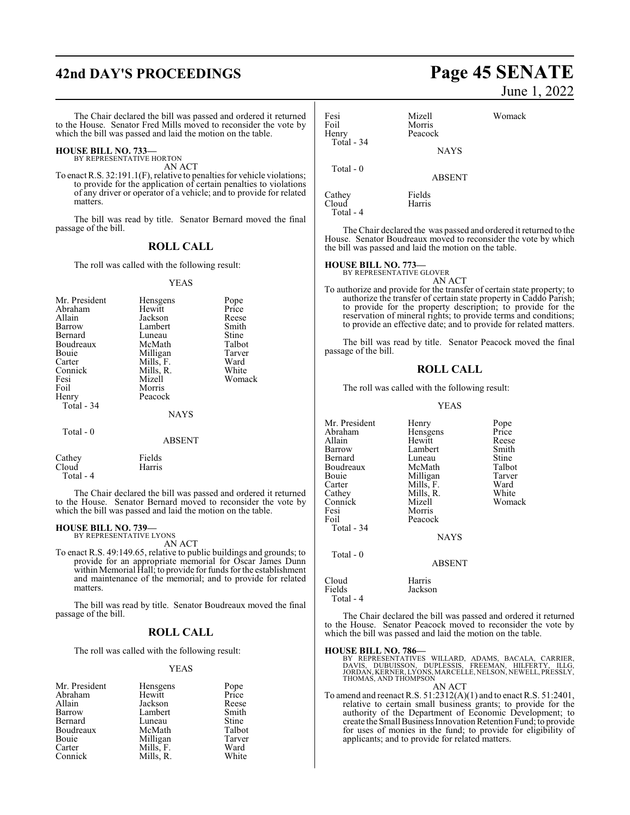# **42nd DAY'S PROCEEDINGS Page 45 SENATE**

The Chair declared the bill was passed and ordered it returned to the House. Senator Fred Mills moved to reconsider the vote by which the bill was passed and laid the motion on the table.

#### **HOUSE BILL NO. 733—** BY REPRESENTATIVE HORTON

AN ACT

To enact R.S. 32:191.1(F), relative to penalties for vehicle violations; to provide for the application of certain penalties to violations of any driver or operator of a vehicle; and to provide for related matters.

The bill was read by title. Senator Bernard moved the final passage of the bill.

#### **ROLL CALL**

The roll was called with the following result:

#### YEAS

| Mr. President | Hensgens    | Pope   |
|---------------|-------------|--------|
| Abraham       | Hewitt      | Price  |
| Allain        | Jackson     | Reese  |
| Barrow        | Lambert     | Smith  |
| Bernard       | Luneau      | Stine  |
| Boudreaux     | McMath      | Talbot |
| Bouie         | Milligan    | Tarver |
| Carter        | Mills, F.   | Ward   |
| Connick       | Mills, R.   | White  |
| Fesi          | Mizell      | Womack |
| Foil          | Morris      |        |
| Henry         | Peacock     |        |
| Total - 34    |             |        |
|               | <b>NAYS</b> |        |
| Total - 0     |             |        |
|               | ABSENT      |        |

Cathey Fields<br>Cloud Harris Cloud Total - 4

The Chair declared the bill was passed and ordered it returned to the House. Senator Bernard moved to reconsider the vote by which the bill was passed and laid the motion on the table.

# **HOUSE BILL NO. 739—** BY REPRESENTATIVE LYONS AN ACT

To enact R.S. 49:149.65, relative to public buildings and grounds; to provide for an appropriate memorial for Oscar James Dunn within Memorial Hall; to provide for funds for the establishment and maintenance of the memorial; and to provide for related matters.

The bill was read by title. Senator Boudreaux moved the final passage of the bill.

#### **ROLL CALL**

The roll was called with the following result:

#### YEAS

| Mr. President | Hensgens  | Pope<br>Price |
|---------------|-----------|---------------|
| Abraham       | Hewitt    |               |
| Allain        | Jackson   | Reese         |
| Barrow        | Lambert   | Smith         |
| Bernard       | Luneau    | <b>Stine</b>  |
| Boudreaux     | McMath    | Talbot        |
| Bouie         | Milligan  | Tarver        |
| Carter        | Mills, F. | Ward          |
| Connick       | Mills, R. | White         |

# June 1, 2022

Fesi Mizell Womack Foil Morris<br>
Henry Peacoc Peacock Total - 34 **NAYS**  Total - 0 ABSENT Cathey Fields<br>Cloud Harris Harris

The Chair declared the was passed and ordered it returned to the House. Senator Boudreaux moved to reconsider the vote by which the bill was passed and laid the motion on the table.

# **HOUSE BILL NO. 773—** BY REPRESENTATIVE GLOVER

Total - 4

AN ACT To authorize and provide for the transfer of certain state property; to authorize the transfer of certain state property in Caddo Parish; to provide for the property description; to provide for the reservation of mineral rights; to provide terms and conditions; to provide an effective date; and to provide for related matters.

The bill was read by title. Senator Peacock moved the final passage of the bill.

#### **ROLL CALL**

The roll was called with the following result:

#### YEAS

Mr. President Henry Pope<br>Abraham Hensgens Price Abraham Hensgens Price<br>Allain Hewitt Reese Allain Hewitt<br>Barrow Lamber Lambert Smith<br>
Luneau Stine Bernard Luneau Stine<br>Boudreaux McMath Talbot Boudreaux McMath Talbot<br>Bouie Milligan Tarver Bouie Milligan Tarver<br>Carter Mills, F. Ward Carter Mills, F. Ward<br>Cathey Mills, R. White Cathey Mills, R.<br>Connick Mizell Connick Mizell Womack Fesi Morris<br>Foil Peacoc Peacock Total - 34 NAYS Total - 0 ABSENT

Cloud Harris Jackson Total - 4

The Chair declared the bill was passed and ordered it returned to the House. Senator Peacock moved to reconsider the vote by which the bill was passed and laid the motion on the table.

#### **HOUSE BILL NO. 786—**

| BY REPRESENTATIVES WILLARD, ADAMS, BACALA, CARRIER,       |
|-----------------------------------------------------------|
| DAVIS, DUBUISSON, DUPLESSIS, FREEMAN, HILFERTY, ILLG,     |
| JORDAN, KERNER, LYONS, MARCELLE, NELSON, NEWELL, PRESSLY, |
| THOMAS, AND THOMPSON                                      |
| AN ACT                                                    |

To amend and reenact R.S. 51:2312(A)(1) and to enact R.S. 51:2401, relative to certain small business grants; to provide for the authority of the Department of Economic Development; to create the Small Business Innovation Retention Fund; to provide for uses of monies in the fund; to provide for eligibility of applicants; and to provide for related matters.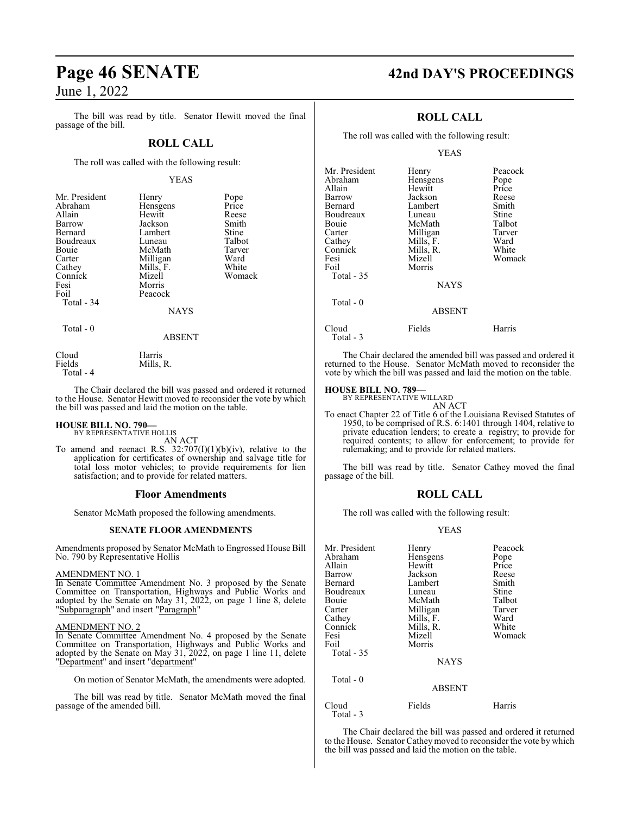The bill was read by title. Senator Hewitt moved the final passage of the bill.

#### **ROLL CALL**

The roll was called with the following result:

#### YEAS

| Mr. President | Henry       | Pope   |
|---------------|-------------|--------|
| Abraham       | Hensgens    | Price  |
| Allain        | Hewitt      | Reese  |
| Barrow        | Jackson     | Smith  |
| Bernard       | Lambert     | Stine  |
| Boudreaux     | Luneau      | Talbot |
| <b>Bouje</b>  | McMath      | Tarver |
| Carter        | Milligan    | Ward   |
| Cathey        | Mills, F.   | White  |
| Connick       | Mizell      | Womack |
| Fesi          | Morris      |        |
| Foil          | Peacock     |        |
| Total - 34    |             |        |
|               | <b>NAYS</b> |        |
| Total - 0     |             |        |
|               | ABSENT      |        |

Cloud Harris<br>Fields Mills, Mills, R.

Total - 4

The Chair declared the bill was passed and ordered it returned to the House. Senator Hewitt moved to reconsider the vote by which the bill was passed and laid the motion on the table.

# **HOUSE BILL NO. 790—** BY REPRESENTATIVE HOLLIS

AN ACT

To amend and reenact R.S.  $32:707(I)(1)(b)(iv)$ , relative to the application for certificates of ownership and salvage title for total loss motor vehicles; to provide requirements for lien satisfaction; and to provide for related matters.

#### **Floor Amendments**

Senator McMath proposed the following amendments.

#### **SENATE FLOOR AMENDMENTS**

Amendments proposed by Senator McMath to Engrossed House Bill No. 790 by Representative Hollis

#### AMENDMENT NO. 1

In Senate Committee Amendment No. 3 proposed by the Senate Committee on Transportation, Highways and Public Works and adopted by the Senate on May 31, 2022, on page 1 line 8, delete 'Subparagraph" and insert "Paragraph"

#### AMENDMENT NO. 2

In Senate Committee Amendment No. 4 proposed by the Senate Committee on Transportation, Highways and Public Works and adopted by the Senate on May 31, 2022, on page 1 line 11, delete "Department" and insert "department"

On motion of Senator McMath, the amendments were adopted.

The bill was read by title. Senator McMath moved the final passage of the amended bill.

# **Page 46 SENATE 42nd DAY'S PROCEEDINGS**

## **ROLL CALL**

The roll was called with the following result:

#### YEAS

| Mr. President<br>Abraham<br>Allain<br>Barrow<br>Bernard<br>Boudreaux<br>Bouie<br>Carter<br>Cathey<br>Connick<br>Fesi<br>Foil<br>Total - 35<br>Total - 0 | Henry<br>Hensgens<br>Hewitt<br>Jackson<br>Lambert<br>Luneau<br>McMath<br>Milligan<br>Mills, F.<br>Mills, R.<br>Mizell<br>Morris<br><b>NAYS</b><br><b>ABSENT</b> | Peacock<br>Pope<br>Price<br>Reese<br>Smith<br>Stine<br>Talbot<br>Tarver<br>Ward<br>White<br>Womack |
|---------------------------------------------------------------------------------------------------------------------------------------------------------|-----------------------------------------------------------------------------------------------------------------------------------------------------------------|----------------------------------------------------------------------------------------------------|
|                                                                                                                                                         |                                                                                                                                                                 |                                                                                                    |
| Cloud<br>$Total - 3$                                                                                                                                    | Fields                                                                                                                                                          | Harris                                                                                             |

The Chair declared the amended bill was passed and ordered it returned to the House. Senator McMath moved to reconsider the vote by which the bill was passed and laid the motion on the table.

#### **HOUSE BILL NO. 789—**

BY REPRESENTATIVE WILLARD AN ACT

To enact Chapter 22 of Title 6 of the Louisiana Revised Statutes of 1950, to be comprised of R.S. 6:1401 through 1404, relative to private education lenders; to create a registry; to provide for required contents; to allow for enforcement; to provide for rulemaking; and to provide for related matters.

The bill was read by title. Senator Cathey moved the final passage of the bill.

#### **ROLL CALL**

The roll was called with the following result:

#### YEAS

| Mr. President      | Henry         | Peacock |
|--------------------|---------------|---------|
| Abraham            | Hensgens      | Pope    |
| Allain             | Hewitt        | Price   |
| Barrow             | Jackson       | Reese   |
| Bernard            | Lambert       | Smith   |
| Boudreaux          | Luneau        | Stine   |
| Bouie              | McMath        | Talbot  |
| Carter             | Milligan      | Tarver  |
| Cathey             | Mills, F.     | Ward    |
| Connick            | Mills, R.     | White   |
| Fesi               | Mizell        | Womack  |
| Foil               | Morris        |         |
| Total - 35         |               |         |
|                    | <b>NAYS</b>   |         |
| Total - 0          |               |         |
|                    | <b>ABSENT</b> |         |
| Cloud<br>Total - 3 | Fields        | Harris  |

The Chair declared the bill was passed and ordered it returned to the House. Senator Cathey moved to reconsider the vote by which the bill was passed and laid the motion on the table.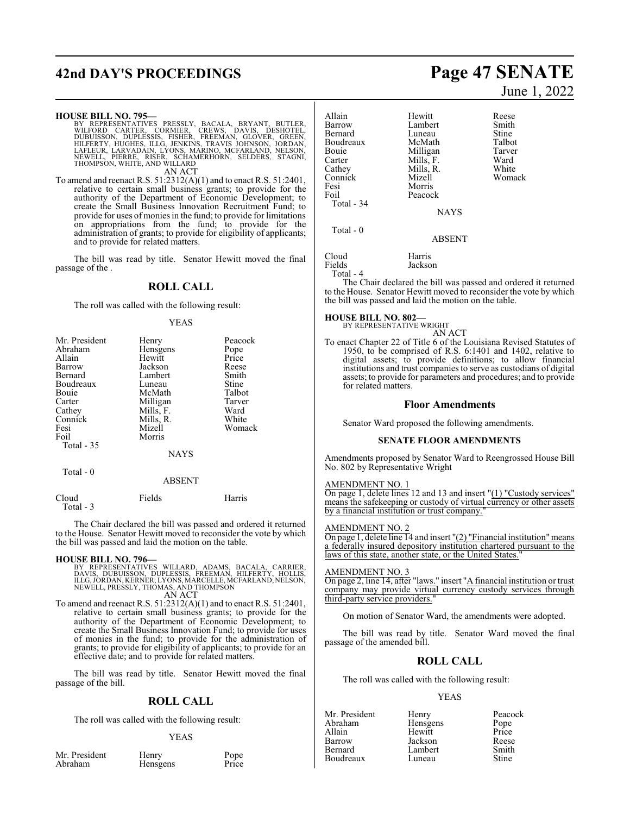# **42nd DAY'S PROCEEDINGS Page 47 SENATE**

#### **HOUSE BILL NO. 795—**

- BY REPRESENTATIVES PRESSLY, BACALA, BRYANT, BUTLER,<br>WILFORD CARTER, CORMIER, CREWS, DAVIS, DESHOTEL,<br>DUBUISSON, DUPLESSIS, FISHER, FREEMAN, GLOVER, GREEN,<br>HILFERTY, HUGHES, ILLG, JENKINS, TRAVIS JOHNSON, JORDAN,<br>LAFLEUR, L AN ACT
- To amend and reenact R.S. 51:2312(A)(1) and to enact R.S. 51:2401, relative to certain small business grants; to provide for the authority of the Department of Economic Development; to create the Small Business Innovation Recruitment Fund; to provide for uses of monies in the fund; to provide for limitations on appropriations from the fund; to provide for the administration of grants; to provide for eligibility of applicants; and to provide for related matters.

The bill was read by title. Senator Hewitt moved the final passage of the .

#### **ROLL CALL**

#### The roll was called with the following result:

#### YEAS

| Henry         | Peacock |
|---------------|---------|
| Hensgens      | Pope    |
|               | Price   |
| Jackson       | Reese   |
| Lambert       | Smith   |
| Luneau        | Stine   |
| McMath        | Talbot  |
| Milligan      | Tarver  |
| Mills, F.     | Ward    |
| Mills, R.     | White   |
| Mizell        | Womack  |
| Morris        |         |
|               |         |
| NAYS          |         |
| <b>ABSENT</b> |         |
|               | Hewitt  |

Cloud Fields Harris Total - 3

The Chair declared the bill was passed and ordered it returned to the House. Senator Hewitt moved to reconsider the vote by which the bill was passed and laid the motion on the table.

#### **HOUSE BILL NO. 796—**

BY REPRESENTATIVES WILLARD, ADAMS, BACALA, CARRIER,<br>DAVIS, DUBUISSON, DUPLESSIS, FREEMAN, HILFERTY, HOLLIS,<br>ILLG,JORDAN,KERNER,LYONS,MARCELLE,MCFARLAND,NELSON,<br>NEWELL,PRESSLY,THOMAS,ANDTHOMPSON<br>AN ACT

To amend and reenact R.S.  $51:2312(A)(1)$  and to enact R.S.  $51:2401$ , relative to certain small business grants; to provide for the authority of the Department of Economic Development; to create the Small Business Innovation Fund; to provide for uses of monies in the fund; to provide for the administration of grants; to provide for eligibility of applicants; to provide for an effective date; and to provide for related matters.

The bill was read by title. Senator Hewitt moved the final passage of the bill.

#### **ROLL CALL**

The roll was called with the following result:

#### YEAS

| Mr. President |  |
|---------------|--|
| Abraham       |  |

President Henry Pope Hensgens

| Allain<br>Barrow<br><b>Bernard</b><br>Boudreaux<br>Bouie<br>Carter<br>Cathey<br>Connick<br>Fesi<br>Foil | Hewitt<br>Lambert<br>Luneau<br>McMath<br>Milligan<br>Mills, F.<br>Mills, R.<br>Mizell<br>Morris<br>Peacock | Reese<br>Smith<br>Stine<br>Talbot<br>Tarver<br>Ward<br>White<br>Womack |
|---------------------------------------------------------------------------------------------------------|------------------------------------------------------------------------------------------------------------|------------------------------------------------------------------------|
| Total - 34                                                                                              | <b>NAYS</b>                                                                                                |                                                                        |
| Total - 0                                                                                               | ABSENT                                                                                                     |                                                                        |

Cloud Harris Jackson

Total - 4

The Chair declared the bill was passed and ordered it returned to the House. Senator Hewitt moved to reconsider the vote by which the bill was passed and laid the motion on the table.

#### **HOUSE BILL NO. 802—**

BY REPRESENTATIVE WRIGHT AN ACT

To enact Chapter 22 of Title 6 of the Louisiana Revised Statutes of 1950, to be comprised of R.S. 6:1401 and 1402, relative to digital assets; to provide definitions; to allow financial institutions and trust companies to serve as custodians of digital assets; to provide for parameters and procedures; and to provide for related matters.

#### **Floor Amendments**

Senator Ward proposed the following amendments.

#### **SENATE FLOOR AMENDMENTS**

Amendments proposed by Senator Ward to Reengrossed House Bill No. 802 by Representative Wright

#### AMENDMENT NO. 1

On page 1, delete lines 12 and 13 and insert "(1) "Custody services" means the safekeeping or custody of virtual currency or other assets by a financial institution or trust company."

#### AMENDMENT NO. 2

On page 1, delete line 14 and insert "(2) "Financial institution"means a federally insured depository institution chartered pursuant to the laws of this state, another state, or the United States.

#### AMENDMENT NO. 3

On page 2, line 14, after "laws." insert "A financial institution or trust company may provide virtual currency custody services through third-party service providers."

On motion of Senator Ward, the amendments were adopted.

The bill was read by title. Senator Ward moved the final passage of the amended bill.

## **ROLL CALL**

The roll was called with the following result:

#### YEAS

| Mr. President | Henry    | Peacock      |
|---------------|----------|--------------|
| Abraham       | Hensgens | Pope         |
| Allain        | Hewitt   | Price        |
| Barrow        | Jackson  | Reese        |
| Bernard       | Lambert  | Smith        |
| Boudreaux     | Luneau   | <b>Stine</b> |

June 1, 2022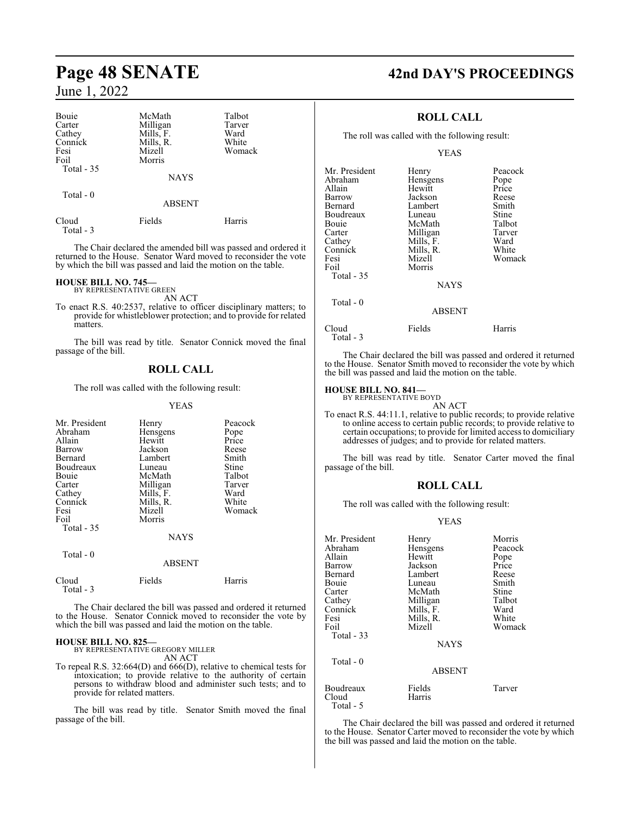| Bouie<br>Carter<br>Cathey<br>Connick<br>Fesi<br>Foil<br>Total $-35$ | McMath<br>Milligan<br>Mills, F.<br>Mills, R.<br>Mizell<br>Morris | Talbot<br>Tarver<br>Ward<br>White<br>Womack |
|---------------------------------------------------------------------|------------------------------------------------------------------|---------------------------------------------|
|                                                                     | <b>NAYS</b>                                                      |                                             |
| Total $-0$                                                          | <b>ABSENT</b>                                                    |                                             |
| Cloud<br>Total - 3                                                  | Fields                                                           | Harris                                      |

The Chair declared the amended bill was passed and ordered it returned to the House. Senator Ward moved to reconsider the vote by which the bill was passed and laid the motion on the table.

#### **HOUSE BILL NO. 745—**

BY REPRESENTATIVE GREEN AN ACT

To enact R.S. 40:2537, relative to officer disciplinary matters; to provide for whistleblower protection; and to provide for related matters.

The bill was read by title. Senator Connick moved the final passage of the bill.

#### **ROLL CALL**

The roll was called with the following result:

YEAS

| Mr. President<br>Abraham<br>Allain<br>Barrow<br>Bernard<br>Boudreaux<br>Bouie<br>Carter<br>Cathey<br>Connick<br>Fesi<br>Foil<br>Total $-35$ | Henry<br>Hensgens<br>Hewitt<br>Jackson<br>Lambert<br>Luneau<br>McMath<br>Milligan<br>Mills, F.<br>Mills, R.<br>Mizell<br>Morris<br><b>NAYS</b> | Peacock<br>Pope<br>Price<br>Reese<br>Smith<br>Stine<br>Talbot<br>Tarver<br>Ward<br>White<br>Womack |
|---------------------------------------------------------------------------------------------------------------------------------------------|------------------------------------------------------------------------------------------------------------------------------------------------|----------------------------------------------------------------------------------------------------|
| Total $-0$                                                                                                                                  | <b>ABSENT</b>                                                                                                                                  |                                                                                                    |
| Cloud                                                                                                                                       | Fields                                                                                                                                         | Harrıs                                                                                             |

The Chair declared the bill was passed and ordered it returned to the House. Senator Connick moved to reconsider the vote by which the bill was passed and laid the motion on the table.

# **HOUSE BILL NO. 825—** BY REPRESENTATIVE GREGORY MILLER

Total - 3

AN ACT

To repeal R.S. 32:664(D) and 666(D), relative to chemical tests for intoxication; to provide relative to the authority of certain persons to withdraw blood and administer such tests; and to provide for related matters.

The bill was read by title. Senator Smith moved the final passage of the bill.

# **Page 48 SENATE 42nd DAY'S PROCEEDINGS**

## **ROLL CALL**

The roll was called with the following result:

YEAS

| Mr. President<br>Abraham<br>Allain<br>Barrow<br>Bernard<br>Boudreaux | Henry<br>Hensgens<br>Hewitt<br>Jackson<br>Lambert<br>Luneau           | Peacock<br>Pope<br>Price<br>Reese<br>Smith<br>Stine |
|----------------------------------------------------------------------|-----------------------------------------------------------------------|-----------------------------------------------------|
| Cathey<br>Connick<br>Fesi<br>Foil<br>Total - 35                      | Milligan<br>Mills, F.<br>Mills, R.<br>Mizell<br>Morris<br><b>NAYS</b> | Ward<br>White<br>Womack                             |
| Total - 0                                                            | <b>ABSENT</b>                                                         |                                                     |
| Cloud                                                                | Fields                                                                | Harris                                              |

The Chair declared the bill was passed and ordered it returned to the House. Senator Smith moved to reconsider the vote by which the bill was passed and laid the motion on the table.

#### **HOUSE BILL NO. 841—**

Total - 3

BY REPRESENTATIVE BOYD AN ACT

To enact R.S. 44:11.1, relative to public records; to provide relative to online access to certain public records; to provide relative to certain occupations; to provide for limited access to domiciliary addresses of judges; and to provide for related matters.

The bill was read by title. Senator Carter moved the final passage of the bill.

### **ROLL CALL**

The roll was called with the following result:

#### YEAS

| Mr. President | Henry         | Morris  |
|---------------|---------------|---------|
| Abraham       | Hensgens      | Peacock |
| Allain        | Hewitt        | Pope    |
| Barrow        | Jackson       | Price   |
| Bernard       | Lambert       | Reese   |
| Bouie         | Luneau        | Smith   |
| Carter        | McMath        | Stine   |
| Cathey        | Milligan      | Talbot  |
| Connick       | Mills, F.     | Ward    |
| Fesi          | Mills, R.     | White   |
| Foil          | Mizell        | Womack  |
| Total - 33    |               |         |
|               | <b>NAYS</b>   |         |
| Total - 0     |               |         |
|               | <b>ABSENT</b> |         |
| Boudreaux     | Fields        | Tarver  |
| Cloud         | Harris        |         |
| Total - 5     |               |         |

The Chair declared the bill was passed and ordered it returned to the House. Senator Carter moved to reconsider the vote by which the bill was passed and laid the motion on the table.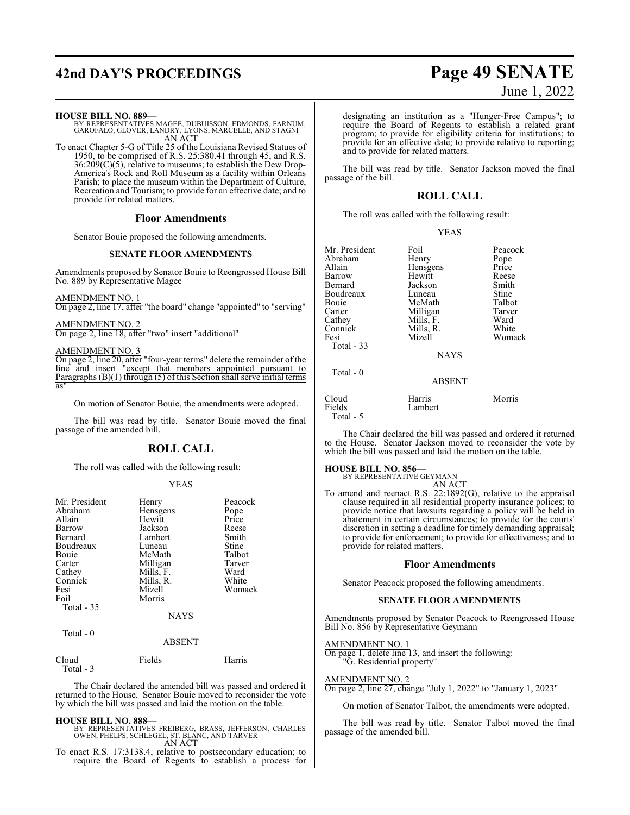# **42nd DAY'S PROCEEDINGS Page 49 SENATE**

#### **HOUSE BILL NO. 889—**

BY REPRESENTATIVES MAGEE, DUBUISSON, EDMONDS, FARNUM, GAROFALO, GLOVER, LANDRY, LYONS, MARCELLE, AND STAGNI AN ACT

To enact Chapter 5-G of Title 25 of the Louisiana Revised Statues of 1950, to be comprised of R.S. 25:380.41 through 45, and R.S.  $36:209(C)(5)$ , relative to museums; to establish the Dew Drop-America's Rock and Roll Museum as a facility within Orleans Parish; to place the museum within the Department of Culture, Recreation and Tourism; to provide for an effective date; and to provide for related matters.

#### **Floor Amendments**

Senator Bouie proposed the following amendments.

#### **SENATE FLOOR AMENDMENTS**

Amendments proposed by Senator Bouie to Reengrossed House Bill No. 889 by Representative Magee

#### AMENDMENT NO. 1

On page 2, line 17, after "the board" change "appointed" to "serving"

#### AMENDMENT NO. 2

On page 2, line 18, after "two" insert "additional"

#### AMENDMENT NO. 3

On page 2, line 20, after "four-year terms" delete the remainder of the line and insert "except that members appointed pursuant to Paragraphs (B)(1) through (5) of this Section shall serve initial terms as"

On motion of Senator Bouie, the amendments were adopted.

The bill was read by title. Senator Bouie moved the final passage of the amended bill.

#### **ROLL CALL**

The roll was called with the following result:

#### YEAS

| Mr. President<br>Abraham<br>Allain<br>Barrow<br>Bernard<br>Boudreaux<br>Bouie<br>Carter<br>Cathey<br>Connick<br>Fesi<br>Foil<br>Total - 35 | Henry<br>Hensgens<br>Hewitt<br>Jackson<br>Lambert<br>Luneau<br>McMath<br>Milligan<br>Mills, F.<br>Mills, R.<br>Mizell<br>Morris<br><b>NAYS</b> | Peacock<br>Pope<br>Price<br>Reese<br>Smith<br>Stine<br>Talbot<br>Tarver<br>Ward<br>White<br>Womack |
|--------------------------------------------------------------------------------------------------------------------------------------------|------------------------------------------------------------------------------------------------------------------------------------------------|----------------------------------------------------------------------------------------------------|
| Total $-0$                                                                                                                                 | <b>ABSENT</b>                                                                                                                                  |                                                                                                    |

| Cloud     | Fields | Harris |
|-----------|--------|--------|
| Total - 3 |        |        |

The Chair declared the amended bill was passed and ordered it returned to the House. Senator Bouie moved to reconsider the vote by which the bill was passed and laid the motion on the table.

## **HOUSE BILL NO. 888—**

BY REPRESENTATIVES FREIBERG, BRASS, JEFFERSON, CHARLES OWEN, PHELPS, SCHLEGEL, ST. BLANC, AND TARVER AN ACT

To enact R.S. 17:3138.4, relative to postsecondary education; to require the Board of Regents to establish a process for

# June 1, 2022

designating an institution as a "Hunger-Free Campus"; to require the Board of Regents to establish a related grant program; to provide for eligibility criteria for institutions; to provide for an effective date; to provide relative to reporting; and to provide for related matters.

The bill was read by title. Senator Jackson moved the final passage of the bill.

#### **ROLL CALL**

The roll was called with the following result:

| v<br>I |
|--------|
|        |

| Mr. President<br>Abraham<br>Allain<br>Barrow<br>Bernard<br>Boudreaux<br>Bouie<br>Carter<br>Cathey<br>Connick<br>Fesi | Foil<br>Henry<br>Hensgens<br>Hewitt<br>Jackson<br>Luneau<br>McMath<br>Milligan<br>Mills, F.<br>Mills, R.<br>Mizell | Peacock<br>Pope<br>Price<br>Reese<br>Smith<br>Stine<br>Talbot<br>Tarver<br>Ward<br>White<br>Womack |
|----------------------------------------------------------------------------------------------------------------------|--------------------------------------------------------------------------------------------------------------------|----------------------------------------------------------------------------------------------------|
| Total $-33$                                                                                                          | <b>NAYS</b>                                                                                                        |                                                                                                    |
| Total $-0$                                                                                                           | <b>ABSENT</b>                                                                                                      |                                                                                                    |
| Cloud<br>Fields                                                                                                      | Harris<br>Lambert                                                                                                  | Morris                                                                                             |

The Chair declared the bill was passed and ordered it returned to the House. Senator Jackson moved to reconsider the vote by which the bill was passed and laid the motion on the table.

#### **HOUSE BILL NO. 856—**

Total - 5

BY REPRESENTATIVE GEYMANN AN ACT

To amend and reenact R.S. 22:1892(G), relative to the appraisal clause required in all residential property insurance polices; to provide notice that lawsuits regarding a policy will be held in abatement in certain circumstances; to provide for the courts' discretion in setting a deadline for timely demanding appraisal; to provide for enforcement; to provide for effectiveness; and to provide for related matters.

#### **Floor Amendments**

Senator Peacock proposed the following amendments.

## **SENATE FLOOR AMENDMENTS**

Amendments proposed by Senator Peacock to Reengrossed House Bill No. 856 by Representative Geymann

#### AMENDMENT NO. 1

On page 1, delete line 13, and insert the following: 'G. Residential property''

#### AMENDMENT NO. 2

On page 2, line 27, change "July 1, 2022" to "January 1, 2023"

On motion of Senator Talbot, the amendments were adopted.

The bill was read by title. Senator Talbot moved the final passage of the amended bill.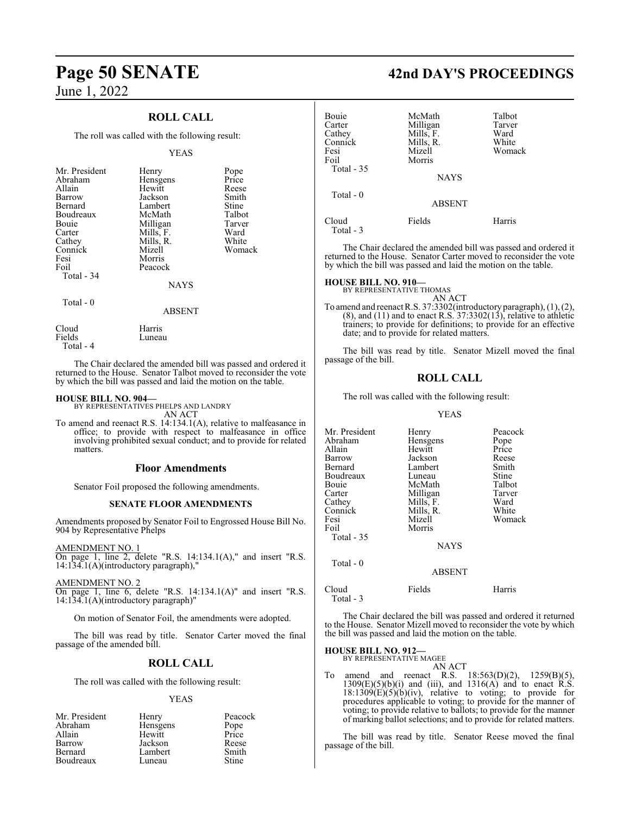### **ROLL CALL**

The roll was called with the following result:

#### YEAS

| Mr. President<br>Abraham<br>Allain<br>Barrow<br>Bernard<br>Boudreaux<br><b>Bouje</b><br>Carter<br>Cathey | Henry<br>Hensgens<br>Hewitt<br>Jackson<br>Lambert<br>McMath<br>Milligan<br>Mills, F.<br>Mills, R. | Pope<br>Price<br>Reese<br>Smith<br>Stine<br>Talbot<br>Tarver<br>Ward<br>White |
|----------------------------------------------------------------------------------------------------------|---------------------------------------------------------------------------------------------------|-------------------------------------------------------------------------------|
| Fesi<br>Foil                                                                                             | Morris<br>Peacock                                                                                 |                                                                               |
| Total - 34                                                                                               | <b>NAYS</b>                                                                                       |                                                                               |
| Total $-0$                                                                                               | ABSENT                                                                                            |                                                                               |

Cloud Harris<br>Fields Luneau

Total - 4

The Chair declared the amended bill was passed and ordered it returned to the House. Senator Talbot moved to reconsider the vote by which the bill was passed and laid the motion on the table.

#### **HOUSE BILL NO. 904—**

BY REPRESENTATIVES PHELPS AND LANDRY AN ACT

Luneau

To amend and reenact R.S. 14:134.1(A), relative to malfeasance in office; to provide with respect to malfeasance in office involving prohibited sexual conduct; and to provide for related matters.

#### **Floor Amendments**

Senator Foil proposed the following amendments.

#### **SENATE FLOOR AMENDMENTS**

Amendments proposed by Senator Foil to Engrossed House Bill No. 904 by Representative Phelps

AMENDMENT NO. 1 On page 1, line 2, delete "R.S. 14:134.1(A)," and insert "R.S. 14:134.1(A)(introductory paragraph),"

AMENDMENT NO. 2

On page 1, line 6, delete "R.S. 14:134.1(A)" and insert "R.S. 14:134.1(A)(introductory paragraph)"

On motion of Senator Foil, the amendments were adopted.

The bill was read by title. Senator Carter moved the final passage of the amended bill.

#### **ROLL CALL**

The roll was called with the following result:

#### YEAS

| Mr. President | Henry    | Peacock |
|---------------|----------|---------|
| Abraham       | Hensgens | Pope    |
| Allain        | Hewitt   | Price   |
| Barrow        | Jackson  | Reese   |
| Bernard       | Lambert  | Smith   |
| Boudreaux     | Luneau   | Stine   |

# **Page 50 SENATE 42nd DAY'S PROCEEDINGS**

| Bouie<br>Carter<br>Cathey<br>Connick | McMath<br>Milligan<br>Mills, F.<br>Mills, R. | Talbot<br>Tarver<br>Ward<br>White |
|--------------------------------------|----------------------------------------------|-----------------------------------|
| Fesi<br>Foil<br>Total - 35           | Mizell<br>Morris                             | Womack                            |
|                                      | <b>NAYS</b>                                  |                                   |
| Total $-0$                           | <b>ABSENT</b>                                |                                   |
| Cloud<br>Total - 3                   | Fields                                       | Harris                            |

The Chair declared the amended bill was passed and ordered it returned to the House. Senator Carter moved to reconsider the vote by which the bill was passed and laid the motion on the table.

#### **HOUSE BILL NO. 910—**

BY REPRESENTATIVE THOMAS AN ACT

To amend and reenact R.S. 37:3302(introductory paragraph),  $(1)$ ,  $(2)$ ,  $(8)$ , and  $(11)$  and to enact R.S.  $37:3302(13)$ , relative to athletic trainers; to provide for definitions; to provide for an effective date; and to provide for related matters.

The bill was read by title. Senator Mizell moved the final passage of the bill.

## **ROLL CALL**

The roll was called with the following result:

#### YEAS

| Mr. President      | Henry         | Peacock       |
|--------------------|---------------|---------------|
| Abraham            | Hensgens      |               |
| Allain             | Hewitt        | Pope<br>Price |
|                    |               |               |
| Barrow             | Jackson       | Reese         |
| Bernard            | Lambert       | Smith         |
| Boudreaux          | Luneau        | Stine         |
| Bouie              | McMath        | Talbot        |
| Carter             | Milligan      | Tarver        |
| Cathey             | Mills, F.     | Ward          |
| Connick            | Mills, R.     | White         |
| Fesi               | Mizell        | Womack        |
| Foil               | Morris        |               |
| Total - 35         |               |               |
|                    | <b>NAYS</b>   |               |
| Total $-0$         |               |               |
|                    | <b>ABSENT</b> |               |
| Cloud<br>Total - 3 | Fields        | Harris        |

The Chair declared the bill was passed and ordered it returned to the House. Senator Mizell moved to reconsider the vote by which the bill was passed and laid the motion on the table.

**HOUSE BILL NO. 912—**

BY REPRESENTATIVE MAGEE

AN ACT To amend and reenact R.S. 18:563(D)(2), 1259(B)(5),  $1309(E)(5)(b)(i)$  and (iii), and  $1316(A)$  and to enact R.S.  $18:1309(E)(5)(b)(iv)$ , relative to voting; to provide for procedures applicable to voting; to provide for the manner of voting; to provide relative to ballots; to provide for the manner of marking ballot selections; and to provide for related matters.

The bill was read by title. Senator Reese moved the final passage of the bill.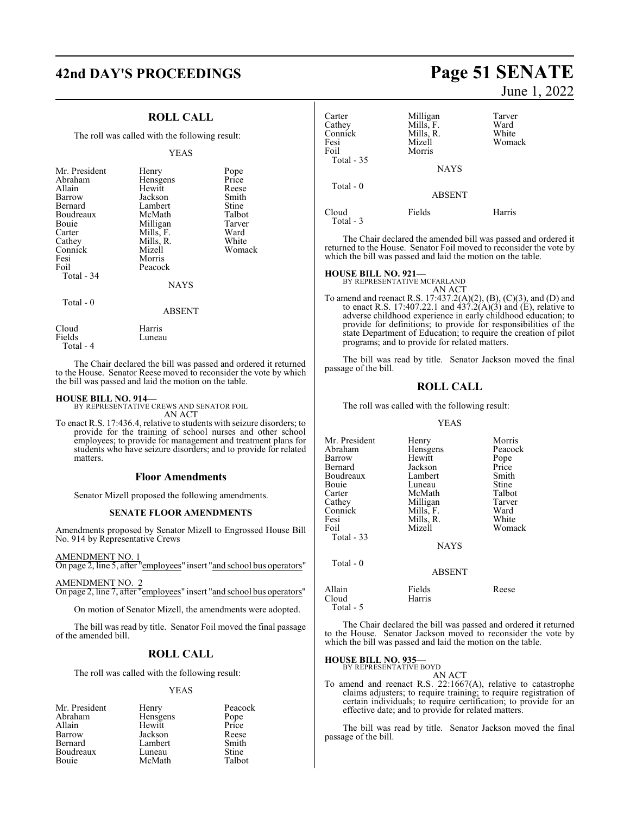# **42nd DAY'S PROCEEDINGS Page 51 SENATE**

### **ROLL CALL**

The roll was called with the following result:

#### YEAS

| Mr. President<br>Abraham<br>Allain<br>Barrow<br>Bernard<br>Boudreaux<br>Bouie<br>Carter<br>Cathey<br>Connick<br>Fesi<br>Foil<br>Total - 34 | Henry<br>Hensgens<br>Hewitt<br>Jackson<br>Lambert<br>McMath<br>Milligan<br>Mills, F.<br>Mills, R.<br>Mizell<br>Morris<br>Peacock | Pope<br>Price<br>Reese<br>Smith<br>Stine<br>Talbot<br>Tarver<br>Ward<br>White<br>Womack |
|--------------------------------------------------------------------------------------------------------------------------------------------|----------------------------------------------------------------------------------------------------------------------------------|-----------------------------------------------------------------------------------------|
|                                                                                                                                            | <b>NAYS</b>                                                                                                                      |                                                                                         |
| $Total - 0$                                                                                                                                | ABSENT                                                                                                                           |                                                                                         |

Luneau

Cloud Harris<br>Fields Luneau

Total - 4

The Chair declared the bill was passed and ordered it returned to the House. Senator Reese moved to reconsider the vote by which the bill was passed and laid the motion on the table.

**HOUSE BILL NO. 914—** BY REPRESENTATIVE CREWS AND SENATOR FOIL AN ACT

To enact R.S. 17:436.4, relative to students with seizure disorders; to provide for the training of school nurses and other school employees; to provide for management and treatment plans for students who have seizure disorders; and to provide for related matters.

#### **Floor Amendments**

Senator Mizell proposed the following amendments.

#### **SENATE FLOOR AMENDMENTS**

Amendments proposed by Senator Mizell to Engrossed House Bill No. 914 by Representative Crews

AMENDMENT NO. 1

On page 2, line 5, after "employees" insert "and school bus operators"

#### AMENDMENT NO. 2 On page 2, line 7, after "employees" insert "and school bus operators"

On motion of Senator Mizell, the amendments were adopted.

The bill was read by title. Senator Foil moved the final passage of the amended bill.

#### **ROLL CALL**

The roll was called with the following result:

#### YEAS

| Mr. President | Henry    | Peacock |
|---------------|----------|---------|
| Abraham       | Hensgens | Pope    |
| Allain        | Hewitt   | Price   |
| Barrow        | Jackson  | Reese   |
| Bernard       | Lambert  | Smith   |
| Boudreaux     | Luneau   | Stine   |
| Bouie         | McMath   | Talbot  |

June 1, 2022

| Carter<br>Cathey<br>Connick<br>Fesi<br>Foil<br>Total - 35 | Milligan<br>Mills, F.<br>Mills, R.<br>Mizell<br>Morris | Tarver<br>Ward<br>White<br>Womack |
|-----------------------------------------------------------|--------------------------------------------------------|-----------------------------------|
|                                                           | <b>NAYS</b>                                            |                                   |
| Total $-0$                                                | <b>ABSENT</b>                                          |                                   |
| Cloud<br>Total - 3                                        | Fields                                                 | Harris                            |

The Chair declared the amended bill was passed and ordered it returned to the House. Senator Foil moved to reconsider the vote by which the bill was passed and laid the motion on the table.

#### **HOUSE BILL NO. 921—**

BY REPRESENTATIVE MCFARLAND

AN ACT To amend and reenact R.S. 17:437.2(A)(2), (B), (C)(3), and (D) and to enact R.S. 17:407.22.1 and  $437.2(A)(3)$  and (E), relative to adverse childhood experience in early childhood education; to provide for definitions; to provide for responsibilities of the state Department of Education; to require the creation of pilot programs; and to provide for related matters.

The bill was read by title. Senator Jackson moved the final passage of the bill.

#### **ROLL CALL**

The roll was called with the following result:

#### YEAS

| Mr. President | Henry         | Morris  |
|---------------|---------------|---------|
| Abraham       | Hensgens      | Peacock |
| Barrow        | Hewitt        | Pope    |
| Bernard       | Jackson       | Price   |
| Boudreaux     | Lambert       | Smith   |
| Bouie         | Luneau        | Stine   |
| Carter        | McMath        | Talbot  |
| Cathey        | Milligan      | Tarver  |
| Connick       | Mills, F.     | Ward    |
| Fesi          | Mills, R.     | White   |
| Foil          | Mizell        | Womack  |
| Total - 33    |               |         |
|               | <b>NAYS</b>   |         |
| Total - 0     |               |         |
|               | <b>ABSENT</b> |         |
| Allain        | Fields        | Reese   |
| Cloud         | Harris        |         |

Total - 5

The Chair declared the bill was passed and ordered it returned to the House. Senator Jackson moved to reconsider the vote by which the bill was passed and laid the motion on the table.

#### **HOUSE BILL NO. 935—**

BY REPRESENTATIVE BOYD

AN ACT To amend and reenact R.S. 22:1667(A), relative to catastrophe claims adjusters; to require training; to require registration of certain individuals; to require certification; to provide for an effective date; and to provide for related matters.

The bill was read by title. Senator Jackson moved the final passage of the bill.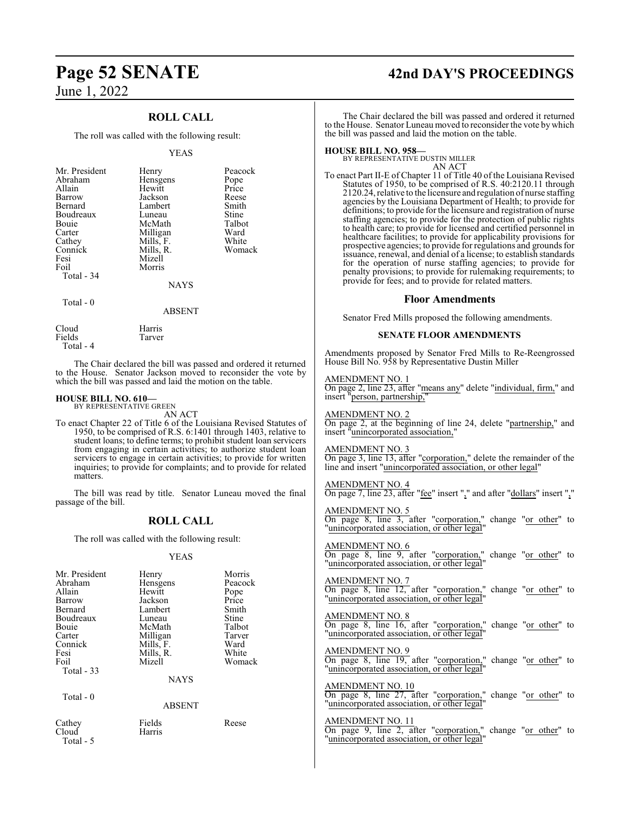## **ROLL CALL**

The roll was called with the following result:

#### YEAS

| Mr. President<br>Abraham<br>Allain<br>Barrow<br>Bernard<br>Boudreaux<br>Bouie<br>Carter<br>Cathey<br>Connick<br>Fesi<br>Foil | Henry<br>Hensgens<br>Hewitt<br>Jackson<br>Lambert<br>Luneau<br>McMath<br>Milligan<br>Mills, F.<br>Mills, R.<br>Mizell<br>Morris | Peacock<br>Pope<br>Price<br>Reese<br>Smith<br>Stine<br>Talbot<br>Ward<br>White<br>Womack |
|------------------------------------------------------------------------------------------------------------------------------|---------------------------------------------------------------------------------------------------------------------------------|------------------------------------------------------------------------------------------|
| Total - 34<br>$Total - 0$                                                                                                    | <b>NAYS</b><br>ABSENT                                                                                                           |                                                                                          |

Tarver

Cloud Harris<br>Fields Tarver

Total - 4

The Chair declared the bill was passed and ordered it returned to the House. Senator Jackson moved to reconsider the vote by which the bill was passed and laid the motion on the table.

#### **HOUSE BILL NO. 610—** BY REPRESENTATIVE GREEN

AN ACT

To enact Chapter 22 of Title 6 of the Louisiana Revised Statutes of 1950, to be comprised of R.S. 6:1401 through 1403, relative to student loans; to define terms; to prohibit student loan servicers from engaging in certain activities; to authorize student loan servicers to engage in certain activities; to provide for written inquiries; to provide for complaints; and to provide for related matters.

The bill was read by title. Senator Luneau moved the final passage of the bill.

## **ROLL CALL**

The roll was called with the following result:

#### YEAS

| Mr. President   | Henry            | Morris  |
|-----------------|------------------|---------|
| Abraham         | Hensgens         | Peacock |
| Allain          | Hewitt           | Pope    |
| Barrow          | Jackson          | Price   |
| Bernard         | Lambert          | Smith   |
| Boudreaux       | Luneau           | Stine   |
| Bouie           | McMath           | Talbot  |
| Carter          | Milligan         | Tarver  |
| Connick         | Mills, F.        | Ward    |
| Fesi            | Mills, R.        | White   |
| Foil            | Mizell           | Womack  |
| Total $-33$     |                  |         |
|                 | <b>NAYS</b>      |         |
| Total $-0$      |                  |         |
|                 | <b>ABSENT</b>    |         |
| Cathey<br>Cloud | Fields<br>Harris | Reese   |

Total - 5

# **Page 52 SENATE 42nd DAY'S PROCEEDINGS**

The Chair declared the bill was passed and ordered it returned to the House. Senator Luneau moved to reconsider the vote by which the bill was passed and laid the motion on the table.

**HOUSE BILL NO. 958—** BY REPRESENTATIVE DUSTIN MILLER AN ACT

To enact Part II-E of Chapter 11 of Title 40 of the Louisiana Revised Statutes of 1950, to be comprised of R.S. 40:2120.11 through 2120.24, relative to the licensure and regulation of nurse staffing agencies by the Louisiana Department of Health; to provide for definitions; to provide for the licensure and registration of nurse staffing agencies; to provide for the protection of public rights to health care; to provide for licensed and certified personnel in healthcare facilities; to provide for applicability provisions for prospective agencies; to provide for regulations and grounds for issuance, renewal, and denial of a license; to establish standards for the operation of nurse staffing agencies; to provide for penalty provisions; to provide for rulemaking requirements; to provide for fees; and to provide for related matters.

#### **Floor Amendments**

Senator Fred Mills proposed the following amendments.

#### **SENATE FLOOR AMENDMENTS**

Amendments proposed by Senator Fred Mills to Re-Reengrossed House Bill No. 958 by Representative Dustin Miller

#### AMENDMENT NO. 1

On page 2, line 23, after "means any" delete "individual, firm," and insert "person, partnership,"

#### AMENDMENT NO. 2

On page 2, at the beginning of line 24, delete "partnership," and insert "unincorporated association,"

#### AMENDMENT NO. 3

On page 3, line 13, after "corporation," delete the remainder of the line and insert "unincorporated association, or other legal"

## AMENDMENT NO. 4

On page 7, line 23, after "fee" insert "," and after "dollars" insert ","

#### AMENDMENT NO. 5

On page 8, line 3, after "corporation," change "or other" to "unincorporated association, or other legal"

## AMENDMENT NO. 6

On page 8, line 9, after "corporation," change "or other" to "unincorporated association, or other legal"

AMENDMENT NO. 7 On page 8, line 12, after "corporation," change "or other" to "unincorporated association, or other legal"

AMENDMENT NO. 8 On page 8, line 16, after "corporation," change "or other" to "unincorporated association, or other legal"

AMENDMENT NO. 9 On page 8, line 19, after "corporation," change "or other" to "unincorporated association, or other legal"

AMENDMENT NO. 10 On page 8, line 27, after "corporation," change "or other" to "unincorporated association, or other legal"

AMENDMENT NO. 11 On page 9, line 2, after "corporation," change "or other" to 'unincorporated association, or other legal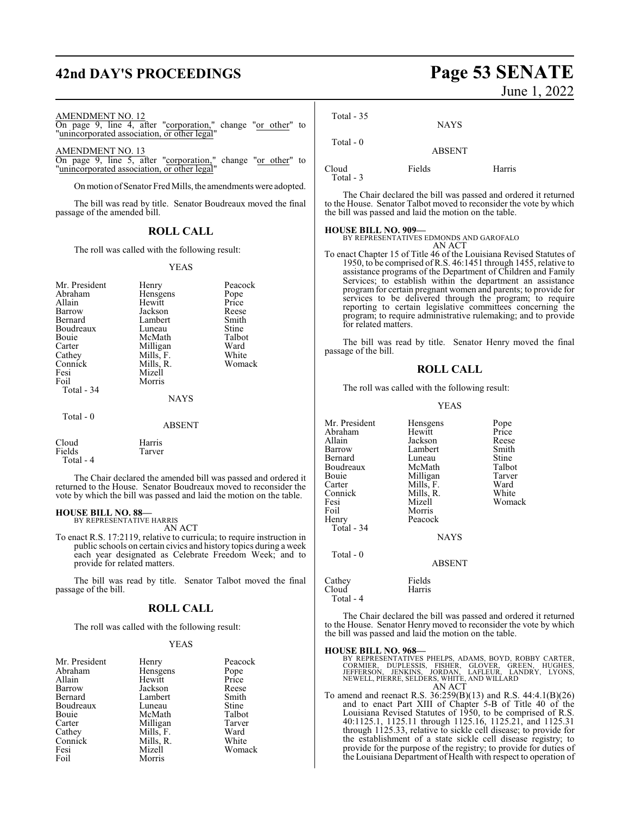# **42nd DAY'S PROCEEDINGS Page 53 SENATE**

#### AMENDMENT NO. 12

On page 9, line 4, after "corporation," change "or other" to "unincorporated association, or other legal"

AMENDMENT NO. 13

On page 9, line 5, after "corporation," change "or other" to "unincorporated association, or other legal"

On motion of Senator Fred Mills, the amendments were adopted.

The bill was read by title. Senator Boudreaux moved the final passage of the amended bill.

### **ROLL CALL**

The roll was called with the following result:

YEAS

| Mr. President<br>Abraham<br>Allain<br>Barrow<br>Bernard<br>Boudreaux<br>Bouie<br>Carter<br>Cathey<br>Connick<br>Fesi<br>Foil<br>Total - 34 | Henry<br>Hensgens<br>Hewitt<br>Jackson<br>Lambert<br>Luneau<br>McMath<br>Milligan<br>Mills, F.<br>Mills, R.<br>Mizell<br>Morris | Peacock<br>Pope<br>Price<br>Reese<br>Smith<br>Stine<br>Talbot<br>Ward<br>White<br>Womack |
|--------------------------------------------------------------------------------------------------------------------------------------------|---------------------------------------------------------------------------------------------------------------------------------|------------------------------------------------------------------------------------------|
|                                                                                                                                            | <b>NAYS</b>                                                                                                                     |                                                                                          |
| Total $-0$                                                                                                                                 | ABSENT                                                                                                                          |                                                                                          |
| Cloud                                                                                                                                      | Harris                                                                                                                          |                                                                                          |

Fields Tarver Total - 4

The Chair declared the amended bill was passed and ordered it returned to the House. Senator Boudreaux moved to reconsider the vote by which the bill was passed and laid the motion on the table.

#### **HOUSE BILL NO. 88—**

BY REPRESENTATIVE HARRIS AN ACT

To enact R.S. 17:2119, relative to curricula; to require instruction in public schools on certain civics and history topics during a week each year designated as Celebrate Freedom Week; and to provide for related matters.

The bill was read by title. Senator Talbot moved the final passage of the bill.

#### **ROLL CALL**

The roll was called with the following result:

#### YEAS

| Mr. President | Henry     | Peacock |
|---------------|-----------|---------|
| Abraham       | Hensgens  | Pope    |
| Allain        | Hewitt    | Price   |
| Barrow        | Jackson   | Reese   |
| Bernard       | Lambert   | Smith   |
| Boudreaux     | Luneau    | Stine   |
| Bouie         | McMath    | Talbot  |
| Carter        | Milligan  | Tarver  |
| Cathey        | Mills, F. | Ward    |
| Connick       | Mills, R. | White   |
| Fesi          | Mizell    | Womack  |
| Foil          | Morris    |         |

June 1, 2022

| Total $-35$        | <b>NAYS</b>   |        |
|--------------------|---------------|--------|
| Total $-0$         | <b>ABSENT</b> |        |
| Cloud<br>Total - 3 | Fields        | Harris |

The Chair declared the bill was passed and ordered it returned to the House. Senator Talbot moved to reconsider the vote by which the bill was passed and laid the motion on the table.

**HOUSE BILL NO. 909—** BY REPRESENTATIVES EDMONDS AND GAROFALO

- AN ACT
- To enact Chapter 15 of Title 46 of the Louisiana Revised Statutes of 1950, to be comprised ofR.S. 46:1451 through 1455, relative to assistance programs of the Department of Children and Family Services; to establish within the department an assistance program for certain pregnant women and parents; to provide for services to be delivered through the program; to require reporting to certain legislative committees concerning the program; to require administrative rulemaking; and to provide for related matters.

The bill was read by title. Senator Henry moved the final passage of the bill.

#### **ROLL CALL**

The roll was called with the following result:

YEAS

| Mr. President<br>Abraham<br>Allain<br>Barrow<br>Bernard<br>Boudreaux<br>Bouie<br>Carter<br>Connick | Hensgens<br>Hewitt<br>Jackson<br>Lambert<br>Luneau<br>McMath<br>Milligan<br>Mills, F.<br>Mills, R. | Pope<br>Price<br>Reese<br>Smith<br>Stine<br>Talbot<br>Tarver<br>Ward<br>White |
|----------------------------------------------------------------------------------------------------|----------------------------------------------------------------------------------------------------|-------------------------------------------------------------------------------|
| Fesi<br>Foil<br>Henry<br>Total - 34                                                                | Mizell<br>Morris<br>Peacock                                                                        | Womack                                                                        |
|                                                                                                    | <b>NAYS</b>                                                                                        |                                                                               |
| Total - 0                                                                                          | ARSENT                                                                                             |                                                                               |

Harris

Cathey Fields<br>Cloud Harris Total - 4

The Chair declared the bill was passed and ordered it returned to the House. Senator Henry moved to reconsider the vote by which the bill was passed and laid the motion on the table.

#### **HOUSE BILL NO. 968—**

| BY REPRESENTATIVES PHELPS, ADAMS, BOYD, ROBBY CARTER. |  |
|-------------------------------------------------------|--|
| CORMIER. DUPLESSIS. FISHER. GLOVER. GREEN. HUGHES.    |  |
| JEFFERSON, JENKINS, JORDAN, LAFLEUR, LANDRY, LYONS,   |  |
| NEWELL, PIERRE, SELDERS, WHITE, AND WILLARD           |  |
| AN ACT                                                |  |

To amend and reenact R.S. 36:259(B)(13) and R.S. 44:4.1(B)(26) and to enact Part XIII of Chapter 5-B of Title 40 of the Louisiana Revised Statutes of 1950, to be comprised of R.S. 40:1125.1, 1125.11 through 1125.16, 1125.21, and 1125.31 through 1125.33, relative to sickle cell disease; to provide for the establishment of a state sickle cell disease registry; to provide for the purpose of the registry; to provide for duties of the Louisiana Department of Health with respect to operation of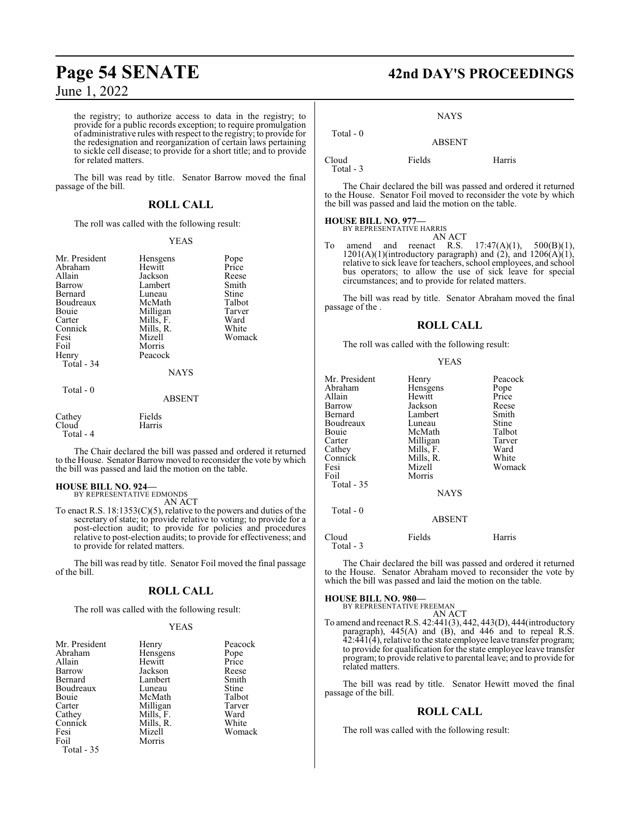the registry; to authorize access to data in the registry; to provide for a public records exception; to require promulgation of administrative rules with respect to the registry; to provide for the redesignation and reorganization of certain laws pertaining to sickle cell disease; to provide for a short title; and to provide for related matters.

The bill was read by title. Senator Barrow moved the final passage of the bill.

## **ROLL CALL**

The roll was called with the following result:

#### YEAS

| Mr. President<br>Abraham<br>Allain<br>Barrow<br>Bernard<br>Boudreaux<br>Bouie<br>Carter<br>Connick<br>Fesi<br>Foil<br>Henry<br>Total - 34<br>Total - 0 | Hensgens<br>Hewitt<br>Jackson<br>Lambert<br>Luneau<br>McMath<br>Milligan<br>Mills, F.<br>Mills, R.<br>Mizell<br>Morris<br>Peacock<br><b>NAYS</b> | Pope<br>Price<br>Reese<br>Smith<br>Stine<br>Talbot<br>Tarver<br>Ward<br>White<br>Womack |
|--------------------------------------------------------------------------------------------------------------------------------------------------------|--------------------------------------------------------------------------------------------------------------------------------------------------|-----------------------------------------------------------------------------------------|
|                                                                                                                                                        | <b>ABSENT</b>                                                                                                                                    |                                                                                         |
| Cathey<br>Cloud<br>Total - 4                                                                                                                           | Fields<br>Harris                                                                                                                                 |                                                                                         |

The Chair declared the bill was passed and ordered it returned to the House. Senator Barrow moved to reconsider the vote by which the bill was passed and laid the motion on the table.

#### **HOUSE BILL NO. 924—**

BY REPRESENTATIVE EDMONDS AN ACT

To enact R.S. 18:1353(C)(5), relative to the powers and duties of the secretary of state; to provide relative to voting; to provide for a post-election audit; to provide for policies and procedures relative to post-election audits; to provide for effectiveness; and to provide for related matters.

The bill was read by title. Senator Foil moved the final passage of the bill.

## **ROLL CALL**

The roll was called with the following result:

#### YEAS

| Mr. President | Henry     | Peacock |
|---------------|-----------|---------|
| Abraham       | Hensgens  | Pope    |
| Allain        | Hewitt    | Price   |
| Barrow        | Jackson   | Reese   |
| Bernard       | Lambert   | Smith   |
| Boudreaux     | Luneau    | Stine   |
| Bouie         | McMath    | Talbot  |
| Carter        | Milligan  | Tarver  |
| Cathey        | Mills, F. | Ward    |
| Connick       | Mills, R. | White   |
| Fesi          | Mizell    | Womack  |
| Foil          | Morris    |         |
| Total - 35    |           |         |

# **Page 54 SENATE 42nd DAY'S PROCEEDINGS**

#### NAYS

 Total - 0 ABSENT

Cloud Fields Harris Total - 3

The Chair declared the bill was passed and ordered it returned to the House. Senator Foil moved to reconsider the vote by which the bill was passed and laid the motion on the table.

#### **HOUSE BILL NO. 977—** BY REPRESENTATIVE HARRIS

AN ACT

To amend and reenact R.S.  $17:47(A)(1)$ ,  $500(B)(1)$ ,  $1201(A)(1)$ (introductory paragraph) and  $(2)$ , and  $1206(A)(1)$ , relative to sick leave for teachers, school employees, and school bus operators; to allow the use of sick leave for special circumstances; and to provide for related matters.

The bill was read by title. Senator Abraham moved the final passage of the .

#### **ROLL CALL**

The roll was called with the following result:

#### YEAS

| Mr. President<br>Abraham<br>Allain<br>Barrow<br>Bernard<br>Boudreaux<br>Bouie<br>Carter<br>Cathey<br>Connick<br>Fesi<br>Foil<br>Total - 35 | Henry<br>Hensgens<br>Hewitt<br>Jackson<br>Lambert<br>Luneau<br>McMath<br>Milligan<br>Mills, F.<br>Mills, R.<br>Mizell<br>Morris<br><b>NAYS</b> | Peacock<br>Pope<br>Price<br>Reese<br>Smith<br>Stine<br>Talbot<br>Tarver<br>Ward<br>White<br>Womack |
|--------------------------------------------------------------------------------------------------------------------------------------------|------------------------------------------------------------------------------------------------------------------------------------------------|----------------------------------------------------------------------------------------------------|
| Total - 0                                                                                                                                  | <b>ABSENT</b>                                                                                                                                  |                                                                                                    |
| Cloud<br>Total - 3                                                                                                                         | Fields                                                                                                                                         | Harris                                                                                             |

The Chair declared the bill was passed and ordered it returned to the House. Senator Abraham moved to reconsider the vote by which the bill was passed and laid the motion on the table.

#### **HOUSE BILL NO. 980—**

BY REPRESENTATIVE FREEMAN AN ACT

To amend and reenact R.S. 42:441(3), 442, 443(D), 444(introductory paragraph), 445(A) and (B), and 446 and to repeal R.S. 42:441(4), relative to the state employee leave transfer program; to provide for qualification for the state employee leave transfer program; to provide relative to parental leave; and to provide for related matters.

The bill was read by title. Senator Hewitt moved the final passage of the bill.

#### **ROLL CALL**

The roll was called with the following result: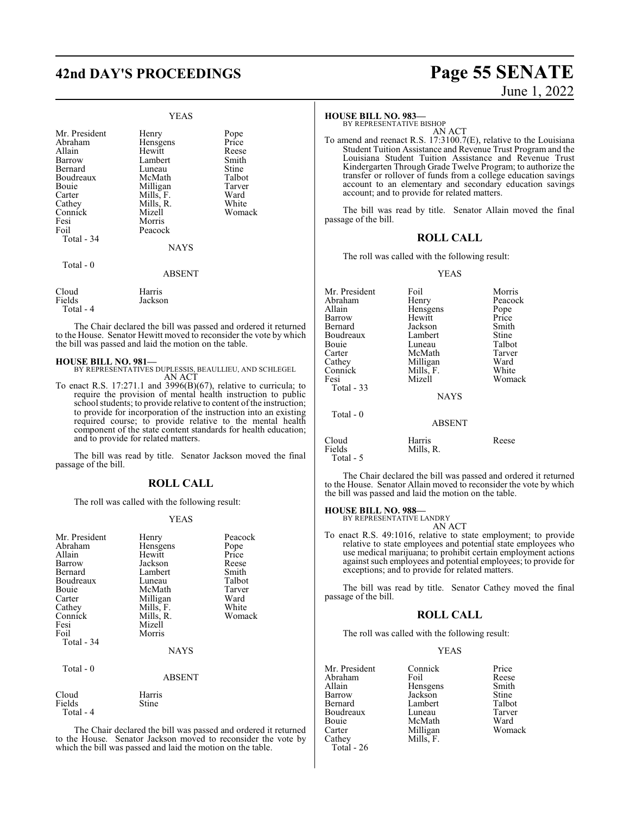# **42nd DAY'S PROCEEDINGS Page 55 SENATE**

#### YEAS

| Mr. President<br>Abraham<br>Allain<br>Barrow<br>Bernard<br>Boudreaux<br>Bouie<br>Carter<br>Cathey<br>Connick<br>Fesi<br>Foil<br>Total - 34 | Henry<br>Hensgens<br>Hewitt<br>Lambert<br>Luneau<br>McMath<br>Milligan<br>Mills, F.<br>Mills, R.<br>Mizell<br>Morris<br>Peacock<br><b>NAYS</b> | Pope<br>Price<br>Reese<br>Smith<br>Stine<br>Talbot<br>Tarver<br>Ward<br>White<br>Womack |
|--------------------------------------------------------------------------------------------------------------------------------------------|------------------------------------------------------------------------------------------------------------------------------------------------|-----------------------------------------------------------------------------------------|
| Total - 0                                                                                                                                  | <b>ABSENT</b>                                                                                                                                  |                                                                                         |
| Cloud<br>Fields<br>Total - 4                                                                                                               | Harris<br>Jackson                                                                                                                              |                                                                                         |

The Chair declared the bill was passed and ordered it returned to the House. Senator Hewitt moved to reconsider the vote by which the bill was passed and laid the motion on the table.

#### **HOUSE BILL NO. 981—**

BY REPRESENTATIVES DUPLESSIS, BEAULLIEU, AND SCHLEGEL AN ACT

To enact R.S. 17:271.1 and 3996(B)(67), relative to curricula; to require the provision of mental health instruction to public school students; to provide relative to content of the instruction; to provide for incorporation of the instruction into an existing required course; to provide relative to the mental health component of the state content standards for health education; and to provide for related matters.

The bill was read by title. Senator Jackson moved the final passage of the bill.

#### **ROLL CALL**

The roll was called with the following result:

#### YEAS

| Mr. President<br>Abraham<br>Allain<br>Barrow<br>Bernard<br>Boudreaux<br>Bouie<br>Carter<br>Cathey<br>Connick<br>Fesi<br>Foil<br>Total - 34 | Henry<br>Hensgens<br>Hewitt<br>Jackson<br>Lambert<br>Luneau<br>McMath<br>Milligan<br>Mills, F.<br>Mills, R.<br>Mizell<br>Morris<br><b>NAYS</b> | Peacock<br>Pope<br>Price<br>Reese<br>Smith<br>Talbot<br>Tarver<br>Ward<br>White<br>Womack |
|--------------------------------------------------------------------------------------------------------------------------------------------|------------------------------------------------------------------------------------------------------------------------------------------------|-------------------------------------------------------------------------------------------|
| Total - 0                                                                                                                                  | ABSENT                                                                                                                                         |                                                                                           |
| Cloud<br>Fields<br>Total - 4                                                                                                               | Harris<br>Stine                                                                                                                                |                                                                                           |

The Chair declared the bill was passed and ordered it returned to the House. Senator Jackson moved to reconsider the vote by which the bill was passed and laid the motion on the table.

## **HOUSE BILL NO. 983—**

BY REPRESENTATIVE BISHOP

AN ACT To amend and reenact R.S. 17:3100.7(E), relative to the Louisiana Student Tuition Assistance and Revenue Trust Program and the Louisiana Student Tuition Assistance and Revenue Trust Kindergarten Through Grade Twelve Program; to authorize the transfer or rollover of funds from a college education savings account to an elementary and secondary education savings account; and to provide for related matters.

The bill was read by title. Senator Allain moved the final passage of the bill.

## **ROLL CALL**

The roll was called with the following result:

#### YEAS

| Mr. President                | Foil                | Morris  |
|------------------------------|---------------------|---------|
| Abraham                      | Henry               | Peacock |
| Allain                       | Hensgens            | Pope    |
| Barrow                       | Hewitt              | Price   |
| Bernard                      | Jackson             | Smith   |
| Boudreaux                    | Lambert             | Stine   |
| Bouie                        | Luneau              | Talbot  |
| Carter                       | McMath              | Tarver  |
| Cathey                       | Milligan            | Ward    |
| Connick                      | Mills, F.           | White   |
| Fesi                         | Mizell              | Womack  |
| Total - 33                   |                     |         |
|                              | <b>NAYS</b>         |         |
| Total - 0                    |                     |         |
|                              | <b>ABSENT</b>       |         |
| Cloud<br>Fields<br>Total - 5 | Harris<br>Mills, R. | Reese   |
|                              |                     |         |

The Chair declared the bill was passed and ordered it returned to the House. Senator Allain moved to reconsider the vote by which the bill was passed and laid the motion on the table.

#### **HOUSE BILL NO. 988—**

BY REPRESENTATIVE LANDRY AN ACT

To enact R.S. 49:1016, relative to state employment; to provide relative to state employees and potential state employees who use medical marijuana; to prohibit certain employment actions against such employees and potential employees; to provide for exceptions; and to provide for related matters.

The bill was read by title. Senator Cathey moved the final passage of the bill.

## **ROLL CALL**

The roll was called with the following result:

#### YEAS

| Mr. President | Connick   | Price        |
|---------------|-----------|--------------|
| Abraham       | Foil      | Reese        |
| Allain        | Hensgens  | Smith        |
| Barrow        | Jackson   | <b>Stine</b> |
| Bernard       | Lambert   | Talbot       |
| Boudreaux     | Luneau    | Tarver       |
| Bouie         | McMath    | Ward         |
| Carter        | Milligan  | Womack       |
| Cathey        | Mills, F. |              |
| Total - 26    |           |              |

June 1, 2022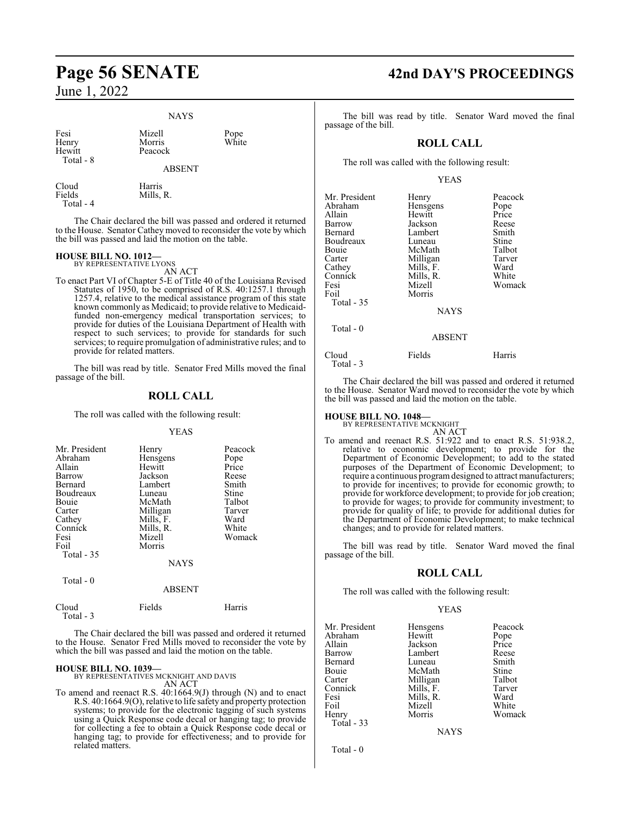Total - 4

#### **NAYS**

| Fesi<br>Henry<br>Hewitt<br>Total - 8 | Mizell<br>Morris<br>Peacock<br><b>ABSENT</b> | Pope<br>White |
|--------------------------------------|----------------------------------------------|---------------|
| Cloud<br>Fields                      | Harris<br>Mills. R.                          |               |

The Chair declared the bill was passed and ordered it returned to the House. Senator Cathey moved to reconsider the vote by which the bill was passed and laid the motion on the table.

# **HOUSE BILL NO. 1012—** BY REPRESENTATIVE LYONS

AN ACT

To enact Part VI of Chapter 5-E of Title 40 of the Louisiana Revised Statutes of 1950, to be comprised of R.S. 40:1257.1 through 1257.4, relative to the medical assistance program of this state known commonly as Medicaid; to provide relative to Medicaidfunded non-emergency medical transportation services; to provide for duties of the Louisiana Department of Health with respect to such services; to provide for standards for such services; to require promulgation of administrative rules; and to provide for related matters.

The bill was read by title. Senator Fred Mills moved the final passage of the bill.

### **ROLL CALL**

The roll was called with the following result:

#### YEAS

| Mr. President<br>Abraham<br>Allain<br>Barrow<br>Bernard<br>Boudreaux<br>Bouie<br>Carter<br>Cathey<br>Connick<br>Fesi<br>Foil<br>Total - 35 | Henry<br>Hensgens<br>Hewitt<br>Jackson<br>Lambert<br>Luneau<br>McMath<br>Milligan<br>Mills, F.<br>Mills, R.<br>Mizell<br>Morris<br><b>NAYS</b> | Peacock<br>Pope<br>Price<br>Reese<br>Smith<br>Stine<br>Talbot<br>Tarver<br>Ward<br>White<br>Womack |
|--------------------------------------------------------------------------------------------------------------------------------------------|------------------------------------------------------------------------------------------------------------------------------------------------|----------------------------------------------------------------------------------------------------|
| Total - 0                                                                                                                                  |                                                                                                                                                |                                                                                                    |

|  | <b>ABSENT</b> |
|--|---------------|
|  |               |

Total - 3

Cloud Fields Harris

The Chair declared the bill was passed and ordered it returned to the House. Senator Fred Mills moved to reconsider the vote by which the bill was passed and laid the motion on the table.

#### **HOUSE BILL NO. 1039—**

BY REPRESENTATIVES MCKNIGHT AND DAVIS AN ACT

To amend and reenact R.S. 40:1664.9(J) through (N) and to enact R.S. 40:1664.9(O), relative to life safety and property protection systems; to provide for the electronic tagging of such systems using a Quick Response code decal or hanging tag; to provide for collecting a fee to obtain a Quick Response code decal or hanging tag; to provide for effectiveness; and to provide for related matters.

# **Page 56 SENATE 42nd DAY'S PROCEEDINGS**

The bill was read by title. Senator Ward moved the final passage of the bill.

#### **ROLL CALL**

The roll was called with the following result:

#### YEAS

| Mr. President<br>Abraham<br>Allain<br>Barrow<br>Bernard<br>Boudreaux<br>Bouie<br>Carter<br>Cathey<br>Connick<br>Fesi<br>Foil<br>Total - 35<br>Total - 0 | Henry<br>Hensgens<br>Hewitt<br>Jackson<br>Lambert<br>Luneau<br>McMath<br>Milligan<br>Mills, F.<br>Mills, R.<br>Mizell<br>Morris<br><b>NAYS</b> | Peacock<br>Pope<br>Price<br>Reese<br>Smith<br>Stine<br>Talbot<br>Tarver<br>Ward<br>White<br>Womack |
|---------------------------------------------------------------------------------------------------------------------------------------------------------|------------------------------------------------------------------------------------------------------------------------------------------------|----------------------------------------------------------------------------------------------------|
|                                                                                                                                                         | <b>ABSENT</b>                                                                                                                                  |                                                                                                    |
| Cloud<br>Total - 3                                                                                                                                      | Fields                                                                                                                                         | Harris                                                                                             |

The Chair declared the bill was passed and ordered it returned to the House. Senator Ward moved to reconsider the vote by which the bill was passed and laid the motion on the table.

# **HOUSE BILL NO. 1048—** BY REPRESENTATIVE MCKNIGHT

AN ACT To amend and reenact R.S. 51:922 and to enact R.S. 51:938.2, relative to economic development; to provide for the Department of Economic Development; to add to the stated purposes of the Department of Economic Development; to require a continuous programdesigned to attract manufacturers; to provide for incentives; to provide for economic growth; to provide for workforce development; to provide for job creation; to provide for wages; to provide for community investment; to provide for quality of life; to provide for additional duties for the Department of Economic Development; to make technical changes; and to provide for related matters.

The bill was read by title. Senator Ward moved the final passage of the bill.

#### **ROLL CALL**

The roll was called with the following result:

#### YEAS

| Mr. President | Hensgens  | Peacock |
|---------------|-----------|---------|
| Abraham       | Hewitt    | Pope    |
| Allain        | Jackson   | Price   |
| Barrow        | Lambert   | Reese   |
| Bernard       | Luneau    | Smith   |
| Bouie         | McMath    | Stine   |
| Carter        | Milligan  | Talbot  |
| Connick       | Mills, F. | Tarver  |
| Fesi          | Mills, R. | Ward    |
| Foil          | Mizell    | White   |
| Henry         | Morris    | Womack  |
| Total - 33    |           |         |
|               | NAYS      |         |

Total - 0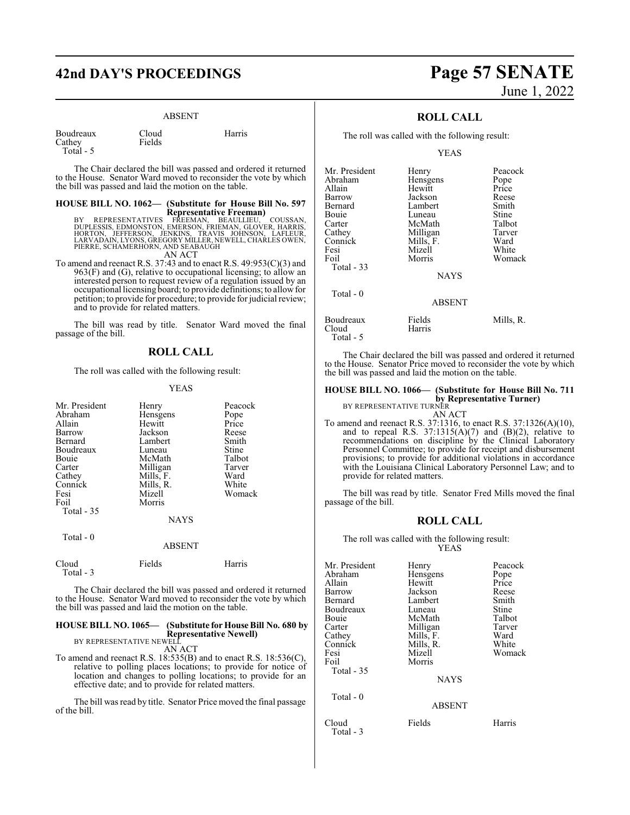# **42nd DAY'S PROCEEDINGS Page 57 SENATE**

#### ABSENT

| Boudreaux  | Cloud  | Harris |
|------------|--------|--------|
| Cathey     | Fields |        |
| Total $-5$ |        |        |

The Chair declared the bill was passed and ordered it returned to the House. Senator Ward moved to reconsider the vote by which the bill was passed and laid the motion on the table.

# **HOUSE BILL NO. 1062— (Substitute for House Bill No. 597**

**Representative Freeman)**<br>DUPLESSIS, EDMONSTON, EMEEMAN, BEAULLIEU, COUSSAN,<br>DUPLESSIS, EDMONSTON, EMERSON, FRIEMAN, GLOVER, HARRIS,<br>HORTON, JEFFERSON, JENKINS, TRAVIS JOHNSON, LAFLEUR,<br>LARVADAIN, LYONS, GREGORY MILLER, NE PIERRE, SCHAMERHORN, AND SEABAUGH

AN ACT

To amend and reenact R.S. 37:43 and to enact R.S. 49:953(C)(3) and 963(F) and (G), relative to occupational licensing; to allow an interested person to request review of a regulation issued by an occupational licensing board; to provide definitions; to allowfor petition; to provide for procedure; to provide for judicial review; and to provide for related matters.

The bill was read by title. Senator Ward moved the final passage of the bill.

#### **ROLL CALL**

The roll was called with the following result:

#### YEAS

| Mr. President<br>Abraham<br>Allain<br>Barrow<br>Bernard<br>Boudreaux<br><b>Bouje</b><br>Carter<br>Cathey<br>Connick<br>Fesi<br>Foil<br>Total $-35$ | Henry<br>Hensgens<br>Hewitt<br>Jackson<br>Lambert<br>Luneau<br>McMath<br>Milligan<br>Mills, F.<br>Mills, R.<br>Mizell<br>Morris<br><b>NAYS</b> | Peacock<br>Pope<br>Price<br>Reese<br>Smith<br>Stine<br>Talbot<br>Tarver<br>Ward<br>White<br>Womack |
|----------------------------------------------------------------------------------------------------------------------------------------------------|------------------------------------------------------------------------------------------------------------------------------------------------|----------------------------------------------------------------------------------------------------|
| Total - 0                                                                                                                                          | <b>ABSENT</b>                                                                                                                                  |                                                                                                    |
| Cloud<br>Total - 3                                                                                                                                 | Fields                                                                                                                                         | Harris                                                                                             |

The Chair declared the bill was passed and ordered it returned to the House. Senator Ward moved to reconsider the vote by which the bill was passed and laid the motion on the table.

## **HOUSE BILL NO. 1065— (Substitute for House Bill No. 680 by Representative Newell)** BY REPRESENTATIVE NEWELL

AN ACT

To amend and reenact R.S. 18:535(B) and to enact R.S. 18:536(C), relative to polling places locations; to provide for notice of location and changes to polling locations; to provide for an effective date; and to provide for related matters.

The bill was read by title. Senator Price moved the final passage of the bill.

# June 1, 2022

## **ROLL CALL**

The roll was called with the following result:

YEAS

| Mr. President | Henry         | Peacock   |
|---------------|---------------|-----------|
| Abraham       | Hensgens      | Pope      |
| Allain        | Hewitt        | Price     |
| Barrow        | Jackson       | Reese     |
| Bernard       | Lambert       | Smith     |
| Bouie         | Luneau        | Stine     |
| Carter        | McMath        | Talbot    |
| Cathey        | Milligan      | Tarver    |
| Connick       | Mills, F.     | Ward      |
| Fesi          | Mizell        | White     |
| Foil          | Morris        | Womack    |
| Total $-33$   |               |           |
|               | <b>NAYS</b>   |           |
| Total $-0$    |               |           |
|               | <b>ABSENT</b> |           |
| Boudreaux     | Fields        | Mills, R. |
| Cloud         | Harris        |           |

The Chair declared the bill was passed and ordered it returned to the House. Senator Price moved to reconsider the vote by which the bill was passed and laid the motion on the table.

## **HOUSE BILL NO. 1066— (Substitute for House Bill No. 711 by Representative Turner)** BY REPRESENTATIVE TURNER

AN ACT

Total - 5

To amend and reenact R.S. 37:1316, to enact R.S. 37:1326(A)(10), and to repeal R.S.  $37:1315(A)(7)$  and  $(B)(2)$ , relative to recommendations on discipline by the Clinical Laboratory Personnel Committee; to provide for receipt and disbursement provisions; to provide for additional violations in accordance with the Louisiana Clinical Laboratory Personnel Law; and to provide for related matters.

The bill was read by title. Senator Fred Mills moved the final passage of the bill.

#### **ROLL CALL**

The roll was called with the following result: YEAS

| Mr. President<br>Abraham<br>Allain<br>Barrow<br>Bernard<br>Boudreaux<br>Bouie<br>Carter<br>Cathey<br>Connick<br>Fesi<br>Foil<br>Total $-35$<br>$Total - 0$ | Henry<br>Hensgens<br>Hewitt<br>Jackson<br>Lambert<br>Luneau<br>McMath<br>Milligan<br>Mills, F.<br>Mills, R.<br>Mizell<br>Morris<br><b>NAYS</b><br><b>ABSENT</b> | Peacock<br>Pope<br>Price<br>Reese<br>Smith<br>Stine<br>Talbot<br>Tarver<br>Ward<br>White<br>Womack |
|------------------------------------------------------------------------------------------------------------------------------------------------------------|-----------------------------------------------------------------------------------------------------------------------------------------------------------------|----------------------------------------------------------------------------------------------------|
| Cloud<br>Total - 3                                                                                                                                         | Fields                                                                                                                                                          | Harris                                                                                             |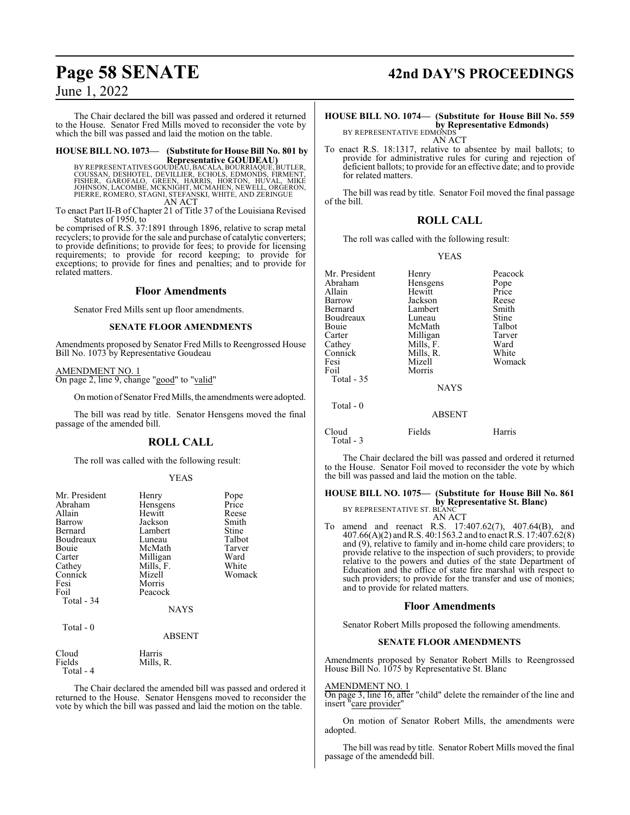The Chair declared the bill was passed and ordered it returned to the House. Senator Fred Mills moved to reconsider the vote by which the bill was passed and laid the motion on the table.

# **HOUSE BILL NO. 1073— (Substitute for House Bill No. 801 by**

**Representative GOUDEAU)<br>BY REPRESENTATIVES GOUDEAU, BACALA, BOURRIAQUE, BUTLER<br>COUSSAN, DESHOTEL, DEVILLIER, ECHOLS, EDMONDS, FINMENT,<br>FISHER, GAROFALO, GREEN, HARRIS, HORTON, HUVAL, MIKE<br>JOHNSON, LACOMBE, MCKNIGHT, MCMAH** PIERRE, ROMERO, STAGNI, STEFANSKI, WHITE, AND ZERINGUE AN ACT

To enact Part II-B of Chapter 21 of Title 37 of the Louisiana Revised Statutes of 1950, to

be comprised of R.S. 37:1891 through 1896, relative to scrap metal recyclers; to provide for the sale and purchase of catalytic converters; to provide definitions; to provide for fees; to provide for licensing requirements; to provide for record keeping; to provide for exceptions; to provide for fines and penalties; and to provide for related matters.

#### **Floor Amendments**

Senator Fred Mills sent up floor amendments.

#### **SENATE FLOOR AMENDMENTS**

Amendments proposed by Senator Fred Mills to Reengrossed House Bill No. 1073 by Representative Goudeau

#### AMENDMENT NO. 1 On page 2, line 9, change "good" to "valid"

On motion of Senator Fred Mills, the amendments were adopted.

The bill was read by title. Senator Hensgens moved the final passage of the amended bill.

## **ROLL CALL**

The roll was called with the following result:

#### YEAS

| Mr. President<br>Abraham<br>Allain | Henry<br>Hensgens<br>Hewitt | Pope<br>Price<br>Reese |
|------------------------------------|-----------------------------|------------------------|
| Barrow                             | Jackson                     | Smith                  |
| Bernard                            | Lambert                     | Stine                  |
| Boudreaux                          | Luneau                      | Talbot                 |
| Bouie                              | McMath                      | Tarver                 |
| Carter                             | Milligan                    | Ward                   |
| Cathey                             | Mills, F.                   | White                  |
| Connick                            | Mizell                      | Womack                 |
| Fesi                               | Morris                      |                        |
| Foil                               | Peacock                     |                        |
| Total - 34                         |                             |                        |
|                                    | <b>NAYS</b>                 |                        |
| Total - 0                          |                             |                        |
|                                    | <b>ABSENT</b>               |                        |
| Cloud<br>Fields                    | Harris<br>Mills, R.         |                        |

Total - 4

The Chair declared the amended bill was passed and ordered it returned to the House. Senator Hensgens moved to reconsider the vote by which the bill was passed and laid the motion on the table.

# **Page 58 SENATE 42nd DAY'S PROCEEDINGS**

## **HOUSE BILL NO. 1074— (Substitute for House Bill No. 559 by Representative Edmonds)**<br>BY REPRESENTATIVE EDMONDS

AN ACT

To enact R.S. 18:1317, relative to absentee by mail ballots; to provide for administrative rules for curing and rejection of deficient ballots; to provide for an effective date; and to provide for related matters.

The bill was read by title. Senator Foil moved the final passage of the bill.

## **ROLL CALL**

The roll was called with the following result:

#### YEAS

| Mr. President      | Henry       | Peacock |
|--------------------|-------------|---------|
| Abraham            | Hensgens    | Pope    |
| Allain             | Hewitt      | Price   |
| Barrow             | Jackson     | Reese   |
| Bernard            | Lambert     | Smith   |
| Boudreaux          | Luneau      | Stine   |
| Bouie              | McMath      | Talbot  |
| Carter             | Milligan    | Tarver  |
| Cathey             | Mills, F.   | Ward    |
| Connick            | Mills, R.   | White   |
| Fesi               | Mizell      | Womack  |
| Foil               | Morris      |         |
| Total $-35$        |             |         |
|                    | <b>NAYS</b> |         |
| Total - 0          |             |         |
|                    | ABSENT      |         |
| Cloud<br>Total - 3 | Fields      | Harris  |

The Chair declared the bill was passed and ordered it returned to the House. Senator Foil moved to reconsider the vote by which the bill was passed and laid the motion on the table.

**HOUSE BILL NO. 1075— (Substitute for House Bill No. 861 by Representative St. Blanc)** BY REPRESENTATIVE ST. BLANC AN ACT

To amend and reenact R.S. 17:407.62(7), 407.64(B), and 407.66(A)(2) and R.S. 40:1563.2 and to enact R.S. 17:407.62(8) and (9), relative to family and in-home child care providers; to provide relative to the inspection of such providers; to provide relative to the powers and duties of the state Department of Education and the office of state fire marshal with respect to such providers; to provide for the transfer and use of monies; and to provide for related matters.

#### **Floor Amendments**

Senator Robert Mills proposed the following amendments.

#### **SENATE FLOOR AMENDMENTS**

Amendments proposed by Senator Robert Mills to Reengrossed House Bill No. 1075 by Representative St. Blanc

#### AMENDMENT NO. 1

On page 3, line 16, after "child" delete the remainder of the line and insert "care provider"

On motion of Senator Robert Mills, the amendments were adopted.

The bill was read by title. Senator Robert Mills moved the final passage of the amendedd bill.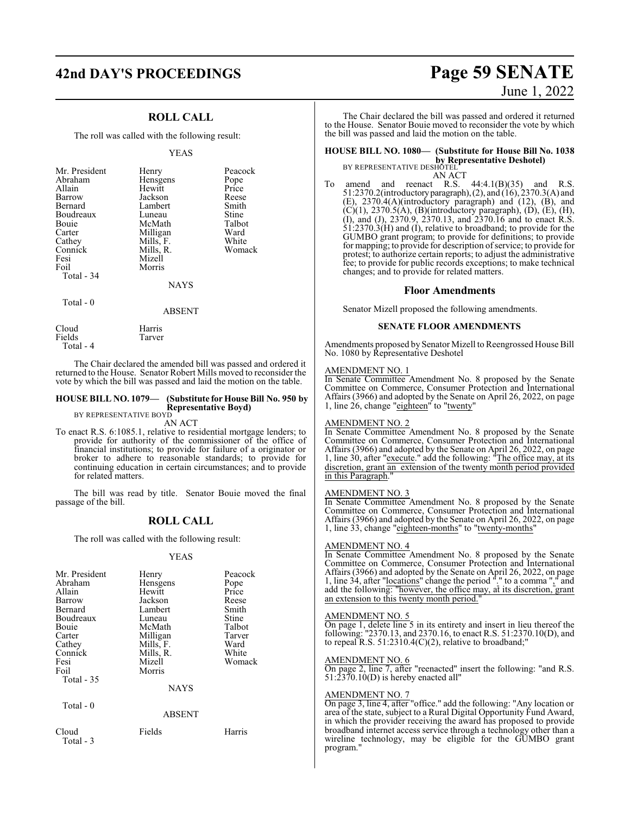# **42nd DAY'S PROCEEDINGS Page 59 SENATE**

## **ROLL CALL**

The roll was called with the following result:

#### YEAS

| Mr. President<br>Abraham<br>Allain<br>Barrow<br>Bernard<br>Boudreaux<br>Bouie<br>Carter<br>Cathey<br>Connick<br>Fesi | Henry<br>Hensgens<br>Hewitt<br>Jackson<br>Lambert<br>Luneau<br>McMath<br>Milligan<br>Mills, F.<br>Mills, R.<br>Mizell | Peacock<br>Pope<br>Price<br>Reese<br>Smith<br>Stine<br>Talbot<br>Ward<br>White<br>Womack |
|----------------------------------------------------------------------------------------------------------------------|-----------------------------------------------------------------------------------------------------------------------|------------------------------------------------------------------------------------------|
| Foil<br>Total - 34                                                                                                   | Morris<br><b>NAYS</b>                                                                                                 |                                                                                          |
| Total - 0                                                                                                            | ABSENT                                                                                                                |                                                                                          |

Cloud Harris<br>Fields Tarver

Total - 4

The Chair declared the amended bill was passed and ordered it returned to the House. Senator Robert Mills moved to reconsider the vote by which the bill was passed and laid the motion on the table.

#### **HOUSE BILL NO. 1079— (Substitute for House Bill No. 950 by Representative Boyd)**

BY REPRESENTATIVE BOYD AN ACT

Tarver

To enact R.S. 6:1085.1, relative to residential mortgage lenders; to provide for authority of the commissioner of the office of financial institutions; to provide for failure of a originator or broker to adhere to reasonable standards; to provide for continuing education in certain circumstances; and to provide for related matters.

The bill was read by title. Senator Bouie moved the final passage of the bill.

## **ROLL CALL**

The roll was called with the following result:

#### YEAS

| Mr. President | Henry         | Peacock |
|---------------|---------------|---------|
| Abraham       | Hensgens      | Pope    |
| Allain        | Hewitt        | Price   |
| Barrow        | Jackson       | Reese   |
| Bernard       | Lambert       | Smith   |
| Boudreaux     | Luneau        | Stine   |
| Bouie         | McMath        | Talbot  |
| Carter        | Milligan      | Tarver  |
| Cathey        | Mills, F.     | Ward    |
| Connick       | Mills, R.     | White   |
| Fesi          | Mizell        | Womack  |
| Foil          | Morris        |         |
| Total - 35    |               |         |
|               | <b>NAYS</b>   |         |
| Total $-0$    |               |         |
|               | <b>ABSENT</b> |         |
| Cloud         | Fields        | Harris  |

# Total - 3

# June 1, 2022

The Chair declared the bill was passed and ordered it returned to the House. Senator Bouie moved to reconsider the vote by which the bill was passed and laid the motion on the table.

## **HOUSE BILL NO. 1080— (Substitute for House Bill No. 1038 by Representative Deshotel)**<br>BY REPRESENTATIVE DESHOTEL

AN ACT To amend and reenact R.S. 44:4.1(B)(35) and R.S. 51:2370.2(introductoryparagraph),(2), and (16), 2370.3(A) and (E), 2370.4(A)(introductory paragraph) and (12), (B), and  $(C)(1)$ , 2370.5(A), (B)(introductory paragraph), (D), (E), (H), (I), and (J), 2370.9, 2370.13, and 2370.16 and to enact R.S. 51:2370.3(H) and (I), relative to broadband; to provide for the GUMBO grant program; to provide for definitions; to provide for mapping; to provide for description of service; to provide for protest; to authorize certain reports; to adjust the administrative fee; to provide for public records exceptions; to make technical changes; and to provide for related matters.

#### **Floor Amendments**

Senator Mizell proposed the following amendments.

#### **SENATE FLOOR AMENDMENTS**

Amendments proposed by Senator Mizell to Reengrossed House Bill No. 1080 by Representative Deshotel

#### AMENDMENT NO. 1

In Senate Committee Amendment No. 8 proposed by the Senate Committee on Commerce, Consumer Protection and International Affairs (3966) and adopted by the Senate on April 26, 2022, on page 1, line 26, change "eighteen" to "twenty"

#### AMENDMENT NO. 2

In Senate Committee Amendment No. 8 proposed by the Senate Committee on Commerce, Consumer Protection and International Affairs (3966) and adopted by the Senate on April 26, 2022, on page 1, line 30, after "execute." add the following: "The office may, at its discretion, grant an extension of the twenty month period provided in this Paragraph."

#### AMENDMENT NO. 3

In Senate Committee Amendment No. 8 proposed by the Senate Committee on Commerce, Consumer Protection and International Affairs (3966) and adopted by the Senate on April 26, 2022, on page 1, line 33, change "eighteen-months" to "twenty-months"

#### AMENDMENT NO. 4

In Senate Committee Amendment No. 8 proposed by the Senate Committee on Commerce, Consumer Protection and International Affairs (3966) and adopted by the Senate on April 26, 2022, on page 1, line 34, after "locations" change the period "." to a comma "," and add the following: "however, the office may, at its discretion, grant an extension to this twenty month period."

#### AMENDMENT NO. 5

On page 1, delete line 5 in its entirety and insert in lieu thereof the following: "2370.13, and 2370.16, to enact R.S. 51:2370.10(D), and to repeal R.S.  $51:2310.4(C)(2)$ , relative to broadband;"

#### AMENDMENT NO. 6

On page 2, line 7, after "reenacted" insert the following: "and R.S. 51:2370.10(D) is hereby enacted all"

#### AMENDMENT NO. 7

On page 3, line 4, after "office." add the following: "Any location or area of the state, subject to a Rural Digital Opportunity Fund Award, in which the provider receiving the award has proposed to provide broadband internet access service through a technology other than a wireline technology, may be eligible for the GUMBO grant program."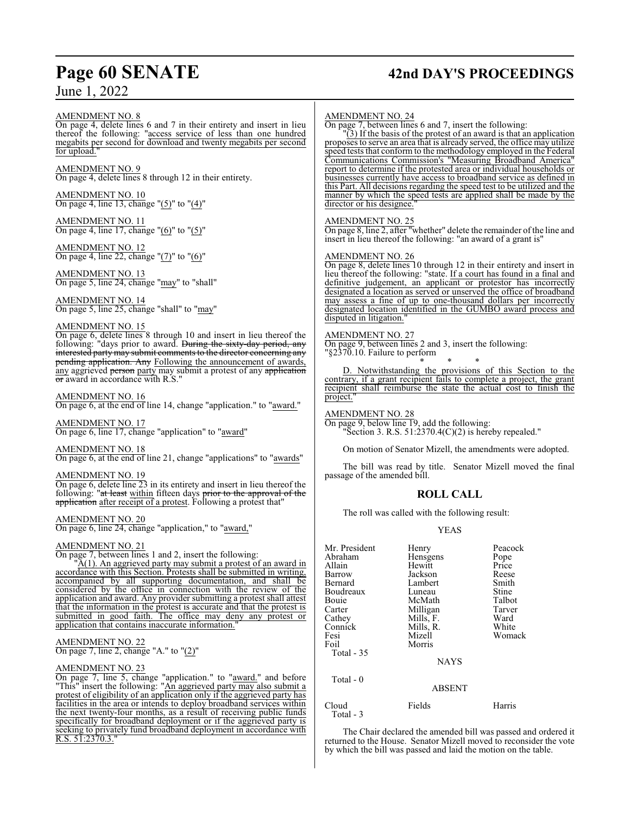# **Page 60 SENATE 42nd DAY'S PROCEEDINGS**

AMENDMENT NO. 8

On page 4, delete lines 6 and 7 in their entirety and insert in lieu thereof the following: "access service of less than one hundred megabits per second for download and twenty megabits per second for upload.

AMENDMENT NO. 9 On page 4, delete lines 8 through 12 in their entirety.

AMENDMENT NO. 10 On page 4, line 13, change "(5)" to "(4)"

AMENDMENT NO. 11 On page 4, line 17, change "(6)" to "(5)"

AMENDMENT NO. 12 On page 4, line 22, change "(7)" to "(6)"

AMENDMENT NO. 13 On page 5, line 24, change "may" to "shall"

AMENDMENT NO. 14 On page 5, line 25, change "shall" to "may"

#### AMENDMENT NO. 15

On page 6, delete lines 8 through 10 and insert in lieu thereof the following: "days prior to award. During the sixty-day period, any interested party may submit comments to the director concerning any pending application. Any Following the announcement of awards, any aggrieved person party may submit a protest of any application or award in accordance with R.S.

#### AMENDMENT NO. 16

On page 6, at the end of line 14, change "application." to "award."

AMENDMENT NO. 17 On page 6, line 17, change "application" to "award"

AMENDMENT NO. 18 On page 6, at the end of line 21, change "applications" to "awards"

#### AMENDMENT NO. 19

On page 6, delete line 23 in its entirety and insert in lieu thereof the following: "at least within fifteen days prior to the approval of the application after receipt of a protest. Following a protest that"

#### AMENDMENT NO. 20

On page 6, line 24, change "application," to "award,"

#### AMENDMENT NO. 21

On page 7, between lines 1 and 2, insert the following:

"A(1). An aggrieved party may submit a protest of an award in accordance with this Section. Protests shall be submitted in writing, accompanied by all supporting documentation, and shall be considered by the office in connection with the review of the application and award. Any provider submitting a protest shall attest that the information in the protest is accurate and that the protest is submitted in good faith. The office may deny any protest or application that contains inaccurate information."

AMENDMENT NO. 22 On page 7, line 2, change "A." to "(2)"

#### AMENDMENT NO. 23

On page 7, line 5, change "application." to "award." and before "This" insert the following: "An aggrieved party may also submit a protest of eligibility of an application only if the aggrieved party has facilities in the area or intends to deploy broadband services within the next twenty-four months, as a result of receiving public funds specifically for broadband deployment or if the aggrieved party is seeking to privately fund broadband deployment in accordance with R.S. 51:2370.3."

#### AMENDMENT NO. 24

On page 7, between lines 6 and 7, insert the following:

"(3) If the basis of the protest of an award is that an application proposes to serve an area that is already served, the office may utilize speed tests that conform to the methodology employed in the Federal Communications Commission's "Measuring Broadband America" report to determine if the protested area or individual households or businesses currently have access to broadband service as defined in this Part. All decisions regarding the speed test to be utilized and the manner by which the speed tests are applied shall be made by the director or his designee."

#### AMENDMENT NO. 25

On page 8, line 2, after "whether" delete the remainder ofthe line and insert in lieu thereof the following: "an award of a grant is"

#### AMENDMENT NO. 26

On page 8, delete lines 10 through 12 in their entirety and insert in lieu thereof the following: "state. If a court has found in a final and definitive judgement, an applicant or protestor has incorrectly designated a location as served or unserved the office of broadband may assess a fine of up to one-thousand dollars per incorrectly designated location identified in the GUMBO award process and disputed in litigation."

#### AMENDMENT NO. 27

On page 9, between lines 2 and 3, insert the following: "§2370.10. Failure to perform

\* \* \* D. Notwithstanding the provisions of this Section to the contrary, if a grant recipient fails to complete a project, the grant recipient shall reimburse the state the actual cost to finish the project.

AMENDMENT NO. 28 On page 9, below line 19, add the following: "Section 3. R.S. 51:2370.4(C)(2) is hereby repealed."

On motion of Senator Mizell, the amendments were adopted.

The bill was read by title. Senator Mizell moved the final passage of the amended bill.

#### **ROLL CALL**

The roll was called with the following result:

#### YEAS

| Mr. President<br>Abraham<br>Allain<br>Barrow<br>Bernard<br>Boudreaux<br>Bouie<br>Carter<br>Cathey<br>Connick<br>Fesi<br>Foil<br>Total - 35 | Henry<br>Hensgens<br>Hewitt<br>Jackson<br>Lambert<br>Luneau<br>McMath<br>Milligan<br>Mills, F.<br>Mills, R.<br>Mizell<br>Morris | Peacock<br>Pope<br>Price<br>Reese<br>Smith<br>Stine<br>Talbot<br>Tarver<br>Ward<br>White<br>Womack |
|--------------------------------------------------------------------------------------------------------------------------------------------|---------------------------------------------------------------------------------------------------------------------------------|----------------------------------------------------------------------------------------------------|
|                                                                                                                                            | <b>NAYS</b>                                                                                                                     |                                                                                                    |
| Total - 0                                                                                                                                  | <b>ABSENT</b>                                                                                                                   |                                                                                                    |
| Cloud                                                                                                                                      | Fields                                                                                                                          | Harris                                                                                             |

Total - 3

The Chair declared the amended bill was passed and ordered it returned to the House. Senator Mizell moved to reconsider the vote by which the bill was passed and laid the motion on the table.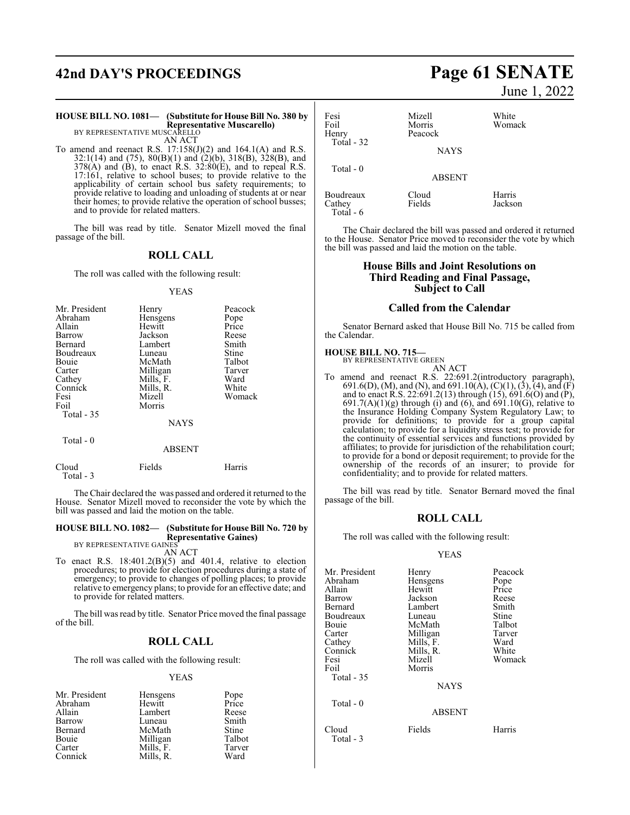# **42nd DAY'S PROCEEDINGS Page 61 SENATE**

## **HOUSE BILL NO. 1081— (Substitute for House Bill No. 380 by Representative Muscarello)** BY REPRESENTATIVE MUSCARELLO

AN ACT

To amend and reenact R.S.  $17:158(J)(2)$  and  $164.1(A)$  and R.S. 32:1(14) and (75), 80(B)(1) and (2)(b), 318(B), 328(B), and  $378(A)$  and (B), to enact R.S.  $32:80(E)$ , and to repeal R.S. 17:161, relative to school buses; to provide relative to the applicability of certain school bus safety requirements; to provide relative to loading and unloading of students at or near their homes; to provide relative the operation of school busses; and to provide for related matters.

The bill was read by title. Senator Mizell moved the final passage of the bill.

#### **ROLL CALL**

The roll was called with the following result:

#### YEAS

| Mr. President | Henry     | Peacock |
|---------------|-----------|---------|
| Abraham       | Hensgens  | Pope    |
| Allain        | Hewitt    | Price   |
| Barrow        | Jackson   | Reese   |
| Bernard       | Lambert   | Smith   |
| Boudreaux     | Luneau    | Stine   |
| Bouie         | McMath    | Talbot  |
| Carter        | Milligan  | Tarver  |
| Cathey        | Mills, F. | Ward    |
| Connick       | Mills, R. | White   |
| Fesi          | Mizell    | Womack  |
| Foil          | Morris    |         |
| Total - 35    |           |         |
|               | NAYS      |         |
| Total - 0     |           |         |

|                     | <b>ABSENT</b> |        |
|---------------------|---------------|--------|
| Cloud<br>Total $-3$ | Fields        | Harris |

The Chair declared the was passed and ordered it returned to the House. Senator Mizell moved to reconsider the vote by which the bill was passed and laid the motion on the table.

#### **HOUSE BILL NO. 1082— (Substitute for House Bill No. 720 by Representative Gaines)**

BY REPRESENTATIVE GAINES AN ACT

To enact R.S. 18:401.2(B)(5) and 401.4, relative to election procedures; to provide for election procedures during a state of emergency; to provide to changes of polling places; to provide relative to emergency plans; to provide for an effective date; and to provide for related matters.

The bill was read by title. Senator Price moved the final passage of the bill.

#### **ROLL CALL**

The roll was called with the following result:

#### YEAS

| Mr. President | Hensgens  | Pope<br>Price |
|---------------|-----------|---------------|
| Abraham       | Hewitt    |               |
| Allain        | Lambert   | Reese         |
| Barrow        | Luneau    | Smith         |
| Bernard       | McMath    | Stine         |
| Bouie         | Milligan  | Talbot        |
| Carter        | Mills, F. | Tarver        |
| Connick       | Mills, R. | Ward          |

June 1, 2022

| Fesi<br>Foil<br>Henry<br>Total - 32 | Mizell<br>Morris<br>Peacock<br><b>NAYS</b> | White<br>Womack   |
|-------------------------------------|--------------------------------------------|-------------------|
| Total - 0                           | <b>ABSENT</b>                              |                   |
| Boudreaux<br>Cathey<br>Total $-6$   | Cloud<br>Fields                            | Harris<br>Jackson |

The Chair declared the bill was passed and ordered it returned to the House. Senator Price moved to reconsider the vote by which the bill was passed and laid the motion on the table.

#### **House Bills and Joint Resolutions on Third Reading and Final Passage, Subject to Call**

#### **Called from the Calendar**

Senator Bernard asked that House Bill No. 715 be called from the Calendar.

#### **HOUSE BILL NO. 715—**

BY REPRESENTATIVE GREEN AN ACT

To amend and reenact R.S. 22:691.2(introductory paragraph), 691.6(D), (M), and (N), and 691.10(A), (C)(1), (3), (4), and (F) and to enact R.S. 22:691.2(13) through (15), 691.6(O) and (P),  $691.7(A)(1)(g)$  through (i) and (6), and  $691.10(G)$ , relative to the Insurance Holding Company System Regulatory Law; to provide for definitions; to provide for a group capital calculation; to provide for a liquidity stress test; to provide for the continuity of essential services and functions provided by affiliates; to provide for jurisdiction of the rehabilitation court; to provide for a bond or deposit requirement; to provide for the ownership of the records of an insurer; to provide for confidentiality; and to provide for related matters.

The bill was read by title. Senator Bernard moved the final passage of the bill.

#### **ROLL CALL**

The roll was called with the following result:

#### YEAS

| Mr. President      | Henry         | Peacock      |
|--------------------|---------------|--------------|
| Abraham            | Hensgens      | Pope         |
| Allain             | Hewitt        | Price        |
| Barrow             | Jackson       | Reese        |
| Bernard            | Lambert       | Smith        |
| Boudreaux          | Luneau        | <b>Stine</b> |
| Bouie              | McMath        | Talbot       |
| Carter             | Milligan      | Tarver       |
| Cathey             | Mills, F.     | Ward         |
| Connick            | Mills, R.     | White        |
| Fesi               | Mizell        | Womack       |
| Foil<br>Total - 35 | Morris        |              |
| Total $-0$         | <b>NAYS</b>   |              |
|                    | <b>ABSENT</b> |              |
| Cloud<br>Total - 3 | Fields        | Harris       |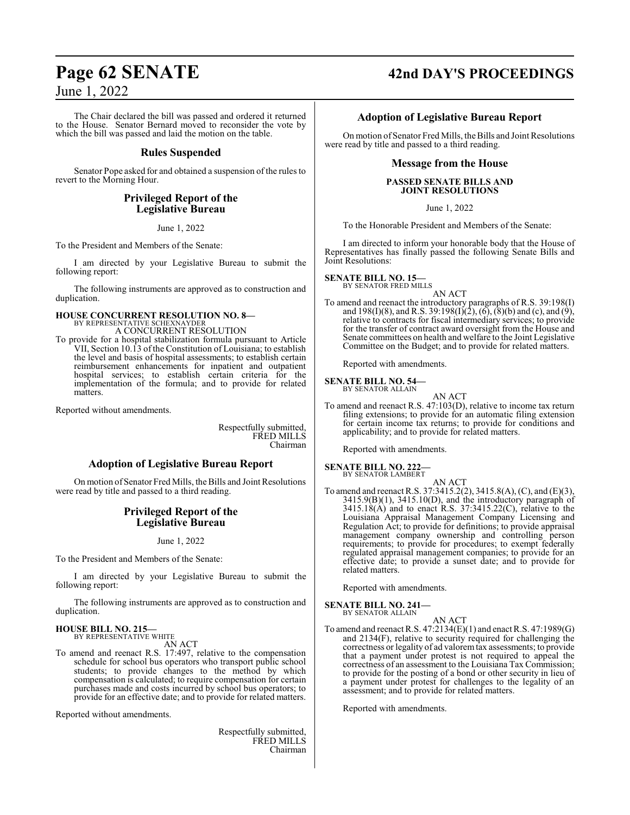The Chair declared the bill was passed and ordered it returned to the House. Senator Bernard moved to reconsider the vote by which the bill was passed and laid the motion on the table.

## **Rules Suspended**

Senator Pope asked for and obtained a suspension of the rules to revert to the Morning Hour.

## **Privileged Report of the Legislative Bureau**

June 1, 2022

To the President and Members of the Senate:

I am directed by your Legislative Bureau to submit the following report:

The following instruments are approved as to construction and duplication.

# **HOUSE CONCURRENT RESOLUTION NO. 8—** BY REPRESENTATIVE SCHEXNAYDER

A CONCURRENT RESOLUTION

To provide for a hospital stabilization formula pursuant to Article VII, Section 10.13 of the Constitution of Louisiana; to establish the level and basis of hospital assessments; to establish certain reimbursement enhancements for inpatient and outpatient hospital services; to establish certain criteria for the implementation of the formula; and to provide for related matters.

Reported without amendments.

Respectfully submitted, FRED MILLS Chairman

## **Adoption of Legislative Bureau Report**

On motion of Senator Fred Mills, the Bills and Joint Resolutions were read by title and passed to a third reading.

#### **Privileged Report of the Legislative Bureau**

June 1, 2022

To the President and Members of the Senate:

I am directed by your Legislative Bureau to submit the following report:

The following instruments are approved as to construction and duplication.

#### **HOUSE BILL NO. 215—** BY REPRESENTATIVE WHITE

AN ACT

To amend and reenact R.S. 17:497, relative to the compensation schedule for school bus operators who transport public school students; to provide changes to the method by which compensation is calculated; to require compensation for certain purchases made and costs incurred by school bus operators; to provide for an effective date; and to provide for related matters.

Reported without amendments.

Respectfully submitted, FRED MILLS Chairman

# **Page 62 SENATE 42nd DAY'S PROCEEDINGS**

### **Adoption of Legislative Bureau Report**

On motion of Senator Fred Mills, the Bills and Joint Resolutions were read by title and passed to a third reading.

#### **Message from the House**

#### **PASSED SENATE BILLS AND JOINT RESOLUTIONS**

June 1, 2022

To the Honorable President and Members of the Senate:

I am directed to inform your honorable body that the House of Representatives has finally passed the following Senate Bills and Joint Resolutions:

#### **SENATE BILL NO. 15—**

BY SENATOR FRED MILLS AN ACT

To amend and reenact the introductory paragraphs of R.S. 39:198(I) and  $198(I)(8)$ , and R.S. 39:198(I)(2), (6), (8)(b) and (c), and (9), relative to contracts for fiscal intermediary services; to provide for the transfer of contract award oversight from the House and Senate committees on health and welfare to the Joint Legislative Committee on the Budget; and to provide for related matters.

Reported with amendments.

# **SENATE BILL NO. 54—** BY SENATOR ALLAIN

- 
- AN ACT To amend and reenact R.S. 47:103(D), relative to income tax return filing extensions; to provide for an automatic filing extension for certain income tax returns; to provide for conditions and applicability; and to provide for related matters.

Reported with amendments.

#### **SENATE BILL NO. 222** BY SENATOR LAMBERT

- AN ACT
- To amend and reenact R.S. 37:3415.2(2), 3415.8(A), (C), and (E)(3), 3415.9(B)(1), 3415.10(D), and the introductory paragraph of 3415.18(A) and to enact R.S. 37:3415.22(C), relative to the Louisiana Appraisal Management Company Licensing and Regulation Act; to provide for definitions; to provide appraisal management company ownership and controlling person requirements; to provide for procedures; to exempt federally regulated appraisal management companies; to provide for an effective date; to provide a sunset date; and to provide for related matters.

Reported with amendments.

## **SENATE BILL NO. 241—**

BY SENATOR ALLAIN

AN ACT To amend and reenact R.S. 47:2134(E)(1) and enact R.S. 47:1989(G) and 2134(F), relative to security required for challenging the correctness or legality of ad valoremtax assessments; to provide that a payment under protest is not required to appeal the correctness of an assessment to the Louisiana Tax Commission; to provide for the posting of a bond or other security in lieu of a payment under protest for challenges to the legality of an assessment; and to provide for related matters.

Reported with amendments.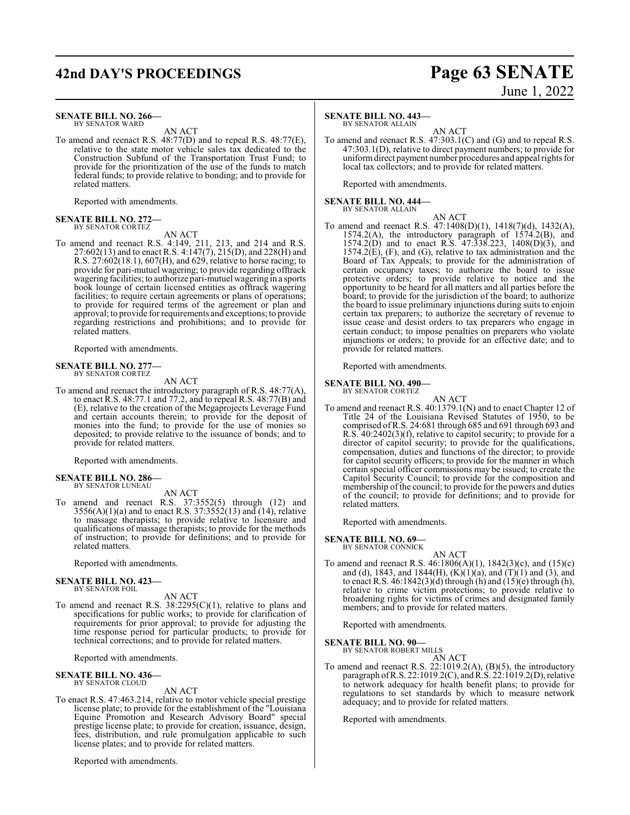# **42nd DAY'S PROCEEDINGS Page 63 SENATE**

#### **SENATE BILL NO. 266—** BY SENATOR WARD

AN ACT

To amend and reenact R.S. 48:77(D) and to repeal R.S. 48:77(E), relative to the state motor vehicle sales tax dedicated to the Construction Subfund of the Transportation Trust Fund; to provide for the prioritization of the use of the funds to match federal funds; to provide relative to bonding; and to provide for related matters.

Reported with amendments.

#### **SENATE BILL NO. 272—** BY SENATOR CORTEZ

AN ACT

To amend and reenact R.S. 4:149, 211, 213, and 214 and R.S. 27:602(13) and to enact R.S. 4:147(7), 215(D), and 228(H) and R.S. 27:602(18.1), 607(H), and 629, relative to horse racing; to provide for pari-mutuel wagering; to provide regarding offtrack wagering facilities; to authorize pari-mutuel wagering in a sports book lounge of certain licensed entities as offtrack wagering facilities; to require certain agreements or plans of operations; to provide for required terms of the agreement or plan and approval; to provide forrequirements and exceptions; to provide regarding restrictions and prohibitions; and to provide for related matters.

Reported with amendments.

#### **SENATE BILL NO. 277—** BY SENATOR CORTEZ

AN ACT

To amend and reenact the introductory paragraph of R.S. 48:77(A), to enact R.S. 48:77.1 and 77.2, and to repeal R.S. 48:77(B) and (E), relative to the creation of the Megaprojects Leverage Fund and certain accounts therein; to provide for the deposit of monies into the fund; to provide for the use of monies so deposited; to provide relative to the issuance of bonds; and to provide for related matters.

Reported with amendments.

#### **SENATE BILL NO. 286—** BY SENATOR LUNEAU

AN ACT

To amend and reenact R.S. 37:3552(5) through (12) and  $3556(A)(1)(a)$  and to enact R.S.  $37:3552(13)$  and  $(14)$ , relative to massage therapists; to provide relative to licensure and qualifications of massage therapists; to provide for the methods of instruction; to provide for definitions; and to provide for related matters.

Reported with amendments.

#### **SENATE BILL NO. 423—** BY SENATOR FOIL

AN ACT

To amend and reenact R.S. 38:2295(C)(1), relative to plans and specifications for public works; to provide for clarification of requirements for prior approval; to provide for adjusting the time response period for particular products; to provide for technical corrections; and to provide for related matters.

Reported with amendments.

#### **SENATE BILL NO. 436—** BY SENATOR CLOUD

AN ACT

To enact R.S. 47:463.214, relative to motor vehicle special prestige license plate; to provide for the establishment of the "Louisiana Equine Promotion and Research Advisory Board" special prestige license plate; to provide for creation, issuance, design, fees, distribution, and rule promulgation applicable to such license plates; and to provide for related matters.

Reported with amendments.

#### **SENATE BILL NO. 443—**

BY SENATOR ALLAIN

AN ACT To amend and reenact R.S. 47:303.1(C) and (G) and to repeal R.S. 47:303.1(D), relative to direct payment numbers; to provide for uniformdirect payment number procedures and appeal rights for local tax collectors; and to provide for related matters.

Reported with amendments.

#### **SENATE BILL NO. 444—** BY SENATOR ALLAIN

AN ACT

To amend and reenact R.S. 47:1408(D)(1), 1418(7)(d), 1432(A), 1574.2(A), the introductory paragraph of 1574.2(B), and 1574.2(D) and to enact R.S. 47:338.223, 1408(D)(3), and  $1574.2(E)$ , (F), and (G), relative to tax administration and the Board of Tax Appeals; to provide for the administration of certain occupancy taxes; to authorize the board to issue protective orders; to provide relative to notice and the opportunity to be heard for all matters and all parties before the board; to provide for the jurisdiction of the board; to authorize the board to issue preliminary injunctions during suits to enjoin certain tax preparers; to authorize the secretary of revenue to issue cease and desist orders to tax preparers who engage in certain conduct; to impose penalties on preparers who violate injunctions or orders; to provide for an effective date; and to provide for related matters.

Reported with amendments.

# **SENATE BILL NO. 490—** BY SENATOR CORTEZ

AN ACT

To amend and reenact R.S. 40:1379.1(N) and to enact Chapter 12 of Title 24 of the Louisiana Revised Statutes of 1950, to be comprised ofR.S. 24:681 through 685 and 691 through 693 and R.S. 40:2402(3)(f), relative to capitol security; to provide for a director of capitol security; to provide for the qualifications, compensation, duties and functions of the director; to provide for capitol security officers; to provide for the manner in which certain special officer commissions may be issued; to create the Capitol Security Council; to provide for the composition and membership of the council; to provide for the powers and duties of the council; to provide for definitions; and to provide for related matters.

Reported with amendments.

#### **SENATE BILL NO. 69—**

BY SENATOR CONNICK

AN ACT To amend and reenact R.S. 46:1806(A)(1), 1842(3)(c), and (15)(c) and (d), 1843, and 1844(H),  $(K)(1)(a)$ , and  $(T)(1)$  and  $(3)$ , and to enact R.S.  $46:1842(3)(d)$  through (h) and  $(15)(e)$  through (h), relative to crime victim protections; to provide relative to broadening rights for victims of crimes and designated family members; and to provide for related matters.

Reported with amendments.

#### **SENATE BILL NO. 90—**

BY SENATOR ROBERT MILLS AN ACT

To amend and reenact R.S. 22:1019.2(A), (B)(5), the introductory paragraph of R.S. 22:1019.2(C), and R.S. 22:1019.2(D), relative to network adequacy for health benefit plans; to provide for regulations to set standards by which to measure network adequacy; and to provide for related matters.

Reported with amendments.

June 1, 2022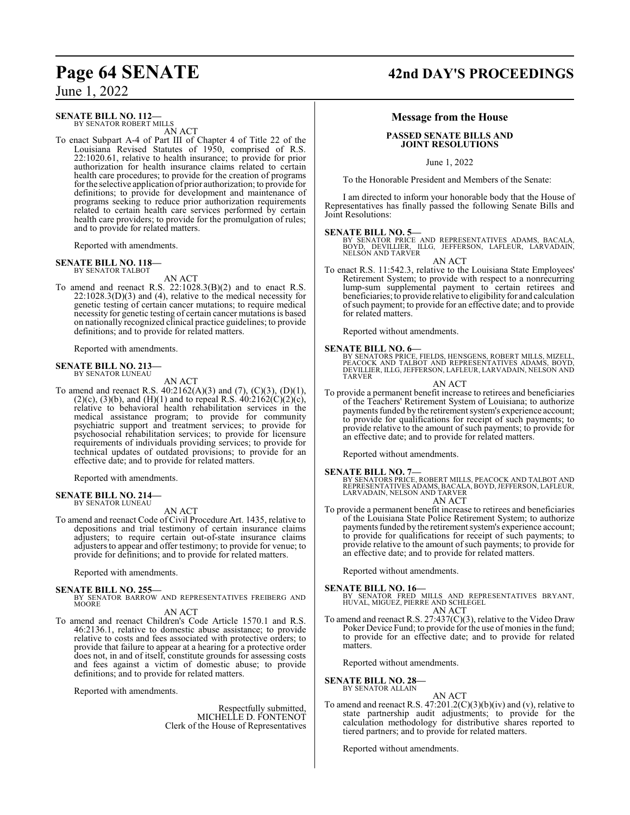#### **SENATE BILL NO. 112—**

BY SENATOR ROBERT MILLS AN ACT

To enact Subpart A-4 of Part III of Chapter 4 of Title 22 of the Louisiana Revised Statutes of 1950, comprised of R.S. 22:1020.61, relative to health insurance; to provide for prior authorization for health insurance claims related to certain health care procedures; to provide for the creation of programs for the selective application of prior authorization; to provide for definitions; to provide for development and maintenance of programs seeking to reduce prior authorization requirements related to certain health care services performed by certain health care providers; to provide for the promulgation of rules; and to provide for related matters.

Reported with amendments.

#### **SENATE BILL NO. 118—** BY SENATOR TALBOT

AN ACT

To amend and reenact R.S. 22:1028.3(B)(2) and to enact R.S. 22:1028.3(D)(3) and (4), relative to the medical necessity for genetic testing of certain cancer mutations; to require medical necessity for genetic testing of certain cancer mutations is based on nationally recognized clinical practice guidelines; to provide definitions; and to provide for related matters.

Reported with amendments.

#### **SENATE BILL NO. 213—**

BY SENATOR LUNEAU

AN ACT To amend and reenact R.S. 40:2162(A)(3) and (7), (C)(3), (D)(1), (2)(c), (3)(b), and (H)(1) and to repeal R.S.  $40:2162(C)(2)(c)$ , relative to behavioral health rehabilitation services in the medical assistance program; to provide for community psychiatric support and treatment services; to provide for psychosocial rehabilitation services; to provide for licensure requirements of individuals providing services; to provide for technical updates of outdated provisions; to provide for an effective date; and to provide for related matters.

Reported with amendments.

#### **SENATE BILL NO. 214—** BY SENATOR LUNEAU

AN ACT

To amend and reenact Code of Civil Procedure Art. 1435, relative to depositions and trial testimony of certain insurance claims adjusters; to require certain out-of-state insurance claims adjusters to appear and offer testimony; to provide for venue; to provide for definitions; and to provide for related matters.

Reported with amendments.

#### **SENATE BILL NO. 255—**

BY SENATOR BARROW AND REPRESENTATIVES FREIBERG AND MOORE

AN ACT

To amend and reenact Children's Code Article 1570.1 and R.S. 46:2136.1, relative to domestic abuse assistance; to provide relative to costs and fees associated with protective orders; to provide that failure to appear at a hearing for a protective order does not, in and of itself, constitute grounds for assessing costs and fees against a victim of domestic abuse; to provide definitions; and to provide for related matters.

Reported with amendments.

Respectfully submitted, MICHELLE D. FONTENOT Clerk of the House of Representatives

# **Page 64 SENATE 42nd DAY'S PROCEEDINGS**

#### **Message from the House**

#### **PASSED SENATE BILLS AND JOINT RESOLUTIONS**

June 1, 2022

To the Honorable President and Members of the Senate:

I am directed to inform your honorable body that the House of Representatives has finally passed the following Senate Bills and Joint Resolutions:

**SENATE BILL NO. 5—**<br>BY SENATOR PRICE AND REPRESENTATIVES ADAMS, BACALA,<br>BOYD, DEVILLIER, ILLG, JEFFERSON, LAFLEUR, LARVADAIN,<br>NELSON AND TARVER

AN ACT

To enact R.S. 11:542.3, relative to the Louisiana State Employees' Retirement System; to provide with respect to a nonrecurring lump-sum supplemental payment to certain retirees and beneficiaries; to provide relative to eligibility for and calculation ofsuch payment; to provide for an effective date; and to provide for related matters.

Reported without amendments.

**SENATE BILL NO. 6—** BY SENATORS PRICE, FIELDS, HENSGENS, ROBERT MILLS, MIZELL, PEACOCK AND TALBOT AND REPRESENTATIVES ADAMS, BOYD, DEVILLIER, ILLG, JEFFERSON, LAFLEUR, LARVADAIN, NELSON AND TARVER

AN ACT

To provide a permanent benefit increase to retirees and beneficiaries of the Teachers' Retirement System of Louisiana; to authorize payments funded by the retirement system's experience account; to provide for qualifications for receipt of such payments; to provide relative to the amount of such payments; to provide for an effective date; and to provide for related matters.

Reported without amendments.

**SENATE BILL NO. 7—** BY SENATORS PRICE, ROBERT MILLS, PEACOCK AND TALBOT AND REPRESENTATIVES ADAMS, BACALA, BOYD, JEFFERSON, LAFLEUR, LARVADAIN, NELSON AND TARVER AN ACT

To provide a permanent benefit increase to retirees and beneficiaries of the Louisiana State Police Retirement System; to authorize payments funded by the retirement system's experience account; to provide for qualifications for receipt of such payments; to provide relative to the amount of such payments; to provide for an effective date; and to provide for related matters.

Reported without amendments.

**SENATE BILL NO. 16—**<br>BY SENATOR FRED MILLS AND REPRESENTATIVES BRYANT,<br>HUVAL, MIGUEZ, PIERRE AND SCHLEGEL AN ACT

To amend and reenact R.S. 27:437(C)(3), relative to the Video Draw Poker Device Fund; to provide for the use of monies in the fund; to provide for an effective date; and to provide for related matters.

Reported without amendments.

**SENATE BILL NO. 28—**

BY SENATOR ALLAIN

AN ACT To amend and reenact R.S.  $47:201.2(C)(3)(b)(iv)$  and (v), relative to state partnership audit adjustments; to provide for the calculation methodology for distributive shares reported to tiered partners; and to provide for related matters.

Reported without amendments.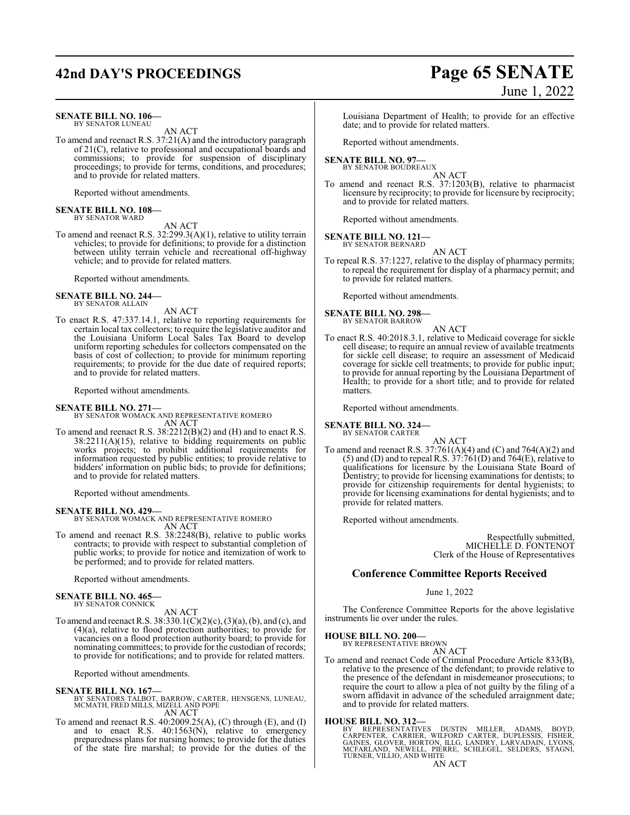# **42nd DAY'S PROCEEDINGS Page 65 SENATE**

#### **SENATE BILL NO. 106—** BY SENATOR LUNEAU

AN ACT

To amend and reenact R.S. 37:21(A) and the introductory paragraph of 21(C), relative to professional and occupational boards and commissions; to provide for suspension of disciplinary proceedings; to provide for terms, conditions, and procedures; and to provide for related matters.

Reported without amendments.

#### **SENATE BILL NO. 108—** BY SENATOR WARD

AN ACT

To amend and reenact R.S. 32:299.3(A)(1), relative to utility terrain vehicles; to provide for definitions; to provide for a distinction between utility terrain vehicle and recreational off-highway vehicle; and to provide for related matters.

Reported without amendments.

#### **SENATE BILL NO. 244—** BY SENATOR ALLAIN

AN ACT

To enact R.S. 47:337.14.1, relative to reporting requirements for certain local tax collectors; to require the legislative auditor and the Louisiana Uniform Local Sales Tax Board to develop uniform reporting schedules for collectors compensated on the basis of cost of collection; to provide for minimum reporting requirements; to provide for the due date of required reports; and to provide for related matters.

Reported without amendments.

#### **SENATE BILL NO. 271—**

BY SENATOR WOMACK AND REPRESENTATIVE ROMERO AN ACT

To amend and reenact R.S. 38:2212(B)(2) and (H) and to enact R.S. 38:2211(A)(15), relative to bidding requirements on public works projects; to prohibit additional requirements for information requested by public entities; to provide relative to bidders' information on public bids; to provide for definitions; and to provide for related matters.

Reported without amendments.

#### **SENATE BILL NO. 429—**

BY SENATOR WOMACK AND REPRESENTATIVE ROMERO AN ACT

To amend and reenact R.S. 38:2248(B), relative to public works contracts; to provide with respect to substantial completion of public works; to provide for notice and itemization of work to be performed; and to provide for related matters.

Reported without amendments.

#### **SENATE BILL NO. 465—**

BY SENATOR CONNICK

- AN ACT
- To amend and reenact R.S. 38:330.1(C)(2)(c), (3)(a), (b), and (c), and (4)(a), relative to flood protection authorities; to provide for vacancies on a flood protection authority board; to provide for nominating committees; to provide for the custodian of records; to provide for notifications; and to provide for related matters.

Reported without amendments.

#### **SENATE BILL NO. 167—**

BY SENATORS TALBOT, BARROW, CARTER, HENSGENS, LUNEAU, MCMATH, FRED MILLS, MIZELL AND POPE AN ACT

To amend and reenact R.S.  $40:2009.25(A)$ , (C) through (E), and (I) and to enact R.S. 40:1563(N), relative to emergency preparedness plans for nursing homes; to provide for the duties of the state fire marshal; to provide for the duties of the

Louisiana Department of Health; to provide for an effective date; and to provide for related matters.

Reported without amendments.

#### **SENATE BILL NO. 97—** BY SENATOR BOUDREAUX

AN ACT

To amend and reenact R.S. 37:1203(B), relative to pharmacist licensure by reciprocity; to provide for licensure by reciprocity; and to provide for related matters.

Reported without amendments.

#### **SENATE BILL NO. 121—** BY SENATOR BERNARD

AN ACT

To repeal R.S. 37:1227, relative to the display of pharmacy permits; to repeal the requirement for display of a pharmacy permit; and to provide for related matters.

Reported without amendments.

# **SENATE BILL NO. 298—** BY SENATOR BARROW

To enact R.S. 40:2018.3.1, relative to Medicaid coverage for sickle cell disease; to require an annual review of available treatments for sickle cell disease; to require an assessment of Medicaid coverage for sickle cell treatments; to provide for public input; to provide for annual reporting by the Louisiana Department of Health; to provide for a short title; and to provide for related matters.

AN ACT

Reported without amendments.

**SENATE BILL NO. 324—** BY SENATOR CARTER

AN ACT

To amend and reenact R.S.  $37:761(A)(4)$  and  $(C)$  and  $764(A)(2)$  and  $(5)$  and  $(D)$  and to repeal R.S.  $37:761(D)$  and  $764(E)$ , relative to qualifications for licensure by the Louisiana State Board of Dentistry; to provide for licensing examinations for dentists; to provide for citizenship requirements for dental hygienists; to provide for licensing examinations for dental hygienists; and to provide for related matters.

Reported without amendments.

Respectfully submitted, MICHELLE D. FONTENOT Clerk of the House of Representatives

#### **Conference Committee Reports Received**

June 1, 2022

The Conference Committee Reports for the above legislative instruments lie over under the rules.

#### **HOUSE BILL NO. 200—**

BY REPRESENTATIVE BROWN AN ACT

- To amend and reenact Code of Criminal Procedure Article 833(B), relative to the presence of the defendant; to provide relative to the presence of the defendant in misdemeanor prosecutions; to
- require the court to allow a plea of not guilty by the filing of a sworn affidavit in advance of the scheduled arraignment date; and to provide for related matters.

**HOUSE BILL NO. 312—**<br>BY REPRESENTATIVES DUSTIN MILLER, ADAMS, BOYD,<br>CARPENTER, CARRIER, WILFORD CARTER, DUPLESSIS, FISHER,<br>GAINES, GLOVER, HORTON, ILLG, LANDRY, LARVADAIN, LYONS,<br>MCFARLAND, NEWELL, PIERRE, SCHLEGEL, SELDE

# June 1, 2022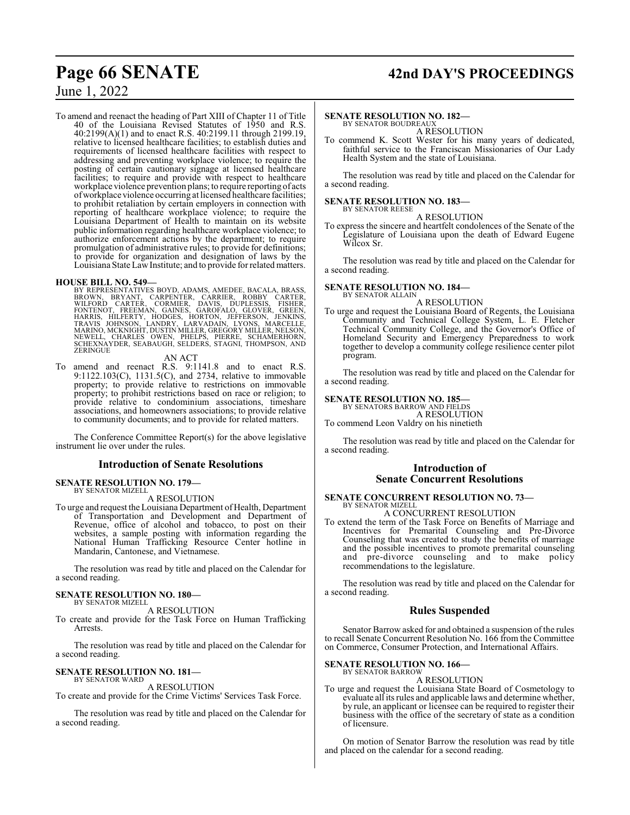# **Page 66 SENATE 42nd DAY'S PROCEEDINGS**

## June 1, 2022

To amend and reenact the heading of Part XIII of Chapter 11 of Title 40 of the Louisiana Revised Statutes of 1950 and R.S. 40:2199(A)(1) and to enact R.S. 40:2199.11 through 2199.19, relative to licensed healthcare facilities; to establish duties and requirements of licensed healthcare facilities with respect to addressing and preventing workplace violence; to require the posting of certain cautionary signage at licensed healthcare facilities; to require and provide with respect to healthcare workplace violence prevention plans; to require reporting of acts ofworkplace violence occurring at licensed healthcare facilities; to prohibit retaliation by certain employers in connection with reporting of healthcare workplace violence; to require the Louisiana Department of Health to maintain on its website public information regarding healthcare workplace violence; to authorize enforcement actions by the department; to require promulgation of administrative rules; to provide for definitions; to provide for organization and designation of laws by the Louisiana State LawInstitute; and to provide for related matters.

#### **HOUSE BILL NO. 549—**

BY REPRESENTATIVES BOYD, ADAMS, AMEDEE, BACALA, BRASS, BROWN, BRYANT, CARPENTER, CARRIER, DAVIS, WILFORD CARTER, CORMIER, DAVIS, DUPLESSIS, FISHER, FONTER, FONTER, FONTER, FONTER, FONTER, FONTER, FONTER, FONTER, FONTER, FO **ZERINGUE** 

AN ACT

To amend and reenact R.S. 9:1141.8 and to enact R.S. 9:1122.103(C), 1131.5(C), and 2734, relative to immovable property; to provide relative to restrictions on immovable property; to prohibit restrictions based on race or religion; to provide relative to condominium associations, timeshare associations, and homeowners associations; to provide relative to community documents; and to provide for related matters.

The Conference Committee Report(s) for the above legislative instrument lie over under the rules.

#### **Introduction of Senate Resolutions**

#### **SENATE RESOLUTION NO. 179—** BY SENATOR MIZELL

#### A RESOLUTION

To urge and request the Louisiana Department of Health, Department of Transportation and Development and Department of Revenue, office of alcohol and tobacco, to post on their websites, a sample posting with information regarding the National Human Trafficking Resource Center hotline in Mandarin, Cantonese, and Vietnamese.

The resolution was read by title and placed on the Calendar for a second reading.

#### **SENATE RESOLUTION NO. 180—** BY SENATOR MIZELL

A RESOLUTION

To create and provide for the Task Force on Human Trafficking Arrests.

The resolution was read by title and placed on the Calendar for a second reading.

#### **SENATE RESOLUTION NO. 181—**

BY SENATOR WARD A RESOLUTION

To create and provide for the Crime Victims' Services Task Force.

The resolution was read by title and placed on the Calendar for a second reading.

#### **SENATE RESOLUTION NO. 182—** BY SENATOR BOUDREAU.

A RESOLUTION

To commend K. Scott Wester for his many years of dedicated, faithful service to the Franciscan Missionaries of Our Lady Health System and the state of Louisiana.

The resolution was read by title and placed on the Calendar for a second reading.

#### **SENATE RESOLUTION NO. 183—** BY SENATOR REESE

A RESOLUTION

To express the sincere and heartfelt condolences of the Senate of the Legislature of Louisiana upon the death of Edward Eugene Wilcox Sr.

The resolution was read by title and placed on the Calendar for a second reading.

#### **SENATE RESOLUTION NO. 184—**

BY SENATOR ALLAIN A RESOLUTION

To urge and request the Louisiana Board of Regents, the Louisiana Community and Technical College System, L. E. Fletcher Technical Community College, and the Governor's Office of Homeland Security and Emergency Preparedness to work together to develop a community college resilience center pilot program.

The resolution was read by title and placed on the Calendar for a second reading.

#### **SENATE RESOLUTION NO. 185—**

BY SENATORS BARROW AND FIELDS A RESOLUTION To commend Leon Valdry on his ninetieth

The resolution was read by title and placed on the Calendar for a second reading.

#### **Introduction of Senate Concurrent Resolutions**

#### **SENATE CONCURRENT RESOLUTION NO. 73—** BY SENATOR MIZELL

A CONCURRENT RESOLUTION

To extend the term of the Task Force on Benefits of Marriage and Incentives for Premarital Counseling and Pre-Divorce Counseling that was created to study the benefits of marriage and the possible incentives to promote premarital counseling and pre-divorce counseling and to make policy recommendations to the legislature.

The resolution was read by title and placed on the Calendar for a second reading.

#### **Rules Suspended**

Senator Barrow asked for and obtained a suspension of the rules to recall Senate Concurrent Resolution No. 166 from the Committee on Commerce, Consumer Protection, and International Affairs.

#### **SENATE RESOLUTION NO. 166—** BY SENATOR BARROW

A RESOLUTION

To urge and request the Louisiana State Board of Cosmetology to evaluate all its rules and applicable laws and determine whether, by rule, an applicant or licensee can be required to register their business with the office of the secretary of state as a condition of licensure.

On motion of Senator Barrow the resolution was read by title and placed on the calendar for a second reading.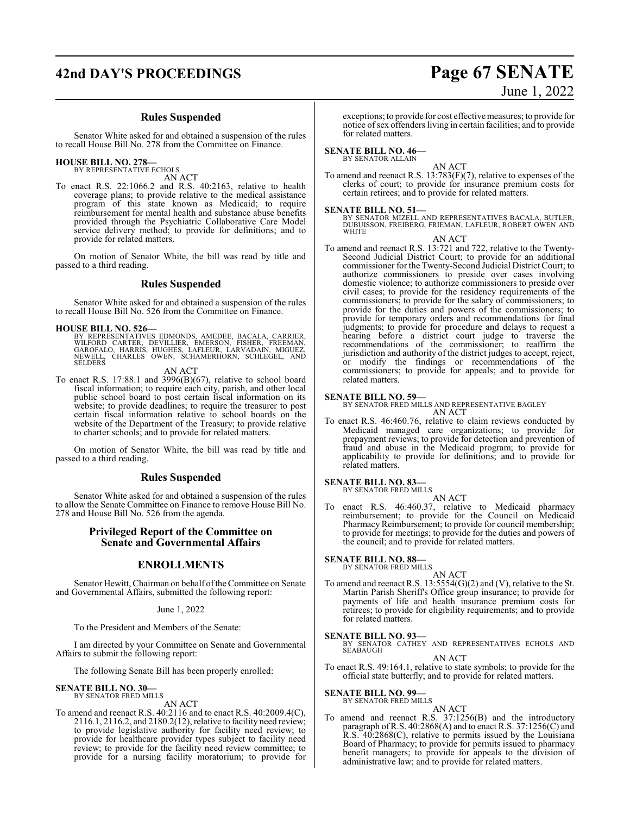# **42nd DAY'S PROCEEDINGS Page 67 SENATE**

#### **Rules Suspended**

Senator White asked for and obtained a suspension of the rules to recall House Bill No. 278 from the Committee on Finance.

#### **HOUSE BILL NO. 278—** BY REPRESENTATIVE ECHOLS

AN ACT

To enact R.S. 22:1066.2 and R.S. 40:2163, relative to health coverage plans; to provide relative to the medical assistance program of this state known as Medicaid; to require reimbursement for mental health and substance abuse benefits provided through the Psychiatric Collaborative Care Model service delivery method; to provide for definitions; and to provide for related matters.

On motion of Senator White, the bill was read by title and passed to a third reading.

## **Rules Suspended**

Senator White asked for and obtained a suspension of the rules to recall House Bill No. 526 from the Committee on Finance.

#### **HOUSE BILL NO. 526—**

BY REPRESENTATIVES EDMONDS, AMEDEE, BACALA, CARRIER,<br>WILFORD CARTER, DEVILLIER, EMERSON, FISHER, FREEMAN,<br>GAROFALO, HARRIS, HUGHES, LAFLEUR, LARVADAIN, MIGUEZ,<br>NEWELL, CHARLES OWEN, SCHAMERHORN, SCHLEGEL, AND **SELDERS** 

#### AN ACT

To enact R.S. 17:88.1 and 3996(B)(67), relative to school board fiscal information; to require each city, parish, and other local public school board to post certain fiscal information on its website; to provide deadlines; to require the treasurer to post certain fiscal information relative to school boards on the website of the Department of the Treasury; to provide relative to charter schools; and to provide for related matters.

On motion of Senator White, the bill was read by title and passed to a third reading.

#### **Rules Suspended**

Senator White asked for and obtained a suspension of the rules to allow the Senate Committee on Finance to remove House Bill No. 278 and House Bill No. 526 from the agenda.

### **Privileged Report of the Committee on Senate and Governmental Affairs**

#### **ENROLLMENTS**

Senator Hewitt, Chairman on behalf ofthe Committee on Senate and Governmental Affairs, submitted the following report:

#### June 1, 2022

To the President and Members of the Senate:

I am directed by your Committee on Senate and Governmental Affairs to submit the following report:

The following Senate Bill has been properly enrolled:

# **SENATE BILL NO. 30—** BY SENATOR FRED MILLS

AN ACT

To amend and reenact R.S. 40:2116 and to enact R.S. 40:2009.4(C), 2116.1, 2116.2, and 2180.2(12), relative to facility need review; to provide legislative authority for facility need review; to provide for healthcare provider types subject to facility need review; to provide for the facility need review committee; to provide for a nursing facility moratorium; to provide for

exceptions; to provide for cost effective measures; to provide for notice ofsex offenders living in certain facilities; and to provide for related matters.

#### **SENATE BILL NO. 46—**

#### BY SENATOR ALLAIN

AN ACT To amend and reenact R.S. 13:783(F)(7), relative to expenses of the clerks of court; to provide for insurance premium costs for certain retirees; and to provide for related matters.

**SENATE BILL NO. 51—**<br>BY SENATOR MIZELL AND REPRESENTATIVES BACALA, BUTLER,<br>DUBUISSON, FREIBERG, FRIEMAN, LAFLEUR, ROBERT OWEN AND WHITE

AN ACT

To amend and reenact R.S. 13:721 and 722, relative to the Twenty-Second Judicial District Court; to provide for an additional commissioner for the Twenty-Second Judicial District Court; to authorize commissioners to preside over cases involving domestic violence; to authorize commissioners to preside over civil cases; to provide for the residency requirements of the commissioners; to provide for the salary of commissioners; to provide for the duties and powers of the commissioners; to provide for temporary orders and recommendations for final judgments; to provide for procedure and delays to request a hearing before a district court judge to traverse the recommendations of the commissioner; to reaffirm the jurisdiction and authority of the district judges to accept, reject, or modify the findings or recommendations of the commissioners; to provide for appeals; and to provide for related matters.

#### **SENATE BILL NO. 59—**

BY SENATOR FRED MILLS AND REPRESENTATIVE BAGLEY AN ACT

To enact R.S. 46:460.76, relative to claim reviews conducted by Medicaid managed care organizations; to provide for prepayment reviews; to provide for detection and prevention of fraud and abuse in the Medicaid program; to provide for applicability to provide for definitions; and to provide for related matters.

#### **SENATE BILL NO. 83—** BY SENATOR FRED MILLS

AN ACT

To enact R.S. 46:460.37, relative to Medicaid pharmacy reimbursement; to provide for the Council on Medicaid Pharmacy Reimbursement; to provide for council membership; to provide for meetings; to provide for the duties and powers of the council; and to provide for related matters.

#### **SENATE BILL NO. 88—**

BY SENATOR FRED MILLS

AN ACT To amend and reenact R.S. 13:5554(G)(2) and (V), relative to the St. Martin Parish Sheriff's Office group insurance; to provide for payments of life and health insurance premium costs for retirees; to provide for eligibility requirements; and to provide for related matters.

#### **SENATE BILL NO. 93—**

BY SENATOR CATHEY AND REPRESENTATIVES ECHOLS AND SEABAUGH

AN ACT

To enact R.S. 49:164.1, relative to state symbols; to provide for the official state butterfly; and to provide for related matters.

#### **SENATE BILL NO. 99—**

BY SENATOR FRED MILLS AN ACT

To amend and reenact R.S. 37:1256(B) and the introductory paragraph ofR.S. 40:2868(A) and to enact R.S. 37:1256(C) and R.S. 40:2868(C), relative to permits issued by the Louisiana Board of Pharmacy; to provide for permits issued to pharmacy benefit managers; to provide for appeals to the division of administrative law; and to provide for related matters.

# June 1, 2022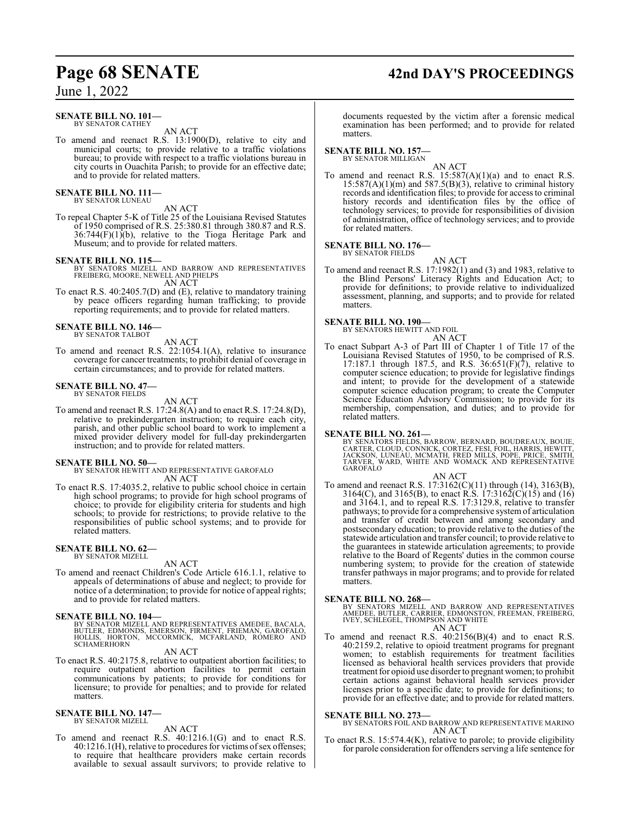# **Page 68 SENATE 42nd DAY'S PROCEEDINGS**

## June 1, 2022

#### **SENATE BILL NO. 101—** BY SENATOR CATHEY

AN ACT

To amend and reenact R.S. 13:1900(D), relative to city and municipal courts; to provide relative to a traffic violations bureau; to provide with respect to a traffic violations bureau in city courts in Ouachita Parish; to provide for an effective date; and to provide for related matters.

#### **SENATE BILL NO. 111—** BY SENATOR LUNEAU

AN ACT

To repeal Chapter 5-K of Title 25 of the Louisiana Revised Statutes of 1950 comprised of R.S. 25:380.81 through 380.87 and R.S.  $36:744(F)(1)(b)$ , relative to the Tioga Heritage Park and Museum; and to provide for related matters.

#### **SENATE BILL NO. 115—**

BY SENATORS MIZELL AND BARROW AND REPRESENTATIVES FREIBERG, MOORE, NEWELL AND PHELPS AN ACT

To enact R.S. 40:2405.7(D) and (E), relative to mandatory training by peace officers regarding human trafficking; to provide reporting requirements; and to provide for related matters.

# **SENATE BILL NO. 146—** BY SENATOR TALBOT

AN ACT

To amend and reenact R.S. 22:1054.1(A), relative to insurance coverage for cancer treatments; to prohibit denial of coverage in certain circumstances; and to provide for related matters.

#### **SENATE BILL NO. 47—** BY SENATOR FIELDS

AN ACT

To amend and reenact R.S. 17:24.8(A) and to enact R.S. 17:24.8(D), relative to prekindergarten instruction; to require each city, parish, and other public school board to work to implement a mixed provider delivery model for full-day prekindergarten instruction; and to provide for related matters.

**SENATE BILL NO. 50—** BY SENATOR HEWITT AND REPRESENTATIVE GAROFALO AN ACT

To enact R.S. 17:4035.2, relative to public school choice in certain high school programs; to provide for high school programs of choice; to provide for eligibility criteria for students and high schools; to provide for restrictions; to provide relative to the responsibilities of public school systems; and to provide for related matters.

#### **SENATE BILL NO. 62—** BY SENATOR MIZELL

#### AN ACT

To amend and reenact Children's Code Article 616.1.1, relative to appeals of determinations of abuse and neglect; to provide for notice of a determination; to provide for notice of appeal rights; and to provide for related matters.

#### **SENATE BILL NO. 104—**

BY SENATOR MIZELL AND REPRESENTATIVES AMEDEE, BACALA,<br>BUTLER, EDMONDS, EMERSON, FIRMENT, FRIEMAN, GAROFALO,<br>HOLLIS, HORTON, MCCORMICK, MCFARLAND, ROMERO AND SCHAMERHORN

AN ACT

To enact R.S. 40:2175.8, relative to outpatient abortion facilities; to require outpatient abortion facilities to permit certain communications by patients; to provide for conditions for licensure; to provide for penalties; and to provide for related matters.

#### **SENATE BILL NO. 147—** BY SENATOR MIZELL

AN ACT

To amend and reenact R.S. 40:1216.1(G) and to enact R.S. 40:1216.1(H), relative to procedures for victims ofsex offenses; to require that healthcare providers make certain records available to sexual assault survivors; to provide relative to

documents requested by the victim after a forensic medical examination has been performed; and to provide for related matters.

#### **SENATE BILL NO. 157—** BY SENATOR MILLIGAN

AN ACT

To amend and reenact R.S. 15:587(A)(1)(a) and to enact R.S.  $15:587(A)(1)(m)$  and  $587.5(B)(3)$ , relative to criminal history records and identification files; to provide for access to criminal history records and identification files by the office of technology services; to provide for responsibilities of division of administration, office of technology services; and to provide for related matters.

# **SENATE BILL NO. 176—** BY SENATOR FIELDS

AN ACT

To amend and reenact R.S. 17:1982(1) and (3) and 1983, relative to the Blind Persons' Literacy Rights and Education Act; to provide for definitions; to provide relative to individualized assessment, planning, and supports; and to provide for related matters.

#### **SENATE BILL NO. 190—**

BY SENATORS HEWITT AND FOIL

AN ACT

To enact Subpart A-3 of Part III of Chapter 1 of Title 17 of the Louisiana Revised Statutes of 1950, to be comprised of R.S. 17:187.1 through 187.5, and R.S.  $36:651(F)(7)$ , relative to computer science education; to provide for legislative findings and intent; to provide for the development of a statewide computer science education program; to create the Computer Science Education Advisory Commission; to provide for its membership, compensation, and duties; and to provide for related matters.

#### **SENATE BILL NO. 261—**

BY SENATORS FIELDS, BARROW, BERNARD, BOUDREAUX, BOUIE,<br>CARTER, CLOUD, CONNICK, CORTEZ, FESI, FOIL, HARRIS, HEWITT,<br>JACKSON, LUNEAU, MCMATH, FRED MILLS, POPE, PRICE, SMITH,<br>TARVER, WARD, WHITE AND WOMACK AND REPRESENTATIVE<br>

#### AN ACT

To amend and reenact R.S. 17:3162(C)(11) through (14), 3163(B), 3164(C), and 3165(B), to enact R.S. 17:3162(C)(15) and (16) and 3164.1, and to repeal R.S. 17:3129.8, relative to transfer pathways; to provide for a comprehensive systemof articulation and transfer of credit between and among secondary and postsecondary education; to provide relative to the duties of the statewide articulation and transfer council; to provide relative to the guarantees in statewide articulation agreements; to provide relative to the Board of Regents' duties in the common course numbering system; to provide for the creation of statewide transfer pathways in major programs; and to provide for related matters.

**SENATE BILL NO. 268—** BY SENATORS MIZELL AND BARROW AND REPRESENTATIVES AMEDEE, BUTLER, CARRIER, EDMONSTON, FREEMAN, FREIBERG, IVEY, SCHLEGEL, THOMPSON AND WHITE AN ACT

To amend and reenact R.S. 40:2156(B)(4) and to enact R.S. 40:2159.2, relative to opioid treatment programs for pregnant women; to establish requirements for treatment facilities licensed as behavioral health services providers that provide treatment for opioid use disorder to pregnant women; to prohibit certain actions against behavioral health services provider licenses prior to a specific date; to provide for definitions; to provide for an effective date; and to provide for related matters.

#### **SENATE BILL NO. 273—**

BY SENATORS FOIL AND BARROW AND REPRESENTATIVE MARINO AN ACT

To enact R.S. 15:574.4(K), relative to parole; to provide eligibility for parole consideration for offenders serving a life sentence for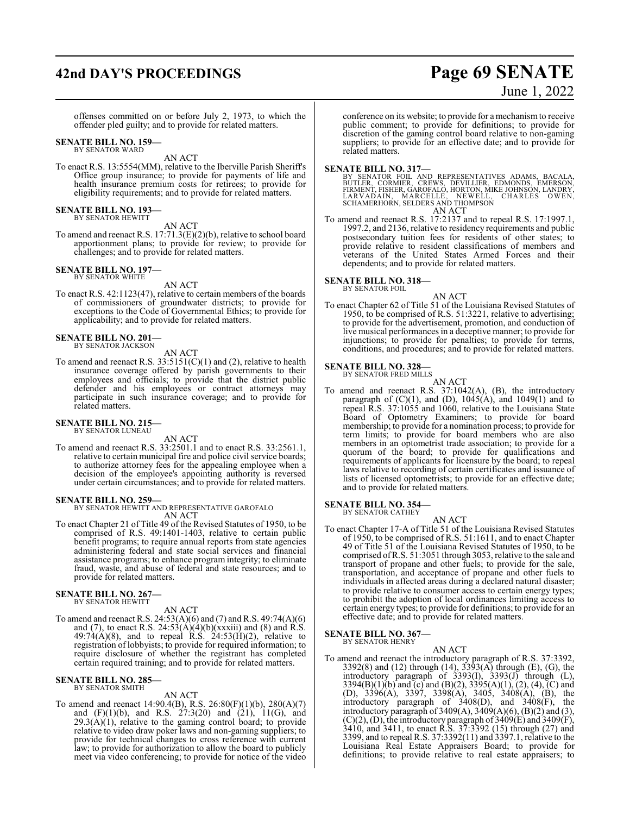# **42nd DAY'S PROCEEDINGS Page 69 SENATE**

offenses committed on or before July 2, 1973, to which the offender pled guilty; and to provide for related matters.

#### **SENATE BILL NO. 159—** BY SENATOR WARD

AN ACT

To enact R.S. 13:5554(MM), relative to the Iberville Parish Sheriff's Office group insurance; to provide for payments of life and health insurance premium costs for retirees; to provide for eligibility requirements; and to provide for related matters.

#### **SENATE BILL NO. 193—** BY SENATOR HEWITT

AN ACT

To amend and reenact R.S. 17:71.3(E)(2)(b), relative to school board apportionment plans; to provide for review; to provide for challenges; and to provide for related matters.

#### **SENATE BILL NO. 197—**

BY SENATOR WHITE

AN ACT To enact R.S. 42:1123(47), relative to certain members of the boards of commissioners of groundwater districts; to provide for exceptions to the Code of Governmental Ethics; to provide for

applicability; and to provide for related matters.

**SENATE BILL NO. 201—** BY SENATOR JACKSON

AN ACT To amend and reenact R.S.  $33:5151(C)(1)$  and (2), relative to health insurance coverage offered by parish governments to their employees and officials; to provide that the district public defender and his employees or contract attorneys may participate in such insurance coverage; and to provide for related matters.

#### **SENATE BILL NO. 215—** BY SENATOR LUNEAU

AN ACT

To amend and reenact R.S. 33:2501.1 and to enact R.S. 33:2561.1, relative to certain municipal fire and police civil service boards; to authorize attorney fees for the appealing employee when a decision of the employee's appointing authority is reversed under certain circumstances; and to provide for related matters.

#### **SENATE BILL NO. 259—**

BY SENATOR HEWITT AND REPRESENTATIVE GAROFALO AN ACT

To enact Chapter 21 of Title 49 of the Revised Statutes of 1950, to be comprised of R.S. 49:1401-1403, relative to certain public benefit programs; to require annual reports from state agencies administering federal and state social services and financial assistance programs; to enhance program integrity; to eliminate fraud, waste, and abuse of federal and state resources; and to provide for related matters.

## **SENATE BILL NO. 267—**

BY SENATOR HEWITT

#### AN ACT

To amend and reenact R.S. 24:53(A)(6) and (7) and R.S. 49:74(A)(6) and (7), to enact R.S.  $24:53(A)(4)(b)(xxxiii)$  and (8) and R.S.  $49:74(A)(8)$ , and to repeal R.S.  $24:53(H)(2)$ , relative to registration of lobbyists; to provide for required information; to require disclosure of whether the registrant has completed certain required training; and to provide for related matters.

# **SENATE BILL NO. 285—** BY SENATOR SMITH

#### AN ACT

To amend and reenact 14:90.4(B), R.S. 26:80(F)(1)(b), 280(A)(7) and (F)(1)(b), and R.S. 27:3(20) and (21), 11(G), and  $29.3(A)(1)$ , relative to the gaming control board; to provide relative to video draw poker laws and non-gaming suppliers; to provide for technical changes to cross reference with current law; to provide for authorization to allow the board to publicly meet via video conferencing; to provide for notice of the video

conference on its website; to provide for a mechanismto receive public comment; to provide for definitions; to provide for discretion of the gaming control board relative to non-gaming suppliers; to provide for an effective date; and to provide for

# related matters.

SENATE BILL NO. 317—<br>BY SENATOR FOIL AND REPRESENTATIVES ADAMS, BACALA,<br>BUTLER, CORMIER, CREWS, DEVILLIER, EDMONDS, EMERSON,<br>FIRMENT, FISHER, GAROFALO, HORTON, MIKE JOHNSON, LANDRY,<br>LARVADAIN, MARCELLE, NEWELL, CHARLES OWE

To amend and reenact R.S. 17:2137 and to repeal R.S. 17:1997.1, 1997.2, and 2136, relative to residency requirements and public postsecondary tuition fees for residents of other states; to provide relative to resident classifications of members and veterans of the United States Armed Forces and their dependents; and to provide for related matters.

#### **SENATE BILL NO. 318—** BY SENATOR FOIL

AN ACT To enact Chapter 62 of Title 51 of the Louisiana Revised Statutes of 1950, to be comprised of R.S. 51:3221, relative to advertising; to provide for the advertisement, promotion, and conduction of live musical performances in a deceptive manner; to provide for injunctions; to provide for penalties; to provide for terms, conditions, and procedures; and to provide for related matters.

#### **SENATE BILL NO. 328—** BY SENATOR FRED MILLS

AN ACT

To amend and reenact R.S. 37:1042(A), (B), the introductory paragraph of  $(C)(1)$ , and  $(D)$ ,  $1045(A)$ , and  $1049(1)$  and to repeal R.S. 37:1055 and 1060, relative to the Louisiana State Board of Optometry Examiners; to provide for board membership; to provide for a nomination process; to provide for term limits; to provide for board members who are also members in an optometrist trade association; to provide for a quorum of the board; to provide for qualifications and requirements of applicants for licensure by the board; to repeal laws relative to recording of certain certificates and issuance of lists of licensed optometrists; to provide for an effective date; and to provide for related matters.

#### **SENATE BILL NO. 354—** BY SENATOR CATHEY

AN ACT To enact Chapter 17-A of Title 51 of the Louisiana Revised Statutes of 1950, to be comprised of R.S. 51:1611, and to enact Chapter 49 of Title 51 of the Louisiana Revised Statutes of 1950, to be comprised ofR.S. 51:3051 through 3053, relative to the sale and transport of propane and other fuels; to provide for the sale, transportation, and acceptance of propane and other fuels to individuals in affected areas during a declared natural disaster; to provide relative to consumer access to certain energy types; to prohibit the adoption of local ordinances limiting access to certain energy types; to provide for definitions; to provide for an effective date; and to provide for related matters.

#### **SENATE BILL NO. 367—** BY SENATOR HENRY

#### AN ACT

To amend and reenact the introductory paragraph of R.S. 37:3392, 3392(8) and (12) through (14), 3393(A) through (E), (G), the introductory paragraph of 3393(I), 3393(J) through (L), 3394(B)(1)(b) and (c) and (B)(2), 3395(A)(1), (2), (4), (C) and (D), 3396(A), 3397, 3398(A), 3405, 3408(A), (B), the introductory paragraph of 3408(D), and 3408(F), the introductory paragraph of 3409(A),  $3409(A)(6)$ ,  $(B)(2)$  and  $(3)$ ,  $(C)(2)$ ,  $(D)$ , the introductory paragraph of 3409 $(E)$  and 3409 $(F)$ , 3410, and 3411, to enact R.S. 37:3392 (15) through (27) and 3399, and to repeal R.S. 37:3392(11) and 3397.1, relative to the Louisiana Real Estate Appraisers Board; to provide for definitions; to provide relative to real estate appraisers; to

# June 1, 2022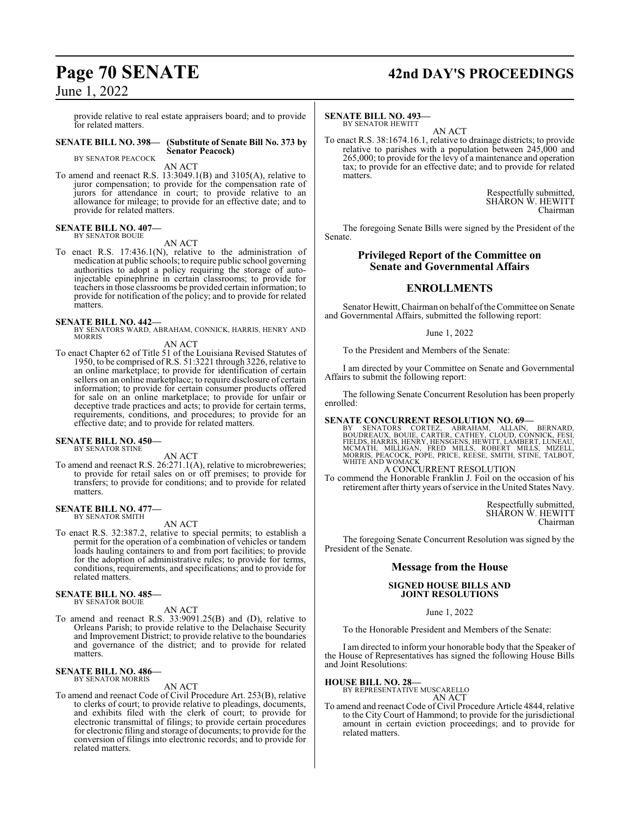provide relative to real estate appraisers board; and to provide for related matters.

#### **SENATE BILL NO. 398— (Substitute of Senate Bill No. 373 by Senator Peacock)**

BY SENATOR PEACOCK

AN ACT

To amend and reenact R.S. 13:3049.1(B) and 3105(A), relative to juror compensation; to provide for the compensation rate of jurors for attendance in court; to provide relative to an allowance for mileage; to provide for an effective date; and to provide for related matters.

#### **SENATE BILL NO. 407—** BY SENATOR BOUIE

AN ACT

To enact R.S. 17:436.1(N), relative to the administration of medication at public schools; to require public school governing authorities to adopt a policy requiring the storage of autoinjectable epinephrine in certain classrooms; to provide for teachers in those classrooms be provided certain information; to provide for notification of the policy; and to provide for related matters.

#### **SENATE BILL NO. 442—**

BY SENATORS WARD, ABRAHAM, CONNICK, HARRIS, HENRY AND MORRIS

#### AN ACT

To enact Chapter 62 of Title 51 of the Louisiana Revised Statutes of 1950, to be comprised of R.S. 51:3221 through 3226, relative to an online marketplace; to provide for identification of certain sellers on an online marketplace; to require disclosure of certain information; to provide for certain consumer products offered for sale on an online marketplace; to provide for unfair or deceptive trade practices and acts; to provide for certain terms, requirements, conditions, and procedures; to provide for an effective date; and to provide for related matters.

# **SENATE BILL NO. 450—** BY SENATOR STINE

AN ACT To amend and reenact R.S. 26:271.1(A), relative to microbreweries; to provide for retail sales on or off premises; to provide for transfers; to provide for conditions; and to provide for related matters.

# **SENATE BILL NO. 477—** BY SENATOR SMITH

AN ACT

To enact R.S. 32:387.2, relative to special permits; to establish a permit for the operation of a combination of vehicles or tandem loads hauling containers to and from port facilities; to provide for the adoption of administrative rules; to provide for terms, conditions, requirements, and specifications; and to provide for related matters.

## **SENATE BILL NO. 485—**

BY SENATOR BOUIE

## AN ACT

To amend and reenact R.S. 33:9091.25(B) and (D), relative to Orleans Parish; to provide relative to the Delachaise Security and Improvement District; to provide relative to the boundaries and governance of the district; and to provide for related matters.

#### **SENATE BILL NO. 486—** BY SENATOR MORRIS

#### AN ACT

To amend and reenact Code of Civil Procedure Art. 253(B), relative to clerks of court; to provide relative to pleadings, documents, and exhibits filed with the clerk of court; to provide for electronic transmittal of filings; to provide certain procedures for electronic filing and storage of documents; to provide for the conversion of filings into electronic records; and to provide for related matters.

# **Page 70 SENATE 42nd DAY'S PROCEEDINGS**

#### **SENATE BILL NO. 493—** BY SENATOR HEWITT

AN ACT

To enact R.S. 38:1674.16.1, relative to drainage districts; to provide relative to parishes with a population between 245,000 and 265,000; to provide for the levy of a maintenance and operation tax; to provide for an effective date; and to provide for related matters.

> Respectfully submitted, SHARON W. HEWITT Chairman

The foregoing Senate Bills were signed by the President of the Senate.

#### **Privileged Report of the Committee on Senate and Governmental Affairs**

## **ENROLLMENTS**

Senator Hewitt, Chairman on behalf of the Committee on Senate and Governmental Affairs, submitted the following report:

#### June 1, 2022

To the President and Members of the Senate:

I am directed by your Committee on Senate and Governmental Affairs to submit the following report:

The following Senate Concurrent Resolution has been properly enrolled:

SENATE CONCURRENT RESOLUTION NO. 69-<br>BY SENATORS CORTEZ, ABRAHAM, ALLAIN, BERNARD,<br>BOUDREAUX, BOUIE, CARTER, CATHEY, CLOUD, CONNICK, FESI,<br>FIELDS, HARRIS, HENRY, HENSGENS, HEWITT, LAMBERT, LUNEAU,<br>MCMATH, MILLIGAN, FRED MI

### A CONCURRENT RESOLUTION

To commend the Honorable Franklin J. Foil on the occasion of his retirement after thirty years of service in the United States Navy.

> Respectfully submitted, SHARON W. HEWITT Chairman

The foregoing Senate Concurrent Resolution was signed by the President of the Senate.

#### **Message from the House**

#### **SIGNED HOUSE BILLS AND JOINT RESOLUTIONS**

June 1, 2022

To the Honorable President and Members of the Senate:

I am directed to inform your honorable body that the Speaker of the House of Representatives has signed the following House Bills and Joint Resolutions:

#### **HOUSE BILL NO. 28—**

BY REPRESENTATIVE MUSCARELLO AN ACT

To amend and reenact Code of Civil Procedure Article 4844, relative to the City Court of Hammond; to provide for the jurisdictional amount in certain eviction proceedings; and to provide for related matters.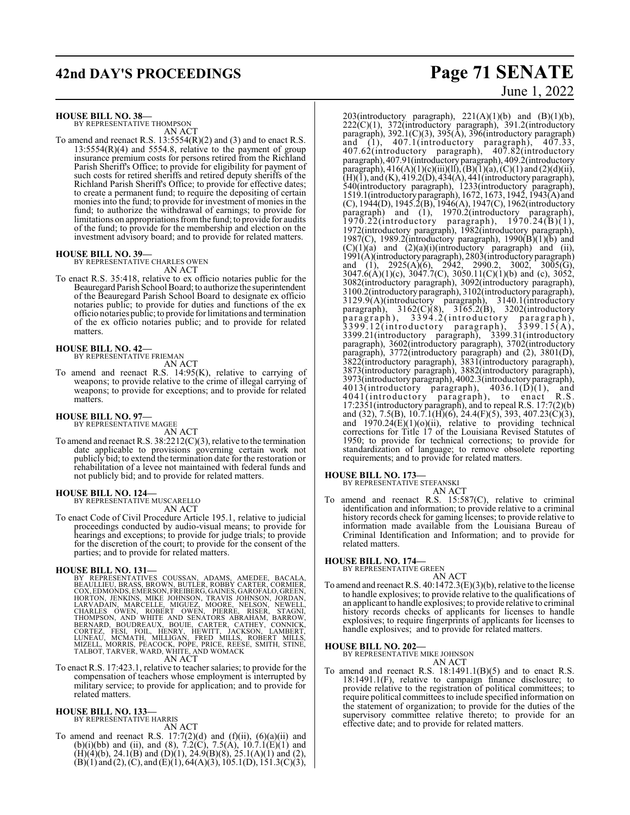# **42nd DAY'S PROCEEDINGS Page 71 SENATE**

**HOUSE BILL NO. 38—**

BY REPRESENTATIVE THOMPSON AN ACT

To amend and reenact R.S. 13:5554(R)(2) and (3) and to enact R.S.  $13:5554(R)(4)$  and  $5554.8$ , relative to the payment of group insurance premium costs for persons retired from the Richland Parish Sheriff's Office; to provide for eligibility for payment of such costs for retired sheriffs and retired deputy sheriffs of the Richland Parish Sheriff's Office; to provide for effective dates; to create a permanent fund; to require the depositing of certain monies into the fund; to provide for investment of monies in the fund; to authorize the withdrawal of earnings; to provide for limitations on appropriations fromthe fund; to provide for audits of the fund; to provide for the membership and election on the investment advisory board; and to provide for related matters.

#### **HOUSE BILL NO. 39—**

BY REPRESENTATIVE CHARLES OWEN AN ACT

To enact R.S. 35:418, relative to ex officio notaries public for the Beauregard Parish School Board; to authorize the superintendent of the Beauregard Parish School Board to designate ex officio notaries public; to provide for duties and functions of the ex officio notaries public; to provide for limitations and termination of the ex officio notaries public; and to provide for related matters.

**HOUSE BILL NO. 42—** BY REPRESENTATIVE FRIEMAN

AN ACT

To amend and reenact R.S. 14:95(K), relative to carrying of weapons; to provide relative to the crime of illegal carrying of weapons; to provide for exceptions; and to provide for related matters.

# **HOUSE BILL NO. 97—** BY REPRESENTATIVE MAGEE

AN ACT

To amend and reenact R.S. 38:2212(C)(3), relative to the termination date applicable to provisions governing certain work not publicly bid; to extend the termination date for the restoration or rehabilitation of a levee not maintained with federal funds and not publicly bid; and to provide for related matters.

# **HOUSE BILL NO. 124—** BY REPRESENTATIVE MUSCARELLO

AN ACT

To enact Code of Civil Procedure Article 195.1, relative to judicial proceedings conducted by audio-visual means; to provide for hearings and exceptions; to provide for judge trials; to provide for the discretion of the court; to provide for the consent of the parties; and to provide for related matters.

HOUSE BILL NO. 131—<br>
BY REPRESENTATIVES COUSSAN, ADAMS, AMEDEE, BACALA,<br>
BEAULLIEU, BRASS, BROWN, BUTLER, ROBBY CARTER, CORMIER,<br>
COX, EDMONDS, EMERSON, FREIBERG, GAINES, GAROFALO, GREEN,<br>
HORTON, JENKINS, MIKE JOHNSON, TR

To enact R.S. 17:423.1, relative to teacher salaries; to provide for the compensation of teachers whose employment is interrupted by military service; to provide for application; and to provide for related matters.

#### **HOUSE BILL NO. 133—** BY REPRESENTATIVE HARRIS

AN ACT

To amend and reenact R.S.  $17:7(2)(d)$  and  $(f)(ii)$ ,  $(6)(a)(ii)$  and (b)(i)(bb) and (ii), and (8),  $7.2(\text{C})$ ,  $7.5(\text{A})$ ,  $10.7.1(\text{E})(1)$  and  $(H)(4)(b)$ , 24.1 $(B)$  and  $(D)(1)$ , 24.9 $(B)(8)$ , 25.1 $(A)(1)$  and  $(2)$ ,  $(B)(1)$  and  $(2)$ ,  $(C)$ , and  $(E)(1)$ , 64(A)(3), 105.1(D), 151.3(C)(3),

# June 1, 2022

203(introductory paragraph),  $221(A)(1)(b)$  and  $(B)(1)(b)$ , 222(C)(1), 372(introductory paragraph), 391.2(introductory paragraph), 392.1(C)(3), 395(A), 396(introductory paragraph) and (1), 407.1(introductory paragraph), 407.33, 407.62(introductory paragraph), 407.82(introductory paragraph), 407.91(introductory paragraph), 409.2(introductory paragraph),  $416(A)(1)(c)(iii)(ll), (B)(1)(a), (C)(1)$  and  $(2)(d)(ii),$  $(H)(\bar{1})$ , and  $(K)$ , 419.2(D), 434(A), 441(introductory paragraph), 540(introductory paragraph), 1233(introductory paragraph), 1519.1(introductoryparagraph), 1672, 1673, 1942, 1943(A) and (C), 1944(D), 1945.2(B), 1946(A), 1947(C), 1962(introductory paragraph) and (1), 1970.2(introductory paragraph), 1970.22(introductory paragraph), 1970.24(B)(1), 1972(introductory paragraph), 1982(introductory paragraph), 1987(C), 1989.2(introductory paragraph), 1990( $\overline{B}(1)$ ( $\overline{b}$ ) and  $(C)(1)(a)$  and  $(2)(a)(i)(introducing)$  paragraph) and (ii), 1991(A)(introductoryparagraph), 2803(introductory paragraph) and (1),  $2925(A)(6)$ ,  $2942$ ,  $2990.2$ ,  $3002$ ,  $3005(G)$ , 3047.6(A)(1)(c), 3047.7(C), 3050.11(C)(1)(b) and (c), 3052, 3082(introductory paragraph), 3092(introductory paragraph), 3100.2(introductory paragraph), 3102(introductory paragraph), 3129.9(A)(introductory paragraph), 3140.1(introductory paragraph), 3162(C)(8), 3165.2(B), 3202(introductory paragraph), 3394.2(introductory paragraph),  $3399.12$ (introductory paragraph),  $3399.15(A)$ ,  $3399.12$ (introductory paragraph),  $3399.15(A)$ ,<br>3399.21(introductory paragraph),  $3399.31$ (introductory) paragraph), 3602(introductory paragraph), 3702(introductory paragraph), 3772(introductory paragraph) and (2), 3801(D), 3822(introductory paragraph), 3831(introductory paragraph), 3873(introductory paragraph), 3882(introductory paragraph), 3973(introductory paragraph), 4002.3(introductory paragraph),  $4013$ (introductory paragraph),  $4036.1(D)(1)$ , and  $4041$ (introductory paragraph), to enact R.S. 4041(introductory paragraph), to enact R.S. 17:2351(introductory paragraph), and to repeal R.S. 17:7(2)(b) and (32), 7.5(B), 10.7.1(H)(6), 24.4(F)(5), 393, 407.23(C)(3), and  $1970.24(E)(1)(o)(ii)$ , relative to providing technical corrections for Title 17 of the Louisiana Revised Statutes of 1950; to provide for technical corrections; to provide for standardization of language; to remove obsolete reporting requirements; and to provide for related matters.

#### **HOUSE BILL NO. 173—**

BY REPRESENTATIVE STEFANSKI

AN ACT

To amend and reenact R.S. 15:587(C), relative to criminal identification and information; to provide relative to a criminal history records check for gaming licenses; to provide relative to information made available from the Louisiana Bureau of Criminal Identification and Information; and to provide for related matters.

**HOUSE BILL NO. 174—** BY REPRESENTATIVE GREEN

AN ACT To amend and reenact R.S. 40:1472.3(E)(3)(b), relative to the license to handle explosives; to provide relative to the qualifications of an applicant to handle explosives; to provide relative to criminal history records checks of applicants for licenses to handle explosives; to require fingerprints of applicants for licenses to handle explosives; and to provide for related matters.

#### **HOUSE BILL NO. 202—**

BY REPRESENTATIVE MIKE JOHNSON

AN ACT

To amend and reenact R.S. 18:1491.1(B)(5) and to enact R.S. 18:1491.1(F), relative to campaign finance disclosure; to provide relative to the registration of political committees; to require political committees to include specified information on the statement of organization; to provide for the duties of the supervisory committee relative thereto; to provide for an effective date; and to provide for related matters.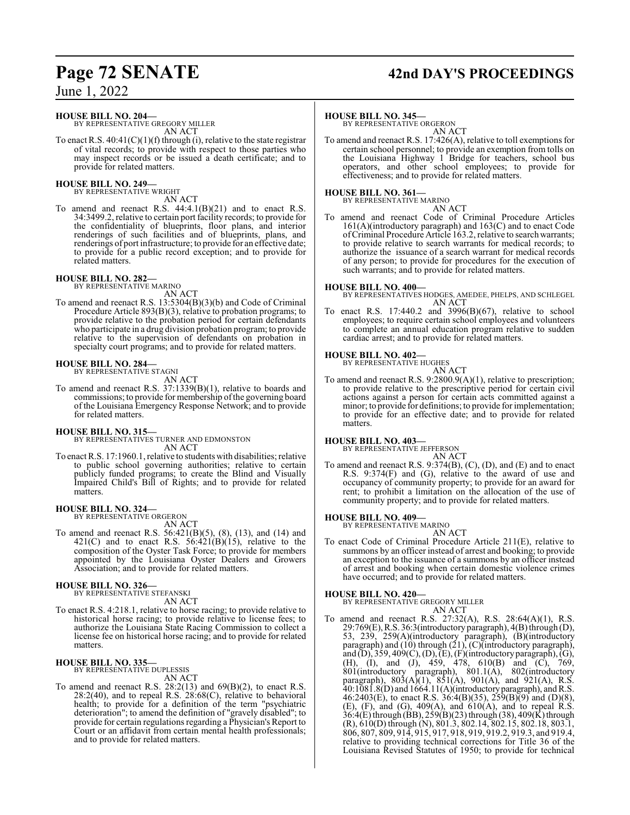#### **HOUSE BILL NO. 204—**

BY REPRESENTATIVE GREGORY MILLER AN ACT

To enact R.S.  $40:41(C)(1)(f)$  through (i), relative to the state registrar of vital records; to provide with respect to those parties who may inspect records or be issued a death certificate; and to provide for related matters.

#### **HOUSE BILL NO. 249—**

BY REPRESENTATIVE WRIGHT AN ACT

To amend and reenact R.S. 44:4.1(B)(21) and to enact R.S. 34:3499.2, relative to certain port facility records; to provide for the confidentiality of blueprints, floor plans, and interior renderings of such facilities and of blueprints, plans, and renderings of port infrastructure; to provide for an effective date; to provide for a public record exception; and to provide for related matters.

# **HOUSE BILL NO. 282—** BY REPRESENTATIVE MARINO

AN ACT

To amend and reenact R.S. 13:5304(B)(3)(b) and Code of Criminal Procedure Article 893(B)(3), relative to probation programs; to provide relative to the probation period for certain defendants who participate in a drug division probation program; to provide relative to the supervision of defendants on probation in specialty court programs; and to provide for related matters.

#### **HOUSE BILL NO. 284—** BY REPRESENTATIVE STAGNI

AN ACT

To amend and reenact R.S. 37:1339(B)(1), relative to boards and commissions; to provide for membership of the governing board of the Louisiana Emergency Response Network; and to provide for related matters.

#### **HOUSE BILL NO. 315—**

BY REPRESENTATIVES TURNER AND EDMONSTON AN ACT

To enact R.S. 17:1960.1, relative to students with disabilities; relative to public school governing authorities; relative to certain publicly funded programs; to create the Blind and Visually Impaired Child's Bill of Rights; and to provide for related matters.

# **HOUSE BILL NO. 324—** BY REPRESENTATIVE ORGERON

AN ACT

To amend and reenact R.S. 56:421(B)(5), (8), (13), and (14) and 421(C) and to enact R.S.  $56:421(B)(15)$ , relative to the composition of the Oyster Task Force; to provide for members appointed by the Louisiana Oyster Dealers and Growers Association; and to provide for related matters.

#### **HOUSE BILL NO. 326—** BY REPRESENTATIVE STEFANSKI

AN ACT

To enact R.S. 4:218.1, relative to horse racing; to provide relative to historical horse racing; to provide relative to license fees; to authorize the Louisiana State Racing Commission to collect a license fee on historical horse racing; and to provide for related matters.

#### **HOUSE BILL NO. 335—**

BY REPRESENTATIVE DUPLESSIS

AN ACT

To amend and reenact R.S.  $28:2(13)$  and  $69(B)(2)$ , to enact R.S.  $28:2(40)$ , and to repeal R.S.  $28:68(C)$ , relative to behavioral health; to provide for a definition of the term "psychiatric deterioration"; to amend the definition of "gravely disabled"; to provide for certain regulations regarding a Physician's Report to Court or an affidavit from certain mental health professionals; and to provide for related matters.

# **Page 72 SENATE 42nd DAY'S PROCEEDINGS**

#### **HOUSE BILL NO. 345—**

BY REPRESENTATIVE ORGERON AN ACT

To amend and reenact R.S. 17:426(A), relative to toll exemptions for certain school personnel; to provide an exemption from tolls on the Louisiana Highway 1 Bridge for teachers, school bus operators, and other school employees; to provide for effectiveness; and to provide for related matters.

#### **HOUSE BILL NO. 361—**

BY REPRESENTATIVE MARINO AN ACT

To amend and reenact Code of Criminal Procedure Articles 161(A)(introductory paragraph) and 163(C) and to enact Code ofCriminal Procedure Article 163.2, relative to searchwarrants; to provide relative to search warrants for medical records; to authorize the issuance of a search warrant for medical records of any person; to provide for procedures for the execution of such warrants; and to provide for related matters.

**HOUSE BILL NO. 400—** BY REPRESENTATIVES HODGES, AMEDEE, PHELPS, AND SCHLEGEL AN ACT

To enact R.S. 17:440.2 and 3996(B)(67), relative to school employees; to require certain school employees and volunteers to complete an annual education program relative to sudden cardiac arrest; and to provide for related matters.

#### **HOUSE BILL NO. 402—**

BY REPRESENTATIVE HUGHES AN ACT

To amend and reenact R.S. 9:2800.9(A)(1), relative to prescription; to provide relative to the prescriptive period for certain civil actions against a person for certain acts committed against a minor; to provide for definitions; to provide for implementation; to provide for an effective date; and to provide for related matters.

**HOUSE BILL NO. 403—** BY REPRESENTATIVE JEFFERSON

## AN ACT

To amend and reenact R.S. 9:374(B), (C), (D), and (E) and to enact R.S. 9:374(F) and (G), relative to the award of use and occupancy of community property; to provide for an award for rent; to prohibit a limitation on the allocation of the use of community property; and to provide for related matters.

#### **HOUSE BILL NO. 409—**

BY REPRESENTATIVE MARINO

AN ACT To enact Code of Criminal Procedure Article 211(E), relative to summons by an officer instead of arrest and booking; to provide an exception to the issuance of a summons by an officer instead of arrest and booking when certain domestic violence crimes have occurred; and to provide for related matters.

#### **HOUSE BILL NO. 420—**

BY REPRESENTATIVE GREGORY MILLER AN ACT

To amend and reenact R.S. 27:32(A), R.S. 28:64(A)(1), R.S. 29:769(E),R.S. 36:3(introductory paragraph), 4(B) through (D), 53, 239, 259(A)(introductory paragraph), (B)(introductory paragraph) and (10) through (21), (C)(introductory paragraph), and (D), 359, 409(C), (D), (E), (F)(introductory paragraph), (G), (H), (I), and (J), 459, 478, 610(B) and (C), 769, 801(introductory paragraph), 801.1(A), 802(introductory paragraph),  $803(A)(1)$ ,  $851(A)$ ,  $901(A)$ , and  $921(A)$ , R.S. 40:1081.8(D) and 1664.11(A)(introductoryparagraph), andR.S. 46:2403(E), to enact R.S.  $36:4(B)(35)$ ,  $259(B)(9)$  and (D)(8), (E),  $(F)$ , and  $(G)$ , 409 $(A)$ , and  $610(A)$ , and to repeal  $R.S$ . 36:4(E) through (BB), 259(B)(23) through (38), 409(K) through (R), 610(D) through (N), 801.3, 802.14, 802.15, 802.18, 803.1, 806, 807, 809, 914, 915, 917, 918, 919, 919.2, 919.3, and 919.4, relative to providing technical corrections for Title 36 of the Louisiana Revised Statutes of 1950; to provide for technical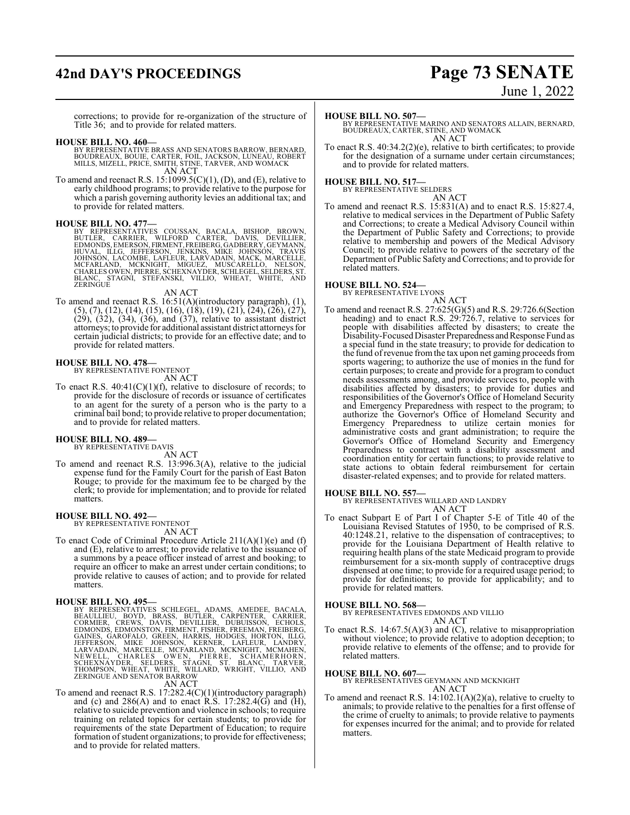# **42nd DAY'S PROCEEDINGS Page 73 SENATE**

# June 1, 2022

corrections; to provide for re-organization of the structure of Title 36; and to provide for related matters.

### **HOUSE BILL NO. 460—**

- BY REPRESENTATIVE BRASS AND SENATORS BARROW, BERNARD,<br>BOUDREAUX, BOUIE, CARTER, FOIL, JACKSON, LUNEAU, ROBERT<br>MILLS, MIZELL, PRICE, SMITH, STINE, TARVER, AND WOMACK AN ACT
- To amend and reenact R.S.  $15:1099.5(C)(1)$ , (D), and (E), relative to early childhood programs; to provide relative to the purpose for which a parish governing authority levies an additional tax; and to provide for related matters.

**HOUSE BILL NO. 477—**<br>BY REPRESENTATIVES COUSSAN, BACALA, BISHOP, BROWN,<br>BUTLER, CARRIER, WILFORD CARTER, DAVIS, DEVILLIER,<br>EDMONDS, EMERSON, FIRMENT, FREIBERG, GADBERRY, GEYMANN, HUVAL, ILLG, JEFFERSON, JENKINS, MIKE JOHNSON, TRAVIS<br>JOHNSON, LACOMBE, LAFLEUR, LARVADAIN, MACK, MARCELLE,<br>MCFARLAND, MCKNIGHT, MIGUEZ, MUSCARELLO, NELSON,<br>CHARLESOWEN,PIERRE,SCHEXNAYDER,SCHLEGEL,SELDERS,ST.<br>BLANC, STAGNI

### AN ACT

To amend and reenact R.S. 16:51(A)(introductory paragraph), (1),  $(5), (7), (12), (14), (15), (16), (18), (19), (21), (24), (26), (27),$  $(29)$ ,  $(32)$ ,  $(34)$ ,  $(36)$ , and  $(37)$ , relative to assistant district attorneys; to provide for additional assistant district attorneysfor certain judicial districts; to provide for an effective date; and to provide for related matters.

**HOUSE BILL NO. 478—** BY REPRESENTATIVE FONTENOT AN ACT

To enact R.S.  $40:41(C)(1)(f)$ , relative to disclosure of records; to provide for the disclosure of records or issuance of certificates to an agent for the surety of a person who is the party to a criminal bail bond; to provide relative to proper documentation; and to provide for related matters.

### **HOUSE BILL NO. 489—**

BY REPRESENTATIVE DAVIS AN ACT

To amend and reenact R.S. 13:996.3(A), relative to the judicial expense fund for the Family Court for the parish of East Baton Rouge; to provide for the maximum fee to be charged by the clerk; to provide for implementation; and to provide for related matters.

### **HOUSE BILL NO. 492—**

BY REPRESENTATIVE FONTENOT AN ACT

To enact Code of Criminal Procedure Article 211(A)(1)(e) and (f) and (E), relative to arrest; to provide relative to the issuance of a summons by a peace officer instead of arrest and booking; to require an officer to make an arrest under certain conditions; to provide relative to causes of action; and to provide for related matters.

HOUSE BILL NO. 495—<br>BY REPRESENTATIVES SCHLEGEL, ADAMS, AMEDEE, BACALA,<br>BEAULLIEU, BOYD, BRASS, BUTLER, CARPENTER, CARRIER,<br>CORMIER, CREWS, DAVIS, DEVILLIER, DUBUISSON, ECHOLS,<br>EDMONDS, EDMONSTON, FIRMENT, FISHER, FREEMAN,

### AN ACT

To amend and reenact R.S. 17:282.4(C)(1)(introductory paragraph) and (c) and  $286(A)$  and to enact R.S. 17:282.4(G) and (H), relative to suicide prevention and violence in schools; to require training on related topics for certain students; to provide for requirements of the state Department of Education; to require formation of student organizations; to provide for effectiveness; and to provide for related matters.

### **HOUSE BILL NO. 507—**

BY REPRESENTATIVE MARINO AND SENATORS ALLAIN, BERNARD, BOUDREAUX, CARTER, STINE, AND WOMACK AN ACT

To enact R.S. 40:34.2(2)(e), relative to birth certificates; to provide for the designation of a surname under certain circumstances; and to provide for related matters.

### **HOUSE BILL NO. 517—**

BY REPRESENTATIVE SELDERS AN ACT

To amend and reenact R.S. 15:831(A) and to enact R.S. 15:827.4, relative to medical services in the Department of Public Safety and Corrections; to create a Medical Advisory Council within the Department of Public Safety and Corrections; to provide relative to membership and powers of the Medical Advisory Council; to provide relative to powers of the secretary of the Department of Public Safety and Corrections; and to provide for related matters.

### **HOUSE BILL NO. 524—**

BY REPRESENTATIVE LYONS AN ACT

To amend and reenact R.S. 27:625(G)(5) and R.S. 29:726.6(Section heading) and to enact R.S. 29:726.7, relative to services for people with disabilities affected by disasters; to create the Disability-Focused Disaster Preparedness and Response Fund as a special fund in the state treasury; to provide for dedication to the fund ofrevenue fromthe tax upon net gaming proceeds from sports wagering; to authorize the use of monies in the fund for certain purposes; to create and provide for a program to conduct needs assessments among, and provide services to, people with disabilities affected by disasters; to provide for duties and responsibilities of the Governor's Office of Homeland Security and Emergency Preparedness with respect to the program; to authorize the Governor's Office of Homeland Security and Emergency Preparedness to utilize certain monies for administrative costs and grant administration; to require the Governor's Office of Homeland Security and Emergency Preparedness to contract with a disability assessment and coordination entity for certain functions; to provide relative to state actions to obtain federal reimbursement for certain disaster-related expenses; and to provide for related matters.

**HOUSE BILL NO. 557—** BY REPRESENTATIVES WILLARD AND LANDRY AN ACT

To enact Subpart E of Part I of Chapter 5-E of Title 40 of the Louisiana Revised Statutes of 1950, to be comprised of R.S. 40:1248.21, relative to the dispensation of contraceptives; to provide for the Louisiana Department of Health relative to requiring health plans of the state Medicaid program to provide reimbursement for a six-month supply of contraceptive drugs dispensed at one time; to provide for a required usage period; to provide for definitions; to provide for applicability; and to provide for related matters.

### **HOUSE BILL NO. 568—**

BY REPRESENTATIVES EDMONDS AND VILLIO

- AN ACT To enact R.S.  $14:67.5(A)(3)$  and (C), relative to misappropriation
- without violence; to provide relative to adoption deception; to provide relative to elements of the offense; and to provide for related matters.

### **HOUSE BILL NO. 607—**

BY REPRESENTATIVES GEYMANN AND MCKNIGHT AN ACT

To amend and reenact R.S. 14:102.1(A)(2)(a), relative to cruelty to animals; to provide relative to the penalties for a first offense of the crime of cruelty to animals; to provide relative to payments for expenses incurred for the animal; and to provide for related matters.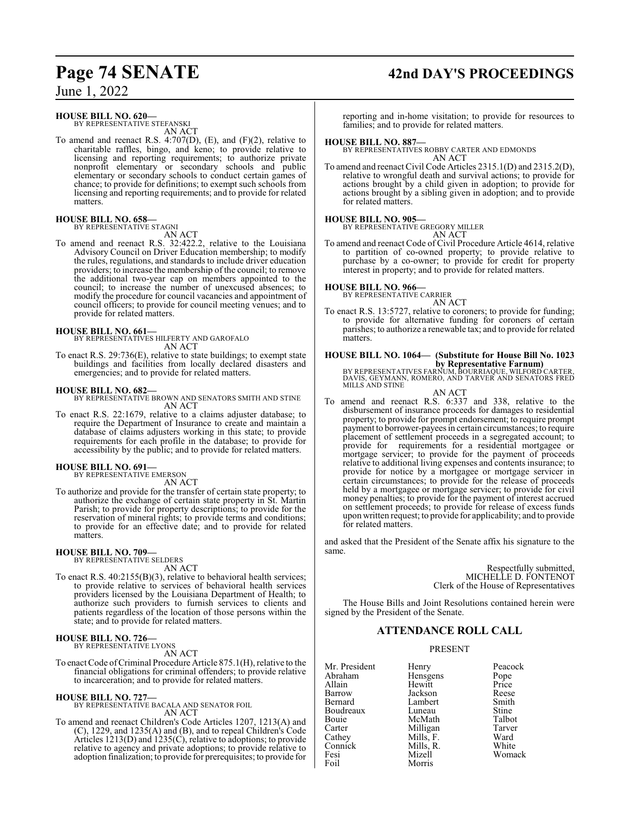June 1, 2022

### **HOUSE BILL NO. 620—**

BY REPRESENTATIVE STEFANSKI AN ACT

To amend and reenact R.S. 4:707(D), (E), and (F)(2), relative to charitable raffles, bingo, and keno; to provide relative to licensing and reporting requirements; to authorize private nonprofit elementary or secondary schools and public elementary or secondary schools to conduct certain games of chance; to provide for definitions; to exempt such schools from licensing and reporting requirements; and to provide for related matters<sup>1</sup>

### **HOUSE BILL NO. 658—** BY REPRESENTATIVE STAGNI

AN ACT

To amend and reenact R.S. 32:422.2, relative to the Louisiana Advisory Council on Driver Education membership; to modify the rules, regulations, and standards to include driver education providers; to increase the membership of the council; to remove the additional two-year cap on members appointed to the council; to increase the number of unexcused absences; to modify the procedure for council vacancies and appointment of council officers; to provide for council meeting venues; and to provide for related matters.

**HOUSE BILL NO. 661—** BY REPRESENTATIVES HILFERTY AND GAROFALO AN ACT

To enact R.S. 29:736(E), relative to state buildings; to exempt state buildings and facilities from locally declared disasters and emergencies; and to provide for related matters.

### **HOUSE BILL NO. 682—**

BY REPRESENTATIVE BROWN AND SENATORS SMITH AND STINE AN ACT

To enact R.S. 22:1679, relative to a claims adjuster database; to require the Department of Insurance to create and maintain a database of claims adjusters working in this state; to provide requirements for each profile in the database; to provide for accessibility by the public; and to provide for related matters.

### **HOUSE BILL NO. 691—** BY REPRESENTATIVE EMERSON

AN ACT

To authorize and provide for the transfer of certain state property; to authorize the exchange of certain state property in St. Martin Parish; to provide for property descriptions; to provide for the reservation of mineral rights; to provide terms and conditions; to provide for an effective date; and to provide for related matters.

## **HOUSE BILL NO. 709—** BY REPRESENTATIVE SELDERS

AN ACT

To enact R.S. 40:2155(B)(3), relative to behavioral health services; to provide relative to services of behavioral health services providers licensed by the Louisiana Department of Health; to authorize such providers to furnish services to clients and patients regardless of the location of those persons within the state; and to provide for related matters.

### **HOUSE BILL NO. 726—** BY REPRESENTATIVE LYONS

AN ACT

To enact Code of Criminal Procedure Article 875.1(H), relative to the financial obligations for criminal offenders; to provide relative to incarceration; and to provide for related matters.

### **HOUSE BILL NO. 727—**

BY REPRESENTATIVE BACALA AND SENATOR FOIL AN ACT

To amend and reenact Children's Code Articles 1207, 1213(A) and (C), 1229, and 1235(A) and (B), and to repeal Children's Code Articles 1213(D) and 1235(C), relative to adoptions; to provide relative to agency and private adoptions; to provide relative to adoption finalization; to provide for prerequisites; to provide for

# **Page 74 SENATE 42nd DAY'S PROCEEDINGS**

reporting and in-home visitation; to provide for resources to families; and to provide for related matters.

### **HOUSE BILL NO. 887—**

BY REPRESENTATIVES ROBBY CARTER AND EDMONDS AN ACT

To amend and reenact Civil Code Articles 2315.1(D) and 2315.2(D), relative to wrongful death and survival actions; to provide for actions brought by a child given in adoption; to provide for actions brought by a sibling given in adoption; and to provide for related matters.

### **HOUSE BILL NO. 905—**

BY REPRESENTATIVE GREGORY MILLER AN ACT

To amend and reenact Code of Civil Procedure Article 4614, relative to partition of co-owned property; to provide relative to purchase by a co-owner; to provide for credit for property interest in property; and to provide for related matters.

**HOUSE BILL NO. 966—** BY REPRESENTATIVE CARRIER AN ACT

To enact R.S. 13:5727, relative to coroners; to provide for funding; to provide for alternative funding for coroners of certain parishes; to authorize a renewable tax; and to provide for related matters.

**HOUSE BILL NO. 1064— (Substitute for House Bill No. 1023 by Representative Farnum)**

BY REPRESENTATIVES FARNUM, BOURRIAQUE, WILFORD CARTER, DAVIS, GEYMANN, ROMERO, AND TARVER AND SENATORS FRED MILLS AND STINE

AN ACT

To amend and reenact R.S. 6:337 and 338, relative to the disbursement of insurance proceeds for damages to residential property; to provide for prompt endorsement; to require prompt payment to borrower-payees in certain circumstances; to require placement of settlement proceeds in a segregated account; to provide for requirements for a residential mortgagee or mortgage servicer; to provide for the payment of proceeds relative to additional living expenses and contents insurance; to provide for notice by a mortgagee or mortgage servicer in certain circumstances; to provide for the release of proceeds held by a mortgagee or mortgage servicer; to provide for civil money penalties; to provide for the payment of interest accrued on settlement proceeds; to provide for release of excess funds upon written request; to provide for applicability; and to provide for related matters.

and asked that the President of the Senate affix his signature to the same.

> Respectfully submitted, MICHELLE D. FONTENOT Clerk of the House of Representatives

The House Bills and Joint Resolutions contained herein were signed by the President of the Senate.

### **ATTENDANCE ROLL CALL**

### PRESENT

Morris

Mr. President Henry Peacock<br>Abraham Hensgens Pope Abraham Hensgens Pope<br>
Allain Hewitt Price Allain Hewitt Price Barrow Jackson Reese Boudreaux Luneau Stine<br>
Bouie McMath Talbot Bouie McMath Talbot Cathey Mills, F. Ward<br>Connick Mills, R. White Connick Mills, R.<br>Fesi Mizell Fesi Mizell Womack

Lambert Smith<br>
Luneau Stine Milligan Tarve<br>
Mills F. Ward